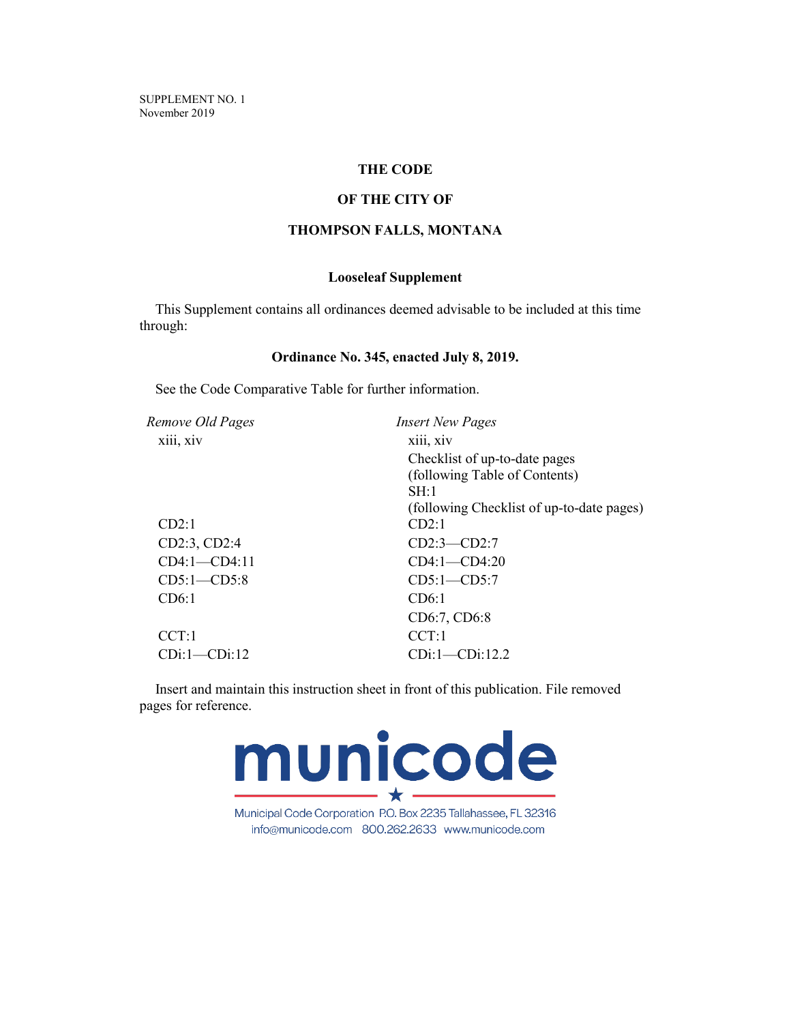SUPPLEMENT NO. 1 November 2019

# **THE CODE**

# **OF THE CITY OF**

# **THOMPSON FALLS, MONTANA**

# **Looseleaf Supplement**

This Supplement contains all ordinances deemed advisable to be included at this time through:

## **Ordinance No. 345, enacted July 8, 2019.**

See the Code Comparative Table for further information.

| Remove Old Pages<br><b>Insert New Pages</b> |  |
|---------------------------------------------|--|
| xiii, xiv                                   |  |
| Checklist of up-to-date pages               |  |
| (following Table of Contents)               |  |
| SH:1                                        |  |
| (following Checklist of up-to-date pages)   |  |
| CD2:1                                       |  |
| $CD2:3$ — $CD2:7$                           |  |
| $CD4:1 - CD4:20$                            |  |
| $CD5:1 - CD5:7$                             |  |
| CD6:1                                       |  |
| CD6:7, CD6:8                                |  |
| CCT:1                                       |  |
| CDi:1-CDi:12.2                              |  |
|                                             |  |

Insert and maintain this instruction sheet in front of this publication. File removed pages for reference.



Municipal Code Corporation P.O. Box 2235 Tallahassee, FL 32316 info@municode.com 800.262.2633 www.municode.com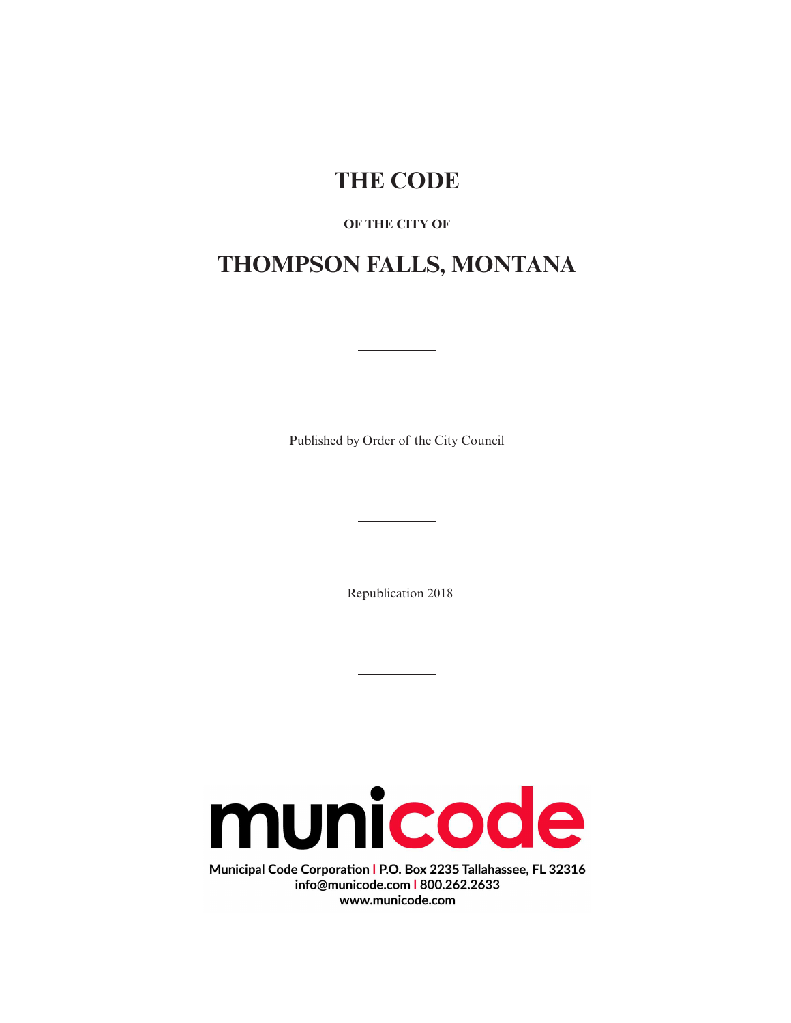# **THE CODE**

# **OF THE CITY OF**

# **THOMPSON FALLS, MONTANA**

Published by Order of the City Council

Republication 2018



Municipal Code Corporation | P.O. Box 2235 Tallahassee, FL 32316 info@municode.com | 800.262.2633 www.municode.com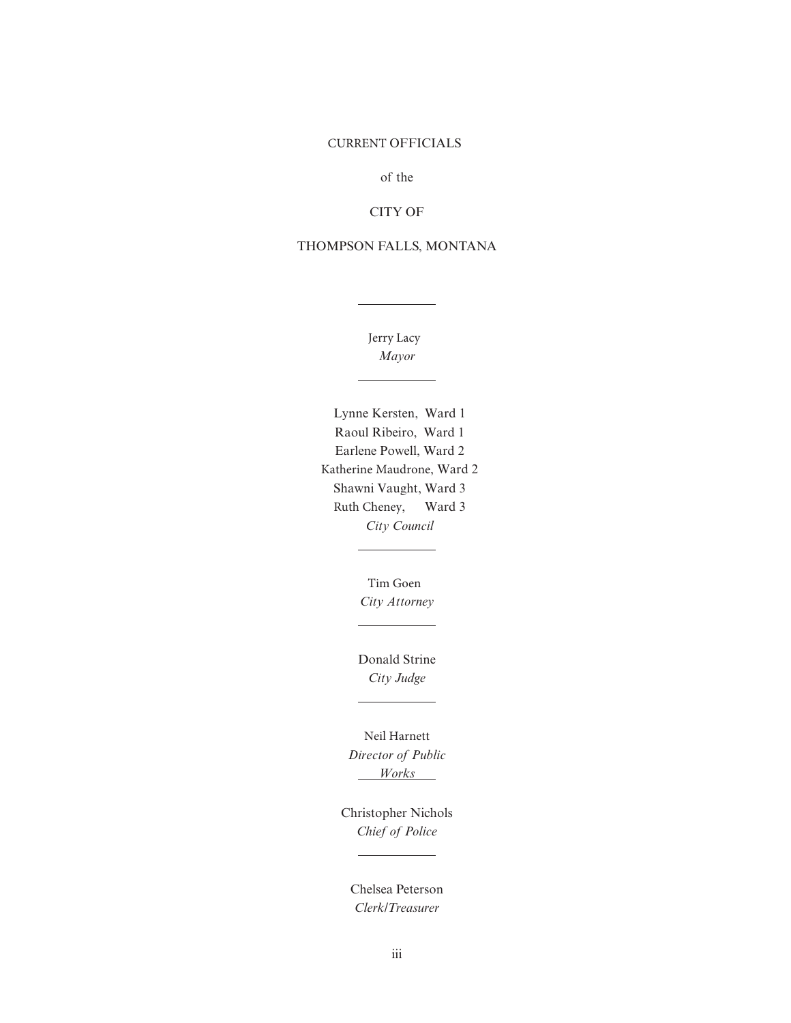# CURRENT OFFICIALS

of the

# CITY OF

# THOMPSON FALLS, MONTANA

 Jerry Lacy *Mayor*

Lynne Kersten, Ward 1 Raoul Ribeiro, Ward 1 Earlene Powell, Ward 2 Katherine Maudrone, Ward 2 Shawni Vaught, Ward 3 Ruth Cheney, Ward 3 *City Council*

> Tim Goen *City Attorney*

Donald Strine *City Judge*

Neil Harnett *Director of Public Works*

Christopher Nichols *Chief of Police*

 $\overline{\phantom{0}}$ 

Chelsea Peterson *Clerk/Treasurer*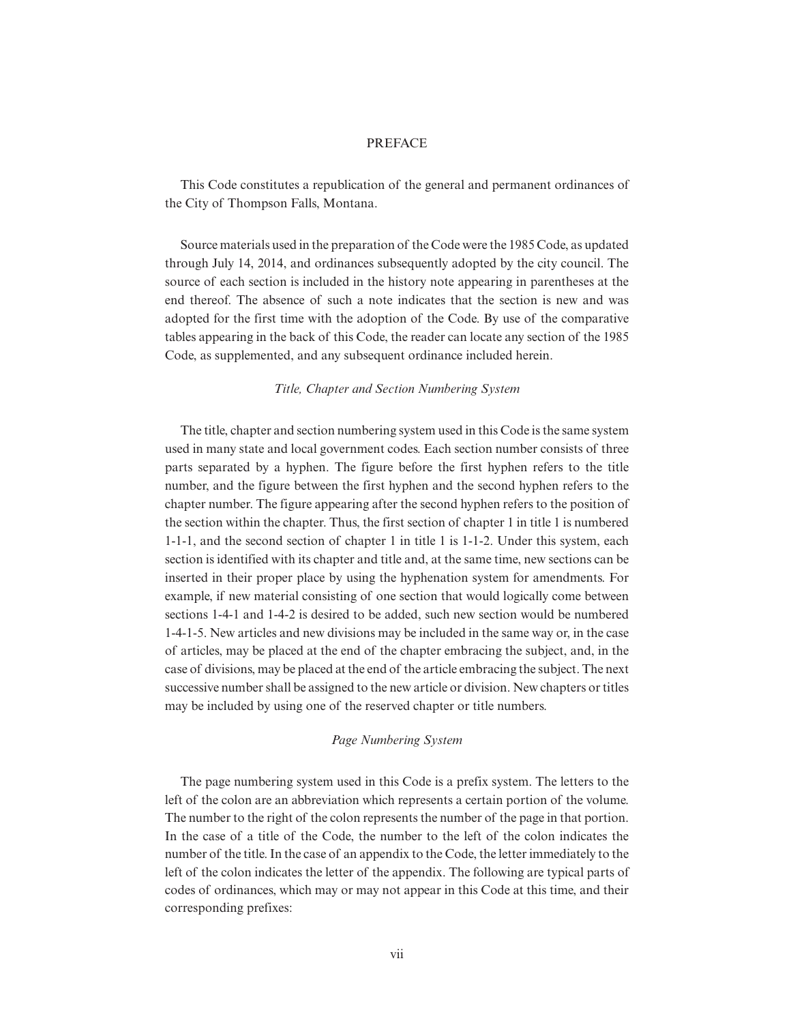## PREFACE

This Code constitutes a republication of the general and permanent ordinances of the City of Thompson Falls, Montana.

Source materials used in the preparation of the Code were the 1985 Code, as updated through July 14, 2014, and ordinances subsequently adopted by the city council. The source of each section is included in the history note appearing in parentheses at the end thereof. The absence of such a note indicates that the section is new and was adopted for the first time with the adoption of the Code. By use of the comparative tables appearing in the back of this Code, the reader can locate any section of the 1985 Code, as supplemented, and any subsequent ordinance included herein.

#### *Title, Chapter and Section Numbering System*

The title, chapter and section numbering system used in this Code is the same system used in many state and local government codes. Each section number consists of three parts separated by a hyphen. The figure before the first hyphen refers to the title number, and the figure between the first hyphen and the second hyphen refers to the chapter number. The figure appearing after the second hyphen refers to the position of the section within the chapter. Thus, the first section of chapter 1 in title 1 is numbered 1-1-1, and the second section of chapter 1 in title 1 is 1-1-2. Under this system, each section is identified with its chapter and title and, at the same time, new sections can be inserted in their proper place by using the hyphenation system for amendments. For example, if new material consisting of one section that would logically come between sections 1-4-1 and 1-4-2 is desired to be added, such new section would be numbered 1-4-1-5. New articles and new divisions may be included in the same way or, in the case of articles, may be placed at the end of the chapter embracing the subject, and, in the case of divisions, may be placed at the end of the article embracing the subject. The next successive number shall be assigned to the new article or division. New chapters or titles may be included by using one of the reserved chapter or title numbers.

#### *Page Numbering System*

The page numbering system used in this Code is a prefix system. The letters to the left of the colon are an abbreviation which represents a certain portion of the volume. The number to the right of the colon represents the number of the page in that portion. In the case of a title of the Code, the number to the left of the colon indicates the number of the title. In the case of an appendix to the Code, the letter immediately to the left of the colon indicates the letter of the appendix. The following are typical parts of codes of ordinances, which may or may not appear in this Code at this time, and their corresponding prefixes: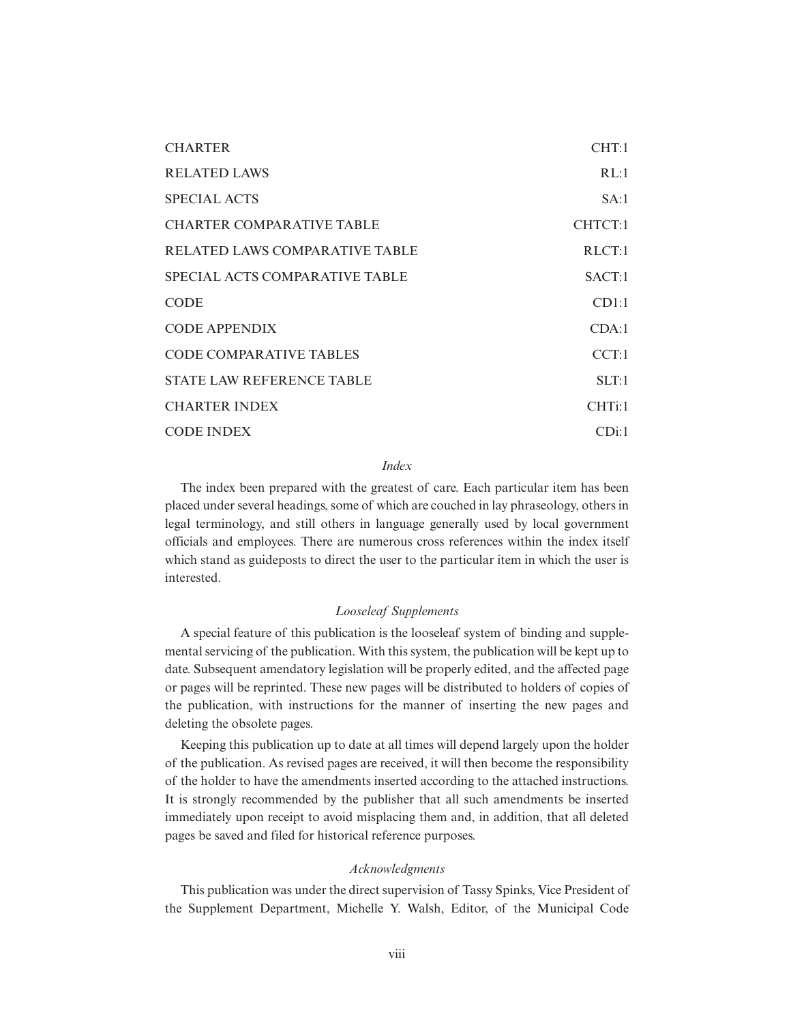| <b>CHARTER</b>                   | CHT:1   |
|----------------------------------|---------|
| <b>RELATED LAWS</b>              | RL:1    |
| <b>SPECIAL ACTS</b>              | SA:1    |
| <b>CHARTER COMPARATIVE TABLE</b> | CHTCT:1 |
| RELATED LAWS COMPARATIVE TABLE   | RLCT:1  |
| SPECIAL ACTS COMPARATIVE TABLE   | SACT:1  |
| <b>CODE</b>                      | CD1:1   |
| <b>CODE APPENDIX</b>             | CDA:1   |
| CODE COMPARATIVE TABLES          | CCT:1   |
| STATE LAW REFERENCE TABLE        | SLT:1   |
| <b>CHARTER INDEX</b>             | CHTi:1  |
| <b>CODE INDEX</b>                | CDi:1   |

#### *Index*

The index been prepared with the greatest of care. Each particular item has been placed under several headings, some of which are couched in lay phraseology, others in legal terminology, and still others in language generally used by local government officials and employees. There are numerous cross references within the index itself which stand as guideposts to direct the user to the particular item in which the user is interested.

# *Looseleaf Supplements*

A special feature of this publication is the looseleaf system of binding and supplemental servicing of the publication. With this system, the publication will be kept up to date. Subsequent amendatory legislation will be properly edited, and the affected page or pages will be reprinted. These new pages will be distributed to holders of copies of the publication, with instructions for the manner of inserting the new pages and deleting the obsolete pages.

Keeping this publication up to date at all times will depend largely upon the holder of the publication. As revised pages are received, it will then become the responsibility of the holder to have the amendments inserted according to the attached instructions. It is strongly recommended by the publisher that all such amendments be inserted immediately upon receipt to avoid misplacing them and, in addition, that all deleted pages be saved and filed for historical reference purposes.

#### *Acknowledgments*

This publication was under the direct supervision of Tassy Spinks, Vice President of the Supplement Department, Michelle Y. Walsh, Editor, of the Municipal Code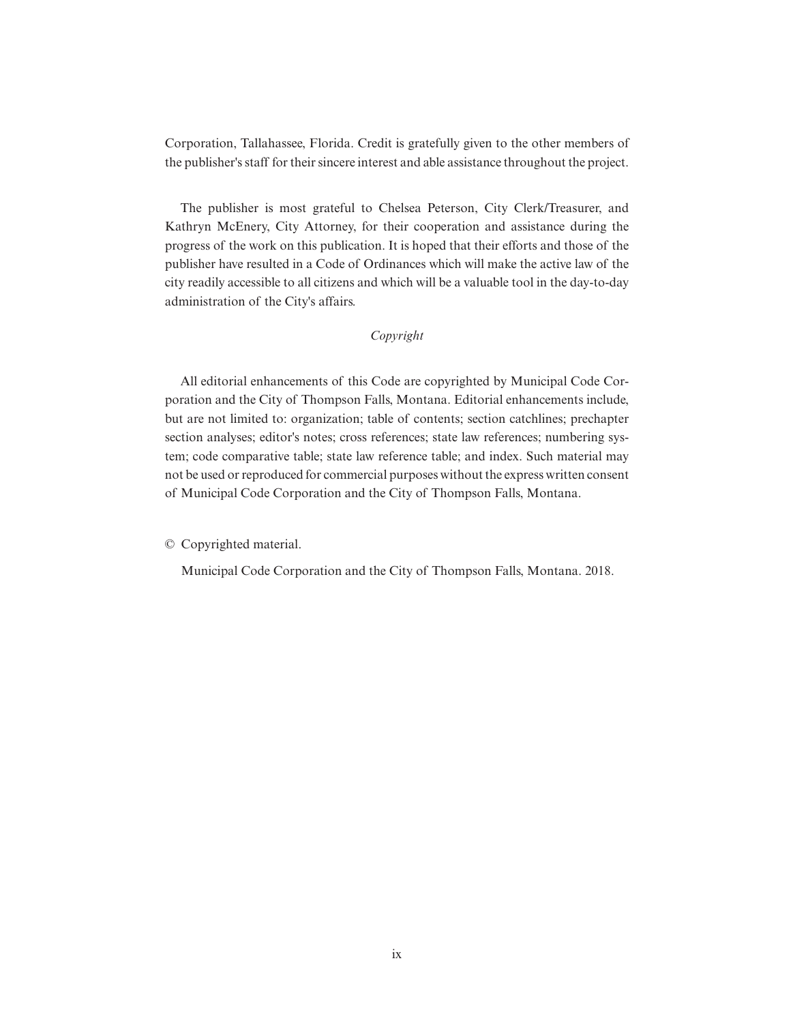Corporation, Tallahassee, Florida. Credit is gratefully given to the other members of the publisher's staff for their sincere interest and able assistance throughout the project.

The publisher is most grateful to Chelsea Peterson, City Clerk/Treasurer, and Kathryn McEnery, City Attorney, for their cooperation and assistance during the progress of the work on this publication. It is hoped that their efforts and those of the publisher have resulted in a Code of Ordinances which will make the active law of the city readily accessible to all citizens and which will be a valuable tool in the day-to-day administration of the City's affairs.

# *Copyright*

All editorial enhancements of this Code are copyrighted by Municipal Code Corporation and the City of Thompson Falls, Montana. Editorial enhancements include, but are not limited to: organization; table of contents; section catchlines; prechapter section analyses; editor's notes; cross references; state law references; numbering system; code comparative table; state law reference table; and index. Such material may not be used or reproduced for commercial purposes without the express written consent of Municipal Code Corporation and the City of Thompson Falls, Montana.

© Copyrighted material.

Municipal Code Corporation and the City of Thompson Falls, Montana. 2018.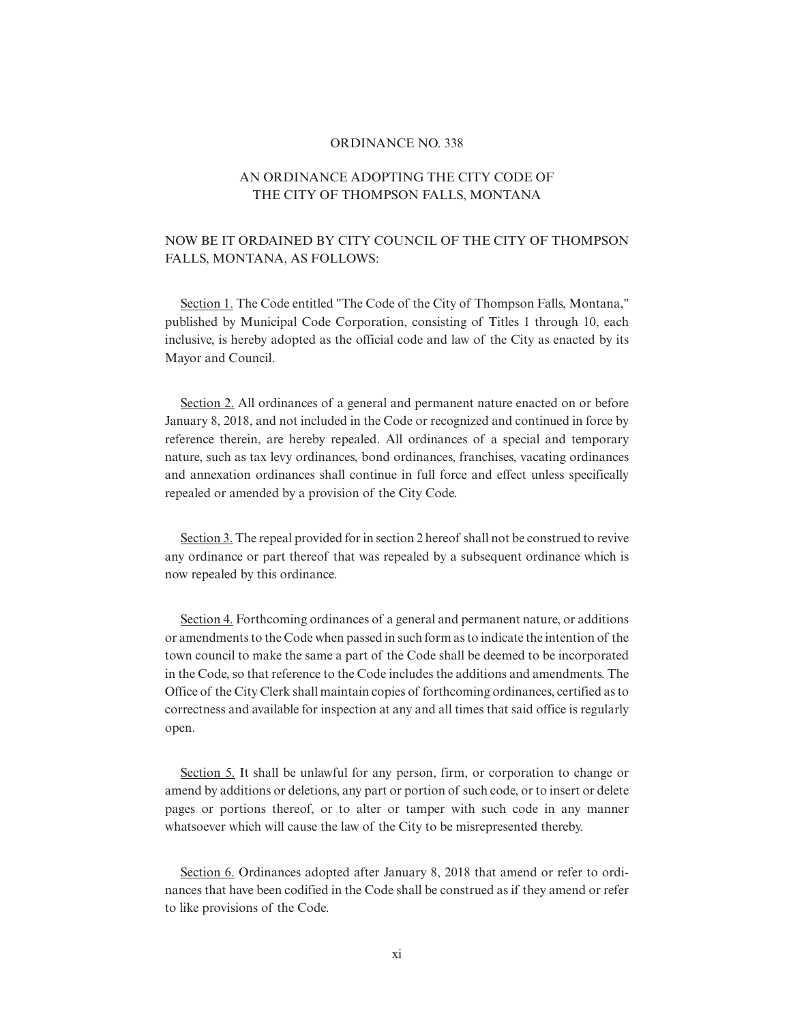#### ORDINANCE NO. 338

# AN ORDINANCE ADOPTING THE CITY CODE OF THE CITY OF THOMPSON FALLS, MONTANA

# NOW BE IT ORDAINED BY CITY COUNCIL OF THE CITY OF THOMPSON FALLS, MONTANA, AS FOLLOWS:

Section 1. The Code entitled "The Code of the City of Thompson Falls, Montana," published by Municipal Code Corporation, consisting of Titles 1 through 10, each inclusive, is hereby adopted as the official code and law of the City as enacted by its Mayor and Council.

Section 2. All ordinances of a general and permanent nature enacted on or before January 8, 2018, and not included in the Code or recognized and continued in force by reference therein, are hereby repealed. All ordinances of a special and temporary nature, such as tax levy ordinances, bond ordinances, franchises, vacating ordinances and annexation ordinances shall continue in full force and effect unless specifically repealed or amended by a provision of the City Code.

Section 3. The repeal provided for in section 2 hereof shall not be construed to revive any ordinance or part thereof that was repealed by a subsequent ordinance which is now repealed by this ordinance.

Section 4. Forthcoming ordinances of a general and permanent nature, or additions or amendments to the Code when passed in such form as to indicate the intention of the town council to make the same a part of the Code shall be deemed to be incorporated in the Code, so that reference to the Code includes the additions and amendments. The Office of the City Clerk shall maintain copies of forthcoming ordinances, certified as to correctness and available for inspection at any and all times that said office is regularly open.

Section 5. It shall be unlawful for any person, firm, or corporation to change or amend by additions or deletions, any part or portion of such code, or to insert or delete pages or portions thereof, or to alter or tamper with such code in any manner whatsoever which will cause the law of the City to be misrepresented thereby.

Section 6. Ordinances adopted after January 8, 2018 that amend or refer to ordinances that have been codified in the Code shall be construed as if they amend or refer to like provisions of the Code.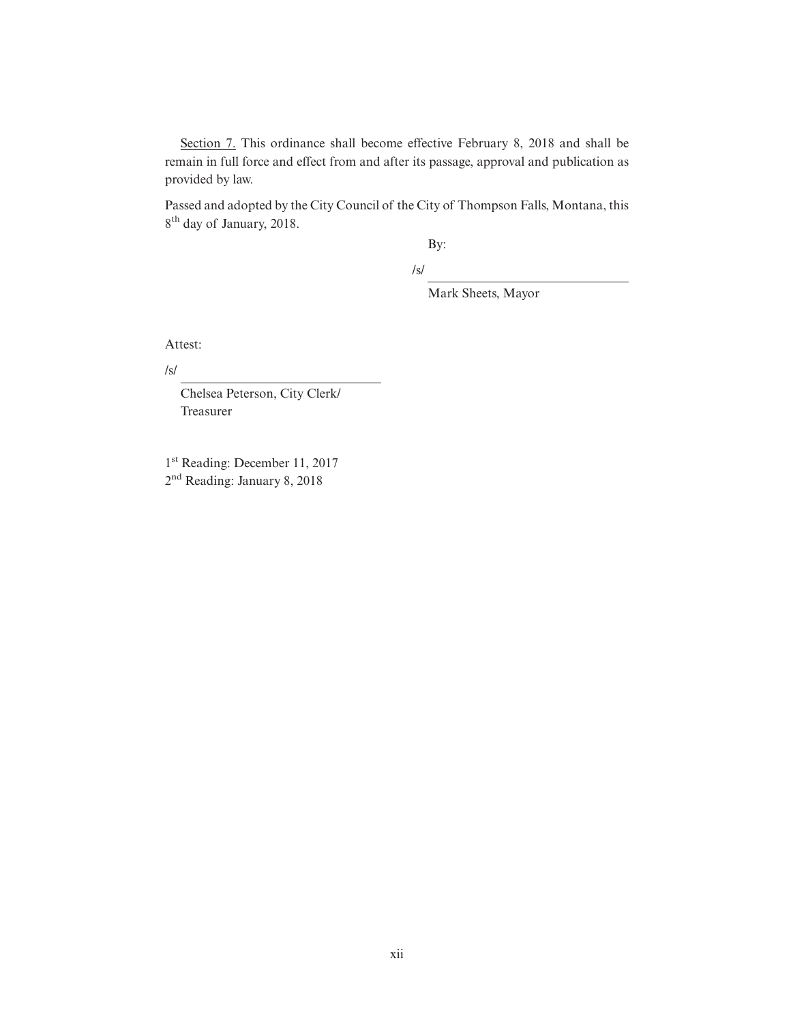Section 7. This ordinance shall become effective February 8, 2018 and shall be remain in full force and effect from and after its passage, approval and publication as provided by law.

Passed and adopted by the City Council of the City of Thompson Falls, Montana, this 8<sup>th</sup> day of January, 2018.

By:

/s/

Mark Sheets, Mayor

Attest:

/s/

Chelsea Peterson, City Clerk/ Treasurer

1 st Reading: December 11, 2017 2<sup>nd</sup> Reading: January 8, 2018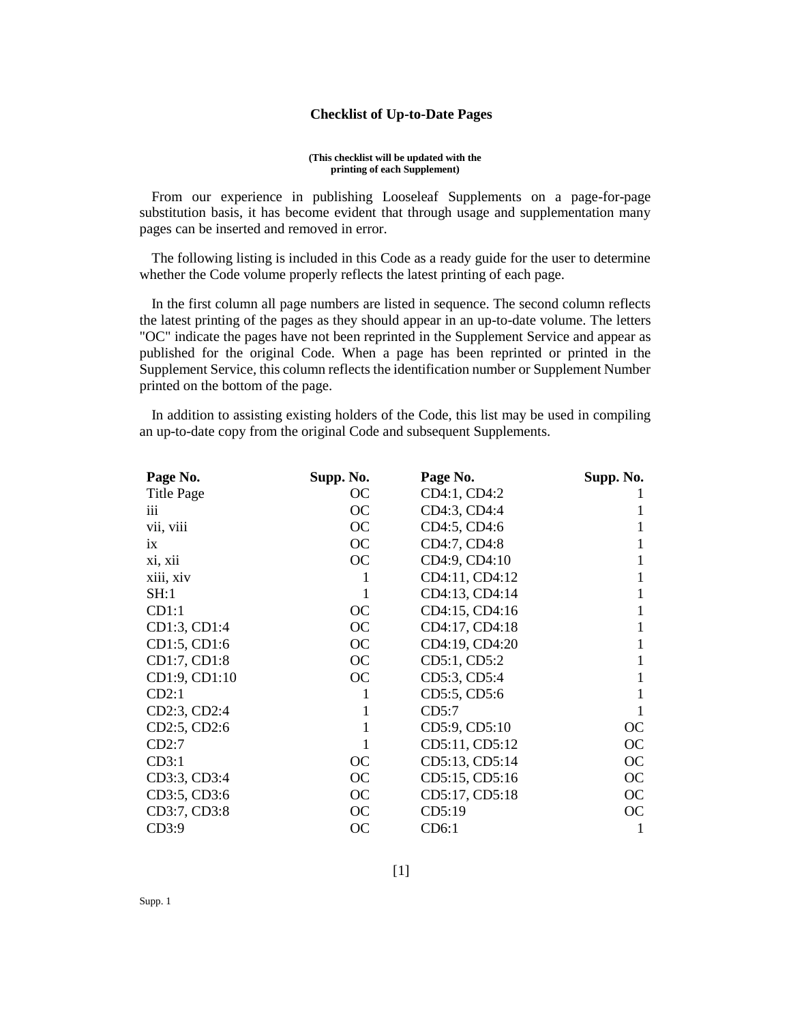# **Checklist of Up-to-Date Pages**

#### **(This checklist will be updated with the printing of each Supplement)**

From our experience in publishing Looseleaf Supplements on a page-for-page substitution basis, it has become evident that through usage and supplementation many pages can be inserted and removed in error.

The following listing is included in this Code as a ready guide for the user to determine whether the Code volume properly reflects the latest printing of each page.

In the first column all page numbers are listed in sequence. The second column reflects the latest printing of the pages as they should appear in an up-to-date volume. The letters "OC" indicate the pages have not been reprinted in the Supplement Service and appear as published for the original Code. When a page has been reprinted or printed in the Supplement Service, this column reflects the identification number or Supplement Number printed on the bottom of the page.

In addition to assisting existing holders of the Code, this list may be used in compiling an up-to-date copy from the original Code and subsequent Supplements.

| Page No.          | Supp. No. | Page No.       | Supp. No. |
|-------------------|-----------|----------------|-----------|
| <b>Title Page</b> | OC        | CD4:1, CD4:2   |           |
| 111               | <b>OC</b> | CD4:3, CD4:4   |           |
| vii, viii         | <b>OC</b> | CD4:5, CD4:6   | 1         |
| $\overline{1}X$   | OC        | CD4:7, CD4:8   |           |
| xi, xii           | OC        | CD4:9, CD4:10  |           |
| xiii, xiv         | 1         | CD4:11, CD4:12 | 1         |
| SH:1              | 1         | CD4:13, CD4:14 | 1         |
| CD1:1             | OC        | CD4:15, CD4:16 | 1         |
| CD1:3, CD1:4      | <b>OC</b> | CD4:17, CD4:18 | 1         |
| CD1:5, CD1:6      | OC        | CD4:19, CD4:20 |           |
| CD1:7, CD1:8      | <b>OC</b> | CD5:1, CD5:2   | 1         |
| CD1:9, CD1:10     | OC        | CD5:3, CD5:4   | 1         |
| CD2:1             | 1         | CD5:5, CD5:6   |           |
| CD2:3, CD2:4      | 1         | CD5:7          |           |
| CD2:5, CD2:6      | 1         | CD5:9, CD5:10  | <b>OC</b> |
| CD2:7             | 1         | CD5:11, CD5:12 | <b>OC</b> |
| CD3:1             | OC        | CD5:13, CD5:14 | <b>OC</b> |
| CD3:3, CD3:4      | OC        | CD5:15, CD5:16 | <b>OC</b> |
| CD3:5, CD3:6      | OC        | CD5:17, CD5:18 | <b>OC</b> |
| CD3:7, CD3:8      | OC        | CD5:19         | OC        |
| CD3:9             | <b>OC</b> | CD6:1          |           |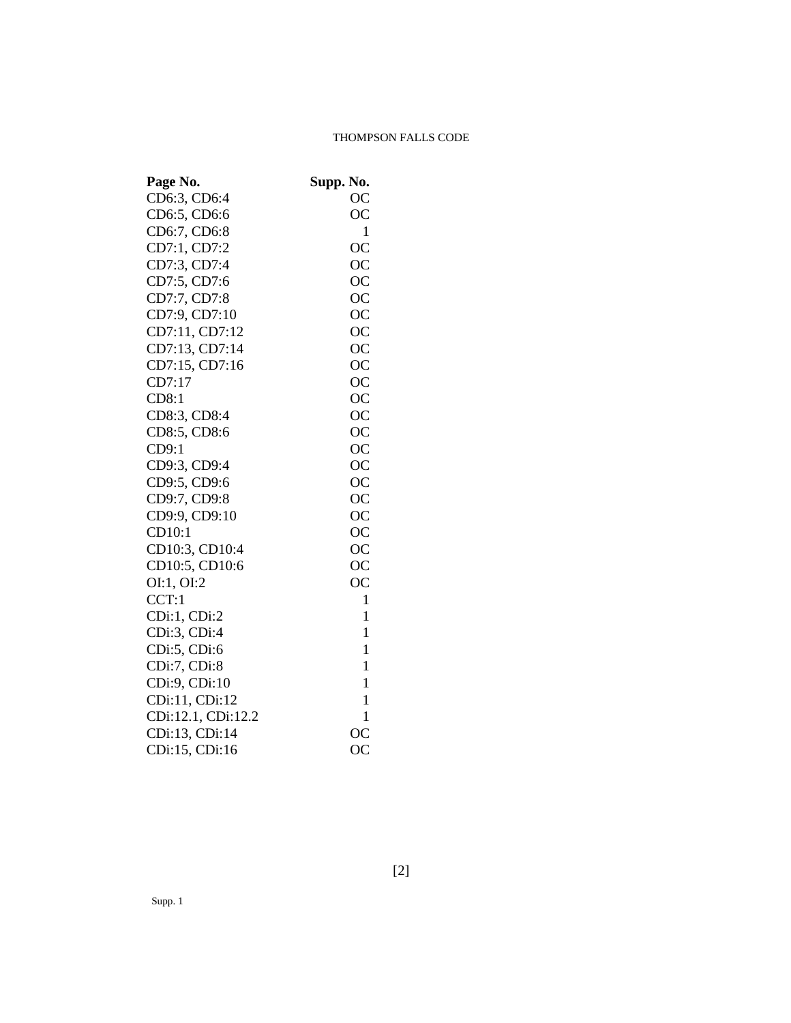# THOMPSON FALLS CODE

| Page No.           | Supp. No.    |
|--------------------|--------------|
| CD6:3, CD6:4       | <b>OC</b>    |
| CD6:5, CD6:6       | <b>OC</b>    |
| CD6:7, CD6:8       | $\mathbf{1}$ |
| CD7:1, CD7:2       | <b>OC</b>    |
| CD7:3, CD7:4       | <b>OC</b>    |
| CD7:5, CD7:6       | <b>OC</b>    |
| CD7:7, CD7:8       | <b>OC</b>    |
| CD7:9, CD7:10      | <b>OC</b>    |
| CD7:11, CD7:12     | <b>OC</b>    |
| CD7:13, CD7:14     | <b>OC</b>    |
| CD7:15, CD7:16     | <b>OC</b>    |
| CD7:17             | <b>OC</b>    |
| CD8:1              | <b>OC</b>    |
| CD8:3, CD8:4       | OC           |
| CD8:5, CD8:6       | <b>OC</b>    |
| CD9:1              | <b>OC</b>    |
| CD9:3, CD9:4       | <b>OC</b>    |
| CD9:5, CD9:6       | <b>OC</b>    |
| CD9:7, CD9:8       | <b>OC</b>    |
| CD9:9, CD9:10      | <b>OC</b>    |
| CD10:1             | <b>OC</b>    |
| CD10:3, CD10:4     | <b>OC</b>    |
| CD10:5, CD10:6     | <b>OC</b>    |
| OI:1, OI:2         | <b>OC</b>    |
| CCT:1              | 1            |
| CDi:1, CDi:2       | $\mathbf{1}$ |
| CDi:3, CDi:4       | 1            |
| CDi:5, CDi:6       | 1            |
| CDi:7, CDi:8       | $\mathbf{1}$ |
| CDi:9, CDi:10      | $\mathbf{1}$ |
| CDi:11, CDi:12     | 1            |
| CDi:12.1, CDi:12.2 | $\mathbf{1}$ |
| CDi:13, CDi:14     | <b>OC</b>    |
| CDi:15, CDi:16     | <b>OC</b>    |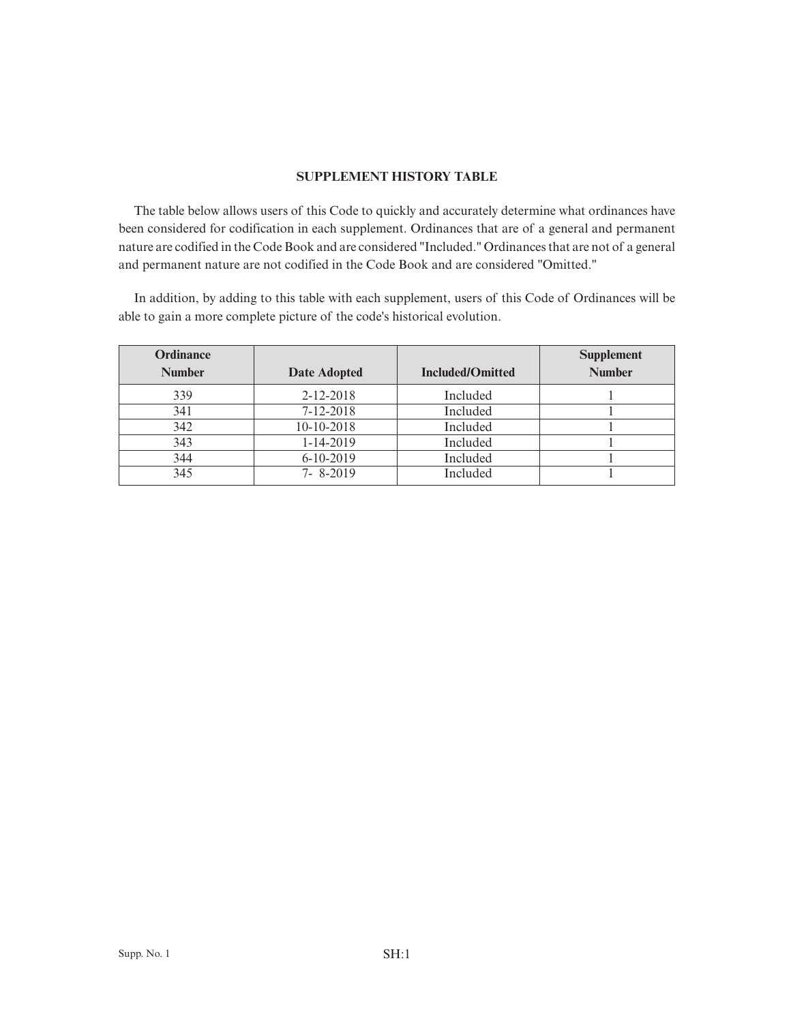# **SUPPLEMENT HISTORY TABLE**

The table below allows users of this Code to quickly and accurately determine what ordinances have been considered for codification in each supplement. Ordinances that are of a general and permanent nature are codified in the Code Book and are considered "Included." Ordinances that are not of a general and permanent nature are not codified in the Code Book and are considered "Omitted."

In addition, by adding to this table with each supplement, users of this Code of Ordinances will be able to gain a more complete picture of the code's historical evolution.

| <b>Ordinance</b> |                     |                         | <b>Supplement</b> |
|------------------|---------------------|-------------------------|-------------------|
| <b>Number</b>    | <b>Date Adopted</b> | <b>Included/Omitted</b> | <b>Number</b>     |
| 339              | 2-12-2018           | Included                |                   |
| 341              | $7 - 12 - 2018$     | Included                |                   |
| 342              | 10-10-2018          | Included                |                   |
| 343              | 1-14-2019           | Included                |                   |
| 344              | $6 - 10 - 2019$     | Included                |                   |
| 345              | $7 - 8 - 2019$      | Included                |                   |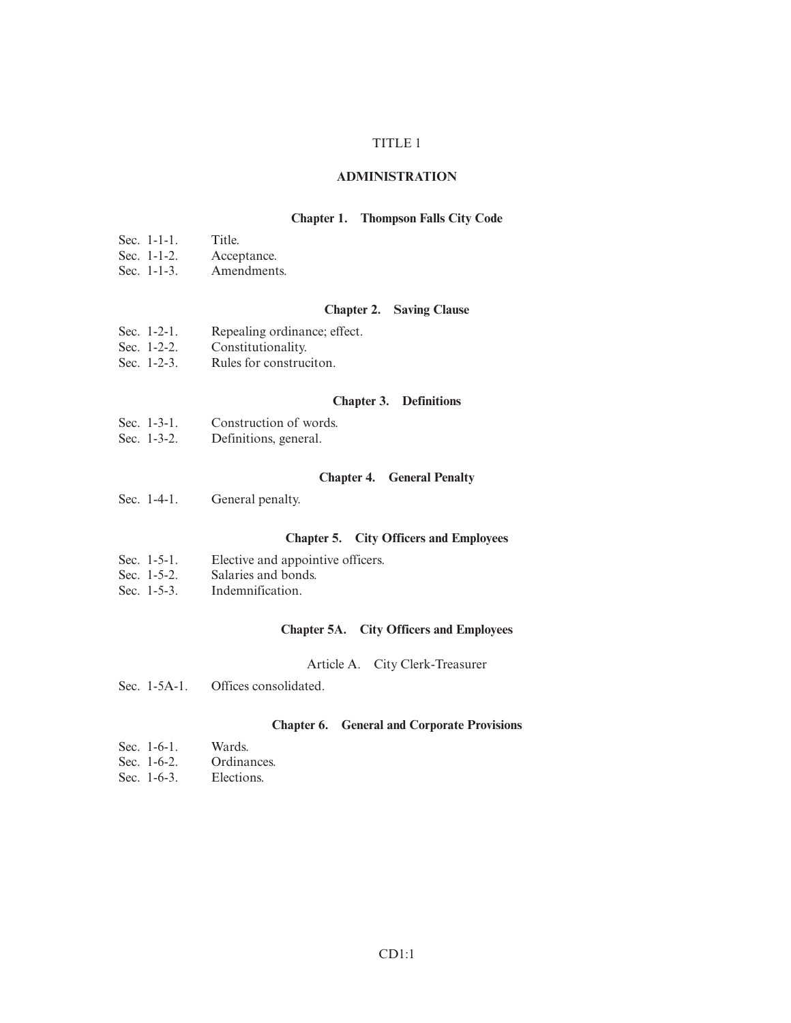## TITLE 1

#### **ADMINISTRATION**

# **Chapter 1. Thompson Falls City Code**

- Sec. 1-1-1. Title.<br>Sec. 1-1-2. Accer
- Sec. 1-1-2. Acceptance.<br>Sec. 1-1-3. Amendment
- Amendments.

#### **Chapter 2. Saving Clause**

- Sec. 1-2-1. Repealing ordinance; effect.
- Sec. 1-2-2. Constitutionality.
- Sec. 1-2-3. Rules for construciton.

# **Chapter 3. Definitions**

- Sec. 1-3-1. Construction of words.<br>Sec. 1-3-2. Definitions, general.
- Definitions, general.

#### **Chapter 4. General Penalty**

Sec. 1-4-1. General penalty.

## **Chapter 5. City Officers and Employees**

- Sec. 1-5-1. Elective and appointive officers.<br>Sec. 1-5-2. Salaries and bonds.
- Sec. 1-5-2. Salaries and bonds.<br>Sec. 1-5-3. Indemnification.
- Indemnification.

## **Chapter 5A. City Officers and Employees**

#### Article A. City Clerk-Treasurer

Sec. 1-5A-1. Offices consolidated.

# **Chapter 6. General and Corporate Provisions**

- Sec. 1-6-1. Wards.<br>Sec. 1-6-2. Ordinances. Sec.  $1-6-2$ .
- Sec. 1-6-3. Elections.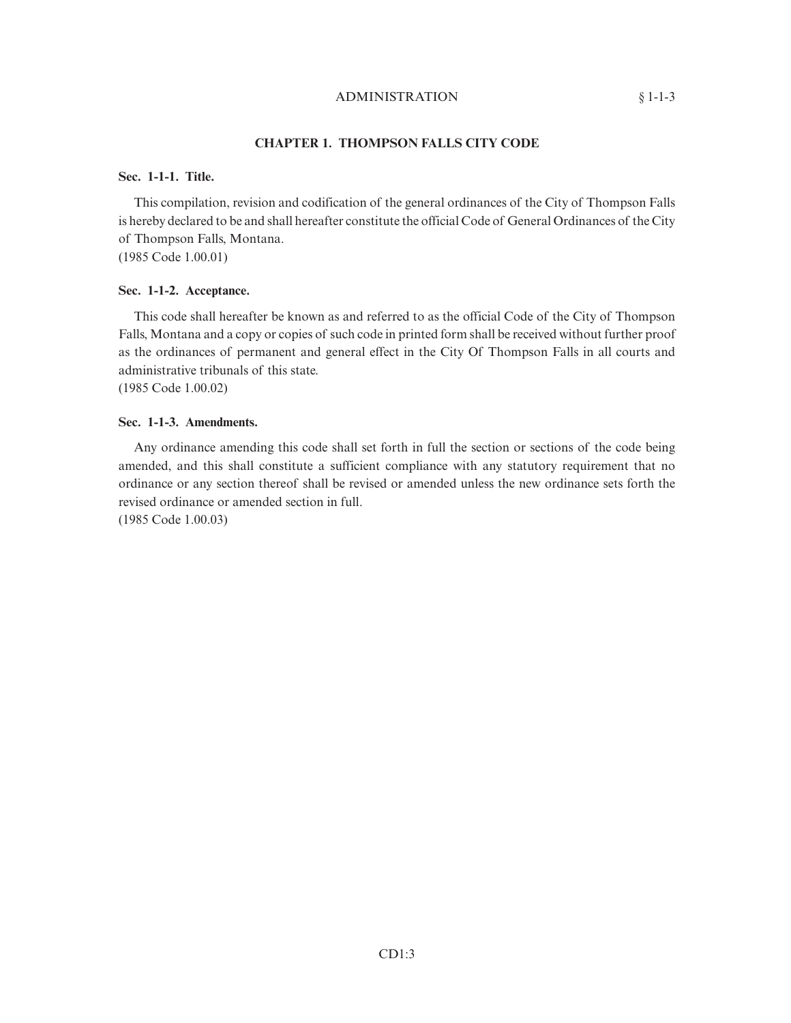### ADMINISTRATION § 1-1-3

# **CHAPTER 1. THOMPSON FALLS CITY CODE**

#### **Sec. 1-1-1. Title.**

This compilation, revision and codification of the general ordinances of the City of Thompson Falls is hereby declared to be and shall hereafter constitute the official Code of General Ordinances of the City of Thompson Falls, Montana. (1985 Code 1.00.01)

# **Sec. 1-1-2. Acceptance.**

This code shall hereafter be known as and referred to as the official Code of the City of Thompson Falls, Montana and a copy or copies of such code in printed form shall be received without further proof as the ordinances of permanent and general effect in the City Of Thompson Falls in all courts and administrative tribunals of this state. (1985 Code 1.00.02)

**Sec. 1-1-3. Amendments.**

Any ordinance amending this code shall set forth in full the section or sections of the code being amended, and this shall constitute a sufficient compliance with any statutory requirement that no ordinance or any section thereof shall be revised or amended unless the new ordinance sets forth the revised ordinance or amended section in full.

(1985 Code 1.00.03)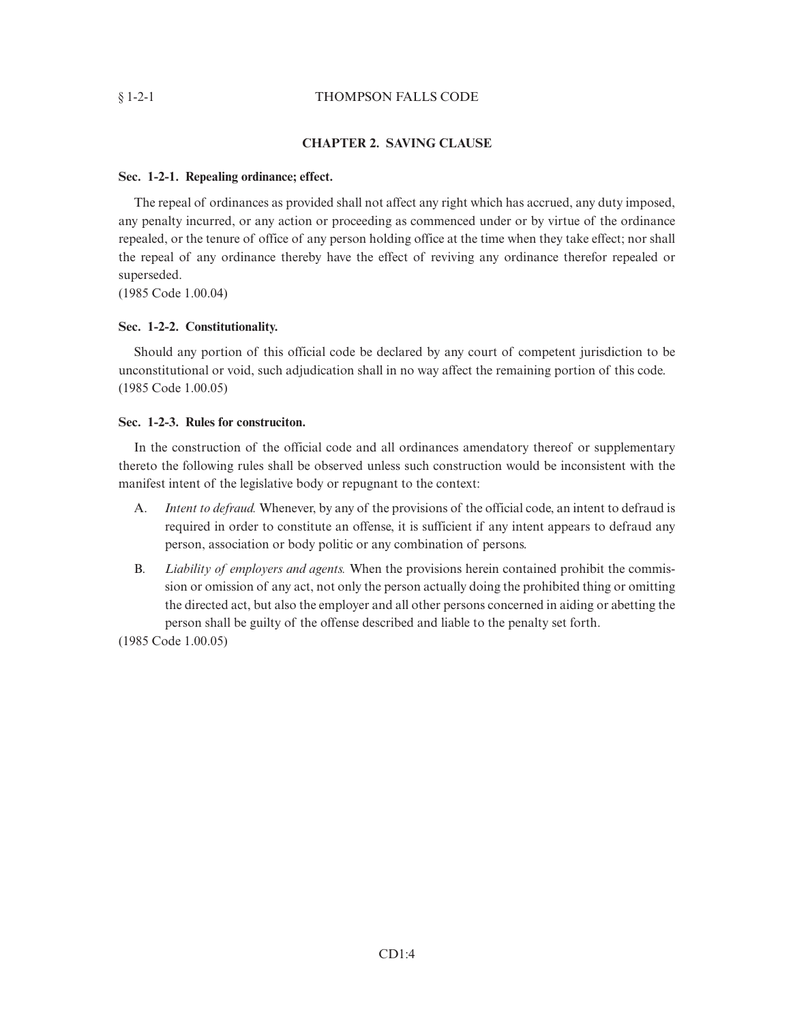# § 1-2-1 THOMPSON FALLS CODE

## **CHAPTER 2. SAVING CLAUSE**

#### **Sec. 1-2-1. Repealing ordinance; effect.**

The repeal of ordinances as provided shall not affect any right which has accrued, any duty imposed, any penalty incurred, or any action or proceeding as commenced under or by virtue of the ordinance repealed, or the tenure of office of any person holding office at the time when they take effect; nor shall the repeal of any ordinance thereby have the effect of reviving any ordinance therefor repealed or superseded.

(1985 Code 1.00.04)

## **Sec. 1-2-2. Constitutionality.**

Should any portion of this official code be declared by any court of competent jurisdiction to be unconstitutional or void, such adjudication shall in no way affect the remaining portion of this code. (1985 Code 1.00.05)

## **Sec. 1-2-3. Rules for construciton.**

In the construction of the official code and all ordinances amendatory thereof or supplementary thereto the following rules shall be observed unless such construction would be inconsistent with the manifest intent of the legislative body or repugnant to the context:

- A. *Intent to defraud.* Whenever, by any of the provisions of the official code, an intent to defraud is required in order to constitute an offense, it is sufficient if any intent appears to defraud any person, association or body politic or any combination of persons.
- B. *Liability of employers and agents.* When the provisions herein contained prohibit the commission or omission of any act, not only the person actually doing the prohibited thing or omitting the directed act, but also the employer and all other persons concerned in aiding or abetting the person shall be guilty of the offense described and liable to the penalty set forth.

(1985 Code 1.00.05)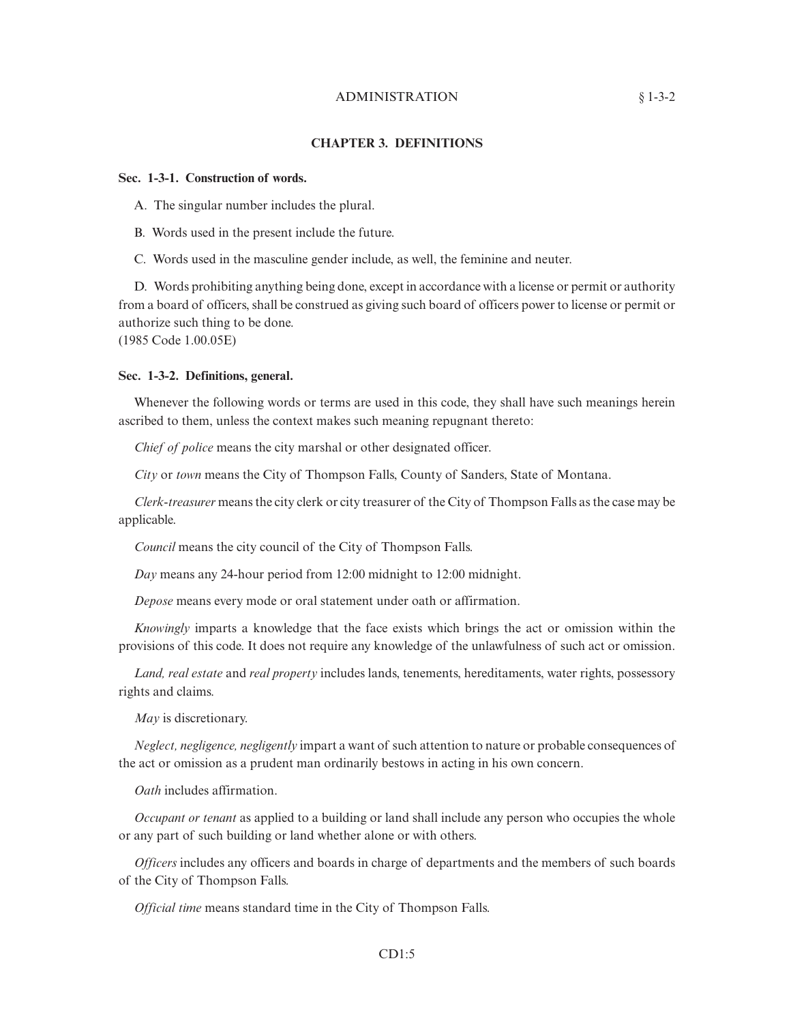# ADMINISTRATION § 1-3-2

#### **CHAPTER 3. DEFINITIONS**

#### **Sec. 1-3-1. Construction of words.**

A. The singular number includes the plural.

B. Words used in the present include the future.

C. Words used in the masculine gender include, as well, the feminine and neuter.

D. Words prohibiting anything being done, except in accordance with a license or permit or authority from a board of officers, shall be construed as giving such board of officers power to license or permit or authorize such thing to be done.

(1985 Code 1.00.05E)

#### **Sec. 1-3-2. Definitions, general.**

Whenever the following words or terms are used in this code, they shall have such meanings herein ascribed to them, unless the context makes such meaning repugnant thereto:

*Chief of police* means the city marshal or other designated officer.

*City* or *town* means the City of Thompson Falls, County of Sanders, State of Montana.

*Clerk-treasurer* means the city clerk or city treasurer of the City of Thompson Falls as the case may be applicable.

*Council* means the city council of the City of Thompson Falls.

*Day* means any 24-hour period from 12:00 midnight to 12:00 midnight.

*Depose* means every mode or oral statement under oath or affirmation.

*Knowingly* imparts a knowledge that the face exists which brings the act or omission within the provisions of this code. It does not require any knowledge of the unlawfulness of such act or omission.

*Land, real estate* and *real property* includes lands, tenements, hereditaments, water rights, possessory rights and claims.

*May* is discretionary.

*Neglect, negligence, negligently* impart a want of such attention to nature or probable consequences of the act or omission as a prudent man ordinarily bestows in acting in his own concern.

*Oath* includes affirmation.

*Occupant or tenant* as applied to a building or land shall include any person who occupies the whole or any part of such building or land whether alone or with others.

*Officers* includes any officers and boards in charge of departments and the members of such boards of the City of Thompson Falls.

*Official time* means standard time in the City of Thompson Falls.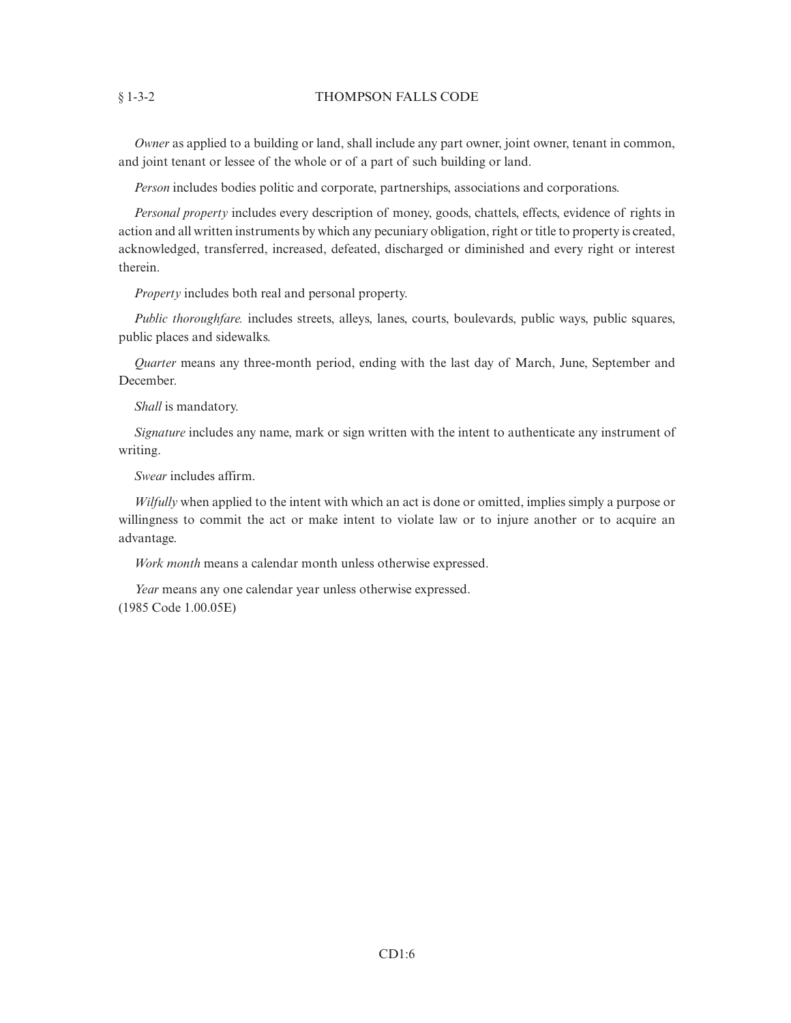#### § 1-3-2 THOMPSON FALLS CODE

*Owner* as applied to a building or land, shall include any part owner, joint owner, tenant in common, and joint tenant or lessee of the whole or of a part of such building or land.

*Person* includes bodies politic and corporate, partnerships, associations and corporations.

*Personal property* includes every description of money, goods, chattels, effects, evidence of rights in action and all written instruments by which any pecuniary obligation, right or title to property is created, acknowledged, transferred, increased, defeated, discharged or diminished and every right or interest therein.

*Property* includes both real and personal property.

*Public thoroughfare.* includes streets, alleys, lanes, courts, boulevards, public ways, public squares, public places and sidewalks.

*Quarter* means any three-month period, ending with the last day of March, June, September and December.

*Shall* is mandatory.

*Signature* includes any name, mark or sign written with the intent to authenticate any instrument of writing.

*Swear* includes affirm.

*Wilfully* when applied to the intent with which an act is done or omitted, implies simply a purpose or willingness to commit the act or make intent to violate law or to injure another or to acquire an advantage.

*Work month* means a calendar month unless otherwise expressed.

*Year* means any one calendar year unless otherwise expressed. (1985 Code 1.00.05E)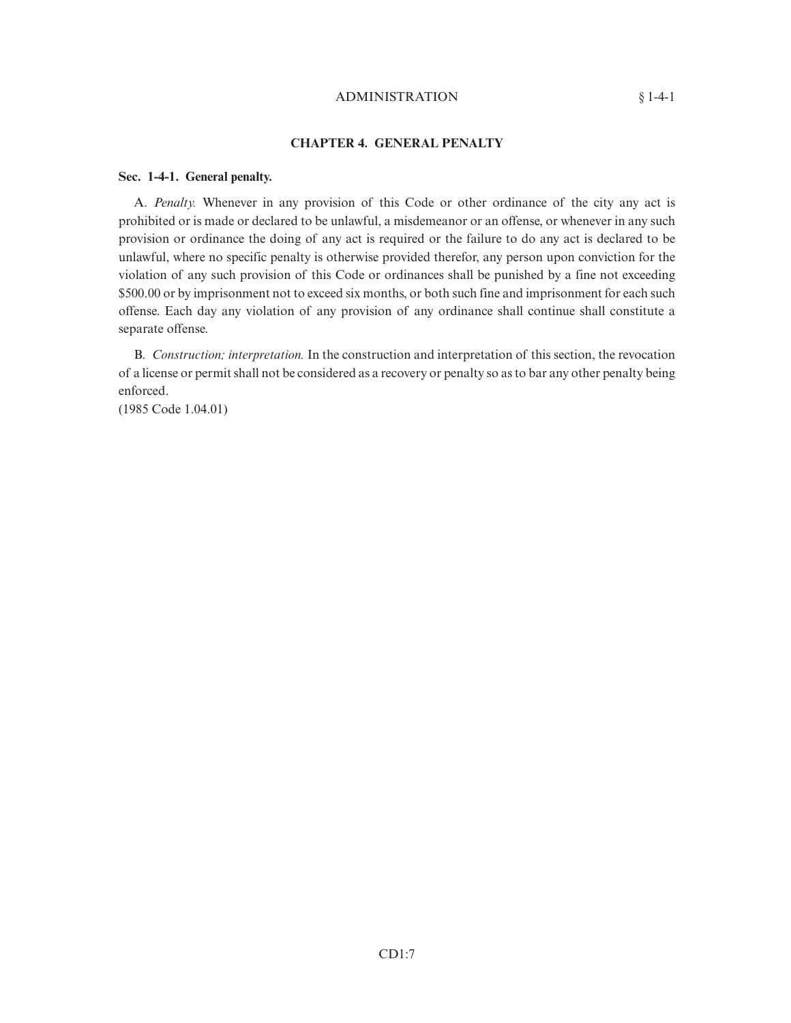#### ADMINISTRATION § 1-4-1

# **CHAPTER 4. GENERAL PENALTY**

#### **Sec. 1-4-1. General penalty.**

A. *Penalty.* Whenever in any provision of this Code or other ordinance of the city any act is prohibited or is made or declared to be unlawful, a misdemeanor or an offense, or whenever in any such provision or ordinance the doing of any act is required or the failure to do any act is declared to be unlawful, where no specific penalty is otherwise provided therefor, any person upon conviction for the violation of any such provision of this Code or ordinances shall be punished by a fine not exceeding \$500.00 or by imprisonment not to exceed six months, or both such fine and imprisonment for each such offense. Each day any violation of any provision of any ordinance shall continue shall constitute a separate offense.

B. *Construction; interpretation.* In the construction and interpretation of this section, the revocation of a license or permit shall not be considered as a recovery or penalty so as to bar any other penalty being enforced.

(1985 Code 1.04.01)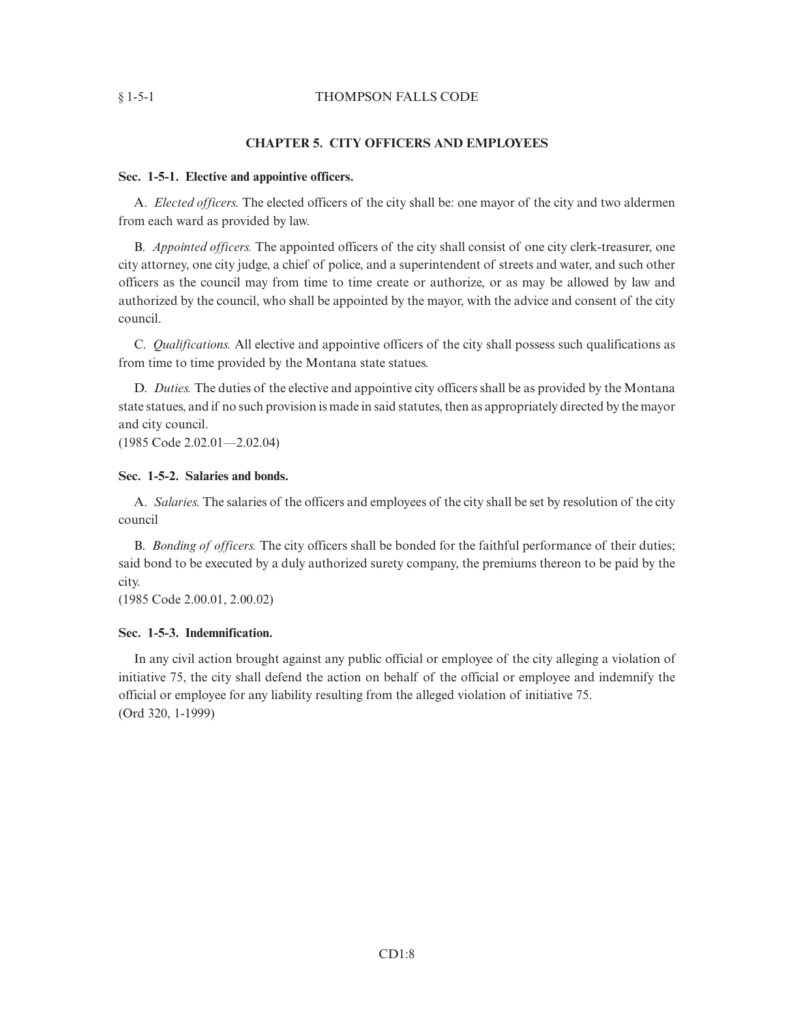#### § 1-5-1 THOMPSON FALLS CODE

#### **CHAPTER 5. CITY OFFICERS AND EMPLOYEES**

#### **Sec. 1-5-1. Elective and appointive officers.**

A. *Elected officers.* The elected officers of the city shall be: one mayor of the city and two aldermen from each ward as provided by law.

B. *Appointed officers.* The appointed officers of the city shall consist of one city clerk-treasurer, one city attorney, one city judge, a chief of police, and a superintendent of streets and water, and such other officers as the council may from time to time create or authorize, or as may be allowed by law and authorized by the council, who shall be appointed by the mayor, with the advice and consent of the city council.

C. *Qualifications.* All elective and appointive officers of the city shall possess such qualifications as from time to time provided by the Montana state statues.

D. *Duties.* The duties of the elective and appointive city officers shall be as provided by the Montana state statues, and if no such provision is made in said statutes, then as appropriately directed by the mayor and city council.

(1985 Code 2.02.01—2.02.04)

# **Sec. 1-5-2. Salaries and bonds.**

A. *Salaries.* The salaries of the officers and employees of the city shall be set by resolution of the city council

B. *Bonding of officers.* The city officers shall be bonded for the faithful performance of their duties; said bond to be executed by a duly authorized surety company, the premiums thereon to be paid by the city.

(1985 Code 2.00.01, 2.00.02)

#### **Sec. 1-5-3. Indemnification.**

In any civil action brought against any public official or employee of the city alleging a violation of initiative 75, the city shall defend the action on behalf of the official or employee and indemnify the official or employee for any liability resulting from the alleged violation of initiative 75. (Ord 320, 1-1999)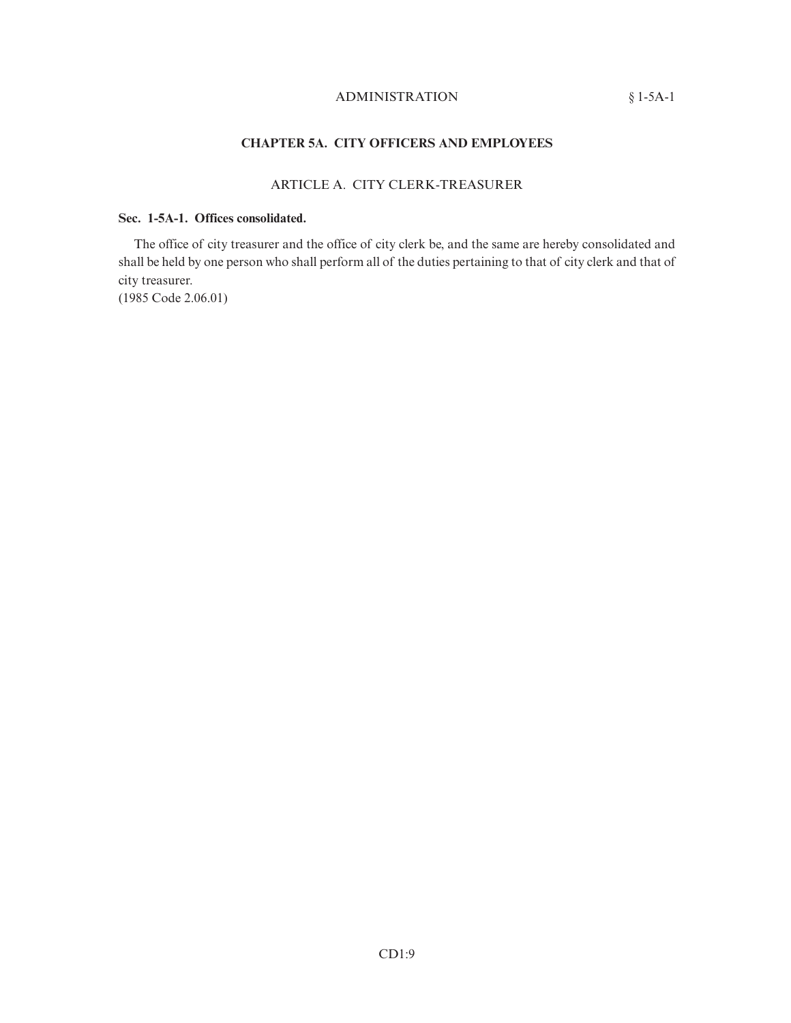# ADMINISTRATION § 1-5A-1

# **CHAPTER 5A. CITY OFFICERS AND EMPLOYEES**

# ARTICLE A. CITY CLERK-TREASURER

# **Sec. 1-5A-1. Offices consolidated.**

The office of city treasurer and the office of city clerk be, and the same are hereby consolidated and shall be held by one person who shall perform all of the duties pertaining to that of city clerk and that of city treasurer. (1985 Code 2.06.01)

CD1:9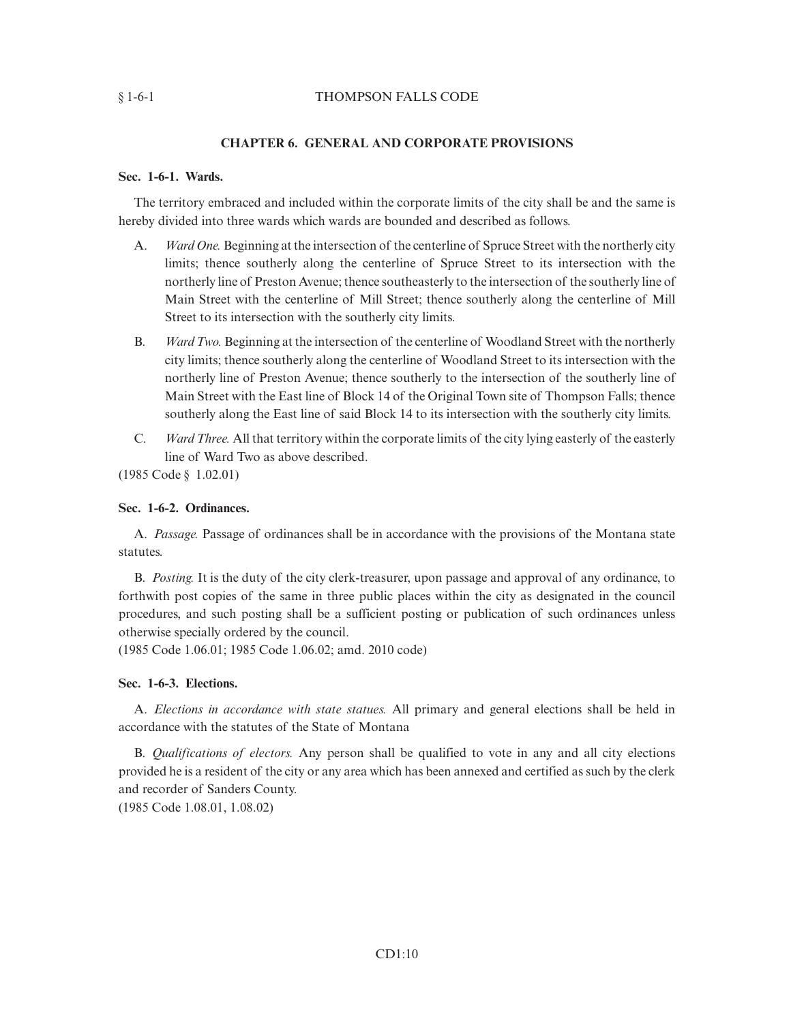## § 1-6-1 THOMPSON FALLS CODE

## **CHAPTER 6. GENERAL AND CORPORATE PROVISIONS**

#### **Sec. 1-6-1. Wards.**

The territory embraced and included within the corporate limits of the city shall be and the same is hereby divided into three wards which wards are bounded and described as follows.

- A. *Ward One.* Beginning at the intersection of the centerline of Spruce Street with the northerly city limits; thence southerly along the centerline of Spruce Street to its intersection with the northerly line of Preston Avenue; thence southeasterly to the intersection of the southerly line of Main Street with the centerline of Mill Street; thence southerly along the centerline of Mill Street to its intersection with the southerly city limits.
- B. *Ward Two.* Beginning at the intersection of the centerline of Woodland Street with the northerly city limits; thence southerly along the centerline of Woodland Street to its intersection with the northerly line of Preston Avenue; thence southerly to the intersection of the southerly line of Main Street with the East line of Block 14 of the Original Town site of Thompson Falls; thence southerly along the East line of said Block 14 to its intersection with the southerly city limits.
- C. *Ward Three.* All that territory within the corporate limits of the city lying easterly of the easterly line of Ward Two as above described.

(1985 Code § 1.02.01)

#### **Sec. 1-6-2. Ordinances.**

A. *Passage.* Passage of ordinances shall be in accordance with the provisions of the Montana state statutes.

B. *Posting.* It is the duty of the city clerk-treasurer, upon passage and approval of any ordinance, to forthwith post copies of the same in three public places within the city as designated in the council procedures, and such posting shall be a sufficient posting or publication of such ordinances unless otherwise specially ordered by the council.

(1985 Code 1.06.01; 1985 Code 1.06.02; amd. 2010 code)

#### **Sec. 1-6-3. Elections.**

A. *Elections in accordance with state statues.* All primary and general elections shall be held in accordance with the statutes of the State of Montana

B. *Qualifications of electors.* Any person shall be qualified to vote in any and all city elections provided he is a resident of the city or any area which has been annexed and certified as such by the clerk and recorder of Sanders County.

(1985 Code 1.08.01, 1.08.02)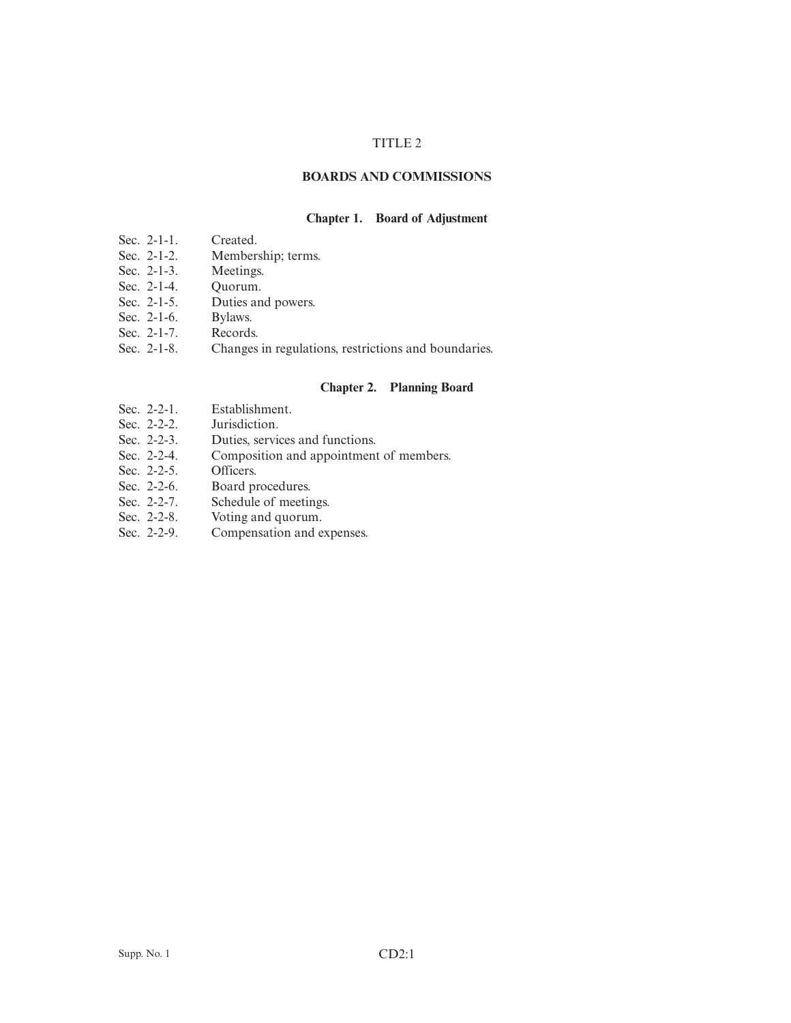## TITLE 2

# **BOARDS AND COMMISSIONS**

## **Chapter 1. Board of Adjustment**

- Sec. 2-1-1. Created.<br>Sec. 2-1-2. Members
- Membership; terms.<br>Meetings.
- Sec.  $2-1-3$ .
- Sec. 2-1-4. Quorum.<br>Sec. 2-1-5. Duties an
- Duties and powers.
- Sec. 2-1-6. Bylaws.
- Sec. 2-1-7. Records.<br>Sec. 2-1-8. Changes
- Changes in regulations, restrictions and boundaries.

#### **Chapter 2. Planning Board**

- Sec. 2-2-1. Establishment.
- Sec. 2-2-2. Jurisdiction.
- Sec. 2-2-3. Duties, services and functions.<br>Sec. 2-2-4. Composition and appointment
- Composition and appointment of members.
- Sec. 2-2-5. Officers.
- Sec. 2-2-6. Board procedures.
- Sec. 2-2-7. Schedule of meetings.<br>Sec. 2-2-8. Voting and quorum.
- Sec. 2-2-8. Voting and quorum.<br>Sec. 2-2-9. Compensation and e
- Compensation and expenses.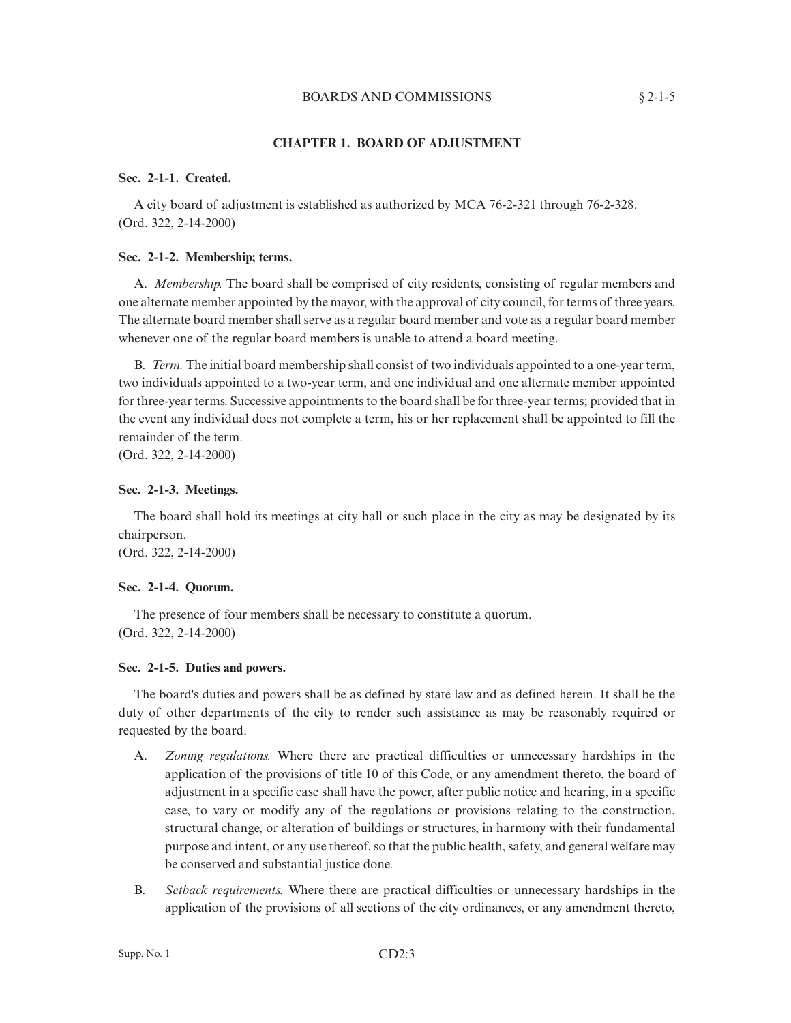#### BOARDS AND COMMISSIONS § 2-1-5

#### **CHAPTER 1. BOARD OF ADJUSTMENT**

## **Sec. 2-1-1. Created.**

A city board of adjustment is established as authorized by MCA 76-2-321 through 76-2-328. (Ord. 322, 2-14-2000)

## **Sec. 2-1-2. Membership; terms.**

A. *Membership.* The board shall be comprised of city residents, consisting of regular members and one alternate member appointed by the mayor, with the approval of city council, for terms of three years. The alternate board member shall serve as a regular board member and vote as a regular board member whenever one of the regular board members is unable to attend a board meeting.

B. *Term.* The initial board membership shall consist of two individuals appointed to a one-year term, two individuals appointed to a two-year term, and one individual and one alternate member appointed for three-year terms. Successive appointments to the board shall be for three-year terms; provided that in the event any individual does not complete a term, his or her replacement shall be appointed to fill the remainder of the term.

(Ord. 322, 2-14-2000)

#### **Sec. 2-1-3. Meetings.**

The board shall hold its meetings at city hall or such place in the city as may be designated by its chairperson.

(Ord. 322, 2-14-2000)

#### **Sec. 2-1-4. Quorum.**

The presence of four members shall be necessary to constitute a quorum. (Ord. 322, 2-14-2000)

#### **Sec. 2-1-5. Duties and powers.**

The board's duties and powers shall be as defined by state law and as defined herein. It shall be the duty of other departments of the city to render such assistance as may be reasonably required or requested by the board.

- A. *Zoning regulations.* Where there are practical difficulties or unnecessary hardships in the application of the provisions of title 10 of this Code, or any amendment thereto, the board of adjustment in a specific case shall have the power, after public notice and hearing, in a specific case, to vary or modify any of the regulations or provisions relating to the construction, structural change, or alteration of buildings or structures, in harmony with their fundamental purpose and intent, or any use thereof, so that the public health, safety, and general welfare may be conserved and substantial justice done.
- B. *Setback requirements.* Where there are practical difficulties or unnecessary hardships in the application of the provisions of all sections of the city ordinances, or any amendment thereto,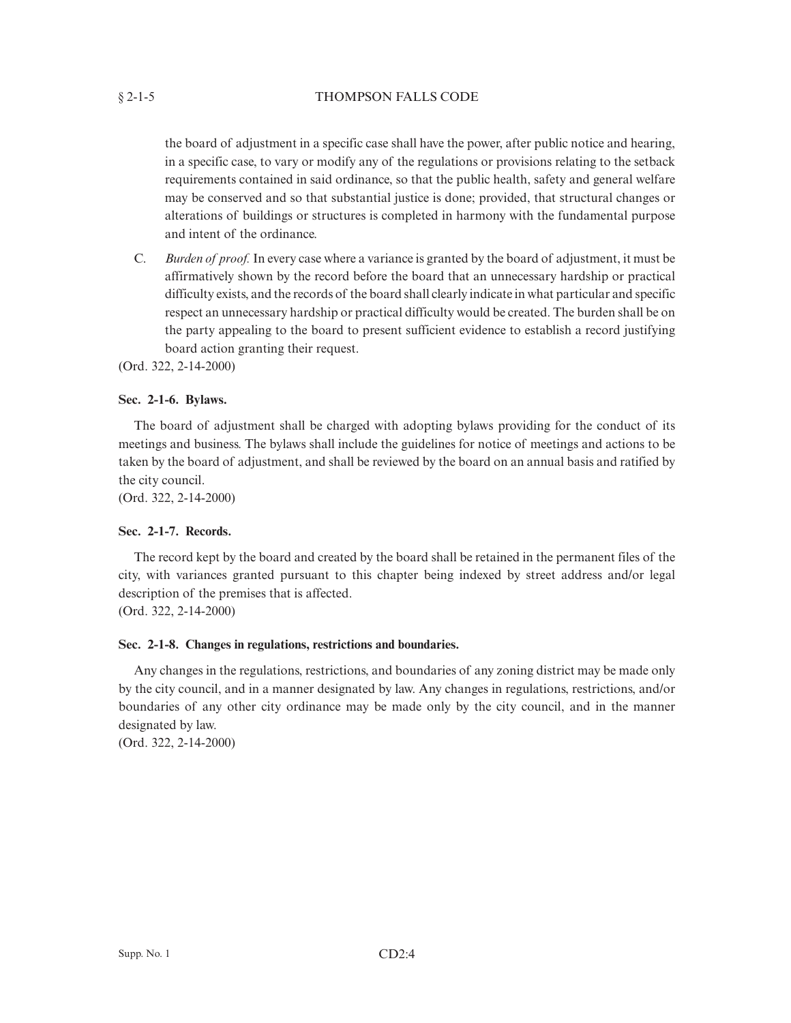the board of adjustment in a specific case shall have the power, after public notice and hearing, in a specific case, to vary or modify any of the regulations or provisions relating to the setback requirements contained in said ordinance, so that the public health, safety and general welfare may be conserved and so that substantial justice is done; provided, that structural changes or alterations of buildings or structures is completed in harmony with the fundamental purpose and intent of the ordinance.

C. *Burden of proof.*In every case where a variance is granted by the board of adjustment, it must be affirmatively shown by the record before the board that an unnecessary hardship or practical difficulty exists, and the records of the board shall clearly indicate in what particular and specific respect an unnecessary hardship or practical difficulty would be created. The burden shall be on the party appealing to the board to present sufficient evidence to establish a record justifying board action granting their request.

(Ord. 322, 2-14-2000)

# **Sec. 2-1-6. Bylaws.**

The board of adjustment shall be charged with adopting bylaws providing for the conduct of its meetings and business. The bylaws shall include the guidelines for notice of meetings and actions to be taken by the board of adjustment, and shall be reviewed by the board on an annual basis and ratified by the city council.

(Ord. 322, 2-14-2000)

## **Sec. 2-1-7. Records.**

The record kept by the board and created by the board shall be retained in the permanent files of the city, with variances granted pursuant to this chapter being indexed by street address and/or legal description of the premises that is affected.

(Ord. 322, 2-14-2000)

#### **Sec. 2-1-8. Changes in regulations, restrictions and boundaries.**

Any changes in the regulations, restrictions, and boundaries of any zoning district may be made only by the city council, and in a manner designated by law. Any changes in regulations, restrictions, and/or boundaries of any other city ordinance may be made only by the city council, and in the manner designated by law.

(Ord. 322, 2-14-2000)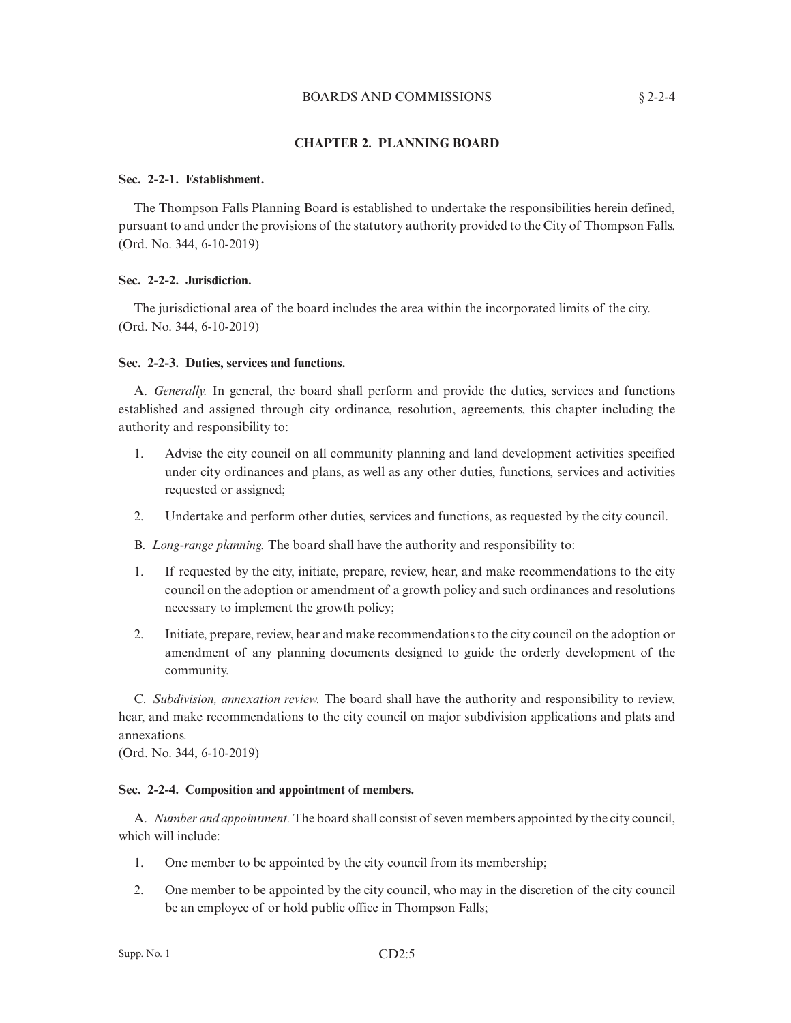# BOARDS AND COMMISSIONS § 2-2-4

## **CHAPTER 2. PLANNING BOARD**

#### **Sec. 2-2-1. Establishment.**

The Thompson Falls Planning Board is established to undertake the responsibilities herein defined, pursuant to and under the provisions of the statutory authority provided to the City of Thompson Falls. (Ord. No. 344, 6-10-2019)

# **Sec. 2-2-2. Jurisdiction.**

The jurisdictional area of the board includes the area within the incorporated limits of the city. (Ord. No. 344, 6-10-2019)

#### **Sec. 2-2-3. Duties, services and functions.**

A. *Generally.* In general, the board shall perform and provide the duties, services and functions established and assigned through city ordinance, resolution, agreements, this chapter including the authority and responsibility to:

- 1. Advise the city council on all community planning and land development activities specified under city ordinances and plans, as well as any other duties, functions, services and activities requested or assigned;
- 2. Undertake and perform other duties, services and functions, as requested by the city council.

B. *Long-range planning.* The board shall have the authority and responsibility to:

- 1. If requested by the city, initiate, prepare, review, hear, and make recommendations to the city council on the adoption or amendment of a growth policy and such ordinances and resolutions necessary to implement the growth policy;
- 2. Initiate, prepare, review, hear and make recommendations to the city council on the adoption or amendment of any planning documents designed to guide the orderly development of the community.

C. *Subdivision, annexation review.* The board shall have the authority and responsibility to review, hear, and make recommendations to the city council on major subdivision applications and plats and annexations.

(Ord. No. 344, 6-10-2019)

#### **Sec. 2-2-4. Composition and appointment of members.**

A. *Number and appointment.* The board shall consist of seven members appointed by the city council, which will include:

- 1. One member to be appointed by the city council from its membership;
- 2. One member to be appointed by the city council, who may in the discretion of the city council be an employee of or hold public office in Thompson Falls;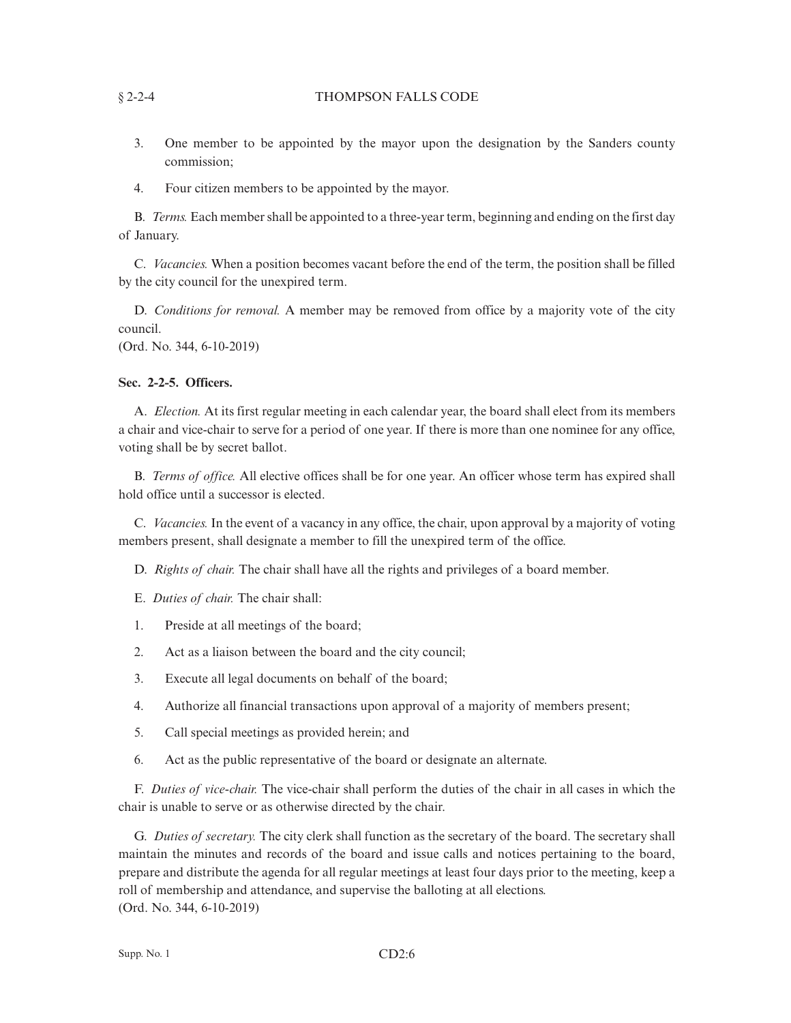## § 2-2-4 THOMPSON FALLS CODE

- 3. One member to be appointed by the mayor upon the designation by the Sanders county commission;
- 4. Four citizen members to be appointed by the mayor.

B. *Terms.* Each member shall be appointed to a three-year term, beginning and ending on the first day of January.

C. *Vacancies.* When a position becomes vacant before the end of the term, the position shall be filled by the city council for the unexpired term.

D. *Conditions for removal.* A member may be removed from office by a majority vote of the city council.

(Ord. No. 344, 6-10-2019)

# **Sec. 2-2-5. Officers.**

A. *Election.* At its first regular meeting in each calendar year, the board shall elect from its members a chair and vice-chair to serve for a period of one year. If there is more than one nominee for any office, voting shall be by secret ballot.

B. *Terms of office.* All elective offices shall be for one year. An officer whose term has expired shall hold office until a successor is elected.

C. *Vacancies.* In the event of a vacancy in any office, the chair, upon approval by a majority of voting members present, shall designate a member to fill the unexpired term of the office.

D. *Rights of chair.* The chair shall have all the rights and privileges of a board member.

E. *Duties of chair.* The chair shall:

- 1. Preside at all meetings of the board;
- 2. Act as a liaison between the board and the city council;
- 3. Execute all legal documents on behalf of the board;
- 4. Authorize all financial transactions upon approval of a majority of members present;
- 5. Call special meetings as provided herein; and
- 6. Act as the public representative of the board or designate an alternate.

F. *Duties of vice-chair.* The vice-chair shall perform the duties of the chair in all cases in which the chair is unable to serve or as otherwise directed by the chair.

G. *Duties of secretary.* The city clerk shall function as the secretary of the board. The secretary shall maintain the minutes and records of the board and issue calls and notices pertaining to the board, prepare and distribute the agenda for all regular meetings at least four days prior to the meeting, keep a roll of membership and attendance, and supervise the balloting at all elections. (Ord. No. 344, 6-10-2019)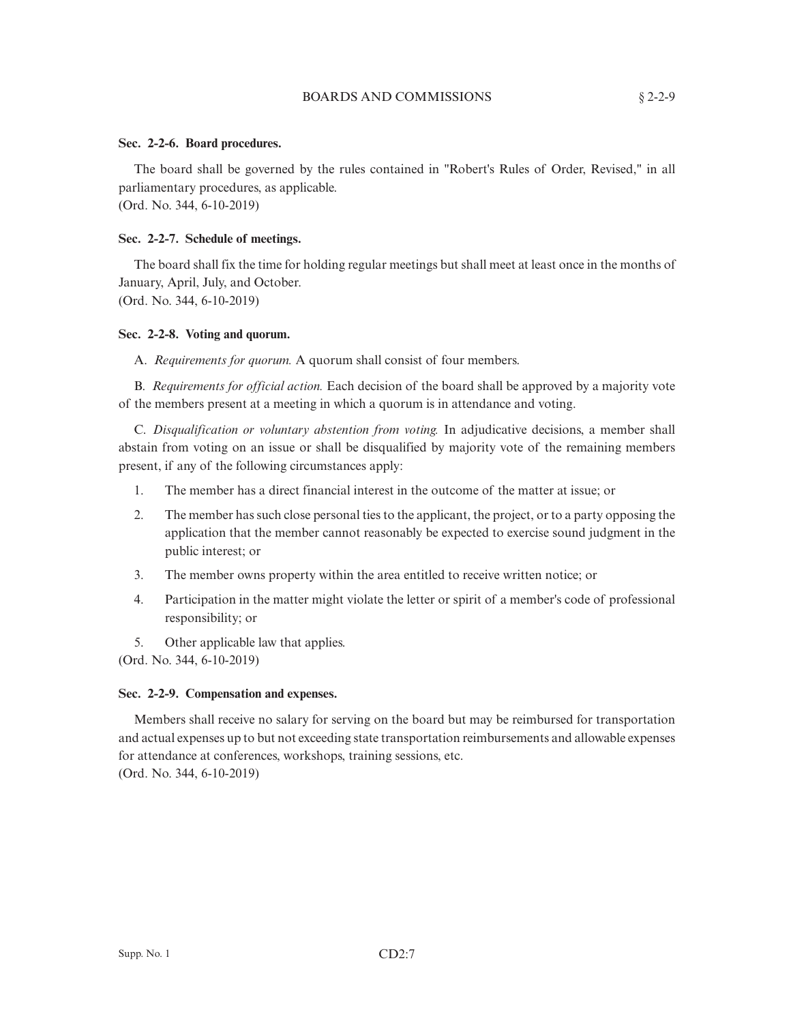#### BOARDS AND COMMISSIONS § 2-2-9

## **Sec. 2-2-6. Board procedures.**

The board shall be governed by the rules contained in "Robert's Rules of Order, Revised," in all parliamentary procedures, as applicable.

(Ord. No. 344, 6-10-2019)

#### **Sec. 2-2-7. Schedule of meetings.**

The board shall fix the time for holding regular meetings but shall meet at least once in the months of January, April, July, and October. (Ord. No. 344, 6-10-2019)

# **Sec. 2-2-8. Voting and quorum.**

A. *Requirements for quorum.* A quorum shall consist of four members.

B. *Requirements for official action.* Each decision of the board shall be approved by a majority vote of the members present at a meeting in which a quorum is in attendance and voting.

C. *Disqualification or voluntary abstention from voting.* In adjudicative decisions, a member shall abstain from voting on an issue or shall be disqualified by majority vote of the remaining members present, if any of the following circumstances apply:

- 1. The member has a direct financial interest in the outcome of the matter at issue; or
- 2. The member has such close personal ties to the applicant, the project, or to a party opposing the application that the member cannot reasonably be expected to exercise sound judgment in the public interest; or
- 3. The member owns property within the area entitled to receive written notice; or
- 4. Participation in the matter might violate the letter or spirit of a member's code of professional responsibility; or
- 5. Other applicable law that applies.

(Ord. No. 344, 6-10-2019)

#### **Sec. 2-2-9. Compensation and expenses.**

Members shall receive no salary for serving on the board but may be reimbursed for transportation and actual expenses up to but not exceeding state transportation reimbursements and allowable expenses for attendance at conferences, workshops, training sessions, etc. (Ord. No. 344, 6-10-2019)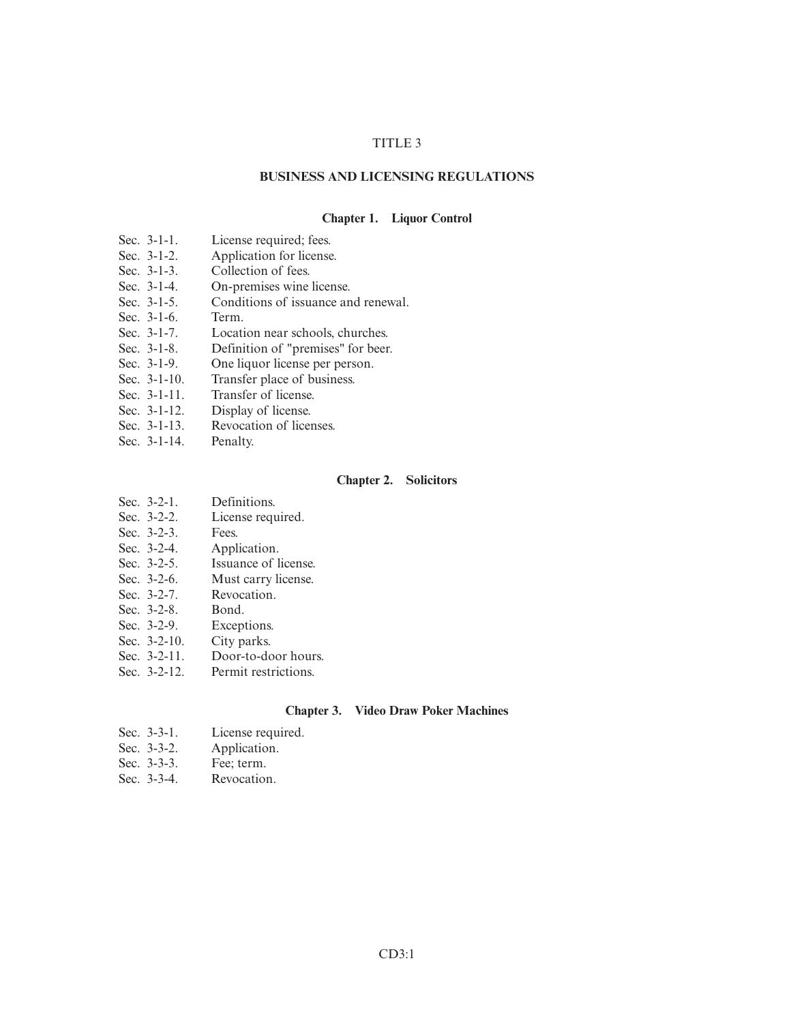## TITLE 3

#### **BUSINESS AND LICENSING REGULATIONS**

#### **Chapter 1. Liquor Control**

- Sec. 3-1-1. License required; fees.<br>Sec. 3-1-2. Application for license
- Sec. 3-1-2. Application for license.<br>Sec. 3-1-3. Collection of fees.
- Sec. 3-1-3. Collection of fees.<br>Sec. 3-1-4. On-premises wine
- Sec. 3-1-4. On-premises wine license.<br>Sec. 3-1-5. Conditions of issuance an
- Conditions of issuance and renewal.
- Sec. 3-1-6. Term.
- Sec. 3-1-7. Location near schools, churches.
- Sec. 3-1-8. Definition of "premises" for beer.<br>Sec. 3-1-9. One liquor license per person.
- One liquor license per person.
- Sec. 3-1-10. Transfer place of business.<br>Sec. 3-1-11. Transfer of license.
- Transfer of license.
- Sec. 3-1-12. Display of license.<br>Sec. 3-1-13. Revocation of license.
- Revocation of licenses.
- Sec. 3-1-14. Penalty.

#### **Chapter 2. Solicitors**

- Sec. 3-2-1. Definitions.
- Sec. 3-2-2. License required.
- Sec. 3-2-3. Fees.<br>Sec. 3-2-4. Appl
- Application.
- Sec. 3-2-5. Issuance of license.<br>Sec. 3-2-6. Must carry license.
- Must carry license.
- Sec. 3-2-7. Revocation.
- 
- Sec. 3-2-8. Bond.<br>Sec. 3-2-9. Except Exceptions.
- Sec. 3-2-10. City parks.<br>Sec. 3-2-11. Door-to-do
- Door-to-door hours.
- Sec. 3-2-12. Permit restrictions.

#### **Chapter 3. Video Draw Poker Machines**

- Sec. 3-3-1. License required.<br>Sec. 3-3-2. Application.
- Application.
- Sec. 3-3-3. Fee; term.
- Sec. 3-3-4. Revocation.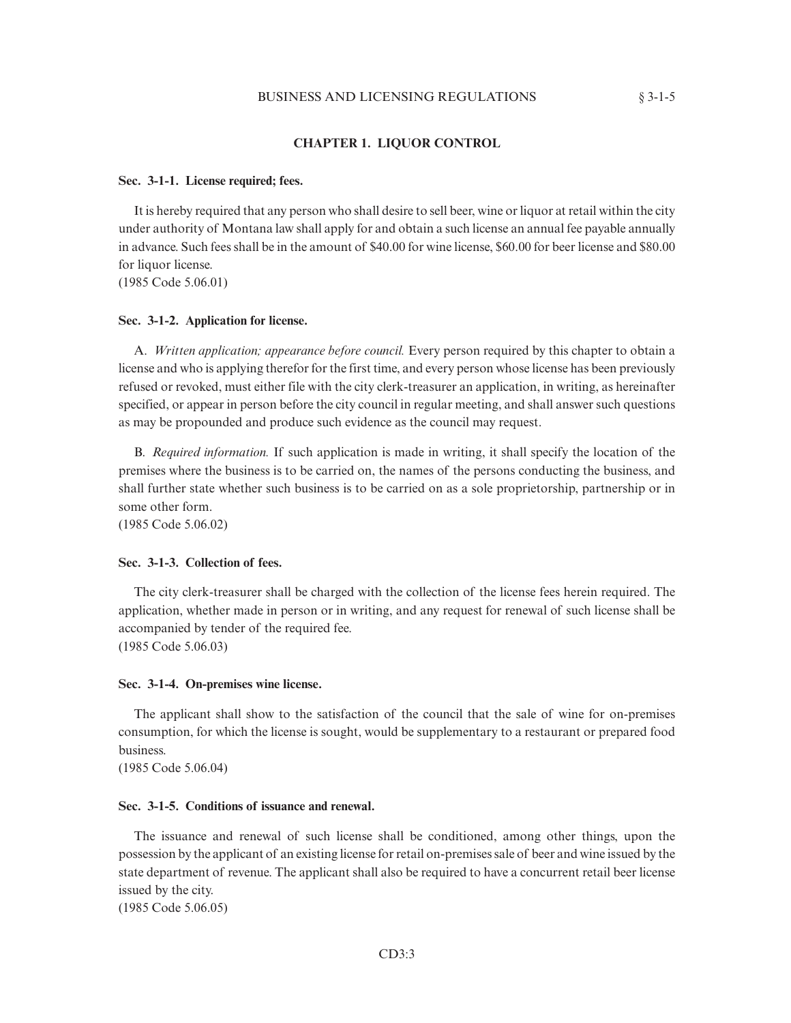### **CHAPTER 1. LIQUOR CONTROL**

#### **Sec. 3-1-1. License required; fees.**

It is hereby required that any person who shall desire to sell beer, wine or liquor at retail within the city under authority of Montana law shall apply for and obtain a such license an annual fee payable annually in advance. Such fees shall be in the amount of \$40.00 for wine license, \$60.00 for beer license and \$80.00 for liquor license.

(1985 Code 5.06.01)

#### **Sec. 3-1-2. Application for license.**

A. *Written application; appearance before council.* Every person required by this chapter to obtain a license and who is applying therefor for the first time, and every person whose license has been previously refused or revoked, must either file with the city clerk-treasurer an application, in writing, as hereinafter specified, or appear in person before the city council in regular meeting, and shall answer such questions as may be propounded and produce such evidence as the council may request.

B. *Required information.* If such application is made in writing, it shall specify the location of the premises where the business is to be carried on, the names of the persons conducting the business, and shall further state whether such business is to be carried on as a sole proprietorship, partnership or in some other form.

(1985 Code 5.06.02)

#### **Sec. 3-1-3. Collection of fees.**

The city clerk-treasurer shall be charged with the collection of the license fees herein required. The application, whether made in person or in writing, and any request for renewal of such license shall be accompanied by tender of the required fee.

(1985 Code 5.06.03)

#### **Sec. 3-1-4. On-premises wine license.**

The applicant shall show to the satisfaction of the council that the sale of wine for on-premises consumption, for which the license is sought, would be supplementary to a restaurant or prepared food business.

(1985 Code 5.06.04)

### **Sec. 3-1-5. Conditions of issuance and renewal.**

The issuance and renewal of such license shall be conditioned, among other things, upon the possession by the applicant of an existing license for retail on-premises sale of beer and wine issued by the state department of revenue. The applicant shall also be required to have a concurrent retail beer license issued by the city.

(1985 Code 5.06.05)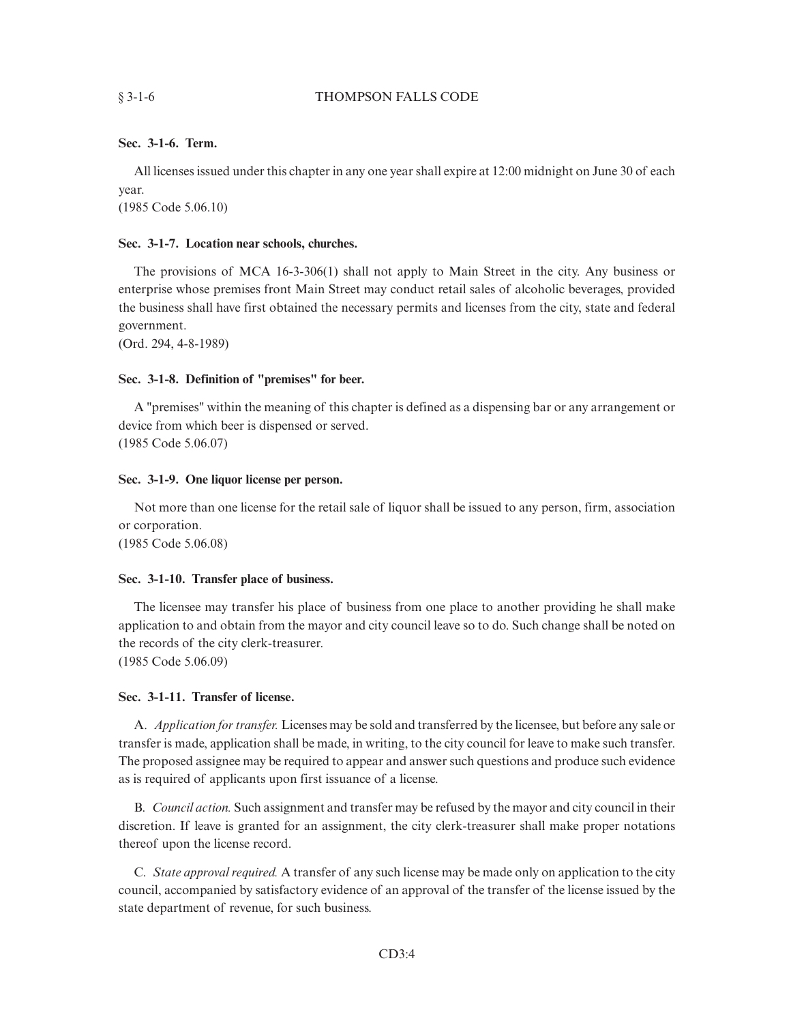## **Sec. 3-1-6. Term.**

All licenses issued under this chapter in any one year shall expire at 12:00 midnight on June 30 of each year.

(1985 Code 5.06.10)

## **Sec. 3-1-7. Location near schools, churches.**

The provisions of MCA 16-3-306(1) shall not apply to Main Street in the city. Any business or enterprise whose premises front Main Street may conduct retail sales of alcoholic beverages, provided the business shall have first obtained the necessary permits and licenses from the city, state and federal government.

(Ord. 294, 4-8-1989)

## **Sec. 3-1-8. Definition of "premises" for beer.**

A "premises" within the meaning of this chapter is defined as a dispensing bar or any arrangement or device from which beer is dispensed or served. (1985 Code 5.06.07)

## **Sec. 3-1-9. One liquor license per person.**

Not more than one license for the retail sale of liquor shall be issued to any person, firm, association or corporation.

(1985 Code 5.06.08)

## **Sec. 3-1-10. Transfer place of business.**

The licensee may transfer his place of business from one place to another providing he shall make application to and obtain from the mayor and city council leave so to do. Such change shall be noted on the records of the city clerk-treasurer. (1985 Code 5.06.09)

# **Sec. 3-1-11. Transfer of license.**

A. *Application for transfer.* Licenses may be sold and transferred by the licensee, but before any sale or transfer is made, application shall be made, in writing, to the city council for leave to make such transfer. The proposed assignee may be required to appear and answer such questions and produce such evidence as is required of applicants upon first issuance of a license.

B. *Council action.* Such assignment and transfer may be refused by the mayor and city council in their discretion. If leave is granted for an assignment, the city clerk-treasurer shall make proper notations thereof upon the license record.

C. *State approval required.* A transfer of any such license may be made only on application to the city council, accompanied by satisfactory evidence of an approval of the transfer of the license issued by the state department of revenue, for such business.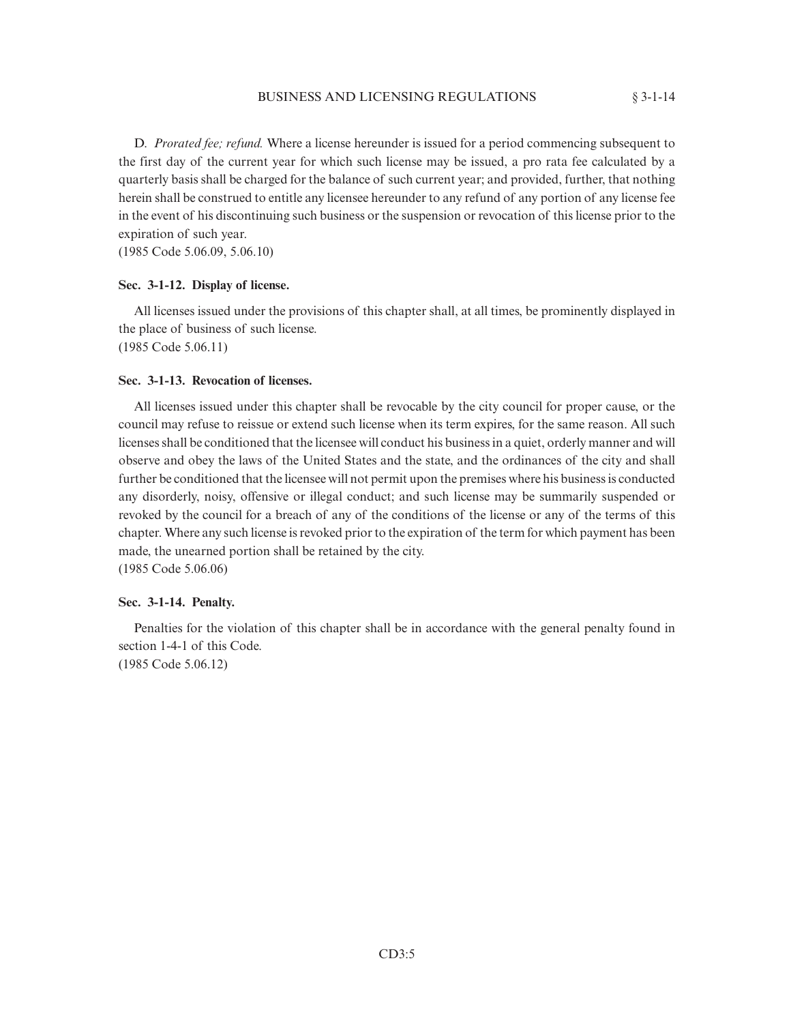D. *Prorated fee; refund.* Where a license hereunder is issued for a period commencing subsequent to the first day of the current year for which such license may be issued, a pro rata fee calculated by a quarterly basis shall be charged for the balance of such current year; and provided, further, that nothing herein shall be construed to entitle any licensee hereunder to any refund of any portion of any license fee in the event of his discontinuing such business or the suspension or revocation of this license prior to the expiration of such year.

(1985 Code 5.06.09, 5.06.10)

## **Sec. 3-1-12. Display of license.**

All licenses issued under the provisions of this chapter shall, at all times, be prominently displayed in the place of business of such license.

(1985 Code 5.06.11)

# **Sec. 3-1-13. Revocation of licenses.**

All licenses issued under this chapter shall be revocable by the city council for proper cause, or the council may refuse to reissue or extend such license when its term expires, for the same reason. All such licenses shall be conditioned that the licensee will conduct his business in a quiet, orderly manner and will observe and obey the laws of the United States and the state, and the ordinances of the city and shall further be conditioned that the licensee will not permit upon the premises where his business is conducted any disorderly, noisy, offensive or illegal conduct; and such license may be summarily suspended or revoked by the council for a breach of any of the conditions of the license or any of the terms of this chapter. Where any such license is revoked prior to the expiration of the term for which payment has been made, the unearned portion shall be retained by the city. (1985 Code 5.06.06)

#### **Sec. 3-1-14. Penalty.**

Penalties for the violation of this chapter shall be in accordance with the general penalty found in section 1-4-1 of this Code. (1985 Code 5.06.12)

CD3:5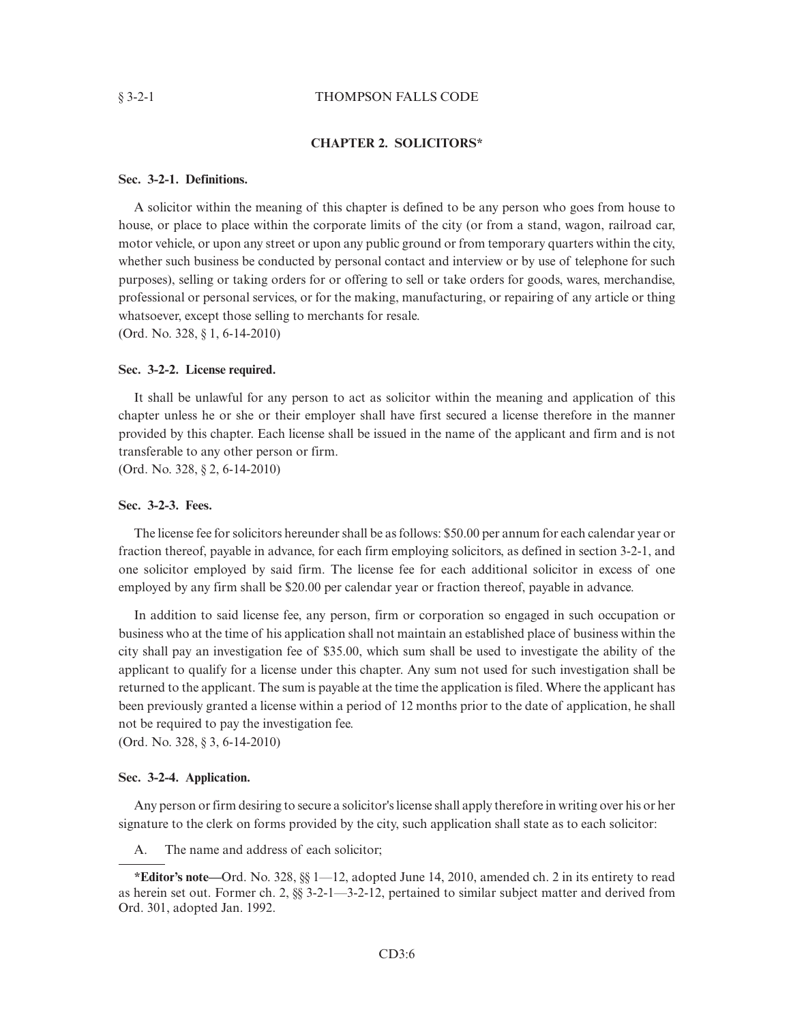#### § 3-2-1 THOMPSON FALLS CODE

#### **CHAPTER 2. SOLICITORS\***

## **Sec. 3-2-1. Definitions.**

A solicitor within the meaning of this chapter is defined to be any person who goes from house to house, or place to place within the corporate limits of the city (or from a stand, wagon, railroad car, motor vehicle, or upon any street or upon any public ground or from temporary quarters within the city, whether such business be conducted by personal contact and interview or by use of telephone for such purposes), selling or taking orders for or offering to sell or take orders for goods, wares, merchandise, professional or personal services, or for the making, manufacturing, or repairing of any article or thing whatsoever, except those selling to merchants for resale.

(Ord. No. 328, § 1, 6-14-2010)

### **Sec. 3-2-2. License required.**

It shall be unlawful for any person to act as solicitor within the meaning and application of this chapter unless he or she or their employer shall have first secured a license therefore in the manner provided by this chapter. Each license shall be issued in the name of the applicant and firm and is not transferable to any other person or firm.

(Ord. No. 328, § 2, 6-14-2010)

## **Sec. 3-2-3. Fees.**

The license fee for solicitors hereunder shall be as follows: \$50.00 per annum for each calendar year or fraction thereof, payable in advance, for each firm employing solicitors, as defined in section 3-2-1, and one solicitor employed by said firm. The license fee for each additional solicitor in excess of one employed by any firm shall be \$20.00 per calendar year or fraction thereof, payable in advance.

In addition to said license fee, any person, firm or corporation so engaged in such occupation or business who at the time of his application shall not maintain an established place of business within the city shall pay an investigation fee of \$35.00, which sum shall be used to investigate the ability of the applicant to qualify for a license under this chapter. Any sum not used for such investigation shall be returned to the applicant. The sum is payable at the time the application is filed. Where the applicant has been previously granted a license within a period of 12 months prior to the date of application, he shall not be required to pay the investigation fee.

(Ord. No. 328, § 3, 6-14-2010)

#### **Sec. 3-2-4. Application.**

Any person or firm desiring to secure a solicitor's license shall apply therefore in writing over his or her signature to the clerk on forms provided by the city, such application shall state as to each solicitor:

A. The name and address of each solicitor;

**<sup>\*</sup>Editor's note—**Ord. No. 328, §§ 1—12, adopted June 14, 2010, amended ch. 2 in its entirety to read as herein set out. Former ch. 2, §§ 3-2-1—3-2-12, pertained to similar subject matter and derived from Ord. 301, adopted Jan. 1992.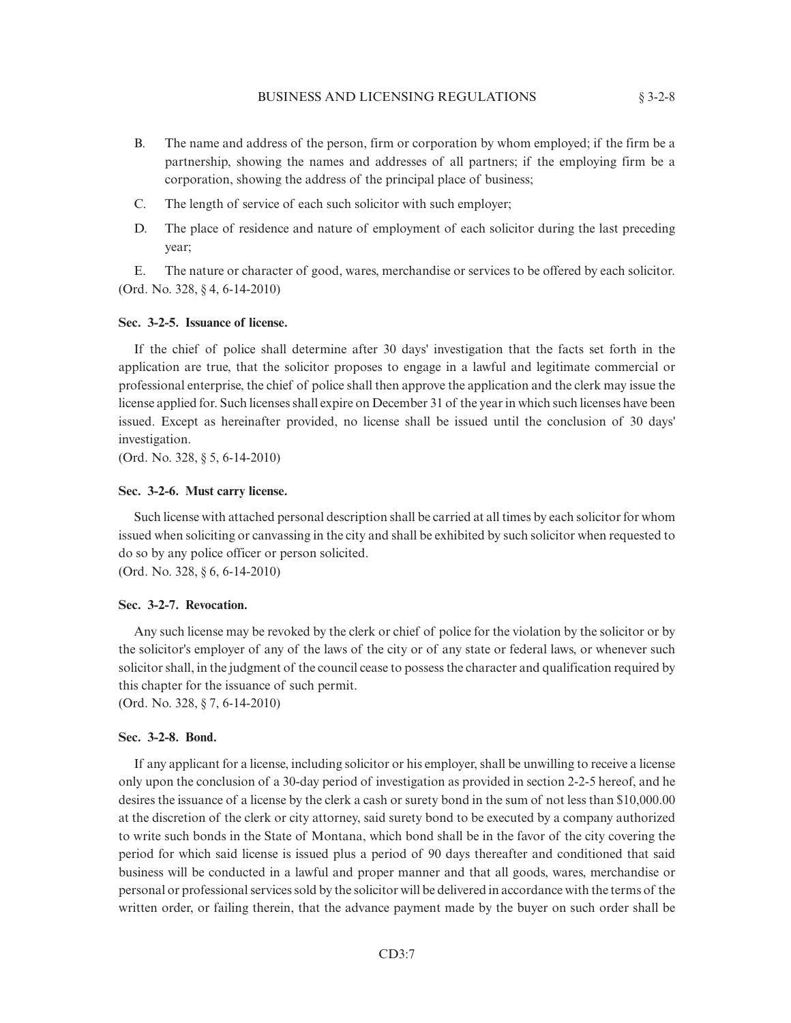- B. The name and address of the person, firm or corporation by whom employed; if the firm be a partnership, showing the names and addresses of all partners; if the employing firm be a corporation, showing the address of the principal place of business;
- C. The length of service of each such solicitor with such employer;
- D. The place of residence and nature of employment of each solicitor during the last preceding year;

E. The nature or character of good, wares, merchandise or services to be offered by each solicitor. (Ord. No. 328, § 4, 6-14-2010)

#### **Sec. 3-2-5. Issuance of license.**

If the chief of police shall determine after 30 days' investigation that the facts set forth in the application are true, that the solicitor proposes to engage in a lawful and legitimate commercial or professional enterprise, the chief of police shall then approve the application and the clerk may issue the license applied for. Such licenses shall expire on December 31 of the year in which such licenses have been issued. Except as hereinafter provided, no license shall be issued until the conclusion of 30 days' investigation.

(Ord. No. 328, § 5, 6-14-2010)

#### **Sec. 3-2-6. Must carry license.**

Such license with attached personal description shall be carried at all times by each solicitor for whom issued when soliciting or canvassing in the city and shall be exhibited by such solicitor when requested to do so by any police officer or person solicited.

(Ord. No. 328, § 6, 6-14-2010)

## **Sec. 3-2-7. Revocation.**

Any such license may be revoked by the clerk or chief of police for the violation by the solicitor or by the solicitor's employer of any of the laws of the city or of any state or federal laws, or whenever such solicitor shall, in the judgment of the council cease to possess the character and qualification required by this chapter for the issuance of such permit.

(Ord. No. 328, § 7, 6-14-2010)

## **Sec. 3-2-8. Bond.**

If any applicant for a license, including solicitor or his employer, shall be unwilling to receive a license only upon the conclusion of a 30-day period of investigation as provided in section 2-2-5 hereof, and he desires the issuance of a license by the clerk a cash or surety bond in the sum of not less than \$10,000.00 at the discretion of the clerk or city attorney, said surety bond to be executed by a company authorized to write such bonds in the State of Montana, which bond shall be in the favor of the city covering the period for which said license is issued plus a period of 90 days thereafter and conditioned that said business will be conducted in a lawful and proper manner and that all goods, wares, merchandise or personal or professional services sold by the solicitor will be delivered in accordance with the terms of the written order, or failing therein, that the advance payment made by the buyer on such order shall be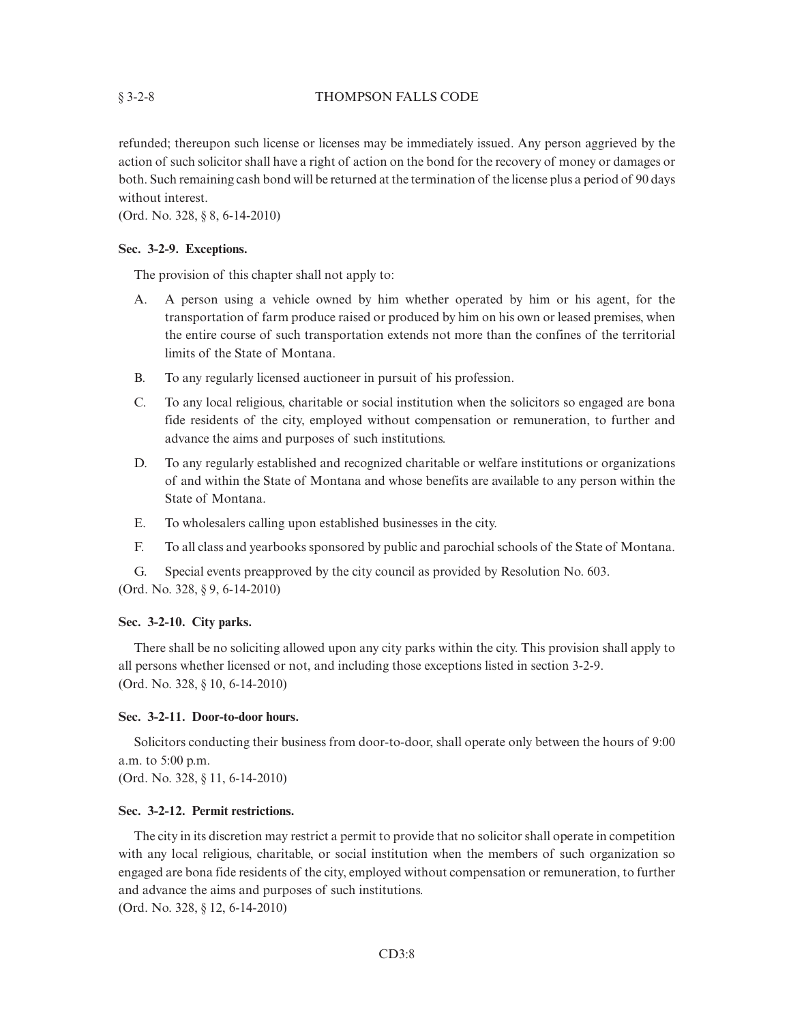### § 3-2-8 THOMPSON FALLS CODE

refunded; thereupon such license or licenses may be immediately issued. Any person aggrieved by the action of such solicitor shall have a right of action on the bond for the recovery of money or damages or both. Such remaining cash bond will be returned at the termination of the license plus a period of 90 days without interest.

(Ord. No. 328, § 8, 6-14-2010)

### **Sec. 3-2-9. Exceptions.**

The provision of this chapter shall not apply to:

- A. A person using a vehicle owned by him whether operated by him or his agent, for the transportation of farm produce raised or produced by him on his own or leased premises, when the entire course of such transportation extends not more than the confines of the territorial limits of the State of Montana.
- B. To any regularly licensed auctioneer in pursuit of his profession.
- C. To any local religious, charitable or social institution when the solicitors so engaged are bona fide residents of the city, employed without compensation or remuneration, to further and advance the aims and purposes of such institutions.
- D. To any regularly established and recognized charitable or welfare institutions or organizations of and within the State of Montana and whose benefits are available to any person within the State of Montana.
- E. To wholesalers calling upon established businesses in the city.
- F. To all class and yearbooks sponsored by public and parochial schools of the State of Montana.

G. Special events preapproved by the city council as provided by Resolution No. 603. (Ord. No. 328, § 9, 6-14-2010)

### **Sec. 3-2-10. City parks.**

There shall be no soliciting allowed upon any city parks within the city. This provision shall apply to all persons whether licensed or not, and including those exceptions listed in section 3-2-9. (Ord. No. 328, § 10, 6-14-2010)

## **Sec. 3-2-11. Door-to-door hours.**

Solicitors conducting their business from door-to-door, shall operate only between the hours of 9:00 a.m. to 5:00 p.m.

(Ord. No. 328, § 11, 6-14-2010)

#### **Sec. 3-2-12. Permit restrictions.**

The city in its discretion may restrict a permit to provide that no solicitor shall operate in competition with any local religious, charitable, or social institution when the members of such organization so engaged are bona fide residents of the city, employed without compensation or remuneration, to further and advance the aims and purposes of such institutions.

(Ord. No. 328, § 12, 6-14-2010)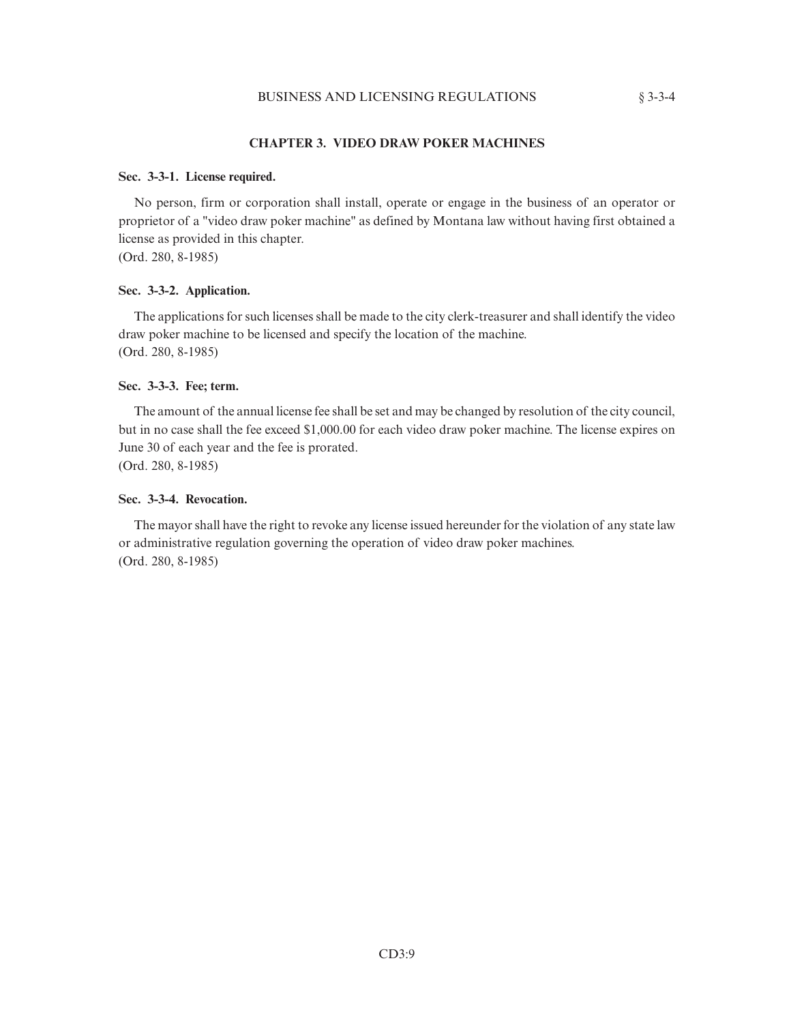## **CHAPTER 3. VIDEO DRAW POKER MACHINES**

#### **Sec. 3-3-1. License required.**

No person, firm or corporation shall install, operate or engage in the business of an operator or proprietor of a "video draw poker machine" as defined by Montana law without having first obtained a license as provided in this chapter.

(Ord. 280, 8-1985)

## **Sec. 3-3-2. Application.**

The applications for such licenses shall be made to the city clerk-treasurer and shall identify the video draw poker machine to be licensed and specify the location of the machine. (Ord. 280, 8-1985)

#### **Sec. 3-3-3. Fee; term.**

The amount of the annual license fee shall be set and may be changed by resolution of the city council, but in no case shall the fee exceed \$1,000.00 for each video draw poker machine. The license expires on June 30 of each year and the fee is prorated. (Ord. 280, 8-1985)

#### **Sec. 3-3-4. Revocation.**

The mayor shall have the right to revoke any license issued hereunder for the violation of any state law or administrative regulation governing the operation of video draw poker machines. (Ord. 280, 8-1985)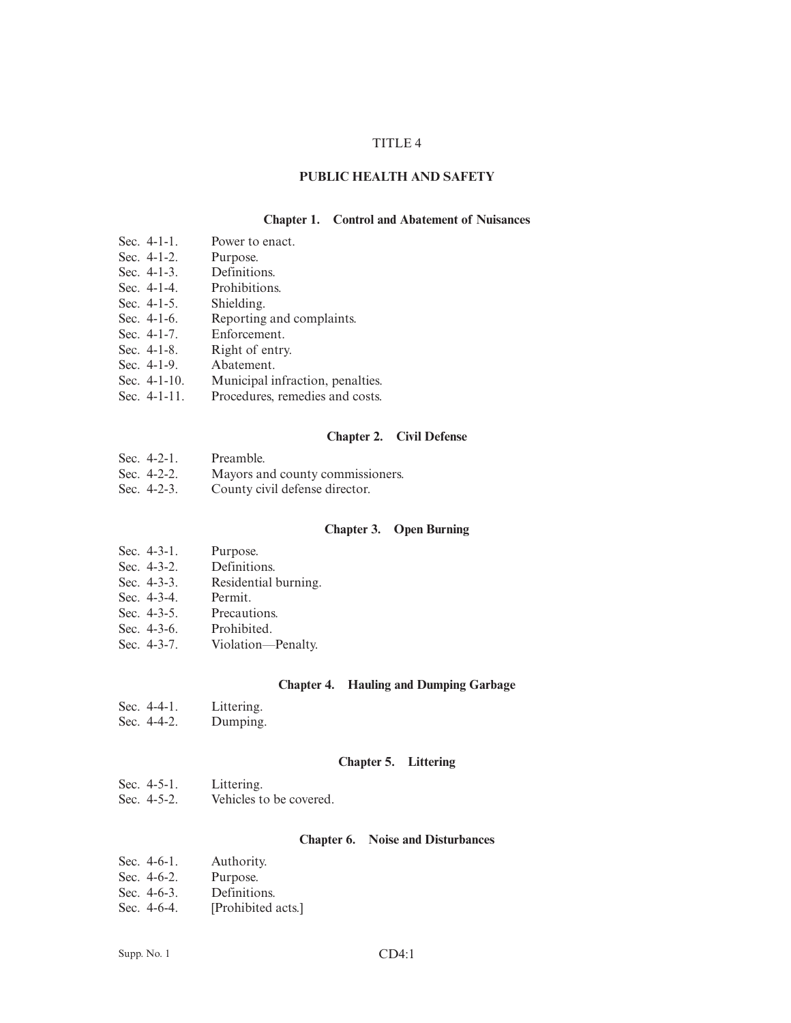### TITLE 4

## **PUBLIC HEALTH AND SAFETY**

#### **Chapter 1. Control and Abatement of Nuisances**

- Sec. 4-1-1. Power to enact.
- Sec. 4-1-2. Purpose.
- Sec. 4-1-3. Definitions.
- Sec. 4-1-4. Prohibitions.
- Sec. 4-1-5. Shielding.
- Sec. 4-1-6. Reporting and complaints.
- Sec. 4-1-7. Enforcement.
- Sec. 4-1-8. Right of entry.
- Sec. 4-1-9. Abatement.<br>Sec. 4-1-10. Municipal in
- 
- Sec. 4-1-10. Municipal infraction, penalties.<br>Sec. 4-1-11. Procedures, remedies and costs. Procedures, remedies and costs.

#### **Chapter 2. Civil Defense**

| Sec. $4-2-1$ . | Preamble.                        |
|----------------|----------------------------------|
| Sec. $4-2-2$ . | Mayors and county commissioners. |

Sec. 4-2-3. County civil defense director.

### **Chapter 3. Open Burning**

- Sec. 4-3-1. Purpose.
- Sec. 4-3-2. Definitions.
- Sec. 4-3-3. Residential burning.
- Sec. 4-3-4. Permit.
- Sec. 4-3-5. Precautions.
- Sec. 4-3-6. Prohibited.
- Sec. 4-3-7. Violation—Penalty.

#### **Chapter 4. Hauling and Dumping Garbage**

- Sec. 4-4-1. Littering.
- Sec. 4-4-2. Dumping.

#### **Chapter 5. Littering**

- Sec. 4-5-1. Littering.
- Sec. 4-5-2. Vehicles to be covered.

### **Chapter 6. Noise and Disturbances**

| Sec. 4-6-1. | Authority. |
|-------------|------------|
|-------------|------------|

- Sec. 4-6-2. Purpose.
- Sec. 4-6-3. Definitions.
- Sec. 4-6-4. [Prohibited acts.]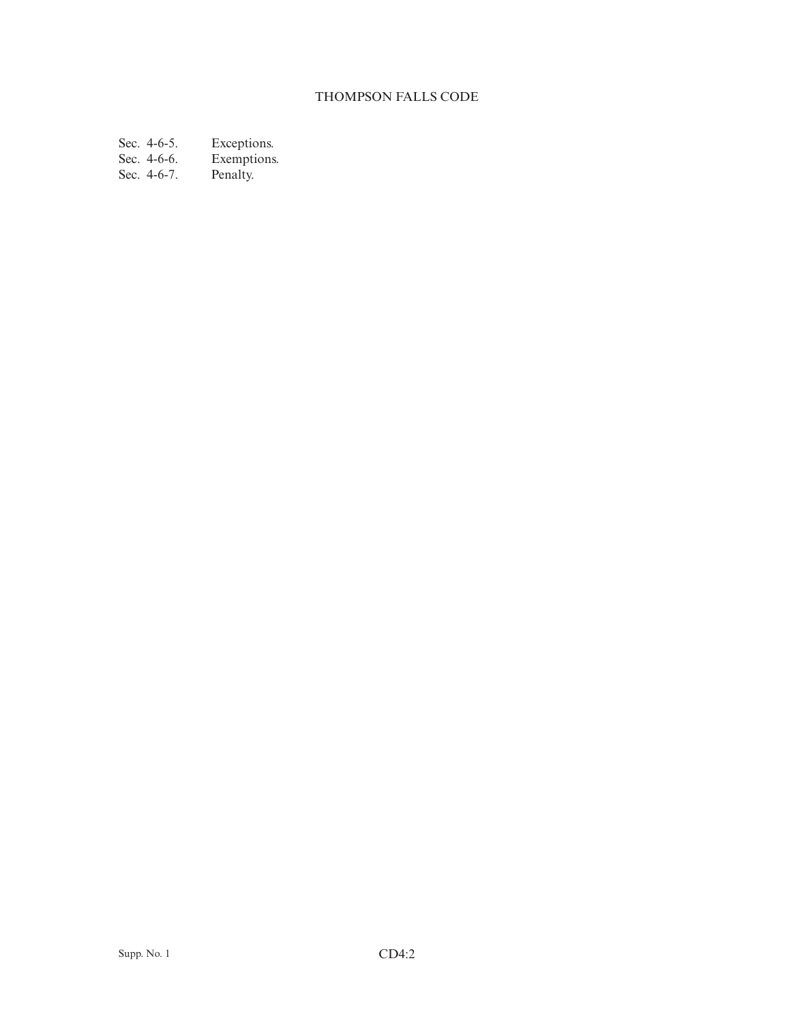# THOMPSON FALLS CODE

Sec. 4-6-5.<br>Sec. 4-6-6. Exceptions.<br>Exemptions.<br>Penalty.

Sec. 4-6-7.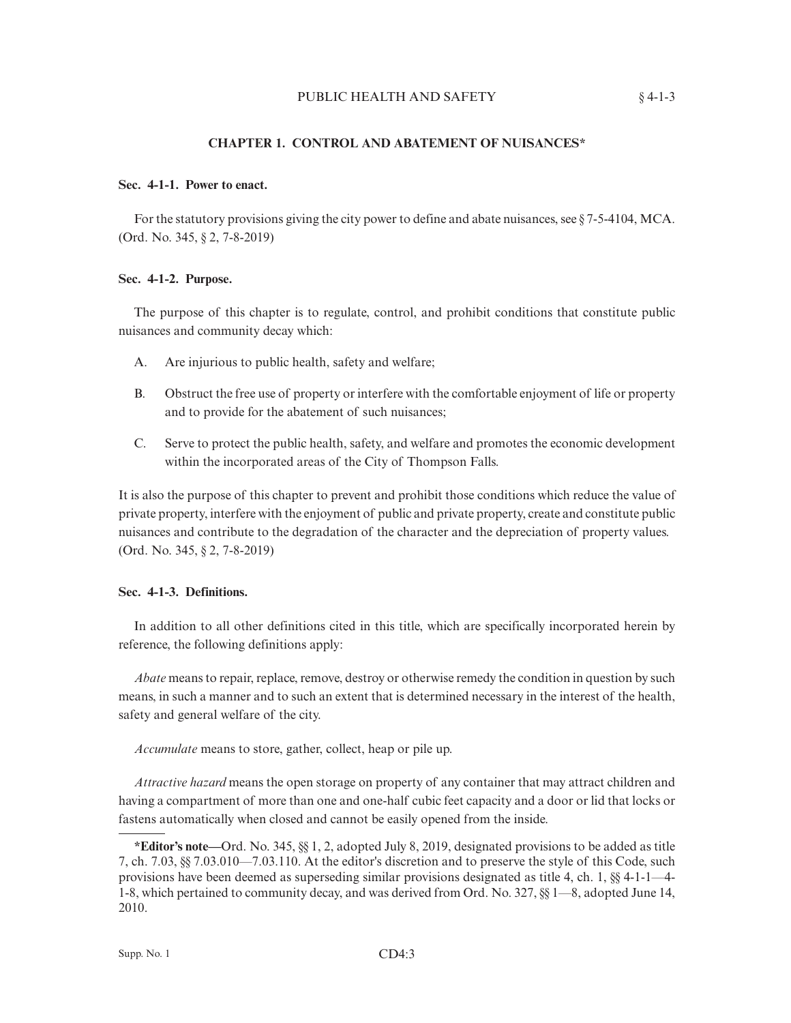## **CHAPTER 1. CONTROL AND ABATEMENT OF NUISANCES\***

## **Sec. 4-1-1. Power to enact.**

For the statutory provisions giving the city power to define and abate nuisances, see  $\S$  7-5-4104, MCA. (Ord. No. 345, § 2, 7-8-2019)

#### **Sec. 4-1-2. Purpose.**

The purpose of this chapter is to regulate, control, and prohibit conditions that constitute public nuisances and community decay which:

- A. Are injurious to public health, safety and welfare;
- B. Obstruct the free use of property or interfere with the comfortable enjoyment of life or property and to provide for the abatement of such nuisances;
- C. Serve to protect the public health, safety, and welfare and promotes the economic development within the incorporated areas of the City of Thompson Falls.

It is also the purpose of this chapter to prevent and prohibit those conditions which reduce the value of private property, interfere with the enjoyment of public and private property, create and constitute public nuisances and contribute to the degradation of the character and the depreciation of property values. (Ord. No. 345, § 2, 7-8-2019)

# **Sec. 4-1-3. Definitions.**

In addition to all other definitions cited in this title, which are specifically incorporated herein by reference, the following definitions apply:

*Abate* means to repair, replace, remove, destroy or otherwise remedy the condition in question by such means, in such a manner and to such an extent that is determined necessary in the interest of the health, safety and general welfare of the city.

*Accumulate* means to store, gather, collect, heap or pile up.

*Attractive hazard* means the open storage on property of any container that may attract children and having a compartment of more than one and one-half cubic feet capacity and a door or lid that locks or fastens automatically when closed and cannot be easily opened from the inside.

**<sup>\*</sup>Editor's note—**Ord. No. 345, §§ 1, 2, adopted July 8, 2019, designated provisions to be added as title 7, ch. 7.03, §§ 7.03.010—7.03.110. At the editor's discretion and to preserve the style of this Code, such provisions have been deemed as superseding similar provisions designated as title 4, ch. 1, §§ 4-1-1—4- 1-8, which pertained to community decay, and was derived from Ord. No. 327, §§ 1—8, adopted June 14, 2010.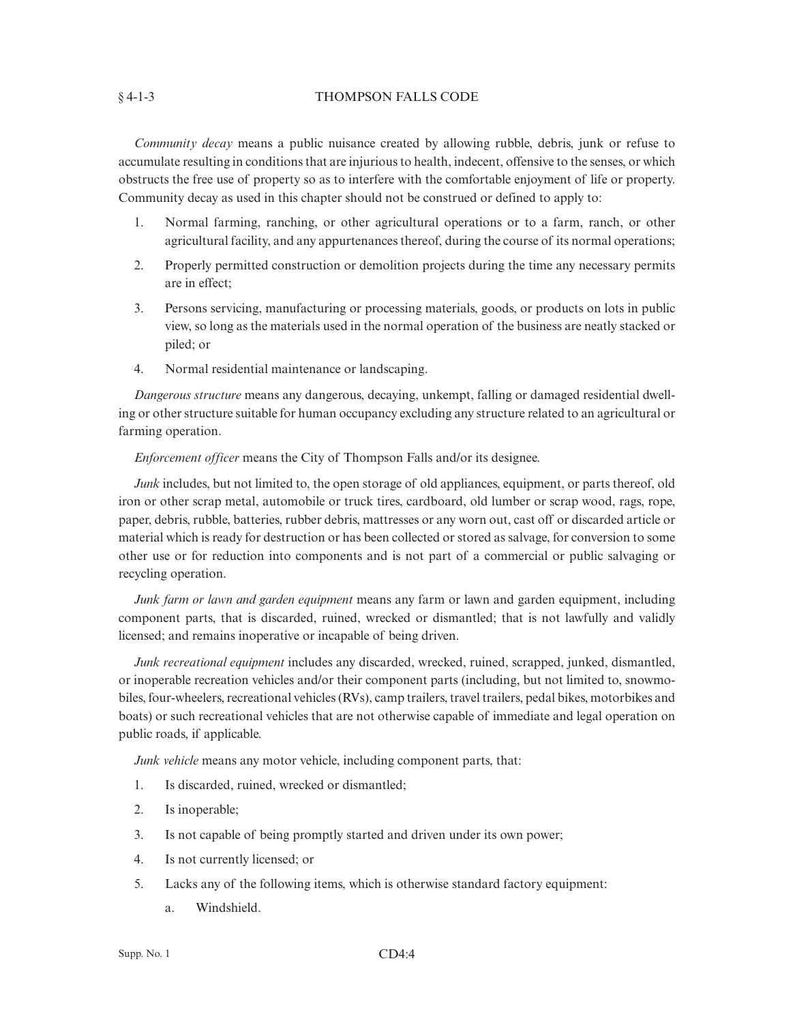## § 4-1-3 THOMPSON FALLS CODE

*Community decay* means a public nuisance created by allowing rubble, debris, junk or refuse to accumulate resulting in conditions that are injurious to health, indecent, offensive to the senses, or which obstructs the free use of property so as to interfere with the comfortable enjoyment of life or property. Community decay as used in this chapter should not be construed or defined to apply to:

- 1. Normal farming, ranching, or other agricultural operations or to a farm, ranch, or other agricultural facility, and any appurtenances thereof, during the course of its normal operations;
- 2. Properly permitted construction or demolition projects during the time any necessary permits are in effect;
- 3. Persons servicing, manufacturing or processing materials, goods, or products on lots in public view, so long as the materials used in the normal operation of the business are neatly stacked or piled; or
- 4. Normal residential maintenance or landscaping.

*Dangerous structure* means any dangerous, decaying, unkempt, falling or damaged residential dwelling or other structure suitable for human occupancy excluding any structure related to an agricultural or farming operation.

*Enforcement officer* means the City of Thompson Falls and/or its designee.

*Junk* includes, but not limited to, the open storage of old appliances, equipment, or parts thereof, old iron or other scrap metal, automobile or truck tires, cardboard, old lumber or scrap wood, rags, rope, paper, debris, rubble, batteries, rubber debris, mattresses or any worn out, cast off or discarded article or material which is ready for destruction or has been collected or stored as salvage, for conversion to some other use or for reduction into components and is not part of a commercial or public salvaging or recycling operation.

*Junk farm or lawn and garden equipment* means any farm or lawn and garden equipment, including component parts, that is discarded, ruined, wrecked or dismantled; that is not lawfully and validly licensed; and remains inoperative or incapable of being driven.

*Junk recreational equipment* includes any discarded, wrecked, ruined, scrapped, junked, dismantled, or inoperable recreation vehicles and/or their component parts (including, but not limited to, snowmobiles, four-wheelers, recreational vehicles (RVs), camp trailers, travel trailers, pedal bikes, motorbikes and boats) or such recreational vehicles that are not otherwise capable of immediate and legal operation on public roads, if applicable.

*Junk vehicle* means any motor vehicle, including component parts, that:

- 1. Is discarded, ruined, wrecked or dismantled;
- 2. Is inoperable;
- 3. Is not capable of being promptly started and driven under its own power;
- 4. Is not currently licensed; or
- 5. Lacks any of the following items, which is otherwise standard factory equipment:
	- a. Windshield.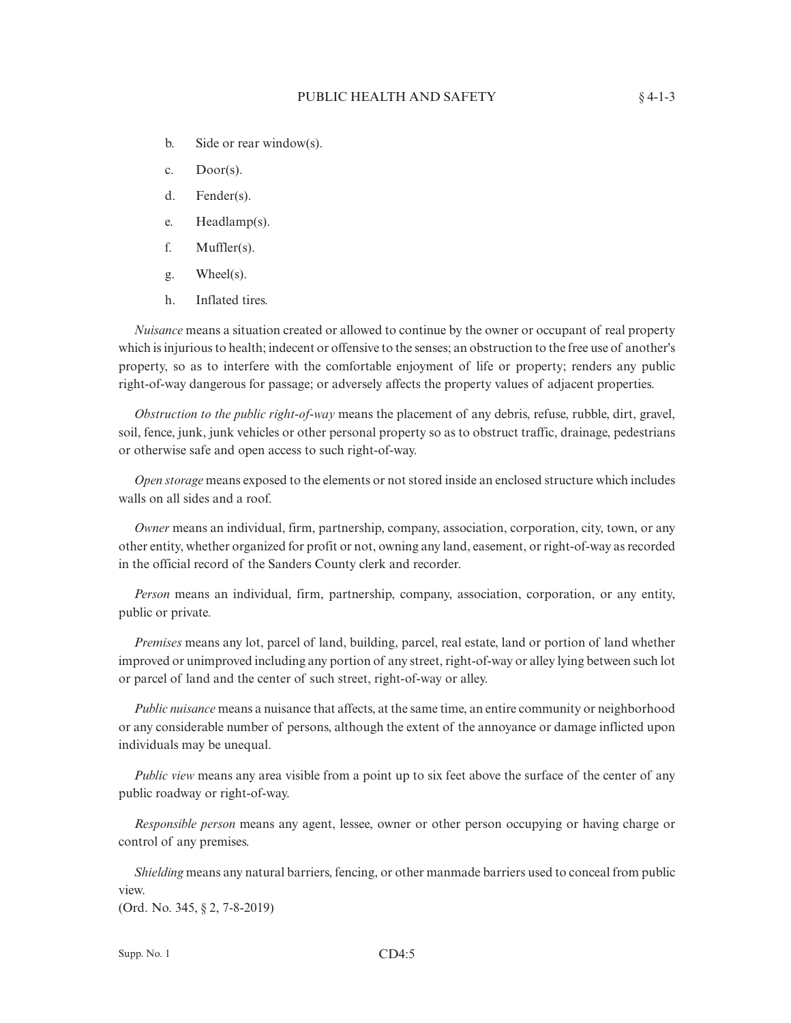- b. Side or rear window(s).
- c. Door(s).
- d. Fender(s).
- e. Headlamp(s).
- f. Muffler(s).
- g. Wheel(s).
- h. Inflated tires.

*Nuisance* means a situation created or allowed to continue by the owner or occupant of real property which is injurious to health; indecent or offensive to the senses; an obstruction to the free use of another's property, so as to interfere with the comfortable enjoyment of life or property; renders any public right-of-way dangerous for passage; or adversely affects the property values of adjacent properties.

*Obstruction to the public right-of-way* means the placement of any debris, refuse, rubble, dirt, gravel, soil, fence, junk, junk vehicles or other personal property so as to obstruct traffic, drainage, pedestrians or otherwise safe and open access to such right-of-way.

*Open storage* means exposed to the elements or not stored inside an enclosed structure which includes walls on all sides and a roof.

*Owner* means an individual, firm, partnership, company, association, corporation, city, town, or any other entity, whether organized for profit or not, owning any land, easement, or right-of-way as recorded in the official record of the Sanders County clerk and recorder.

*Person* means an individual, firm, partnership, company, association, corporation, or any entity, public or private.

*Premises* means any lot, parcel of land, building, parcel, real estate, land or portion of land whether improved or unimproved including any portion of any street, right-of-way or alley lying between such lot or parcel of land and the center of such street, right-of-way or alley.

*Public nuisance* means a nuisance that affects, at the same time, an entire community or neighborhood or any considerable number of persons, although the extent of the annoyance or damage inflicted upon individuals may be unequal.

*Public view* means any area visible from a point up to six feet above the surface of the center of any public roadway or right-of-way.

*Responsible person* means any agent, lessee, owner or other person occupying or having charge or control of any premises.

*Shielding* means any natural barriers, fencing, or other manmade barriers used to conceal from public view.

(Ord. No. 345, § 2, 7-8-2019)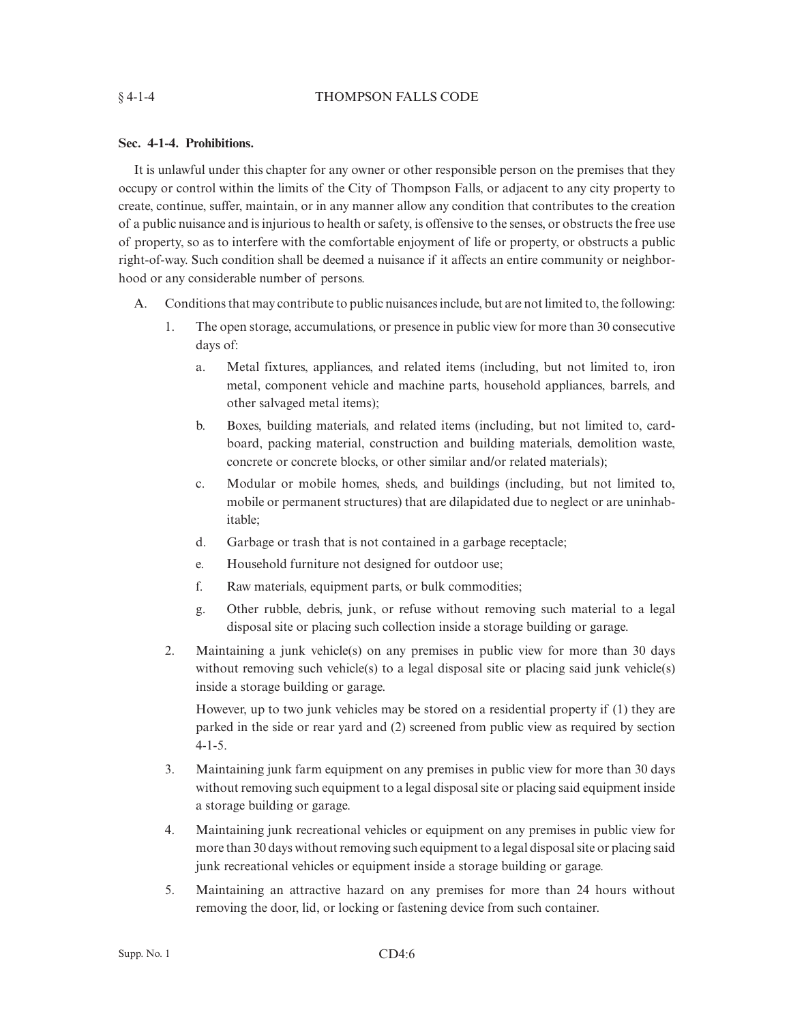### § 4-1-4 THOMPSON FALLS CODE

## **Sec. 4-1-4. Prohibitions.**

It is unlawful under this chapter for any owner or other responsible person on the premises that they occupy or control within the limits of the City of Thompson Falls, or adjacent to any city property to create, continue, suffer, maintain, or in any manner allow any condition that contributes to the creation of a public nuisance and is injurious to health or safety, is offensive to the senses, or obstructs the free use of property, so as to interfere with the comfortable enjoyment of life or property, or obstructs a public right-of-way. Such condition shall be deemed a nuisance if it affects an entire community or neighborhood or any considerable number of persons.

- A. Conditions that may contribute to public nuisances include, but are not limited to, the following:
	- 1. The open storage, accumulations, or presence in public view for more than 30 consecutive days of:
		- a. Metal fixtures, appliances, and related items (including, but not limited to, iron metal, component vehicle and machine parts, household appliances, barrels, and other salvaged metal items);
		- b. Boxes, building materials, and related items (including, but not limited to, cardboard, packing material, construction and building materials, demolition waste, concrete or concrete blocks, or other similar and/or related materials);
		- c. Modular or mobile homes, sheds, and buildings (including, but not limited to, mobile or permanent structures) that are dilapidated due to neglect or are uninhabitable;
		- d. Garbage or trash that is not contained in a garbage receptacle;
		- e. Household furniture not designed for outdoor use;
		- f. Raw materials, equipment parts, or bulk commodities;
		- g. Other rubble, debris, junk, or refuse without removing such material to a legal disposal site or placing such collection inside a storage building or garage.
	- 2. Maintaining a junk vehicle(s) on any premises in public view for more than 30 days without removing such vehicle(s) to a legal disposal site or placing said junk vehicle(s) inside a storage building or garage.

However, up to two junk vehicles may be stored on a residential property if (1) they are parked in the side or rear yard and (2) screened from public view as required by section 4-1-5.

- 3. Maintaining junk farm equipment on any premises in public view for more than 30 days without removing such equipment to a legal disposal site or placing said equipment inside a storage building or garage.
- 4. Maintaining junk recreational vehicles or equipment on any premises in public view for more than 30 days without removing such equipment to a legal disposal site or placing said junk recreational vehicles or equipment inside a storage building or garage.
- 5. Maintaining an attractive hazard on any premises for more than 24 hours without removing the door, lid, or locking or fastening device from such container.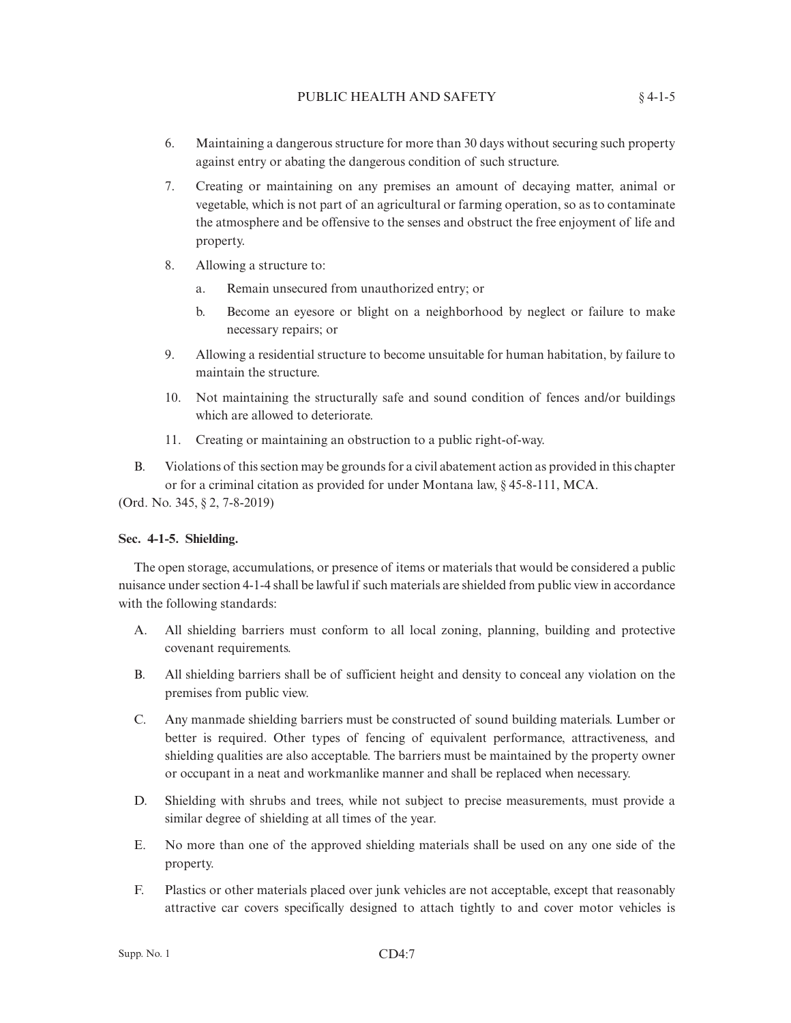- 6. Maintaining a dangerous structure for more than 30 days without securing such property against entry or abating the dangerous condition of such structure.
- 7. Creating or maintaining on any premises an amount of decaying matter, animal or vegetable, which is not part of an agricultural or farming operation, so as to contaminate the atmosphere and be offensive to the senses and obstruct the free enjoyment of life and property.
- 8. Allowing a structure to:
	- a. Remain unsecured from unauthorized entry; or
	- b. Become an eyesore or blight on a neighborhood by neglect or failure to make necessary repairs; or
- 9. Allowing a residential structure to become unsuitable for human habitation, by failure to maintain the structure.
- 10. Not maintaining the structurally safe and sound condition of fences and/or buildings which are allowed to deteriorate.
- 11. Creating or maintaining an obstruction to a public right-of-way.
- B. Violations of this section may be grounds for a civil abatement action as provided in this chapter or for a criminal citation as provided for under Montana law, § 45-8-111, MCA.

(Ord. No. 345, § 2, 7-8-2019)

## **Sec. 4-1-5. Shielding.**

The open storage, accumulations, or presence of items or materials that would be considered a public nuisance under section 4-1-4 shall be lawful if such materials are shielded from public view in accordance with the following standards:

- A. All shielding barriers must conform to all local zoning, planning, building and protective covenant requirements.
- B. All shielding barriers shall be of sufficient height and density to conceal any violation on the premises from public view.
- C. Any manmade shielding barriers must be constructed of sound building materials. Lumber or better is required. Other types of fencing of equivalent performance, attractiveness, and shielding qualities are also acceptable. The barriers must be maintained by the property owner or occupant in a neat and workmanlike manner and shall be replaced when necessary.
- D. Shielding with shrubs and trees, while not subject to precise measurements, must provide a similar degree of shielding at all times of the year.
- E. No more than one of the approved shielding materials shall be used on any one side of the property.
- F. Plastics or other materials placed over junk vehicles are not acceptable, except that reasonably attractive car covers specifically designed to attach tightly to and cover motor vehicles is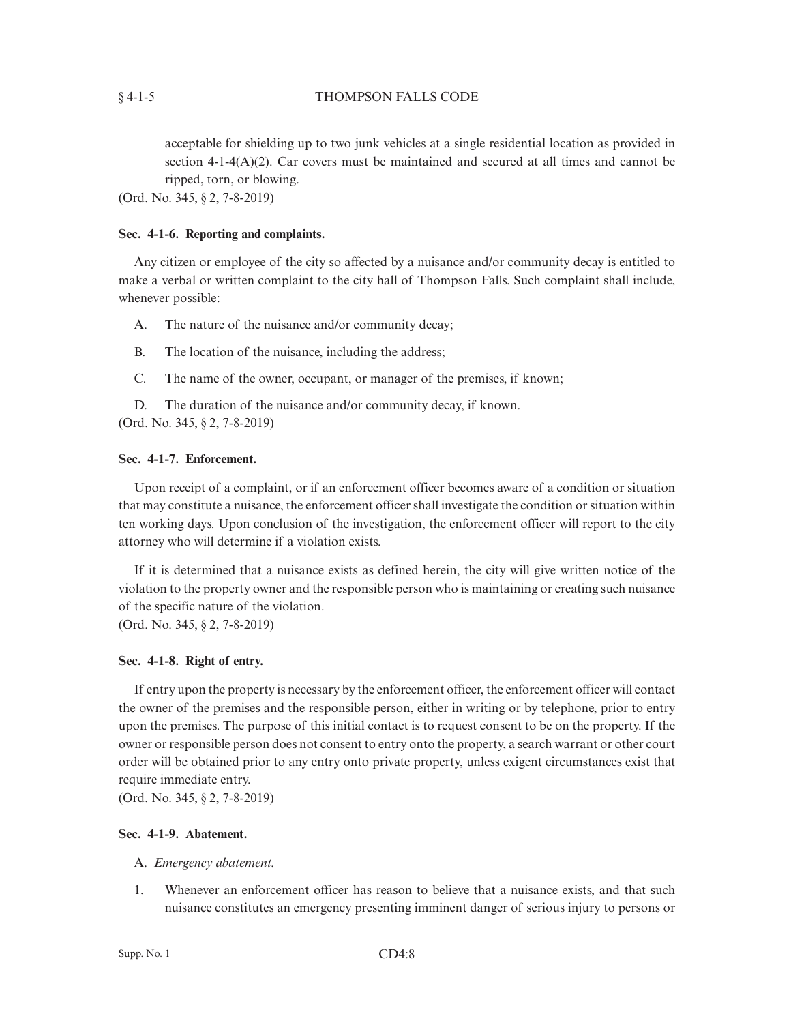acceptable for shielding up to two junk vehicles at a single residential location as provided in section 4-1-4(A)(2). Car covers must be maintained and secured at all times and cannot be ripped, torn, or blowing.

(Ord. No. 345, § 2, 7-8-2019)

#### **Sec. 4-1-6. Reporting and complaints.**

Any citizen or employee of the city so affected by a nuisance and/or community decay is entitled to make a verbal or written complaint to the city hall of Thompson Falls. Such complaint shall include, whenever possible:

- A. The nature of the nuisance and/or community decay;
- B. The location of the nuisance, including the address;
- C. The name of the owner, occupant, or manager of the premises, if known;

D. The duration of the nuisance and/or community decay, if known.

(Ord. No. 345, § 2, 7-8-2019)

#### **Sec. 4-1-7. Enforcement.**

Upon receipt of a complaint, or if an enforcement officer becomes aware of a condition or situation that may constitute a nuisance, the enforcement officer shall investigate the condition or situation within ten working days. Upon conclusion of the investigation, the enforcement officer will report to the city attorney who will determine if a violation exists.

If it is determined that a nuisance exists as defined herein, the city will give written notice of the violation to the property owner and the responsible person who is maintaining or creating such nuisance of the specific nature of the violation. (Ord. No. 345, § 2, 7-8-2019)

#### **Sec. 4-1-8. Right of entry.**

If entry upon the property is necessary by the enforcement officer, the enforcement officer will contact the owner of the premises and the responsible person, either in writing or by telephone, prior to entry upon the premises. The purpose of this initial contact is to request consent to be on the property. If the owner or responsible person does not consent to entry onto the property, a search warrant or other court order will be obtained prior to any entry onto private property, unless exigent circumstances exist that require immediate entry.

(Ord. No. 345, § 2, 7-8-2019)

## **Sec. 4-1-9. Abatement.**

### A. *Emergency abatement.*

1. Whenever an enforcement officer has reason to believe that a nuisance exists, and that such nuisance constitutes an emergency presenting imminent danger of serious injury to persons or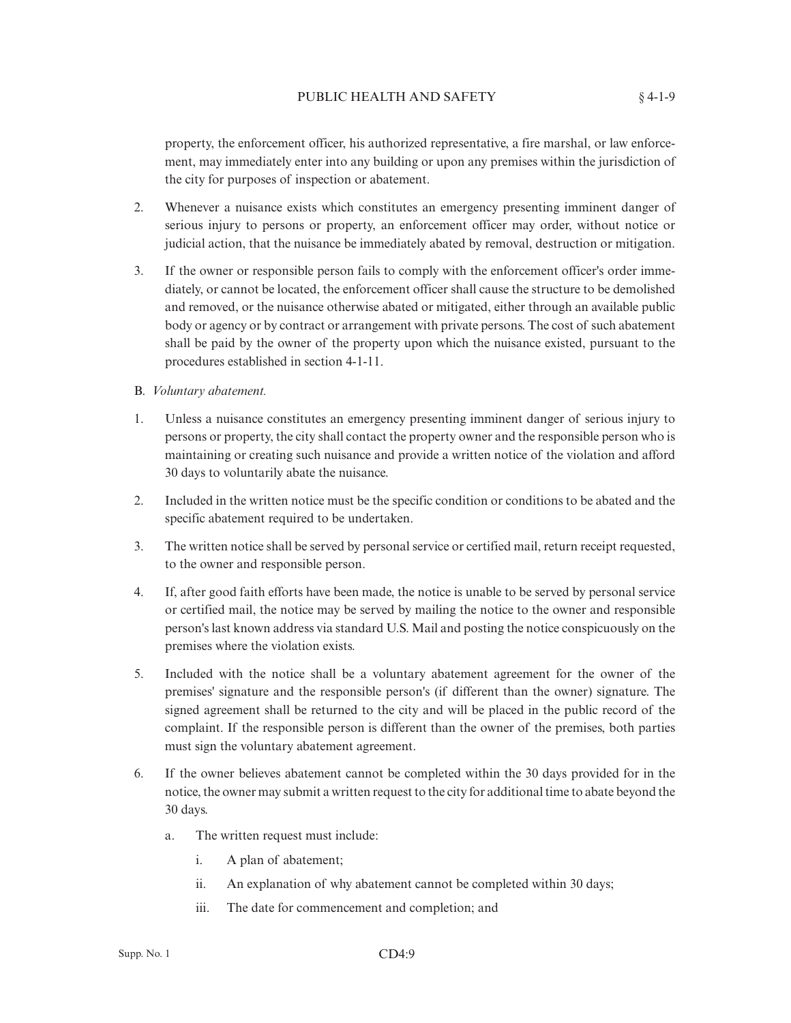property, the enforcement officer, his authorized representative, a fire marshal, or law enforcement, may immediately enter into any building or upon any premises within the jurisdiction of the city for purposes of inspection or abatement.

- 2. Whenever a nuisance exists which constitutes an emergency presenting imminent danger of serious injury to persons or property, an enforcement officer may order, without notice or judicial action, that the nuisance be immediately abated by removal, destruction or mitigation.
- 3. If the owner or responsible person fails to comply with the enforcement officer's order immediately, or cannot be located, the enforcement officer shall cause the structure to be demolished and removed, or the nuisance otherwise abated or mitigated, either through an available public body or agency or by contract or arrangement with private persons. The cost of such abatement shall be paid by the owner of the property upon which the nuisance existed, pursuant to the procedures established in section 4-1-11.
- B. *Voluntary abatement.*
- 1. Unless a nuisance constitutes an emergency presenting imminent danger of serious injury to persons or property, the city shall contact the property owner and the responsible person who is maintaining or creating such nuisance and provide a written notice of the violation and afford 30 days to voluntarily abate the nuisance.
- 2. Included in the written notice must be the specific condition or conditions to be abated and the specific abatement required to be undertaken.
- 3. The written notice shall be served by personal service or certified mail, return receipt requested, to the owner and responsible person.
- 4. If, after good faith efforts have been made, the notice is unable to be served by personal service or certified mail, the notice may be served by mailing the notice to the owner and responsible person's last known address via standard U.S. Mail and posting the notice conspicuously on the premises where the violation exists.
- 5. Included with the notice shall be a voluntary abatement agreement for the owner of the premises' signature and the responsible person's (if different than the owner) signature. The signed agreement shall be returned to the city and will be placed in the public record of the complaint. If the responsible person is different than the owner of the premises, both parties must sign the voluntary abatement agreement.
- 6. If the owner believes abatement cannot be completed within the 30 days provided for in the notice, the owner may submit a written request to the city for additional time to abate beyond the 30 days.
	- a. The written request must include:
		- i. A plan of abatement;
		- ii. An explanation of why abatement cannot be completed within 30 days;
		- iii. The date for commencement and completion; and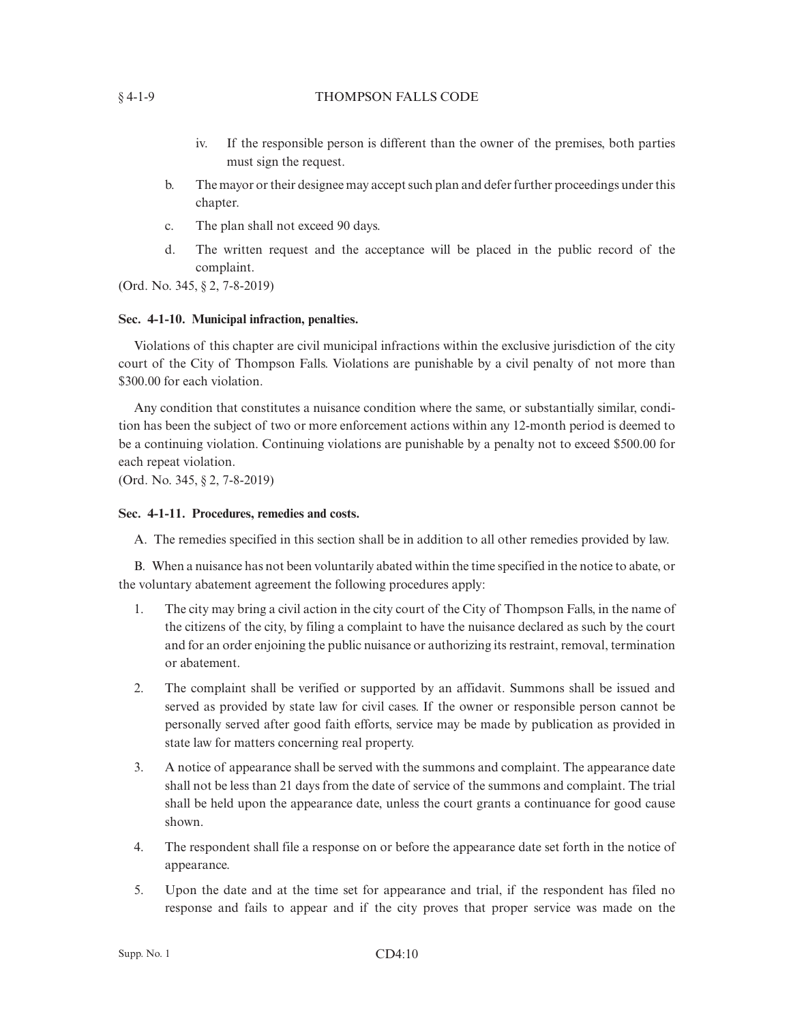## § 4-1-9 THOMPSON FALLS CODE

- iv. If the responsible person is different than the owner of the premises, both parties must sign the request.
- b. The mayor or their designee may accept such plan and defer further proceedings under this chapter.
- c. The plan shall not exceed 90 days.
- d. The written request and the acceptance will be placed in the public record of the complaint.

(Ord. No. 345, § 2, 7-8-2019)

## **Sec. 4-1-10. Municipal infraction, penalties.**

Violations of this chapter are civil municipal infractions within the exclusive jurisdiction of the city court of the City of Thompson Falls. Violations are punishable by a civil penalty of not more than \$300.00 for each violation.

Any condition that constitutes a nuisance condition where the same, or substantially similar, condition has been the subject of two or more enforcement actions within any 12-month period is deemed to be a continuing violation. Continuing violations are punishable by a penalty not to exceed \$500.00 for each repeat violation.

(Ord. No. 345, § 2, 7-8-2019)

## **Sec. 4-1-11. Procedures, remedies and costs.**

A. The remedies specified in this section shall be in addition to all other remedies provided by law.

B. When a nuisance has not been voluntarily abated within the time specified in the notice to abate, or the voluntary abatement agreement the following procedures apply:

- 1. The city may bring a civil action in the city court of the City of Thompson Falls, in the name of the citizens of the city, by filing a complaint to have the nuisance declared as such by the court and for an order enjoining the public nuisance or authorizing its restraint, removal, termination or abatement.
- 2. The complaint shall be verified or supported by an affidavit. Summons shall be issued and served as provided by state law for civil cases. If the owner or responsible person cannot be personally served after good faith efforts, service may be made by publication as provided in state law for matters concerning real property.
- 3. A notice of appearance shall be served with the summons and complaint. The appearance date shall not be less than 21 days from the date of service of the summons and complaint. The trial shall be held upon the appearance date, unless the court grants a continuance for good cause shown.
- 4. The respondent shall file a response on or before the appearance date set forth in the notice of appearance.
- 5. Upon the date and at the time set for appearance and trial, if the respondent has filed no response and fails to appear and if the city proves that proper service was made on the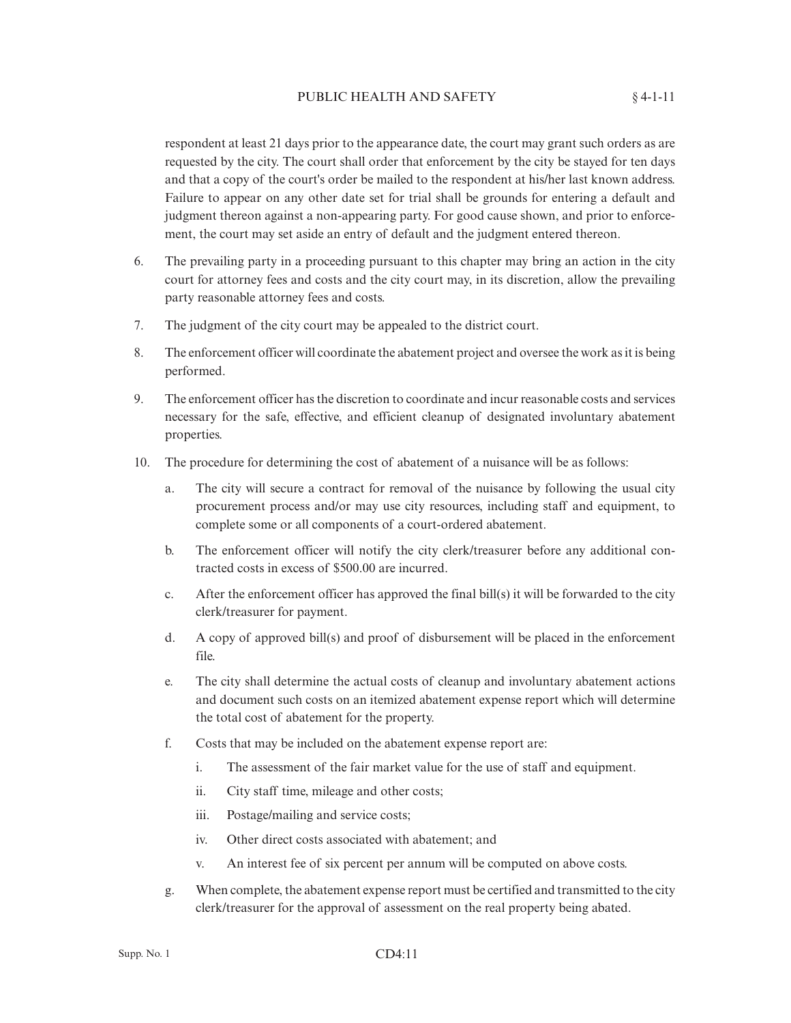respondent at least 21 days prior to the appearance date, the court may grant such orders as are requested by the city. The court shall order that enforcement by the city be stayed for ten days and that a copy of the court's order be mailed to the respondent at his/her last known address. Failure to appear on any other date set for trial shall be grounds for entering a default and judgment thereon against a non-appearing party. For good cause shown, and prior to enforcement, the court may set aside an entry of default and the judgment entered thereon.

- 6. The prevailing party in a proceeding pursuant to this chapter may bring an action in the city court for attorney fees and costs and the city court may, in its discretion, allow the prevailing party reasonable attorney fees and costs.
- 7. The judgment of the city court may be appealed to the district court.
- 8. The enforcement officer will coordinate the abatement project and oversee the work as it is being performed.
- 9. The enforcement officer has the discretion to coordinate and incur reasonable costs and services necessary for the safe, effective, and efficient cleanup of designated involuntary abatement properties.
- 10. The procedure for determining the cost of abatement of a nuisance will be as follows:
	- a. The city will secure a contract for removal of the nuisance by following the usual city procurement process and/or may use city resources, including staff and equipment, to complete some or all components of a court-ordered abatement.
	- b. The enforcement officer will notify the city clerk/treasurer before any additional contracted costs in excess of \$500.00 are incurred.
	- c. After the enforcement officer has approved the final bill(s) it will be forwarded to the city clerk/treasurer for payment.
	- d. A copy of approved bill(s) and proof of disbursement will be placed in the enforcement file.
	- e. The city shall determine the actual costs of cleanup and involuntary abatement actions and document such costs on an itemized abatement expense report which will determine the total cost of abatement for the property.
	- f. Costs that may be included on the abatement expense report are:
		- i. The assessment of the fair market value for the use of staff and equipment.
		- ii. City staff time, mileage and other costs;
		- iii. Postage/mailing and service costs;
		- iv. Other direct costs associated with abatement; and
		- v. An interest fee of six percent per annum will be computed on above costs.
	- g. When complete, the abatement expense report must be certified and transmitted to the city clerk/treasurer for the approval of assessment on the real property being abated.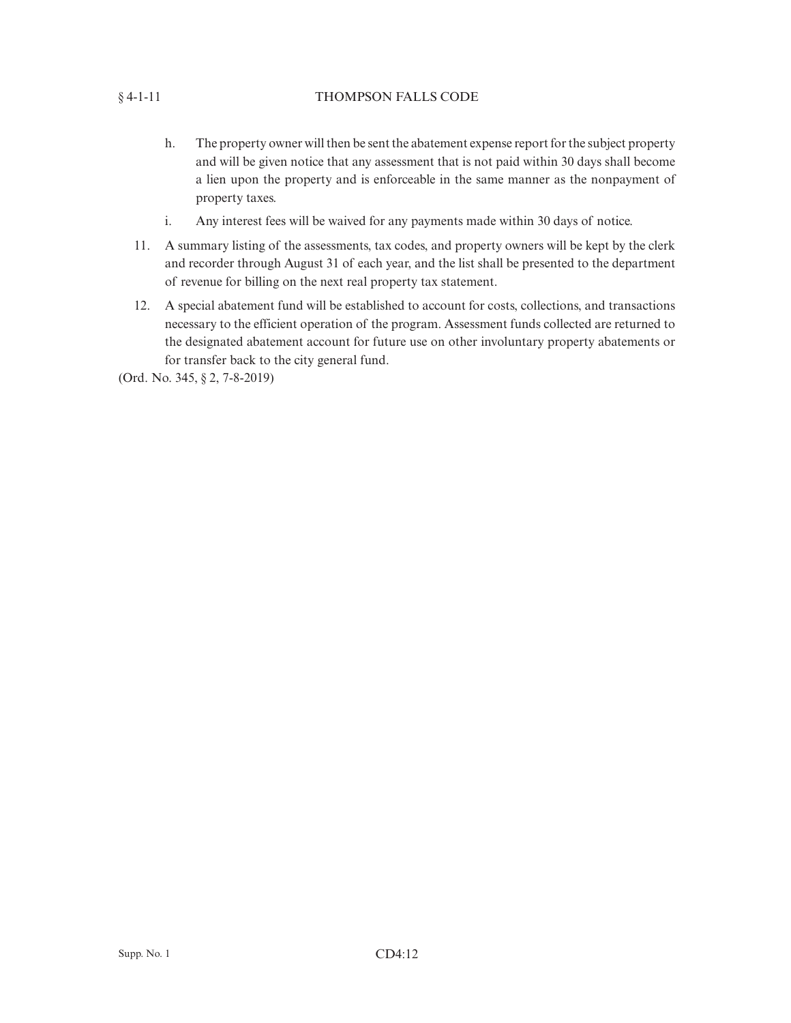# § 4-1-11 THOMPSON FALLS CODE

- h. The property owner will then be sent the abatement expense report for the subject property and will be given notice that any assessment that is not paid within 30 days shall become a lien upon the property and is enforceable in the same manner as the nonpayment of property taxes.
- i. Any interest fees will be waived for any payments made within 30 days of notice.
- 11. A summary listing of the assessments, tax codes, and property owners will be kept by the clerk and recorder through August 31 of each year, and the list shall be presented to the department of revenue for billing on the next real property tax statement.
- 12. A special abatement fund will be established to account for costs, collections, and transactions necessary to the efficient operation of the program. Assessment funds collected are returned to the designated abatement account for future use on other involuntary property abatements or for transfer back to the city general fund.

(Ord. No. 345, § 2, 7-8-2019)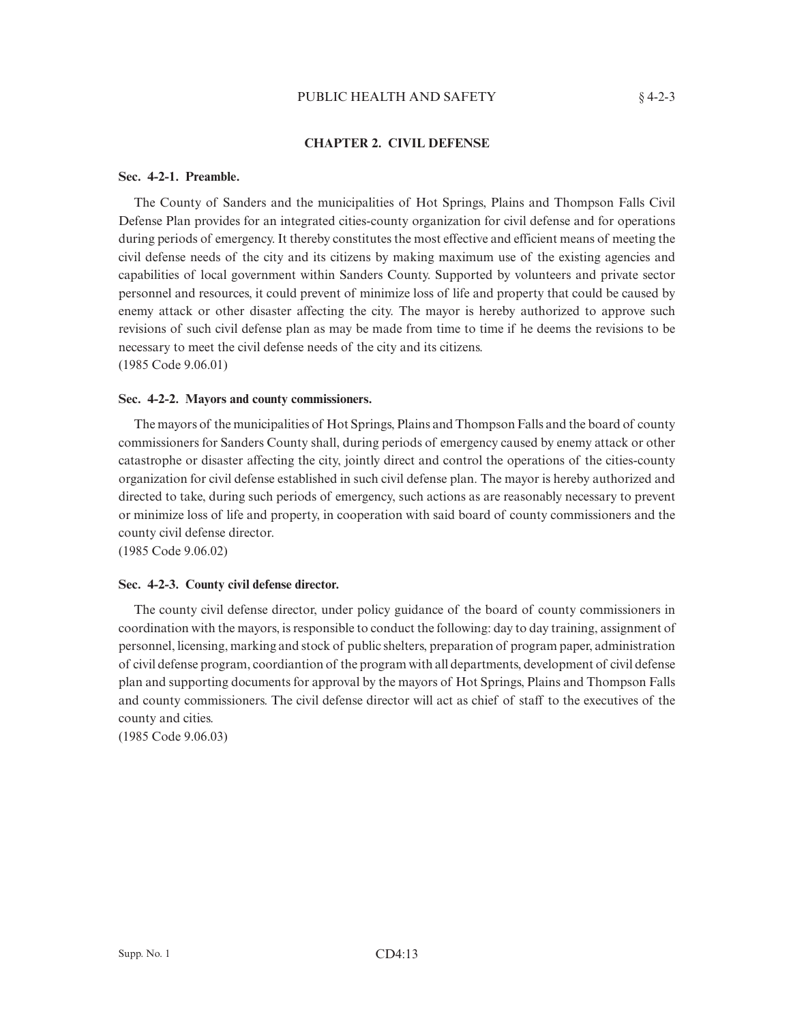## PUBLIC HEALTH AND SAFETY  $§ 4-2-3$

## **CHAPTER 2. CIVIL DEFENSE**

### **Sec. 4-2-1. Preamble.**

The County of Sanders and the municipalities of Hot Springs, Plains and Thompson Falls Civil Defense Plan provides for an integrated cities-county organization for civil defense and for operations during periods of emergency. It thereby constitutes the most effective and efficient means of meeting the civil defense needs of the city and its citizens by making maximum use of the existing agencies and capabilities of local government within Sanders County. Supported by volunteers and private sector personnel and resources, it could prevent of minimize loss of life and property that could be caused by enemy attack or other disaster affecting the city. The mayor is hereby authorized to approve such revisions of such civil defense plan as may be made from time to time if he deems the revisions to be necessary to meet the civil defense needs of the city and its citizens. (1985 Code 9.06.01)

#### **Sec. 4-2-2. Mayors and county commissioners.**

The mayors of the municipalities of Hot Springs, Plains and Thompson Falls and the board of county commissioners for Sanders County shall, during periods of emergency caused by enemy attack or other catastrophe or disaster affecting the city, jointly direct and control the operations of the cities-county organization for civil defense established in such civil defense plan. The mayor is hereby authorized and directed to take, during such periods of emergency, such actions as are reasonably necessary to prevent or minimize loss of life and property, in cooperation with said board of county commissioners and the county civil defense director.

(1985 Code 9.06.02)

## **Sec. 4-2-3. County civil defense director.**

The county civil defense director, under policy guidance of the board of county commissioners in coordination with the mayors, is responsible to conduct the following: day to day training, assignment of personnel, licensing, marking and stock of public shelters, preparation of program paper, administration of civil defense program, coordiantion of the program with all departments, development of civil defense plan and supporting documents for approval by the mayors of Hot Springs, Plains and Thompson Falls and county commissioners. The civil defense director will act as chief of staff to the executives of the county and cities.

(1985 Code 9.06.03)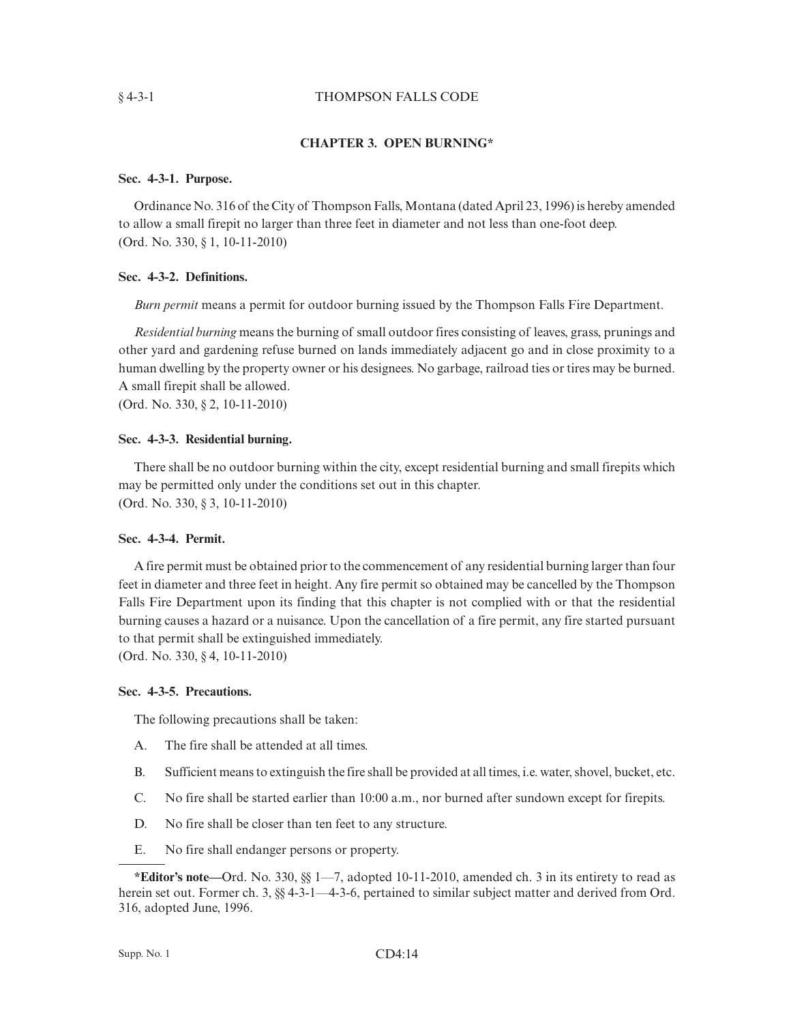## § 4-3-1 THOMPSON FALLS CODE

## **CHAPTER 3. OPEN BURNING\***

## **Sec. 4-3-1. Purpose.**

Ordinance No. 316 of the City of Thompson Falls, Montana (dated April 23, 1996) is hereby amended to allow a small firepit no larger than three feet in diameter and not less than one-foot deep. (Ord. No. 330, § 1, 10-11-2010)

### **Sec. 4-3-2. Definitions.**

*Burn permit* means a permit for outdoor burning issued by the Thompson Falls Fire Department.

*Residential burning* means the burning of small outdoor fires consisting of leaves, grass, prunings and other yard and gardening refuse burned on lands immediately adjacent go and in close proximity to a human dwelling by the property owner or his designees. No garbage, railroad ties or tires may be burned. A small firepit shall be allowed.

(Ord. No. 330, § 2, 10-11-2010)

#### **Sec. 4-3-3. Residential burning.**

There shall be no outdoor burning within the city, except residential burning and small firepits which may be permitted only under the conditions set out in this chapter. (Ord. No. 330, § 3, 10-11-2010)

#### **Sec. 4-3-4. Permit.**

A fire permit must be obtained prior to the commencement of any residential burning larger than four feet in diameter and three feet in height. Any fire permit so obtained may be cancelled by the Thompson Falls Fire Department upon its finding that this chapter is not complied with or that the residential burning causes a hazard or a nuisance. Upon the cancellation of a fire permit, any fire started pursuant to that permit shall be extinguished immediately.

(Ord. No. 330, § 4, 10-11-2010)

#### **Sec. 4-3-5. Precautions.**

The following precautions shall be taken:

- A. The fire shall be attended at all times.
- B. Sufficient means to extinguish the fire shall be provided at all times, i.e. water, shovel, bucket, etc.
- C. No fire shall be started earlier than 10:00 a.m., nor burned after sundown except for firepits.
- D. No fire shall be closer than ten feet to any structure.
- E. No fire shall endanger persons or property.

**<sup>\*</sup>Editor's note—**Ord. No. 330, §§ 1—7, adopted 10-11-2010, amended ch. 3 in its entirety to read as herein set out. Former ch. 3,  $\S$  4-3-1—4-3-6, pertained to similar subject matter and derived from Ord. 316, adopted June, 1996.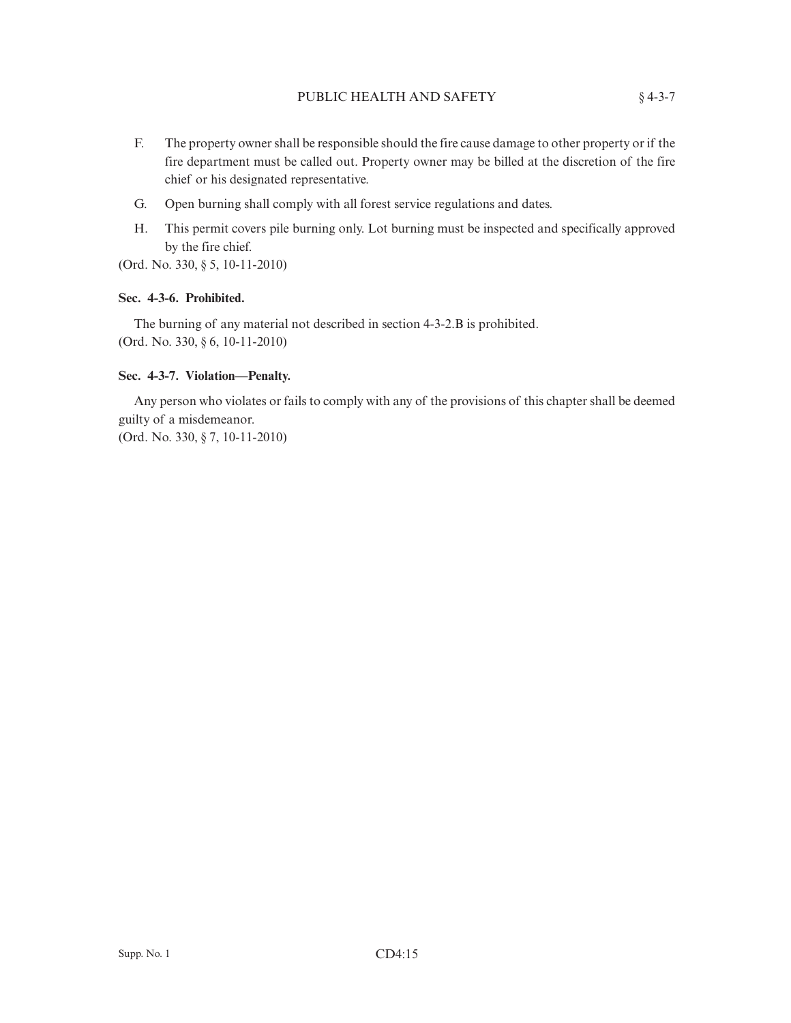- F. The property owner shall be responsible should the fire cause damage to other property or if the fire department must be called out. Property owner may be billed at the discretion of the fire chief or his designated representative.
- G. Open burning shall comply with all forest service regulations and dates.
- H. This permit covers pile burning only. Lot burning must be inspected and specifically approved by the fire chief.

(Ord. No. 330, § 5, 10-11-2010)

## **Sec. 4-3-6. Prohibited.**

The burning of any material not described in section 4-3-2.B is prohibited. (Ord. No. 330, § 6, 10-11-2010)

## **Sec. 4-3-7. Violation—Penalty.**

Any person who violates or fails to comply with any of the provisions of this chapter shall be deemed guilty of a misdemeanor.

(Ord. No. 330, § 7, 10-11-2010)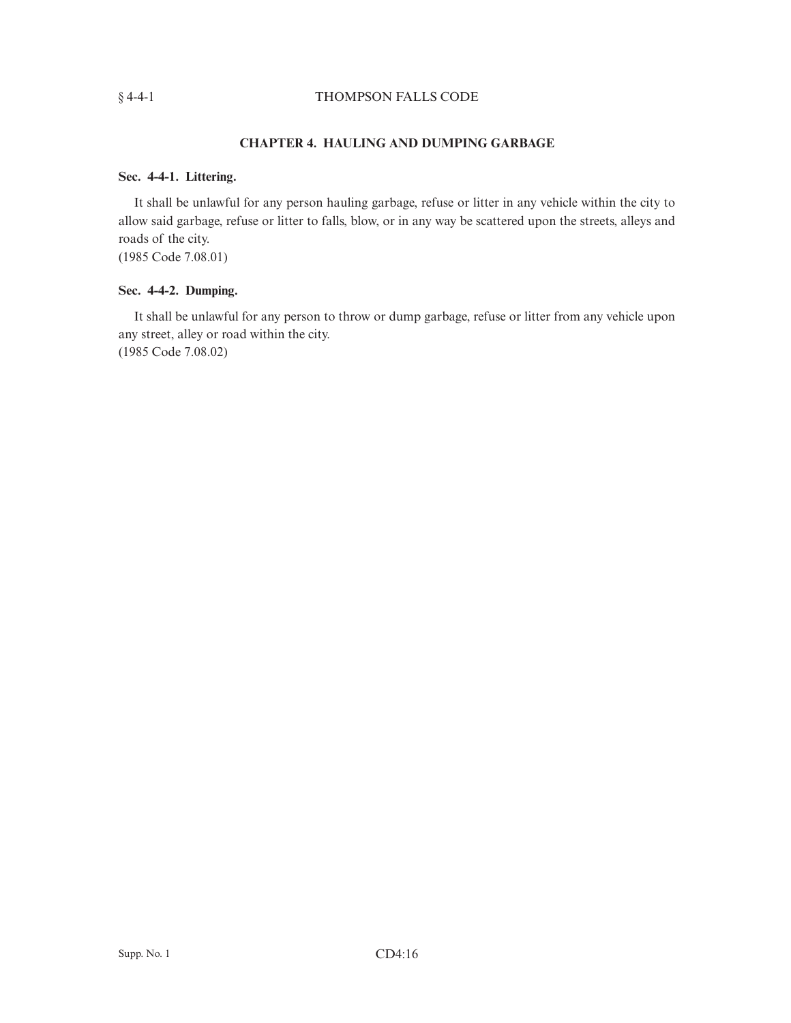# § 4-4-1 THOMPSON FALLS CODE

# **CHAPTER 4. HAULING AND DUMPING GARBAGE**

## **Sec. 4-4-1. Littering.**

It shall be unlawful for any person hauling garbage, refuse or litter in any vehicle within the city to allow said garbage, refuse or litter to falls, blow, or in any way be scattered upon the streets, alleys and roads of the city.

(1985 Code 7.08.01)

# **Sec. 4-4-2. Dumping.**

It shall be unlawful for any person to throw or dump garbage, refuse or litter from any vehicle upon any street, alley or road within the city. (1985 Code 7.08.02)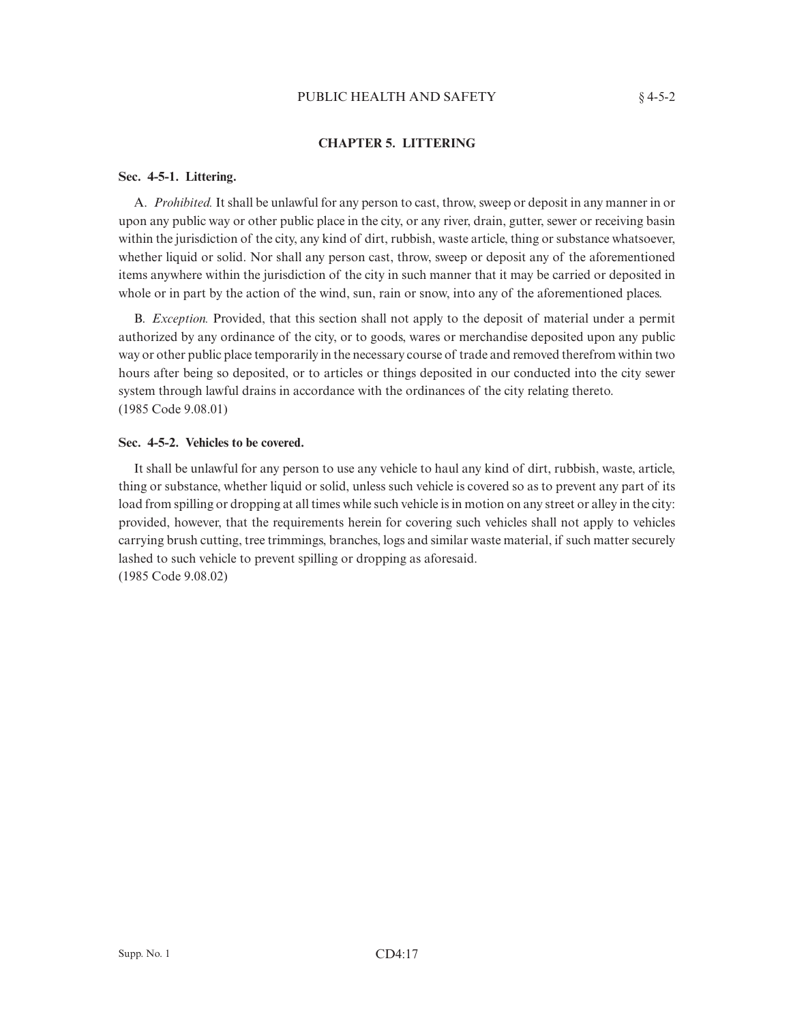## PUBLIC HEALTH AND SAFETY  $§ 4-5-2$

# **CHAPTER 5. LITTERING**

## **Sec. 4-5-1. Littering.**

A. *Prohibited.* It shall be unlawful for any person to cast, throw, sweep or deposit in any manner in or upon any public way or other public place in the city, or any river, drain, gutter, sewer or receiving basin within the jurisdiction of the city, any kind of dirt, rubbish, waste article, thing or substance whatsoever, whether liquid or solid. Nor shall any person cast, throw, sweep or deposit any of the aforementioned items anywhere within the jurisdiction of the city in such manner that it may be carried or deposited in whole or in part by the action of the wind, sun, rain or snow, into any of the aforementioned places.

B. *Exception.* Provided, that this section shall not apply to the deposit of material under a permit authorized by any ordinance of the city, or to goods, wares or merchandise deposited upon any public way or other public place temporarily in the necessary course of trade and removed therefrom within two hours after being so deposited, or to articles or things deposited in our conducted into the city sewer system through lawful drains in accordance with the ordinances of the city relating thereto. (1985 Code 9.08.01)

## **Sec. 4-5-2. Vehicles to be covered.**

It shall be unlawful for any person to use any vehicle to haul any kind of dirt, rubbish, waste, article, thing or substance, whether liquid or solid, unless such vehicle is covered so as to prevent any part of its load from spilling or dropping at all times while such vehicle is in motion on any street or alley in the city: provided, however, that the requirements herein for covering such vehicles shall not apply to vehicles carrying brush cutting, tree trimmings, branches, logs and similar waste material, if such matter securely lashed to such vehicle to prevent spilling or dropping as aforesaid. (1985 Code 9.08.02)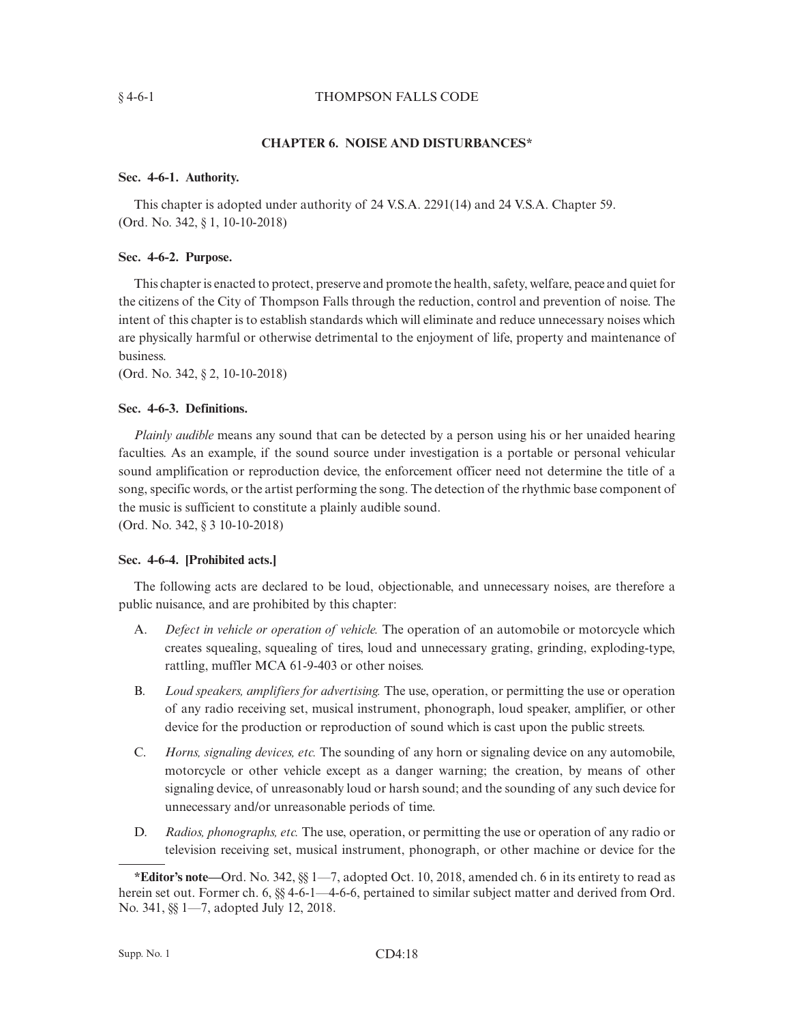## § 4-6-1 THOMPSON FALLS CODE

## **CHAPTER 6. NOISE AND DISTURBANCES\***

## **Sec. 4-6-1. Authority.**

This chapter is adopted under authority of 24 V.S.A. 2291(14) and 24 V.S.A. Chapter 59. (Ord. No. 342, § 1, 10-10-2018)

## **Sec. 4-6-2. Purpose.**

This chapter is enacted to protect, preserve and promote the health, safety, welfare, peace and quiet for the citizens of the City of Thompson Falls through the reduction, control and prevention of noise. The intent of this chapter is to establish standards which will eliminate and reduce unnecessary noises which are physically harmful or otherwise detrimental to the enjoyment of life, property and maintenance of business.

(Ord. No. 342, § 2, 10-10-2018)

## **Sec. 4-6-3. Definitions.**

*Plainly audible* means any sound that can be detected by a person using his or her unaided hearing faculties. As an example, if the sound source under investigation is a portable or personal vehicular sound amplification or reproduction device, the enforcement officer need not determine the title of a song, specific words, or the artist performing the song. The detection of the rhythmic base component of the music is sufficient to constitute a plainly audible sound.

(Ord. No. 342, § 3 10-10-2018)

## **Sec. 4-6-4. [Prohibited acts.]**

The following acts are declared to be loud, objectionable, and unnecessary noises, are therefore a public nuisance, and are prohibited by this chapter:

- A. *Defect in vehicle or operation of vehicle.* The operation of an automobile or motorcycle which creates squealing, squealing of tires, loud and unnecessary grating, grinding, exploding-type, rattling, muffler MCA 61-9-403 or other noises.
- B. *Loud speakers, amplifiers for advertising.* The use, operation, or permitting the use or operation of any radio receiving set, musical instrument, phonograph, loud speaker, amplifier, or other device for the production or reproduction of sound which is cast upon the public streets.
- C. *Horns, signaling devices, etc.* The sounding of any horn or signaling device on any automobile, motorcycle or other vehicle except as a danger warning; the creation, by means of other signaling device, of unreasonably loud or harsh sound; and the sounding of any such device for unnecessary and/or unreasonable periods of time.
- D. *Radios, phonographs, etc.* The use, operation, or permitting the use or operation of any radio or television receiving set, musical instrument, phonograph, or other machine or device for the

**<sup>\*</sup>Editor's note—**Ord. No. 342, §§ 1—7, adopted Oct. 10, 2018, amended ch. 6 in its entirety to read as herein set out. Former ch. 6,  $\S$  4-6-1—4-6-6, pertained to similar subject matter and derived from Ord. No. 341, §§ 1—7, adopted July 12, 2018.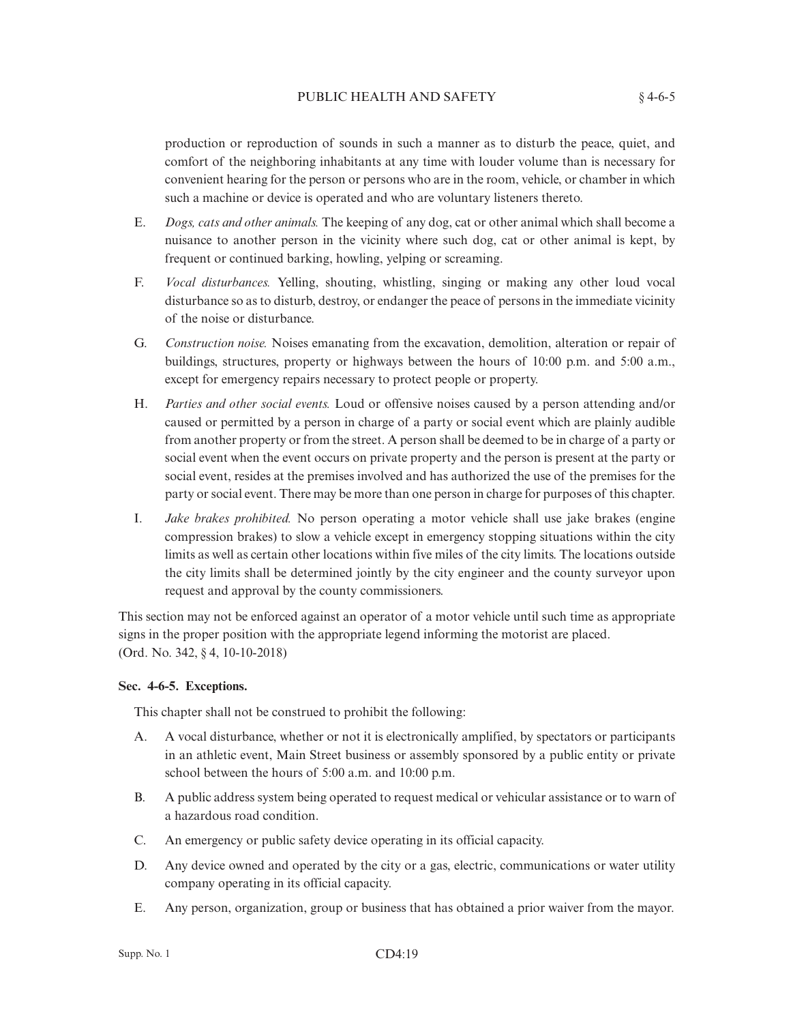## PUBLIC HEALTH AND SAFETY  $§ 4-6-5$

production or reproduction of sounds in such a manner as to disturb the peace, quiet, and comfort of the neighboring inhabitants at any time with louder volume than is necessary for convenient hearing for the person or persons who are in the room, vehicle, or chamber in which such a machine or device is operated and who are voluntary listeners thereto.

- E. *Dogs, cats and other animals.* The keeping of any dog, cat or other animal which shall become a nuisance to another person in the vicinity where such dog, cat or other animal is kept, by frequent or continued barking, howling, yelping or screaming.
- F. *Vocal disturbances.* Yelling, shouting, whistling, singing or making any other loud vocal disturbance so as to disturb, destroy, or endanger the peace of persons in the immediate vicinity of the noise or disturbance.
- G. *Construction noise.* Noises emanating from the excavation, demolition, alteration or repair of buildings, structures, property or highways between the hours of 10:00 p.m. and 5:00 a.m., except for emergency repairs necessary to protect people or property.
- H. *Parties and other social events.* Loud or offensive noises caused by a person attending and/or caused or permitted by a person in charge of a party or social event which are plainly audible from another property or from the street. A person shall be deemed to be in charge of a party or social event when the event occurs on private property and the person is present at the party or social event, resides at the premises involved and has authorized the use of the premises for the party or social event. There may be more than one person in charge for purposes of this chapter.
- I. *Jake brakes prohibited.* No person operating a motor vehicle shall use jake brakes (engine compression brakes) to slow a vehicle except in emergency stopping situations within the city limits as well as certain other locations within five miles of the city limits. The locations outside the city limits shall be determined jointly by the city engineer and the county surveyor upon request and approval by the county commissioners.

This section may not be enforced against an operator of a motor vehicle until such time as appropriate signs in the proper position with the appropriate legend informing the motorist are placed. (Ord. No. 342, § 4, 10-10-2018)

## **Sec. 4-6-5. Exceptions.**

This chapter shall not be construed to prohibit the following:

- A. A vocal disturbance, whether or not it is electronically amplified, by spectators or participants in an athletic event, Main Street business or assembly sponsored by a public entity or private school between the hours of 5:00 a.m. and 10:00 p.m.
- B. A public address system being operated to request medical or vehicular assistance or to warn of a hazardous road condition.
- C. An emergency or public safety device operating in its official capacity.
- D. Any device owned and operated by the city or a gas, electric, communications or water utility company operating in its official capacity.
- E. Any person, organization, group or business that has obtained a prior waiver from the mayor.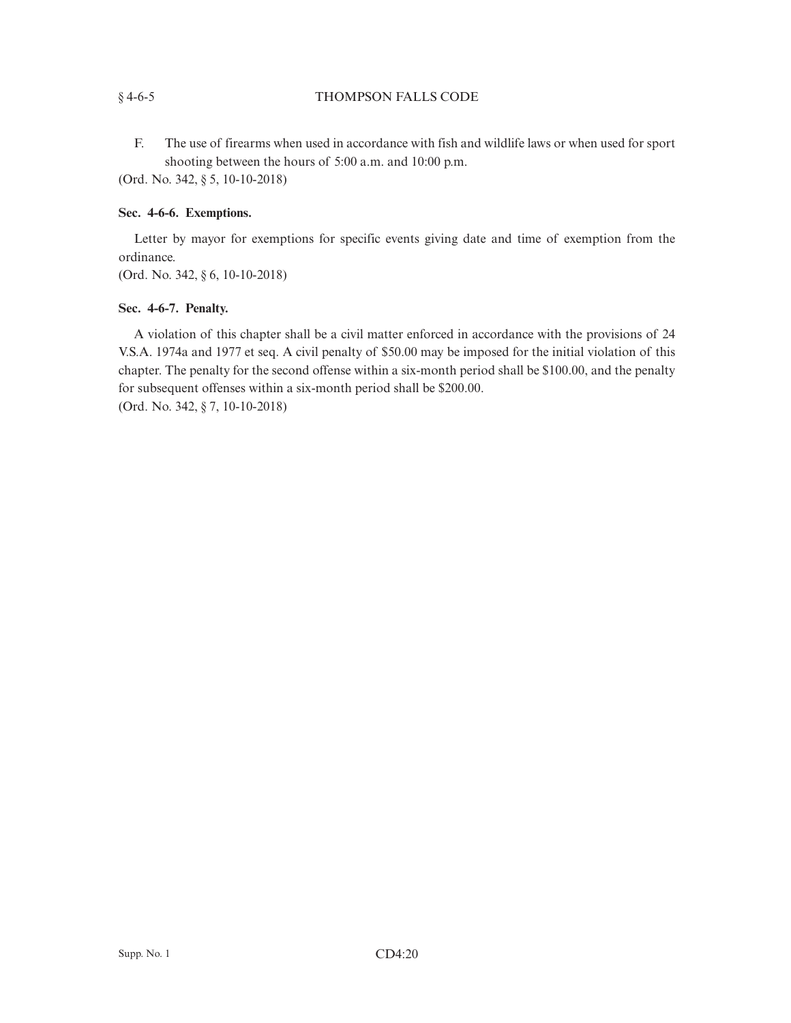# § 4-6-5 THOMPSON FALLS CODE

F. The use of firearms when used in accordance with fish and wildlife laws or when used for sport shooting between the hours of 5:00 a.m. and 10:00 p.m.

(Ord. No. 342, § 5, 10-10-2018)

# **Sec. 4-6-6. Exemptions.**

Letter by mayor for exemptions for specific events giving date and time of exemption from the ordinance. (Ord. No. 342, § 6, 10-10-2018)

# **Sec. 4-6-7. Penalty.**

A violation of this chapter shall be a civil matter enforced in accordance with the provisions of 24 V.S.A. 1974a and 1977 et seq. A civil penalty of \$50.00 may be imposed for the initial violation of this chapter. The penalty for the second offense within a six-month period shall be \$100.00, and the penalty for subsequent offenses within a six-month period shall be \$200.00. (Ord. No. 342, § 7, 10-10-2018)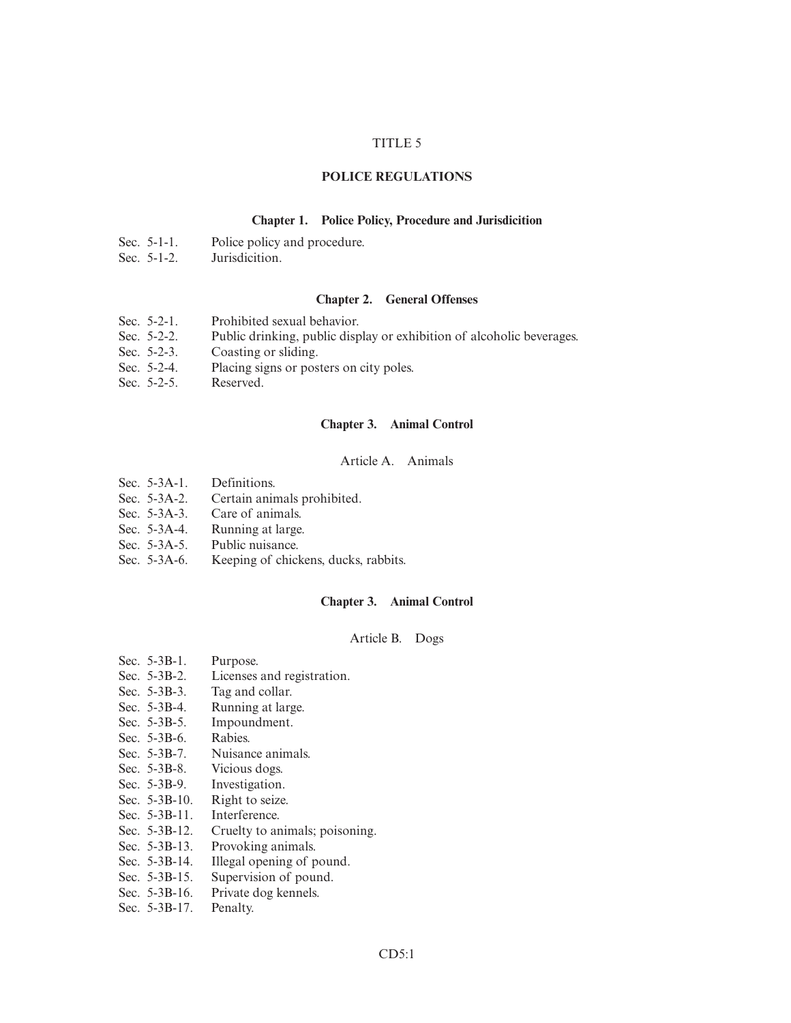## TITLE 5

### **POLICE REGULATIONS**

### **Chapter 1. Police Policy, Procedure and Jurisdicition**

- Sec. 5-1-1. Police policy and procedure.
- Sec. 5-1-2. Jurisdicition.

### **Chapter 2. General Offenses**

- Sec. 5-2-1. Prohibited sexual behavior.
- Sec. 5-2-2. Public drinking, public display or exhibition of alcoholic beverages.
- Sec. 5-2-3. Coasting or sliding.
- Sec. 5-2-4. Placing signs or posters on city poles.
- Sec. 5-2-5. Reserved.

#### **Chapter 3. Animal Control**

## Article A. Animals

- Sec. 5-3A-1. Definitions.
- Sec. 5-3A-2. Certain animals prohibited.
- Sec. 5-3A-3. Care of animals.
- Sec. 5-3A-4. Running at large.
- Sec. 5-3A-5. Public nuisance.
- Sec. 5-3A-6. Keeping of chickens, ducks, rabbits.

#### **Chapter 3. Animal Control**

## Article B. Dogs

- Sec. 5-3B-1. Purpose.
- Sec. 5-3B-2. Licenses and registration.<br>Sec. 5-3B-3. Tag and collar.
- Tag and collar.
- Sec. 5-3B-4. Running at large.<br>Sec. 5-3B-5. Impoundment.
- Impoundment.
- Sec. 5-3B-6. Rabies.<br>Sec. 5-3B-7. Nuisan
- Sec. 5-3B-7. Nuisance animals.<br>Sec. 5-3B-8. Vicious dogs.
- Sec. 5-3B-8. Vicious dogs.<br>Sec. 5-3B-9. Investigation.
- Investigation.
- Sec. 5-3B-10. Right to seize.
- Sec. 5-3B-11. Interference.<br>Sec. 5-3B-12. Cruelty to an
- Cruelty to animals; poisoning.
- Sec. 5-3B-13. Provoking animals.<br>Sec. 5-3B-14. Illegal opening of p
- Illegal opening of pound.
- Sec. 5-3B-15. Supervision of pound.
- Sec. 5-3B-16. Private dog kennels.
- Sec. 5-3B-17. Penalty.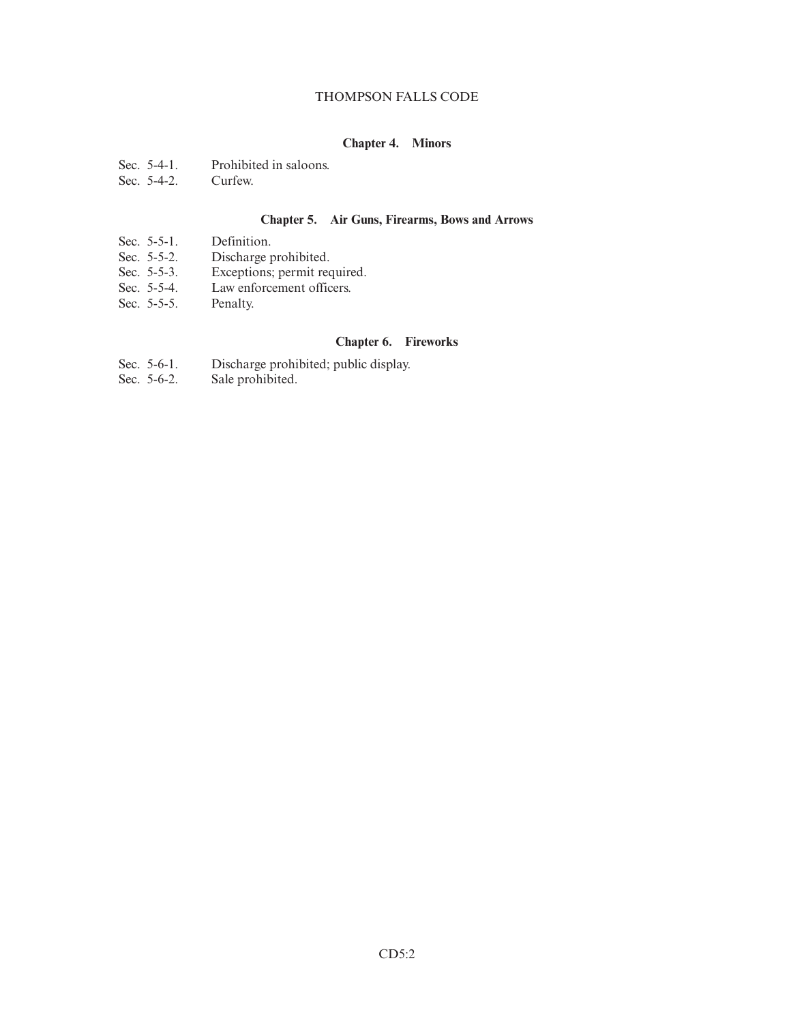## THOMPSON FALLS CODE

# **Chapter 4. Minors**

- Sec. 5-4-1. Prohibited in saloons.<br>Sec. 5-4-2. Curfew.
- Sec.  $5-4-2$ .

## **Chapter 5. Air Guns, Firearms, Bows and Arrows**

- Sec. 5-5-1. Definition.
- Sec. 5-5-2. Discharge prohibited.<br>Sec. 5-5-3. Exceptions; permit req
- Exceptions; permit required.
- Sec. 5-5-4. Law enforcement officers.
- Sec. 5-5-5. Penalty.

## **Chapter 6. Fireworks**

- Sec. 5-6-1. Discharge prohibited; public display.<br>Sec. 5-6-2. Sale prohibited.
- Sale prohibited.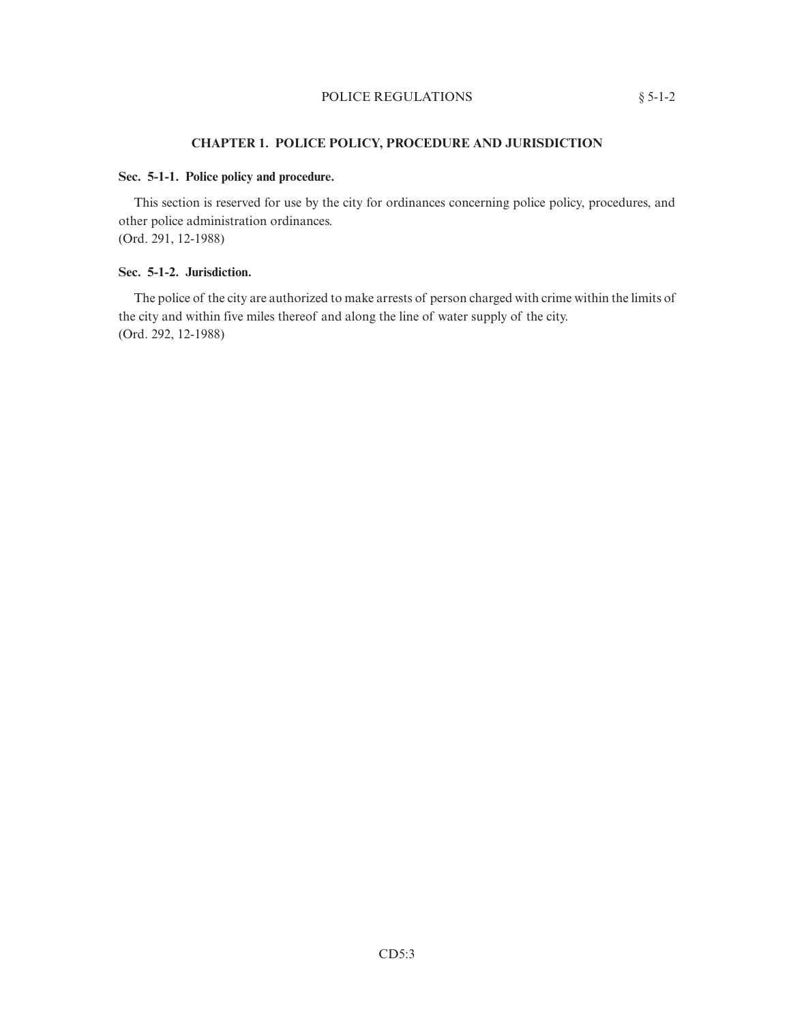## POLICE REGULATIONS  $§ 5-1-2$

## **CHAPTER 1. POLICE POLICY, PROCEDURE AND JURISDICTION**

## **Sec. 5-1-1. Police policy and procedure.**

This section is reserved for use by the city for ordinances concerning police policy, procedures, and other police administration ordinances. (Ord. 291, 12-1988)

## **Sec. 5-1-2. Jurisdiction.**

The police of the city are authorized to make arrests of person charged with crime within the limits of the city and within five miles thereof and along the line of water supply of the city. (Ord. 292, 12-1988)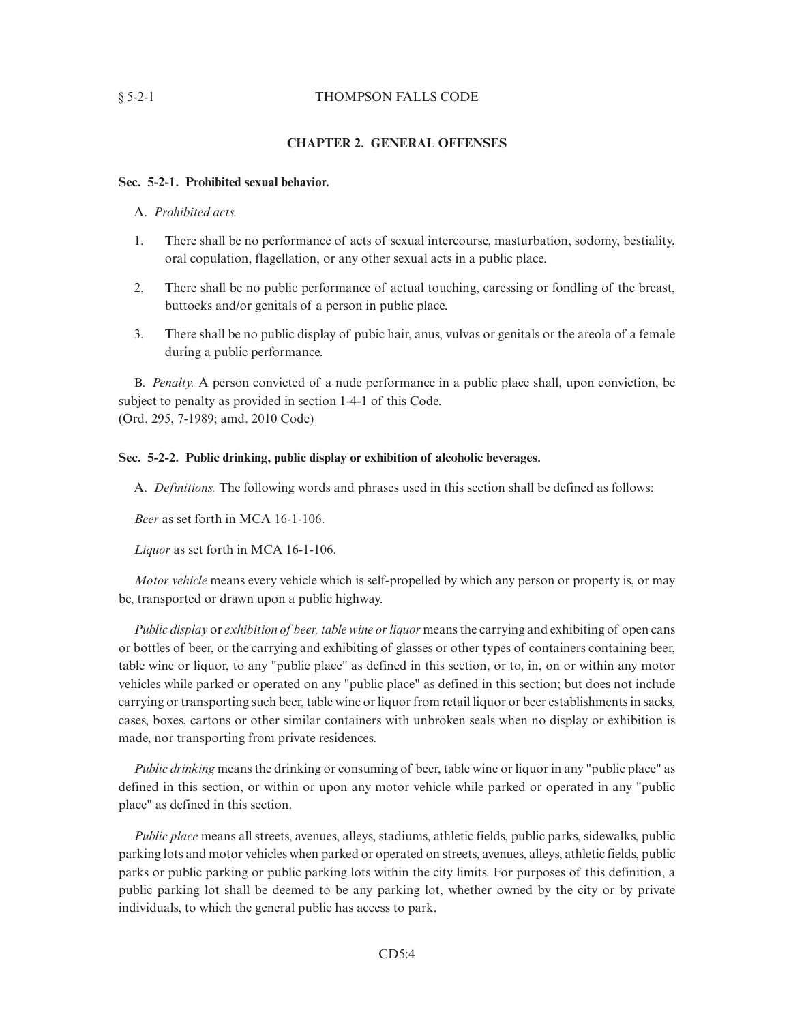## § 5-2-1 THOMPSON FALLS CODE

## **CHAPTER 2. GENERAL OFFENSES**

## **Sec. 5-2-1. Prohibited sexual behavior.**

## A. *Prohibited acts.*

- 1. There shall be no performance of acts of sexual intercourse, masturbation, sodomy, bestiality, oral copulation, flagellation, or any other sexual acts in a public place.
- 2. There shall be no public performance of actual touching, caressing or fondling of the breast, buttocks and/or genitals of a person in public place.
- 3. There shall be no public display of pubic hair, anus, vulvas or genitals or the areola of a female during a public performance.

B. *Penalty.* A person convicted of a nude performance in a public place shall, upon conviction, be subject to penalty as provided in section 1-4-1 of this Code. (Ord. 295, 7-1989; amd. 2010 Code)

### **Sec. 5-2-2. Public drinking, public display or exhibition of alcoholic beverages.**

A. *Definitions.* The following words and phrases used in this section shall be defined as follows:

*Beer* as set forth in MCA 16-1-106.

*Liquor* as set forth in MCA 16-1-106.

*Motor vehicle* means every vehicle which is self-propelled by which any person or property is, or may be, transported or drawn upon a public highway.

*Public display* or *exhibition of beer, table wine or liquor* means the carrying and exhibiting of open cans or bottles of beer, or the carrying and exhibiting of glasses or other types of containers containing beer, table wine or liquor, to any "public place" as defined in this section, or to, in, on or within any motor vehicles while parked or operated on any "public place" as defined in this section; but does not include carrying or transporting such beer, table wine or liquor from retail liquor or beer establishments in sacks, cases, boxes, cartons or other similar containers with unbroken seals when no display or exhibition is made, nor transporting from private residences.

*Public drinking* means the drinking or consuming of beer, table wine or liquor in any "public place" as defined in this section, or within or upon any motor vehicle while parked or operated in any "public place" as defined in this section.

*Public place* means all streets, avenues, alleys, stadiums, athletic fields, public parks, sidewalks, public parking lots and motor vehicles when parked or operated on streets, avenues, alleys, athletic fields, public parks or public parking or public parking lots within the city limits. For purposes of this definition, a public parking lot shall be deemed to be any parking lot, whether owned by the city or by private individuals, to which the general public has access to park.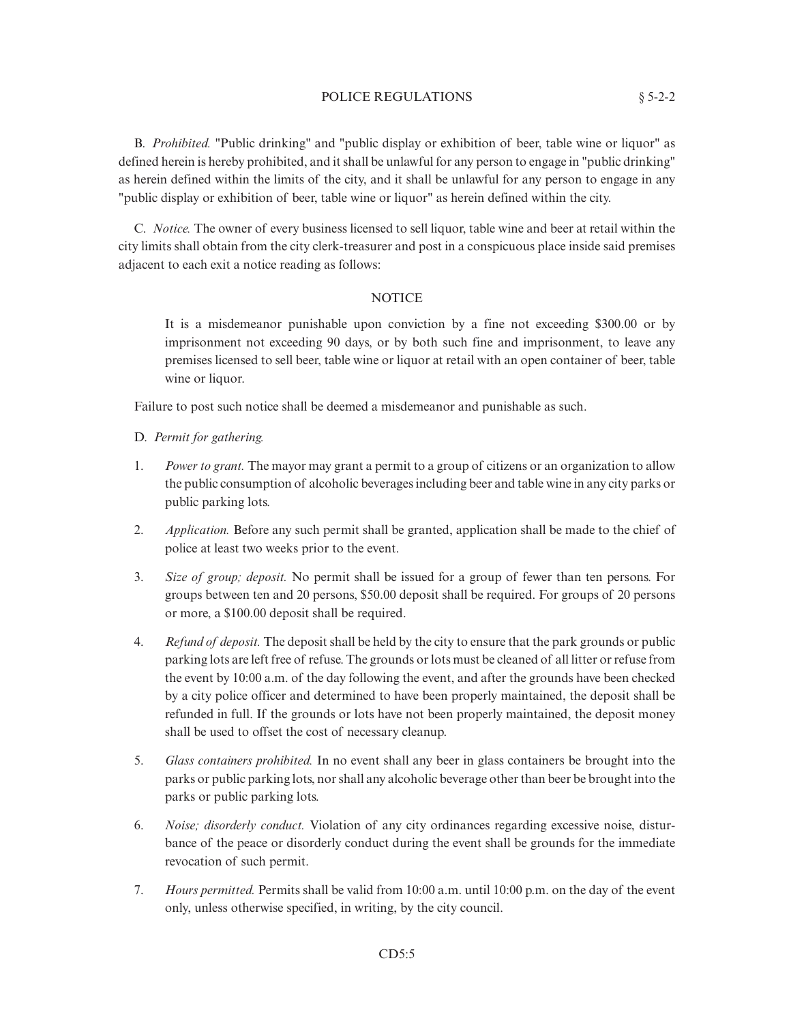### POLICE REGULATIONS  $§ 5-2-2$

B. *Prohibited.* "Public drinking" and "public display or exhibition of beer, table wine or liquor" as defined herein is hereby prohibited, and it shall be unlawful for any person to engage in "public drinking" as herein defined within the limits of the city, and it shall be unlawful for any person to engage in any "public display or exhibition of beer, table wine or liquor" as herein defined within the city.

C. *Notice.* The owner of every business licensed to sell liquor, table wine and beer at retail within the city limits shall obtain from the city clerk-treasurer and post in a conspicuous place inside said premises adjacent to each exit a notice reading as follows:

## **NOTICE**

It is a misdemeanor punishable upon conviction by a fine not exceeding \$300.00 or by imprisonment not exceeding 90 days, or by both such fine and imprisonment, to leave any premises licensed to sell beer, table wine or liquor at retail with an open container of beer, table wine or liquor.

Failure to post such notice shall be deemed a misdemeanor and punishable as such.

### D. *Permit for gathering.*

- 1. *Power to grant.* The mayor may grant a permit to a group of citizens or an organization to allow the public consumption of alcoholic beverages including beer and table wine in any city parks or public parking lots.
- 2. *Application.* Before any such permit shall be granted, application shall be made to the chief of police at least two weeks prior to the event.
- 3. *Size of group; deposit.* No permit shall be issued for a group of fewer than ten persons. For groups between ten and 20 persons, \$50.00 deposit shall be required. For groups of 20 persons or more, a \$100.00 deposit shall be required.
- 4. *Refund of deposit.* The deposit shall be held by the city to ensure that the park grounds or public parking lots are left free of refuse. The grounds or lots must be cleaned of all litter or refuse from the event by 10:00 a.m. of the day following the event, and after the grounds have been checked by a city police officer and determined to have been properly maintained, the deposit shall be refunded in full. If the grounds or lots have not been properly maintained, the deposit money shall be used to offset the cost of necessary cleanup.
- 5. *Glass containers prohibited.* In no event shall any beer in glass containers be brought into the parks or public parking lots, nor shall any alcoholic beverage other than beer be brought into the parks or public parking lots.
- 6. *Noise; disorderly conduct.* Violation of any city ordinances regarding excessive noise, disturbance of the peace or disorderly conduct during the event shall be grounds for the immediate revocation of such permit.
- 7. *Hours permitted.* Permits shall be valid from 10:00 a.m. until 10:00 p.m. on the day of the event only, unless otherwise specified, in writing, by the city council.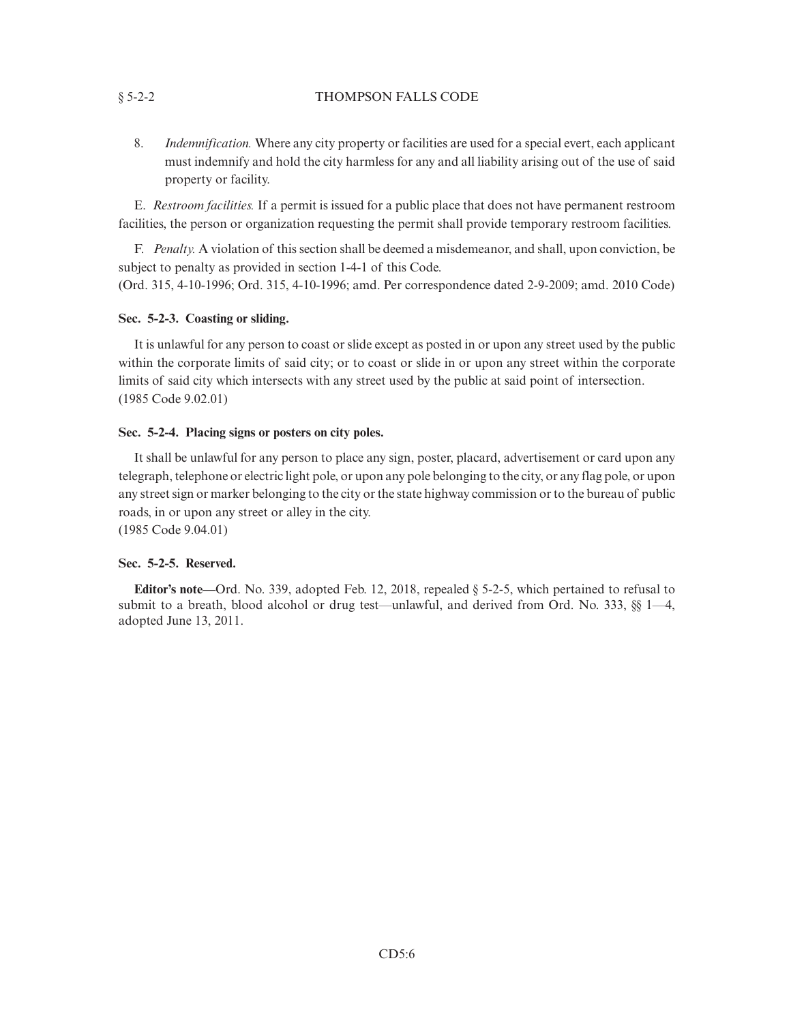## § 5-2-2 THOMPSON FALLS CODE

8. *Indemnification.* Where any city property or facilities are used for a special evert, each applicant must indemnify and hold the city harmless for any and all liability arising out of the use of said property or facility.

E. *Restroom facilities.* If a permit is issued for a public place that does not have permanent restroom facilities, the person or organization requesting the permit shall provide temporary restroom facilities.

F. *Penalty.* A violation of this section shall be deemed a misdemeanor, and shall, upon conviction, be subject to penalty as provided in section 1-4-1 of this Code.

(Ord. 315, 4-10-1996; Ord. 315, 4-10-1996; amd. Per correspondence dated 2-9-2009; amd. 2010 Code)

# **Sec. 5-2-3. Coasting or sliding.**

It is unlawful for any person to coast or slide except as posted in or upon any street used by the public within the corporate limits of said city; or to coast or slide in or upon any street within the corporate limits of said city which intersects with any street used by the public at said point of intersection. (1985 Code 9.02.01)

# **Sec. 5-2-4. Placing signs or posters on city poles.**

It shall be unlawful for any person to place any sign, poster, placard, advertisement or card upon any telegraph, telephone or electric light pole, or upon any pole belonging to the city, or any flag pole, or upon any street sign or marker belonging to the city or the state highway commission or to the bureau of public roads, in or upon any street or alley in the city. (1985 Code 9.04.01)

# **Sec. 5-2-5. Reserved.**

**Editor's note—**Ord. No. 339, adopted Feb. 12, 2018, repealed § 5-2-5, which pertained to refusal to submit to a breath, blood alcohol or drug test—unlawful, and derived from Ord. No. 333, §§ 1—4, adopted June 13, 2011.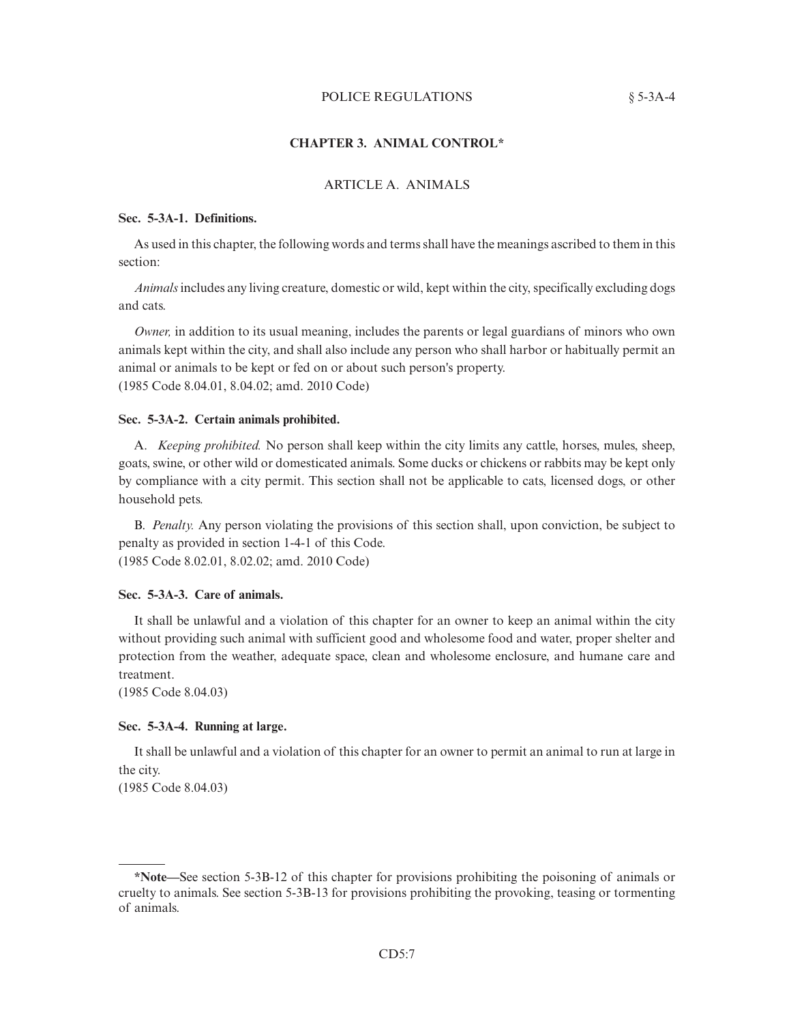## POLICE REGULATIONS  $§ 5-3A-4$

## **CHAPTER 3. ANIMAL CONTROL\***

## ARTICLE A. ANIMALS

#### **Sec. 5-3A-1. Definitions.**

As used in this chapter, the following words and terms shall have the meanings ascribed to them in this section:

*Animals*includes any living creature, domestic or wild, kept within the city, specifically excluding dogs and cats.

*Owner,* in addition to its usual meaning, includes the parents or legal guardians of minors who own animals kept within the city, and shall also include any person who shall harbor or habitually permit an animal or animals to be kept or fed on or about such person's property. (1985 Code 8.04.01, 8.04.02; amd. 2010 Code)

#### **Sec. 5-3A-2. Certain animals prohibited.**

A. *Keeping prohibited.* No person shall keep within the city limits any cattle, horses, mules, sheep, goats, swine, or other wild or domesticated animals. Some ducks or chickens or rabbits may be kept only by compliance with a city permit. This section shall not be applicable to cats, licensed dogs, or other household pets.

B. *Penalty.* Any person violating the provisions of this section shall, upon conviction, be subject to penalty as provided in section 1-4-1 of this Code. (1985 Code 8.02.01, 8.02.02; amd. 2010 Code)

#### **Sec. 5-3A-3. Care of animals.**

It shall be unlawful and a violation of this chapter for an owner to keep an animal within the city without providing such animal with sufficient good and wholesome food and water, proper shelter and protection from the weather, adequate space, clean and wholesome enclosure, and humane care and treatment.

(1985 Code 8.04.03)

#### **Sec. 5-3A-4. Running at large.**

It shall be unlawful and a violation of this chapter for an owner to permit an animal to run at large in the city.

(1985 Code 8.04.03)

**<sup>\*</sup>Note—**See section 5-3B-12 of this chapter for provisions prohibiting the poisoning of animals or cruelty to animals. See section 5-3B-13 for provisions prohibiting the provoking, teasing or tormenting of animals.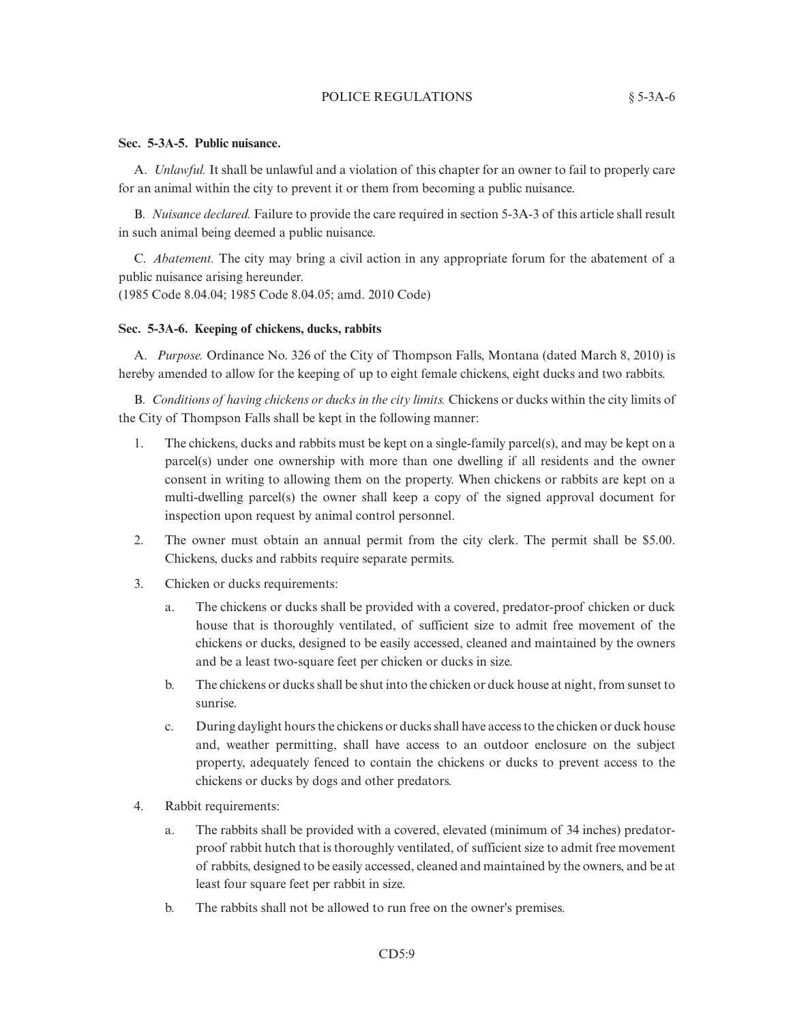## POLICE REGULATIONS  $§ 5-3A-6$

## **Sec. 5-3A-5. Public nuisance.**

A. *Unlawful.* It shall be unlawful and a violation of this chapter for an owner to fail to properly care for an animal within the city to prevent it or them from becoming a public nuisance.

B. *Nuisance declared.* Failure to provide the care required in section 5-3A-3 of this article shall result in such animal being deemed a public nuisance.

C. *Abatement.* The city may bring a civil action in any appropriate forum for the abatement of a public nuisance arising hereunder.

(1985 Code 8.04.04; 1985 Code 8.04.05; amd. 2010 Code)

# **Sec. 5-3A-6. Keeping of chickens, ducks, rabbits**

A. *Purpose.* Ordinance No. 326 of the City of Thompson Falls, Montana (dated March 8, 2010) is hereby amended to allow for the keeping of up to eight female chickens, eight ducks and two rabbits.

B. *Conditions of having chickens or ducks in the city limits.* Chickens or ducks within the city limits of the City of Thompson Falls shall be kept in the following manner:

- 1. The chickens, ducks and rabbits must be kept on a single-family parcel(s), and may be kept on a parcel(s) under one ownership with more than one dwelling if all residents and the owner consent in writing to allowing them on the property. When chickens or rabbits are kept on a multi-dwelling parcel(s) the owner shall keep a copy of the signed approval document for inspection upon request by animal control personnel.
- 2. The owner must obtain an annual permit from the city clerk. The permit shall be \$5.00. Chickens, ducks and rabbits require separate permits.
- 3. Chicken or ducks requirements:
	- a. The chickens or ducks shall be provided with a covered, predator-proof chicken or duck house that is thoroughly ventilated, of sufficient size to admit free movement of the chickens or ducks, designed to be easily accessed, cleaned and maintained by the owners and be a least two-square feet per chicken or ducks in size.
	- b. The chickens or ducks shall be shut into the chicken or duck house at night, from sunset to sunrise.
	- c. During daylight hours the chickens or ducks shall have access to the chicken or duck house and, weather permitting, shall have access to an outdoor enclosure on the subject property, adequately fenced to contain the chickens or ducks to prevent access to the chickens or ducks by dogs and other predators.
- 4. Rabbit requirements:
	- a. The rabbits shall be provided with a covered, elevated (minimum of 34 inches) predatorproof rabbit hutch that is thoroughly ventilated, of sufficient size to admit free movement of rabbits, designed to be easily accessed, cleaned and maintained by the owners, and be at least four square feet per rabbit in size.
	- b. The rabbits shall not be allowed to run free on the owner's premises.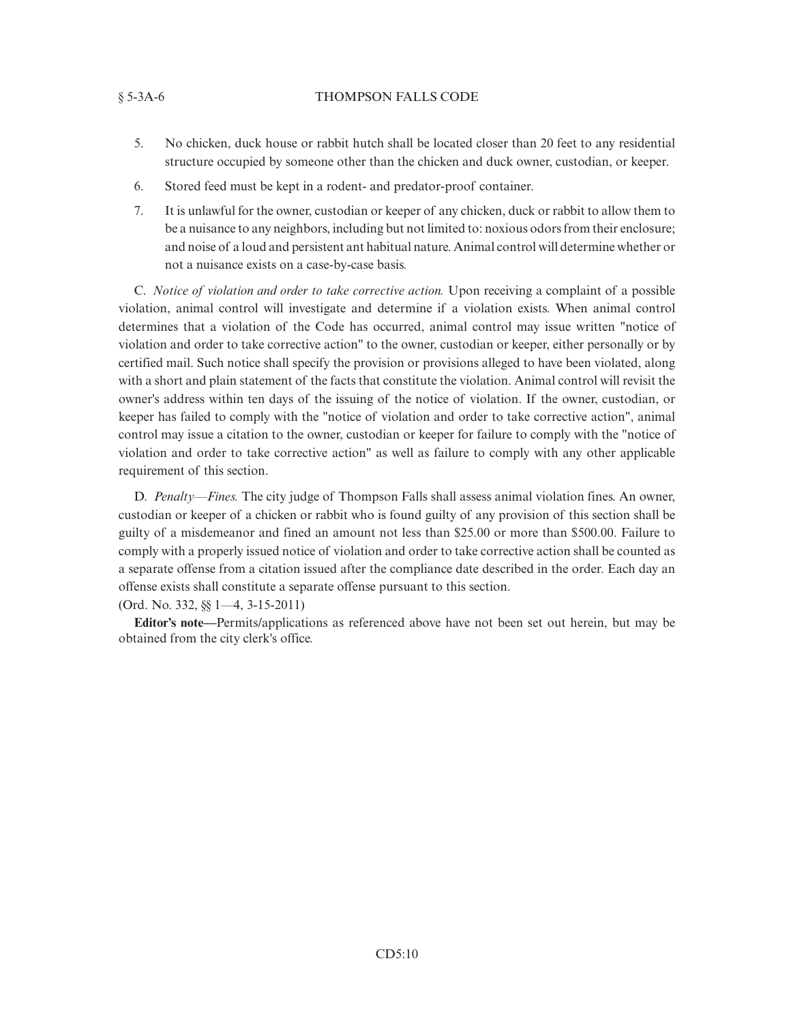## § 5-3A-6 THOMPSON FALLS CODE

- 5. No chicken, duck house or rabbit hutch shall be located closer than 20 feet to any residential structure occupied by someone other than the chicken and duck owner, custodian, or keeper.
- 6. Stored feed must be kept in a rodent- and predator-proof container.
- 7. It is unlawful for the owner, custodian or keeper of any chicken, duck or rabbit to allow them to be a nuisance to any neighbors, including but not limited to: noxious odors from their enclosure; and noise of a loud and persistent ant habitual nature. Animal control will determine whether or not a nuisance exists on a case-by-case basis.

C. *Notice of violation and order to take corrective action.* Upon receiving a complaint of a possible violation, animal control will investigate and determine if a violation exists. When animal control determines that a violation of the Code has occurred, animal control may issue written "notice of violation and order to take corrective action" to the owner, custodian or keeper, either personally or by certified mail. Such notice shall specify the provision or provisions alleged to have been violated, along with a short and plain statement of the facts that constitute the violation. Animal control will revisit the owner's address within ten days of the issuing of the notice of violation. If the owner, custodian, or keeper has failed to comply with the "notice of violation and order to take corrective action", animal control may issue a citation to the owner, custodian or keeper for failure to comply with the "notice of violation and order to take corrective action" as well as failure to comply with any other applicable requirement of this section.

D. *Penalty—Fines.* The city judge of Thompson Falls shall assess animal violation fines. An owner, custodian or keeper of a chicken or rabbit who is found guilty of any provision of this section shall be guilty of a misdemeanor and fined an amount not less than \$25.00 or more than \$500.00. Failure to comply with a properly issued notice of violation and order to take corrective action shall be counted as a separate offense from a citation issued after the compliance date described in the order. Each day an offense exists shall constitute a separate offense pursuant to this section.

(Ord. No. 332, §§ 1—4, 3-15-2011)

**Editor's note—**Permits/applications as referenced above have not been set out herein, but may be obtained from the city clerk's office.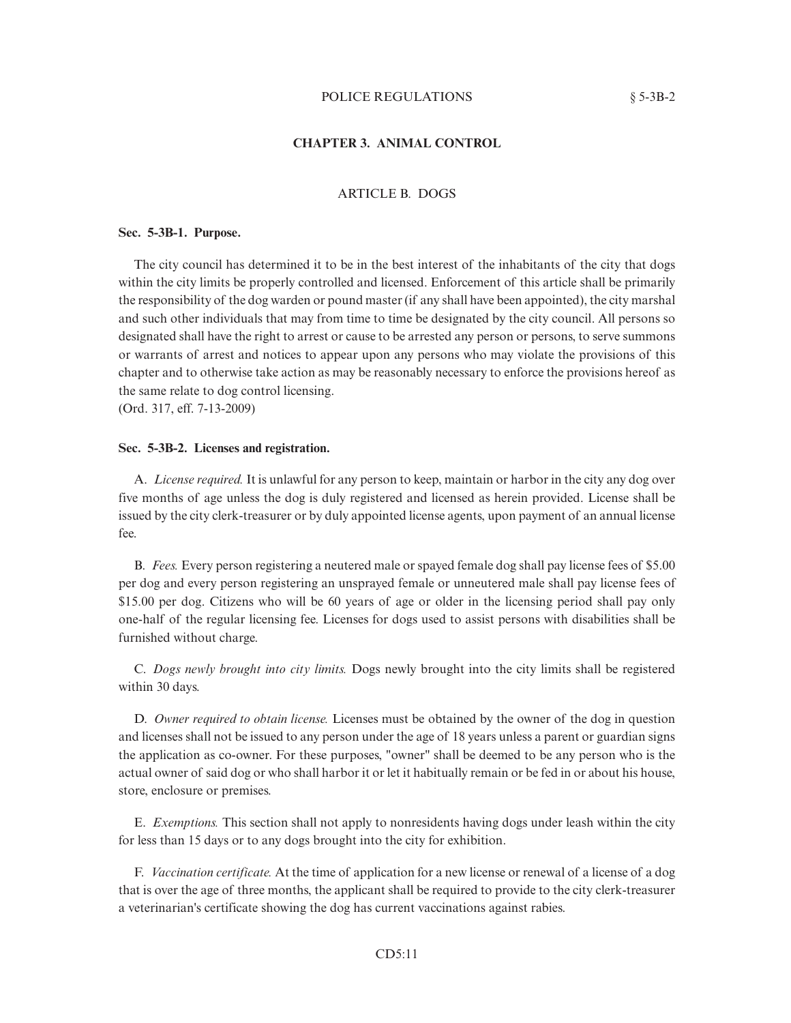## **CHAPTER 3. ANIMAL CONTROL**

# ARTICLE B. DOGS

## **Sec. 5-3B-1. Purpose.**

The city council has determined it to be in the best interest of the inhabitants of the city that dogs within the city limits be properly controlled and licensed. Enforcement of this article shall be primarily the responsibility of the dog warden or pound master (if any shall have been appointed), the city marshal and such other individuals that may from time to time be designated by the city council. All persons so designated shall have the right to arrest or cause to be arrested any person or persons, to serve summons or warrants of arrest and notices to appear upon any persons who may violate the provisions of this chapter and to otherwise take action as may be reasonably necessary to enforce the provisions hereof as the same relate to dog control licensing. (Ord. 317, eff. 7-13-2009)

### **Sec. 5-3B-2. Licenses and registration.**

A. *License required.* It is unlawful for any person to keep, maintain or harbor in the city any dog over five months of age unless the dog is duly registered and licensed as herein provided. License shall be issued by the city clerk-treasurer or by duly appointed license agents, upon payment of an annual license fee.

B. *Fees.* Every person registering a neutered male or spayed female dog shall pay license fees of \$5.00 per dog and every person registering an unsprayed female or unneutered male shall pay license fees of \$15.00 per dog. Citizens who will be 60 years of age or older in the licensing period shall pay only one-half of the regular licensing fee. Licenses for dogs used to assist persons with disabilities shall be furnished without charge.

C. *Dogs newly brought into city limits.* Dogs newly brought into the city limits shall be registered within 30 days.

D. *Owner required to obtain license.* Licenses must be obtained by the owner of the dog in question and licenses shall not be issued to any person under the age of 18 years unless a parent or guardian signs the application as co-owner. For these purposes, "owner" shall be deemed to be any person who is the actual owner of said dog or who shall harbor it or let it habitually remain or be fed in or about his house, store, enclosure or premises.

E. *Exemptions.* This section shall not apply to nonresidents having dogs under leash within the city for less than 15 days or to any dogs brought into the city for exhibition.

F. *Vaccination certificate.* At the time of application for a new license or renewal of a license of a dog that is over the age of three months, the applicant shall be required to provide to the city clerk-treasurer a veterinarian's certificate showing the dog has current vaccinations against rabies.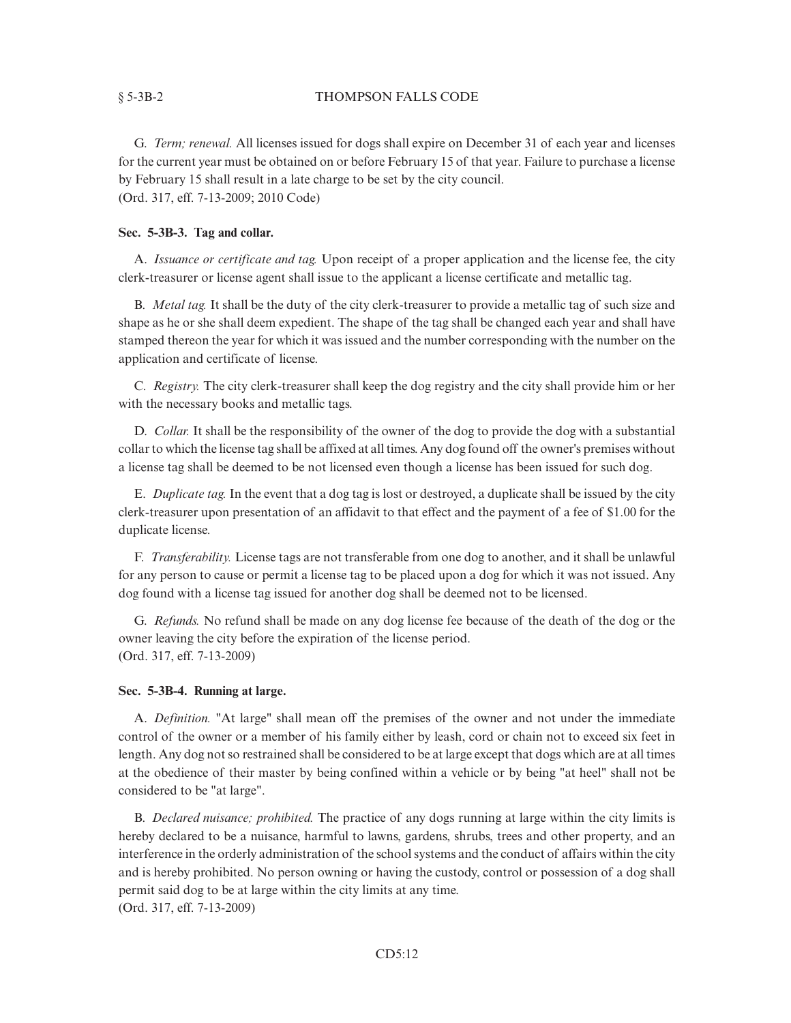G. *Term; renewal.* All licenses issued for dogs shall expire on December 31 of each year and licenses for the current year must be obtained on or before February 15 of that year. Failure to purchase a license by February 15 shall result in a late charge to be set by the city council. (Ord. 317, eff. 7-13-2009; 2010 Code)

# **Sec. 5-3B-3. Tag and collar.**

A. *Issuance or certificate and tag.* Upon receipt of a proper application and the license fee, the city clerk-treasurer or license agent shall issue to the applicant a license certificate and metallic tag.

B. *Metal tag.* It shall be the duty of the city clerk-treasurer to provide a metallic tag of such size and shape as he or she shall deem expedient. The shape of the tag shall be changed each year and shall have stamped thereon the year for which it was issued and the number corresponding with the number on the application and certificate of license.

C. *Registry.* The city clerk-treasurer shall keep the dog registry and the city shall provide him or her with the necessary books and metallic tags.

D. *Collar.* It shall be the responsibility of the owner of the dog to provide the dog with a substantial collar to which the license tag shall be affixed at all times. Any dog found off the owner's premises without a license tag shall be deemed to be not licensed even though a license has been issued for such dog.

E. *Duplicate tag.* In the event that a dog tag is lost or destroyed, a duplicate shall be issued by the city clerk-treasurer upon presentation of an affidavit to that effect and the payment of a fee of \$1.00 for the duplicate license.

F. *Transferability.* License tags are not transferable from one dog to another, and it shall be unlawful for any person to cause or permit a license tag to be placed upon a dog for which it was not issued. Any dog found with a license tag issued for another dog shall be deemed not to be licensed.

G. *Refunds.* No refund shall be made on any dog license fee because of the death of the dog or the owner leaving the city before the expiration of the license period. (Ord. 317, eff. 7-13-2009)

# **Sec. 5-3B-4. Running at large.**

A. *Definition.* "At large" shall mean off the premises of the owner and not under the immediate control of the owner or a member of his family either by leash, cord or chain not to exceed six feet in length. Any dog not so restrained shall be considered to be at large except that dogs which are at all times at the obedience of their master by being confined within a vehicle or by being "at heel" shall not be considered to be "at large".

B. *Declared nuisance; prohibited.* The practice of any dogs running at large within the city limits is hereby declared to be a nuisance, harmful to lawns, gardens, shrubs, trees and other property, and an interference in the orderly administration of the school systems and the conduct of affairs within the city and is hereby prohibited. No person owning or having the custody, control or possession of a dog shall permit said dog to be at large within the city limits at any time. (Ord. 317, eff. 7-13-2009)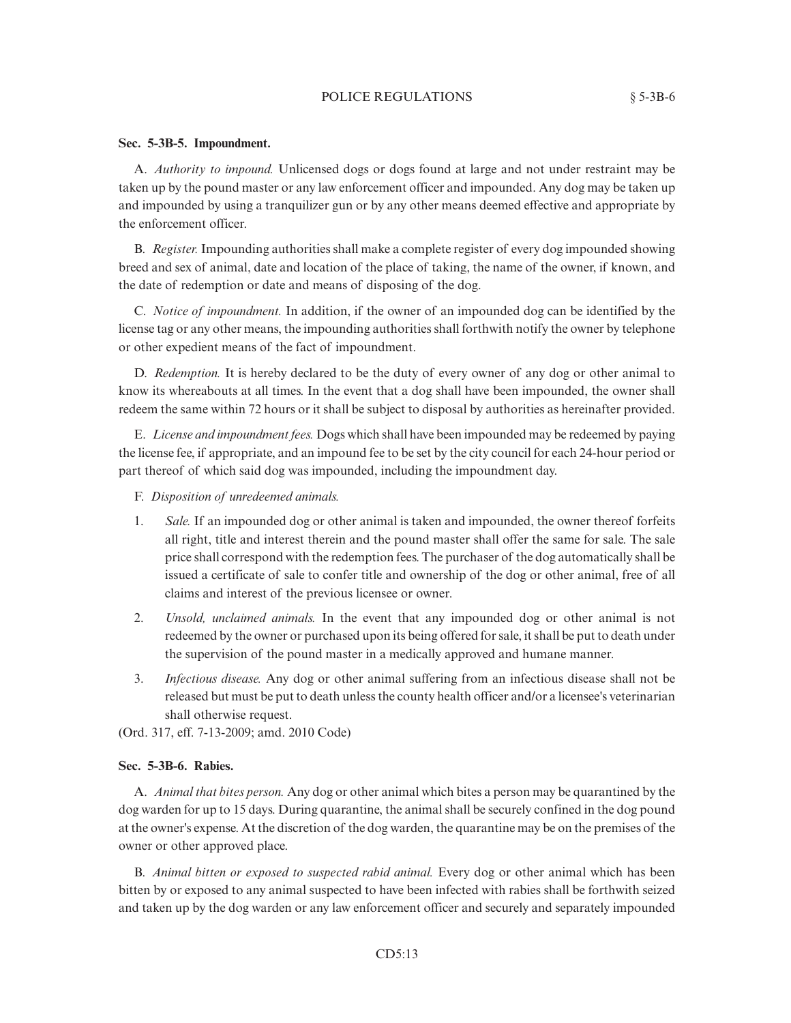## POLICE REGULATIONS § 5-3B-6

## **Sec. 5-3B-5. Impoundment.**

A. *Authority to impound.* Unlicensed dogs or dogs found at large and not under restraint may be taken up by the pound master or any law enforcement officer and impounded. Any dog may be taken up and impounded by using a tranquilizer gun or by any other means deemed effective and appropriate by the enforcement officer.

B. *Register.*Impounding authorities shall make a complete register of every dog impounded showing breed and sex of animal, date and location of the place of taking, the name of the owner, if known, and the date of redemption or date and means of disposing of the dog.

C. *Notice of impoundment.* In addition, if the owner of an impounded dog can be identified by the license tag or any other means, the impounding authorities shall forthwith notify the owner by telephone or other expedient means of the fact of impoundment.

D. *Redemption.* It is hereby declared to be the duty of every owner of any dog or other animal to know its whereabouts at all times. In the event that a dog shall have been impounded, the owner shall redeem the same within 72 hours or it shall be subject to disposal by authorities as hereinafter provided.

E. *License and impoundment fees.* Dogs which shall have been impounded may be redeemed by paying the license fee, if appropriate, and an impound fee to be set by the city council for each 24-hour period or part thereof of which said dog was impounded, including the impoundment day.

## F. *Disposition of unredeemed animals.*

- 1. *Sale.* If an impounded dog or other animal is taken and impounded, the owner thereof forfeits all right, title and interest therein and the pound master shall offer the same for sale. The sale price shall correspond with the redemption fees. The purchaser of the dog automatically shall be issued a certificate of sale to confer title and ownership of the dog or other animal, free of all claims and interest of the previous licensee or owner.
- 2. *Unsold, unclaimed animals.* In the event that any impounded dog or other animal is not redeemed by the owner or purchased upon its being offered for sale, it shall be put to death under the supervision of the pound master in a medically approved and humane manner.
- 3. *Infectious disease.* Any dog or other animal suffering from an infectious disease shall not be released but must be put to death unless the county health officer and/or a licensee's veterinarian shall otherwise request.

(Ord. 317, eff. 7-13-2009; amd. 2010 Code)

# **Sec. 5-3B-6. Rabies.**

A. *Animal that bites person.* Any dog or other animal which bites a person may be quarantined by the dog warden for up to 15 days. During quarantine, the animal shall be securely confined in the dog pound at the owner's expense. At the discretion of the dog warden, the quarantine may be on the premises of the owner or other approved place.

B. *Animal bitten or exposed to suspected rabid animal.* Every dog or other animal which has been bitten by or exposed to any animal suspected to have been infected with rabies shall be forthwith seized and taken up by the dog warden or any law enforcement officer and securely and separately impounded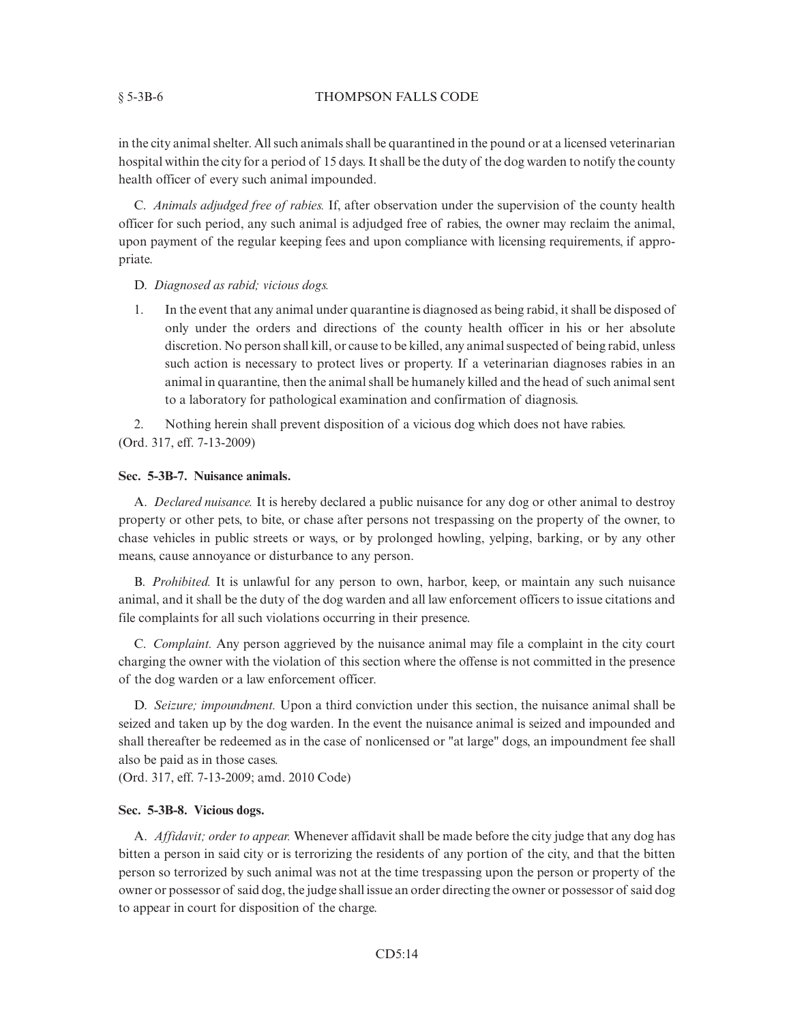## § 5-3B-6 THOMPSON FALLS CODE

in the city animal shelter. All such animals shall be quarantined in the pound or at a licensed veterinarian hospital within the city for a period of 15 days. It shall be the duty of the dog warden to notify the county health officer of every such animal impounded.

C. *Animals adjudged free of rabies.* If, after observation under the supervision of the county health officer for such period, any such animal is adjudged free of rabies, the owner may reclaim the animal, upon payment of the regular keeping fees and upon compliance with licensing requirements, if appropriate.

- D. *Diagnosed as rabid; vicious dogs.*
- 1. In the event that any animal under quarantine is diagnosed as being rabid, it shall be disposed of only under the orders and directions of the county health officer in his or her absolute discretion. No person shall kill, or cause to be killed, any animal suspected of being rabid, unless such action is necessary to protect lives or property. If a veterinarian diagnoses rabies in an animal in quarantine, then the animal shall be humanely killed and the head of such animal sent to a laboratory for pathological examination and confirmation of diagnosis.

2. Nothing herein shall prevent disposition of a vicious dog which does not have rabies. (Ord. 317, eff. 7-13-2009)

# **Sec. 5-3B-7. Nuisance animals.**

A. *Declared nuisance.* It is hereby declared a public nuisance for any dog or other animal to destroy property or other pets, to bite, or chase after persons not trespassing on the property of the owner, to chase vehicles in public streets or ways, or by prolonged howling, yelping, barking, or by any other means, cause annoyance or disturbance to any person.

B. *Prohibited.* It is unlawful for any person to own, harbor, keep, or maintain any such nuisance animal, and it shall be the duty of the dog warden and all law enforcement officers to issue citations and file complaints for all such violations occurring in their presence.

C. *Complaint.* Any person aggrieved by the nuisance animal may file a complaint in the city court charging the owner with the violation of this section where the offense is not committed in the presence of the dog warden or a law enforcement officer.

D. *Seizure; impoundment.* Upon a third conviction under this section, the nuisance animal shall be seized and taken up by the dog warden. In the event the nuisance animal is seized and impounded and shall thereafter be redeemed as in the case of nonlicensed or "at large" dogs, an impoundment fee shall also be paid as in those cases.

(Ord. 317, eff. 7-13-2009; amd. 2010 Code)

## **Sec. 5-3B-8. Vicious dogs.**

A. *Affidavit; order to appear.* Whenever affidavit shall be made before the city judge that any dog has bitten a person in said city or is terrorizing the residents of any portion of the city, and that the bitten person so terrorized by such animal was not at the time trespassing upon the person or property of the owner or possessor of said dog, the judge shall issue an order directing the owner or possessor of said dog to appear in court for disposition of the charge.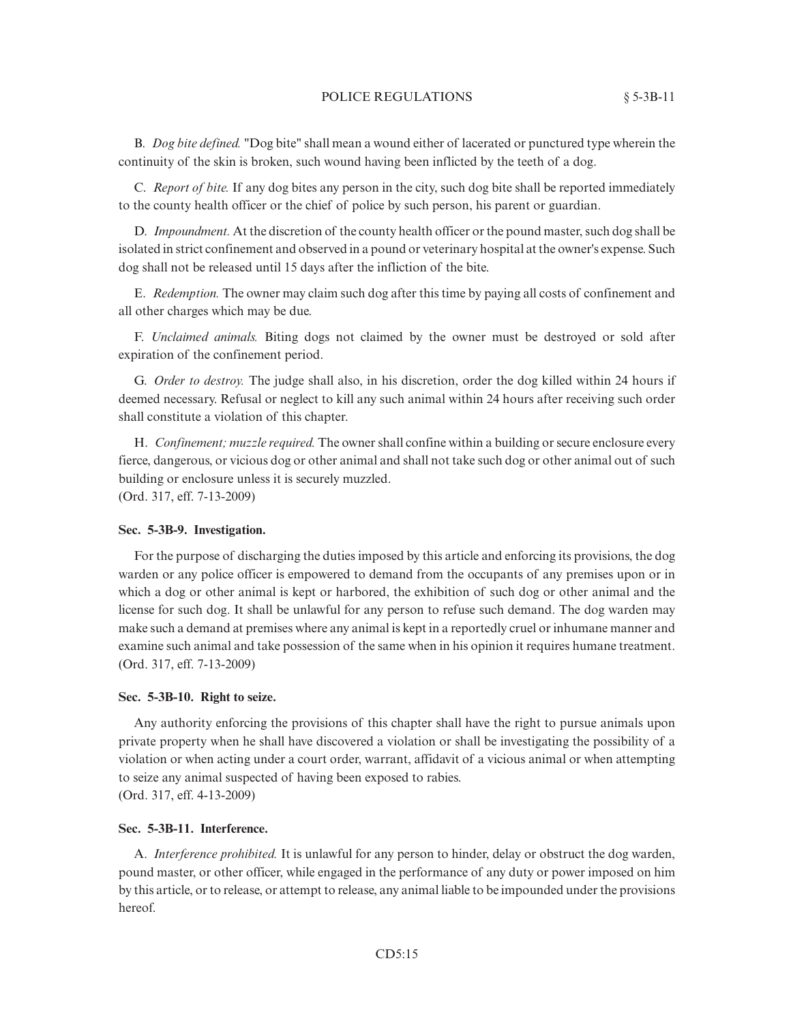B. *Dog bite defined.* "Dog bite" shall mean a wound either of lacerated or punctured type wherein the continuity of the skin is broken, such wound having been inflicted by the teeth of a dog.

C. *Report of bite.* If any dog bites any person in the city, such dog bite shall be reported immediately to the county health officer or the chief of police by such person, his parent or guardian.

D. *Impoundment.* At the discretion of the county health officer or the pound master, such dog shall be isolated in strict confinement and observed in a pound or veterinary hospital at the owner's expense. Such dog shall not be released until 15 days after the infliction of the bite.

E. *Redemption.* The owner may claim such dog after this time by paying all costs of confinement and all other charges which may be due.

F. *Unclaimed animals.* Biting dogs not claimed by the owner must be destroyed or sold after expiration of the confinement period.

G. *Order to destroy.* The judge shall also, in his discretion, order the dog killed within 24 hours if deemed necessary. Refusal or neglect to kill any such animal within 24 hours after receiving such order shall constitute a violation of this chapter.

H. *Confinement; muzzle required.* The owner shall confine within a building or secure enclosure every fierce, dangerous, or vicious dog or other animal and shall not take such dog or other animal out of such building or enclosure unless it is securely muzzled. (Ord. 317, eff. 7-13-2009)

#### **Sec. 5-3B-9. Investigation.**

For the purpose of discharging the duties imposed by this article and enforcing its provisions, the dog warden or any police officer is empowered to demand from the occupants of any premises upon or in which a dog or other animal is kept or harbored, the exhibition of such dog or other animal and the license for such dog. It shall be unlawful for any person to refuse such demand. The dog warden may make such a demand at premises where any animal is kept in a reportedly cruel or inhumane manner and examine such animal and take possession of the same when in his opinion it requires humane treatment. (Ord. 317, eff. 7-13-2009)

## **Sec. 5-3B-10. Right to seize.**

Any authority enforcing the provisions of this chapter shall have the right to pursue animals upon private property when he shall have discovered a violation or shall be investigating the possibility of a violation or when acting under a court order, warrant, affidavit of a vicious animal or when attempting to seize any animal suspected of having been exposed to rabies. (Ord. 317, eff. 4-13-2009)

#### **Sec. 5-3B-11. Interference.**

A. *Interference prohibited.* It is unlawful for any person to hinder, delay or obstruct the dog warden, pound master, or other officer, while engaged in the performance of any duty or power imposed on him by this article, or to release, or attempt to release, any animal liable to be impounded under the provisions hereof.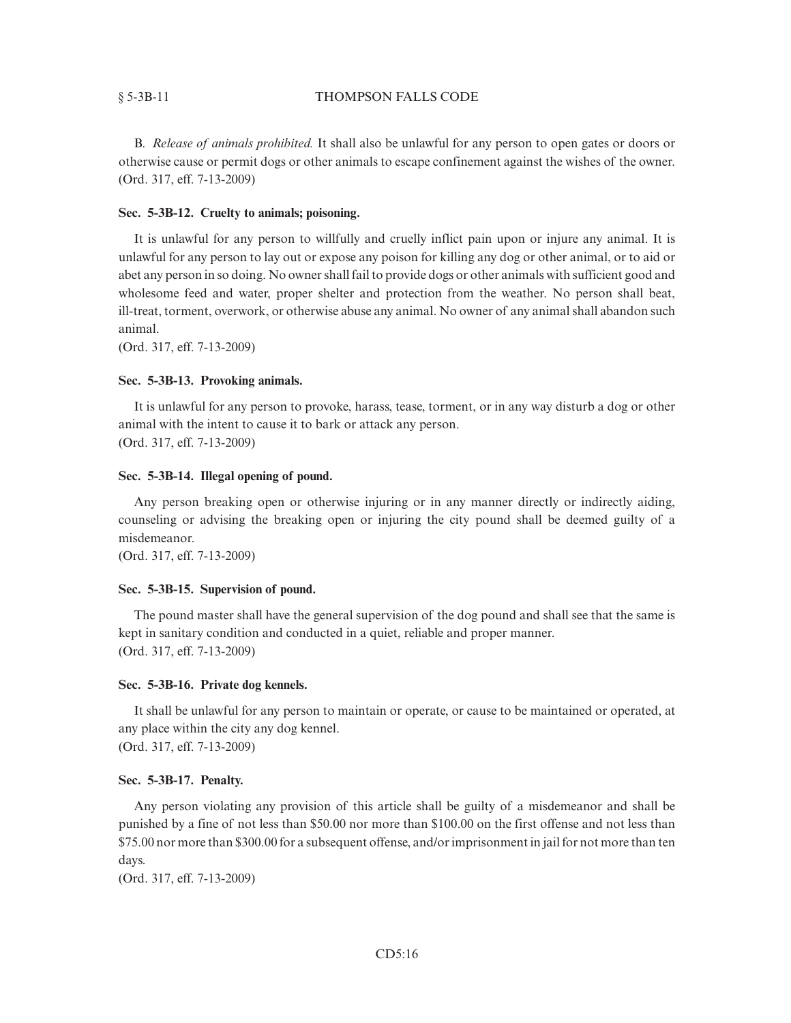## § 5-3B-11 THOMPSON FALLS CODE

B. *Release of animals prohibited.* It shall also be unlawful for any person to open gates or doors or otherwise cause or permit dogs or other animals to escape confinement against the wishes of the owner. (Ord. 317, eff. 7-13-2009)

# **Sec. 5-3B-12. Cruelty to animals; poisoning.**

It is unlawful for any person to willfully and cruelly inflict pain upon or injure any animal. It is unlawful for any person to lay out or expose any poison for killing any dog or other animal, or to aid or abet any person in so doing. No owner shall fail to provide dogs or other animals with sufficient good and wholesome feed and water, proper shelter and protection from the weather. No person shall beat, ill-treat, torment, overwork, or otherwise abuse any animal. No owner of any animal shall abandon such animal.

(Ord. 317, eff. 7-13-2009)

## **Sec. 5-3B-13. Provoking animals.**

It is unlawful for any person to provoke, harass, tease, torment, or in any way disturb a dog or other animal with the intent to cause it to bark or attack any person. (Ord. 317, eff. 7-13-2009)

## **Sec. 5-3B-14. Illegal opening of pound.**

Any person breaking open or otherwise injuring or in any manner directly or indirectly aiding, counseling or advising the breaking open or injuring the city pound shall be deemed guilty of a misdemeanor.

(Ord. 317, eff. 7-13-2009)

## **Sec. 5-3B-15. Supervision of pound.**

The pound master shall have the general supervision of the dog pound and shall see that the same is kept in sanitary condition and conducted in a quiet, reliable and proper manner. (Ord. 317, eff. 7-13-2009)

## **Sec. 5-3B-16. Private dog kennels.**

It shall be unlawful for any person to maintain or operate, or cause to be maintained or operated, at any place within the city any dog kennel. (Ord. 317, eff. 7-13-2009)

# **Sec. 5-3B-17. Penalty.**

Any person violating any provision of this article shall be guilty of a misdemeanor and shall be punished by a fine of not less than \$50.00 nor more than \$100.00 on the first offense and not less than \$75.00 nor more than \$300.00 for a subsequent offense, and/or imprisonment in jail for not more than ten days.

(Ord. 317, eff. 7-13-2009)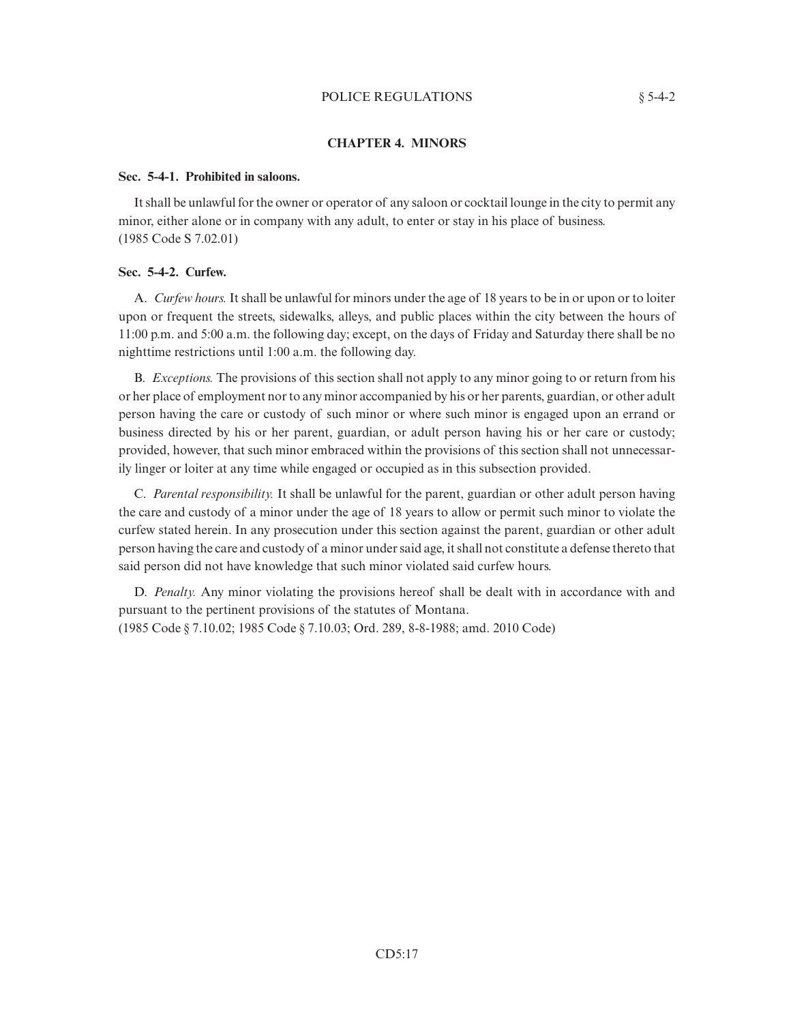## POLICE REGULATIONS  $§ 5-4-2$

## **Sec. 5-4-1. Prohibited in saloons.**

It shall be unlawful for the owner or operator of any saloon or cocktail lounge in the city to permit any minor, either alone or in company with any adult, to enter or stay in his place of business. (1985 Code S 7.02.01)

#### **Sec. 5-4-2. Curfew.**

A. *Curfew hours.* It shall be unlawful for minors under the age of 18 years to be in or upon or to loiter upon or frequent the streets, sidewalks, alleys, and public places within the city between the hours of 11:00 p.m. and 5:00 a.m. the following day; except, on the days of Friday and Saturday there shall be no nighttime restrictions until 1:00 a.m. the following day.

B. *Exceptions.* The provisions of this section shall not apply to any minor going to or return from his or her place of employment nor to any minor accompanied by his or her parents, guardian, or other adult person having the care or custody of such minor or where such minor is engaged upon an errand or business directed by his or her parent, guardian, or adult person having his or her care or custody; provided, however, that such minor embraced within the provisions of this section shall not unnecessarily linger or loiter at any time while engaged or occupied as in this subsection provided.

C. *Parental responsibility.* It shall be unlawful for the parent, guardian or other adult person having the care and custody of a minor under the age of 18 years to allow or permit such minor to violate the curfew stated herein. In any prosecution under this section against the parent, guardian or other adult person having the care and custody of a minor under said age, it shall not constitute a defense thereto that said person did not have knowledge that such minor violated said curfew hours.

D. *Penalty.* Any minor violating the provisions hereof shall be dealt with in accordance with and pursuant to the pertinent provisions of the statutes of Montana. (1985 Code § 7.10.02; 1985 Code § 7.10.03; Ord. 289, 8-8-1988; amd. 2010 Code)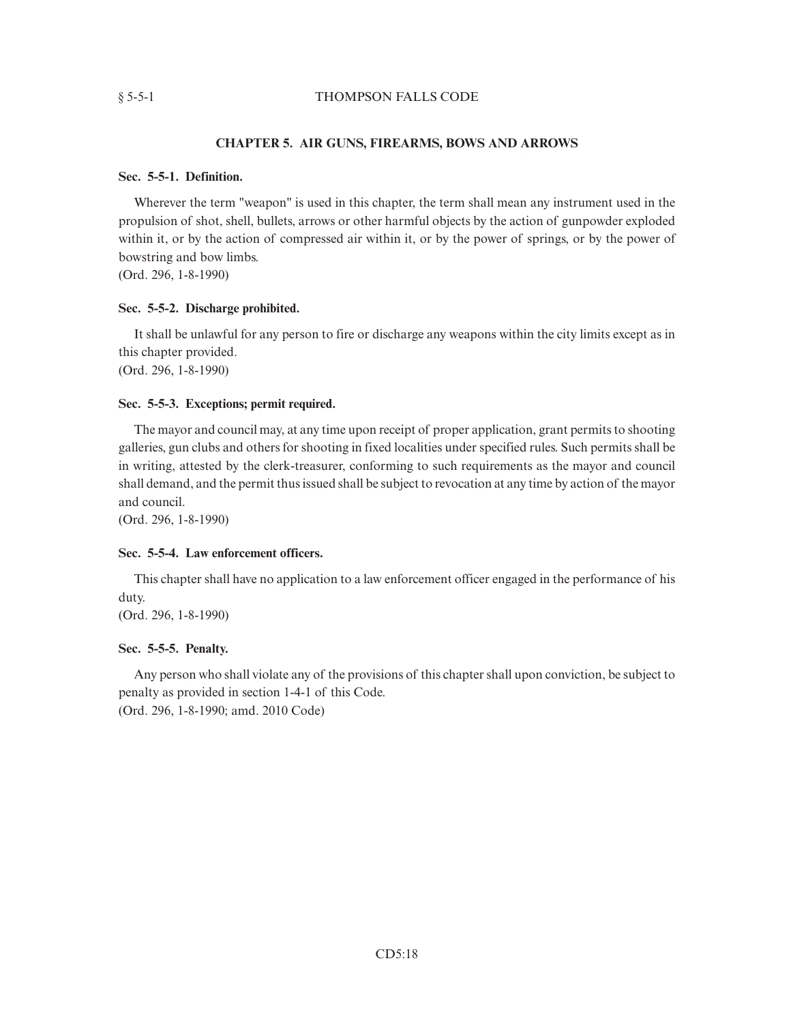## § 5-5-1 THOMPSON FALLS CODE

# **CHAPTER 5. AIR GUNS, FIREARMS, BOWS AND ARROWS**

## **Sec. 5-5-1. Definition.**

Wherever the term "weapon" is used in this chapter, the term shall mean any instrument used in the propulsion of shot, shell, bullets, arrows or other harmful objects by the action of gunpowder exploded within it, or by the action of compressed air within it, or by the power of springs, or by the power of bowstring and bow limbs.

(Ord. 296, 1-8-1990)

## **Sec. 5-5-2. Discharge prohibited.**

It shall be unlawful for any person to fire or discharge any weapons within the city limits except as in this chapter provided.

(Ord. 296, 1-8-1990)

# **Sec. 5-5-3. Exceptions; permit required.**

The mayor and council may, at any time upon receipt of proper application, grant permits to shooting galleries, gun clubs and others for shooting in fixed localities under specified rules. Such permits shall be in writing, attested by the clerk-treasurer, conforming to such requirements as the mayor and council shall demand, and the permit thus issued shall be subject to revocation at any time by action of the mayor and council.

(Ord. 296, 1-8-1990)

# **Sec. 5-5-4. Law enforcement officers.**

This chapter shall have no application to a law enforcement officer engaged in the performance of his duty.

(Ord. 296, 1-8-1990)

# **Sec. 5-5-5. Penalty.**

Any person who shall violate any of the provisions of this chapter shall upon conviction, be subject to penalty as provided in section 1-4-1 of this Code.

(Ord. 296, 1-8-1990; amd. 2010 Code)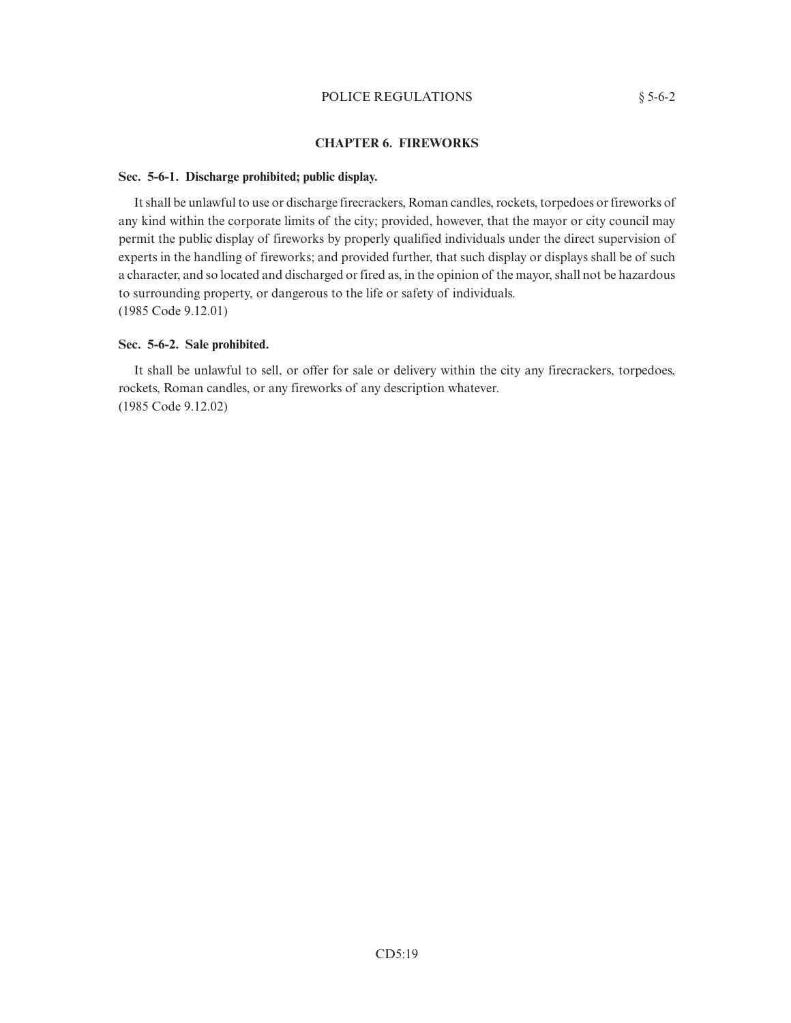## POLICE REGULATIONS  $§$  5-6-2

# **CHAPTER 6. FIREWORKS**

## **Sec. 5-6-1. Discharge prohibited; public display.**

It shall be unlawful to use or discharge firecrackers, Roman candles, rockets, torpedoes or fireworks of any kind within the corporate limits of the city; provided, however, that the mayor or city council may permit the public display of fireworks by properly qualified individuals under the direct supervision of experts in the handling of fireworks; and provided further, that such display or displays shall be of such a character, and so located and discharged or fired as, in the opinion of the mayor, shall not be hazardous to surrounding property, or dangerous to the life or safety of individuals. (1985 Code 9.12.01)

## **Sec. 5-6-2. Sale prohibited.**

It shall be unlawful to sell, or offer for sale or delivery within the city any firecrackers, torpedoes, rockets, Roman candles, or any fireworks of any description whatever. (1985 Code 9.12.02)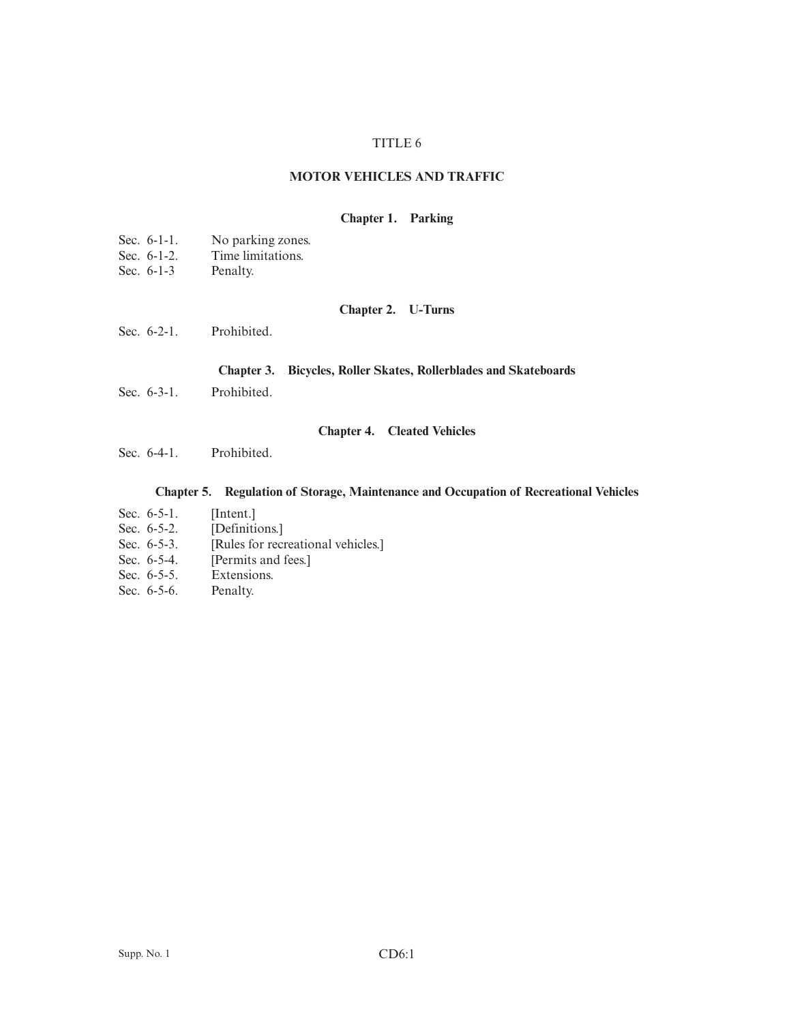# TITLE 6

# **MOTOR VEHICLES AND TRAFFIC**

## **Chapter 1. Parking**

| Sec. $6-1-1$ .<br>No parking zones. |
|-------------------------------------|
|-------------------------------------|

- Sec. 6-1-2. Time limitations.<br>Sec. 6-1-3 Penalty.
- Sec.  $6-1-3$

# **Chapter 2. U-Turns**

Sec. 6-2-1. Prohibited.

# **Chapter 3. Bicycles, Roller Skates, Rollerblades and Skateboards**

Sec. 6-3-1. Prohibited.

# **Chapter 4. Cleated Vehicles**

Sec. 6-4-1. Prohibited.

# **Chapter 5. Regulation of Storage, Maintenance and Occupation of Recreational Vehicles**

- Sec. 6-5-1. [Intent.]<br>Sec. 6-5-2. [Definiti
- 
- Sec. 6-5-2. [Definitions.]<br>Sec. 6-5-3. [Rules for recr [Rules for recreational vehicles.]
- Sec. 6-5-4. [Permits and fees.]<br>Sec. 6-5-5. Extensions.
- Extensions.
- Sec. 6-5-6. Penalty.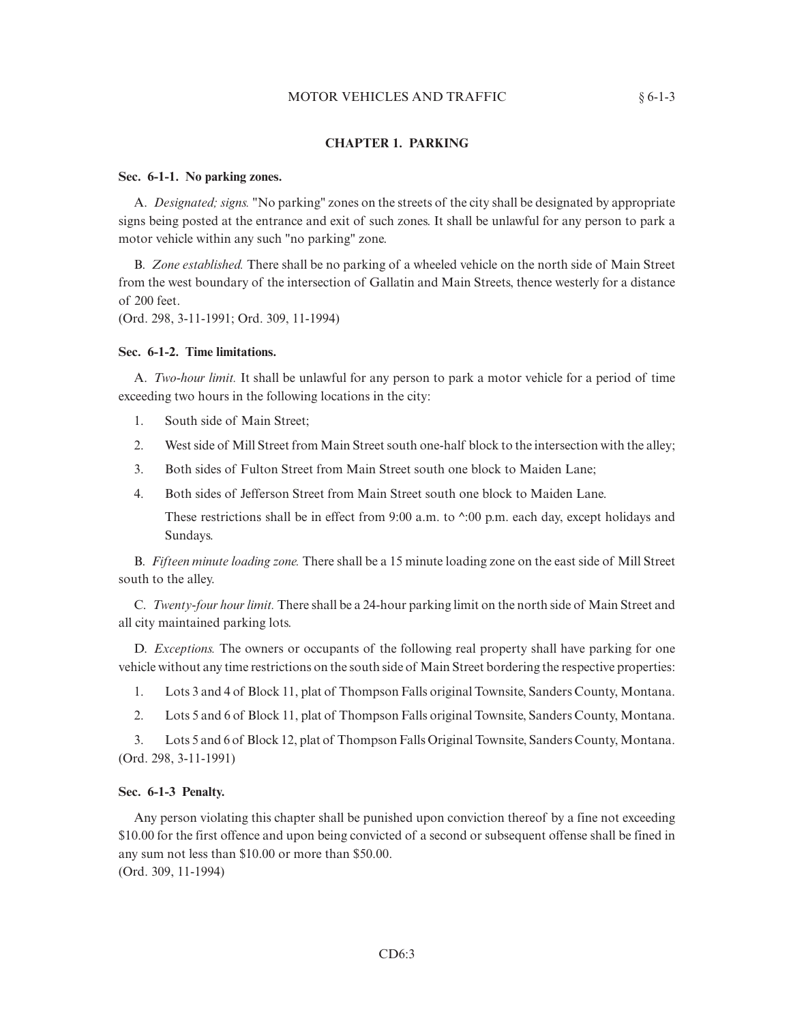## MOTOR VEHICLES AND TRAFFIC  $§ 6-1-3$

# **CHAPTER 1. PARKING**

#### **Sec. 6-1-1. No parking zones.**

A. *Designated; signs.* "No parking" zones on the streets of the city shall be designated by appropriate signs being posted at the entrance and exit of such zones. It shall be unlawful for any person to park a motor vehicle within any such "no parking" zone.

B. *Zone established.* There shall be no parking of a wheeled vehicle on the north side of Main Street from the west boundary of the intersection of Gallatin and Main Streets, thence westerly for a distance of 200 feet.

(Ord. 298, 3-11-1991; Ord. 309, 11-1994)

#### **Sec. 6-1-2. Time limitations.**

A. *Two-hour limit.* It shall be unlawful for any person to park a motor vehicle for a period of time exceeding two hours in the following locations in the city:

- 1. South side of Main Street;
- 2. West side of Mill Street from Main Street south one-half block to the intersection with the alley;
- 3. Both sides of Fulton Street from Main Street south one block to Maiden Lane;
- 4. Both sides of Jefferson Street from Main Street south one block to Maiden Lane.

These restrictions shall be in effect from  $9:00$  a.m. to  $\dot{\gamma}$ :00 p.m. each day, except holidays and Sundays.

B. *Fifteen minute loading zone.* There shall be a 15 minute loading zone on the east side of Mill Street south to the alley.

C. *Twenty-four hour limit.* There shall be a 24-hour parking limit on the north side of Main Street and all city maintained parking lots.

D. *Exceptions.* The owners or occupants of the following real property shall have parking for one vehicle without any time restrictions on the south side of Main Street bordering the respective properties:

1. Lots 3 and 4 of Block 11, plat of Thompson Falls original Townsite, Sanders County, Montana.

2. Lots 5 and 6 of Block 11, plat of Thompson Falls original Townsite, Sanders County, Montana.

3. Lots 5 and 6 of Block 12, plat of Thompson Falls Original Townsite, Sanders County, Montana. (Ord. 298, 3-11-1991)

### **Sec. 6-1-3 Penalty.**

Any person violating this chapter shall be punished upon conviction thereof by a fine not exceeding \$10.00 for the first offence and upon being convicted of a second or subsequent offense shall be fined in any sum not less than \$10.00 or more than \$50.00. (Ord. 309, 11-1994)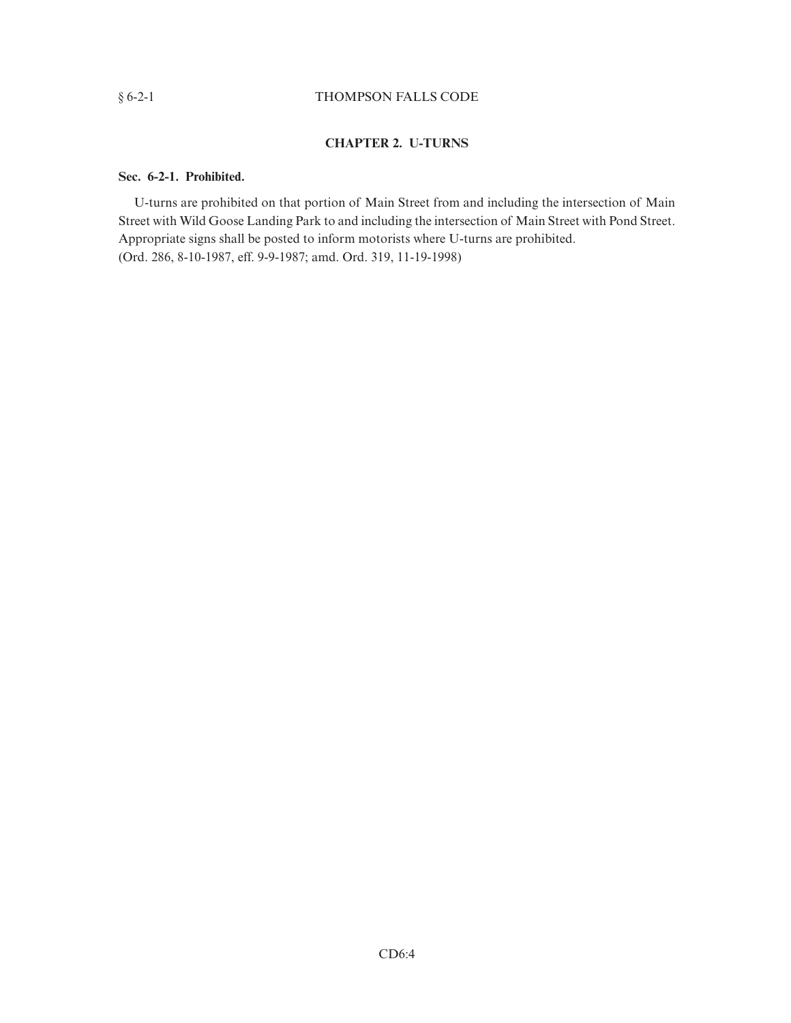# § 6-2-1 THOMPSON FALLS CODE

# **CHAPTER 2. U-TURNS**

# **Sec. 6-2-1. Prohibited.**

U-turns are prohibited on that portion of Main Street from and including the intersection of Main Street with Wild Goose Landing Park to and including the intersection of Main Street with Pond Street. Appropriate signs shall be posted to inform motorists where U-turns are prohibited. (Ord. 286, 8-10-1987, eff. 9-9-1987; amd. Ord. 319, 11-19-1998)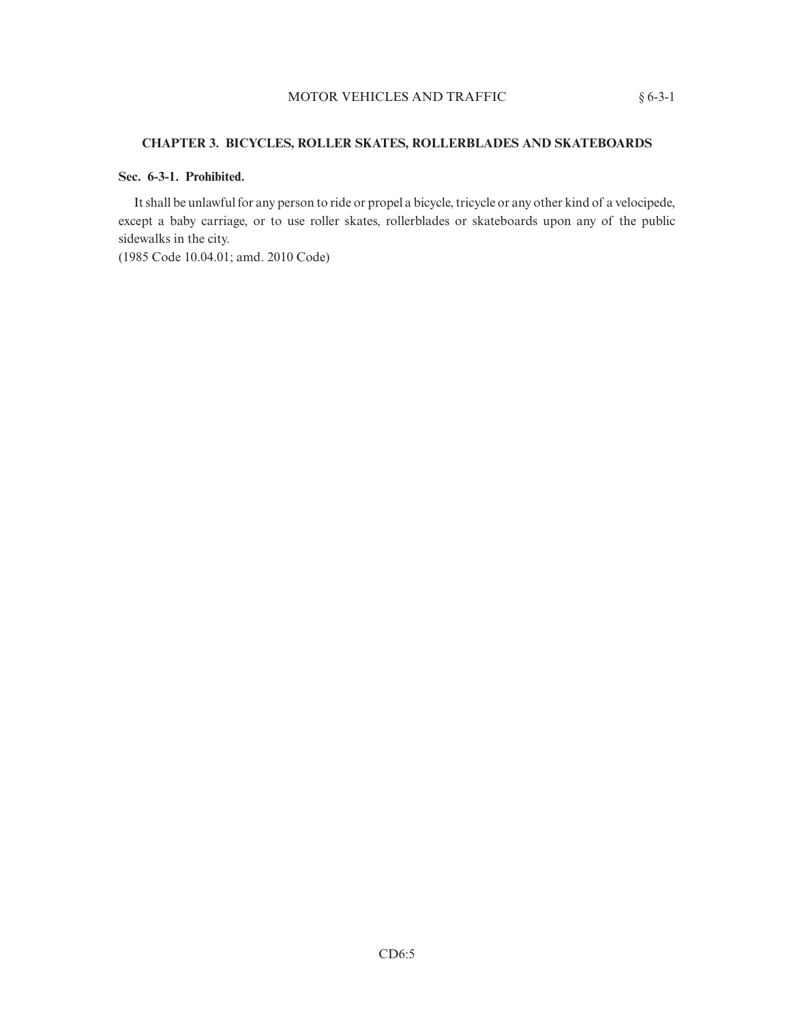# **CHAPTER 3. BICYCLES, ROLLER SKATES, ROLLERBLADES AND SKATEBOARDS**

# **Sec. 6-3-1. Prohibited.**

It shall be unlawful for any person to ride or propel a bicycle, tricycle or any other kind of a velocipede, except a baby carriage, or to use roller skates, rollerblades or skateboards upon any of the public sidewalks in the city.

(1985 Code 10.04.01; amd. 2010 Code)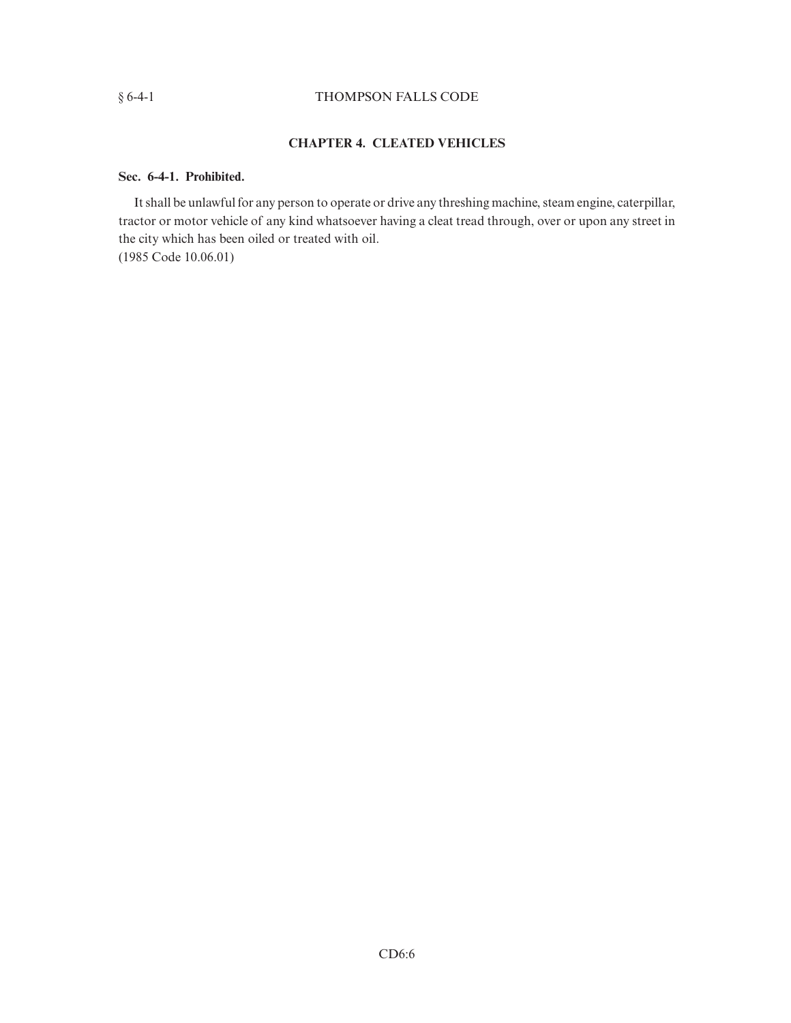# § 6-4-1 THOMPSON FALLS CODE

# **CHAPTER 4. CLEATED VEHICLES**

# **Sec. 6-4-1. Prohibited.**

It shall be unlawful for any person to operate or drive any threshing machine, steam engine, caterpillar, tractor or motor vehicle of any kind whatsoever having a cleat tread through, over or upon any street in the city which has been oiled or treated with oil. (1985 Code 10.06.01)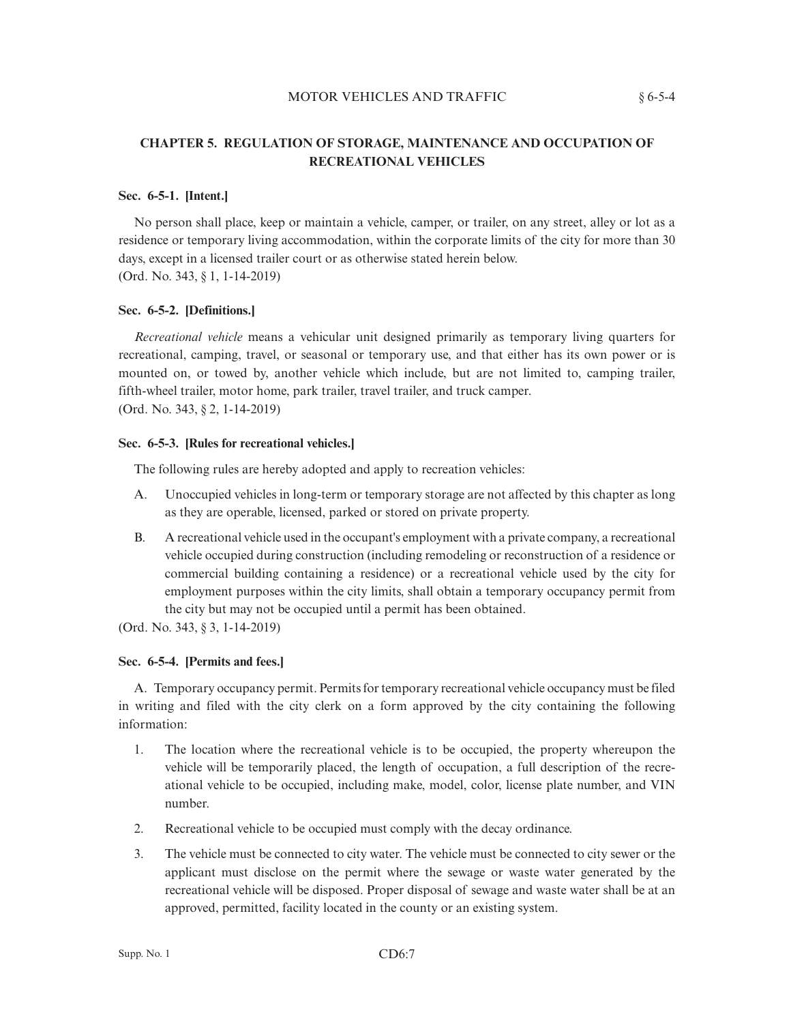## MOTOR VEHICLES AND TRAFFIC  $§ 6-5-4$

# **CHAPTER 5. REGULATION OF STORAGE, MAINTENANCE AND OCCUPATION OF RECREATIONAL VEHICLES**

# **Sec. 6-5-1. [Intent.]**

No person shall place, keep or maintain a vehicle, camper, or trailer, on any street, alley or lot as a residence or temporary living accommodation, within the corporate limits of the city for more than 30 days, except in a licensed trailer court or as otherwise stated herein below. (Ord. No. 343, § 1, 1-14-2019)

# **Sec. 6-5-2. [Definitions.]**

*Recreational vehicle* means a vehicular unit designed primarily as temporary living quarters for recreational, camping, travel, or seasonal or temporary use, and that either has its own power or is mounted on, or towed by, another vehicle which include, but are not limited to, camping trailer, fifth-wheel trailer, motor home, park trailer, travel trailer, and truck camper. (Ord. No. 343, § 2, 1-14-2019)

## **Sec. 6-5-3. [Rules for recreational vehicles.]**

The following rules are hereby adopted and apply to recreation vehicles:

- A. Unoccupied vehicles in long-term or temporary storage are not affected by this chapter as long as they are operable, licensed, parked or stored on private property.
- B. A recreational vehicle used in the occupant's employment with a private company, a recreational vehicle occupied during construction (including remodeling or reconstruction of a residence or commercial building containing a residence) or a recreational vehicle used by the city for employment purposes within the city limits, shall obtain a temporary occupancy permit from the city but may not be occupied until a permit has been obtained.

(Ord. No. 343, § 3, 1-14-2019)

# **Sec. 6-5-4. [Permits and fees.]**

A. Temporary occupancy permit. Permits for temporary recreational vehicle occupancy must be filed in writing and filed with the city clerk on a form approved by the city containing the following information:

- 1. The location where the recreational vehicle is to be occupied, the property whereupon the vehicle will be temporarily placed, the length of occupation, a full description of the recreational vehicle to be occupied, including make, model, color, license plate number, and VIN number.
- 2. Recreational vehicle to be occupied must comply with the decay ordinance.
- 3. The vehicle must be connected to city water. The vehicle must be connected to city sewer or the applicant must disclose on the permit where the sewage or waste water generated by the recreational vehicle will be disposed. Proper disposal of sewage and waste water shall be at an approved, permitted, facility located in the county or an existing system.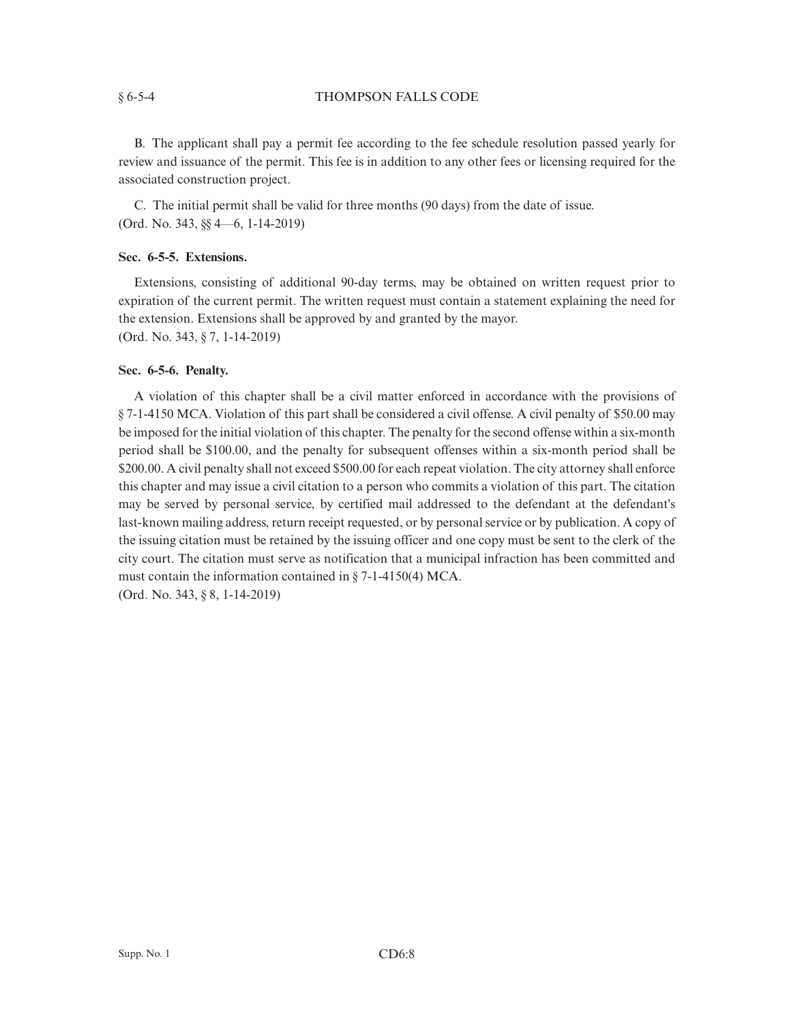## § 6-5-4 THOMPSON FALLS CODE

B. The applicant shall pay a permit fee according to the fee schedule resolution passed yearly for review and issuance of the permit. This fee is in addition to any other fees or licensing required for the associated construction project.

C. The initial permit shall be valid for three months (90 days) from the date of issue. (Ord. No. 343, §§ 4—6, 1-14-2019)

# **Sec. 6-5-5. Extensions.**

Extensions, consisting of additional 90-day terms, may be obtained on written request prior to expiration of the current permit. The written request must contain a statement explaining the need for the extension. Extensions shall be approved by and granted by the mayor. (Ord. No. 343, § 7, 1-14-2019)

## **Sec. 6-5-6. Penalty.**

A violation of this chapter shall be a civil matter enforced in accordance with the provisions of § 7-1-4150 MCA. Violation of this part shall be considered a civil offense. A civil penalty of \$50.00 may be imposed for the initial violation of this chapter. The penalty for the second offense within a six-month period shall be \$100.00, and the penalty for subsequent offenses within a six-month period shall be \$200.00. A civil penalty shall not exceed \$500.00 for each repeat violation. The city attorney shall enforce this chapter and may issue a civil citation to a person who commits a violation of this part. The citation may be served by personal service, by certified mail addressed to the defendant at the defendant's last-known mailing address, return receipt requested, or by personal service or by publication. A copy of the issuing citation must be retained by the issuing officer and one copy must be sent to the clerk of the city court. The citation must serve as notification that a municipal infraction has been committed and must contain the information contained in § 7-1-4150(4) MCA. (Ord. No. 343, § 8, 1-14-2019)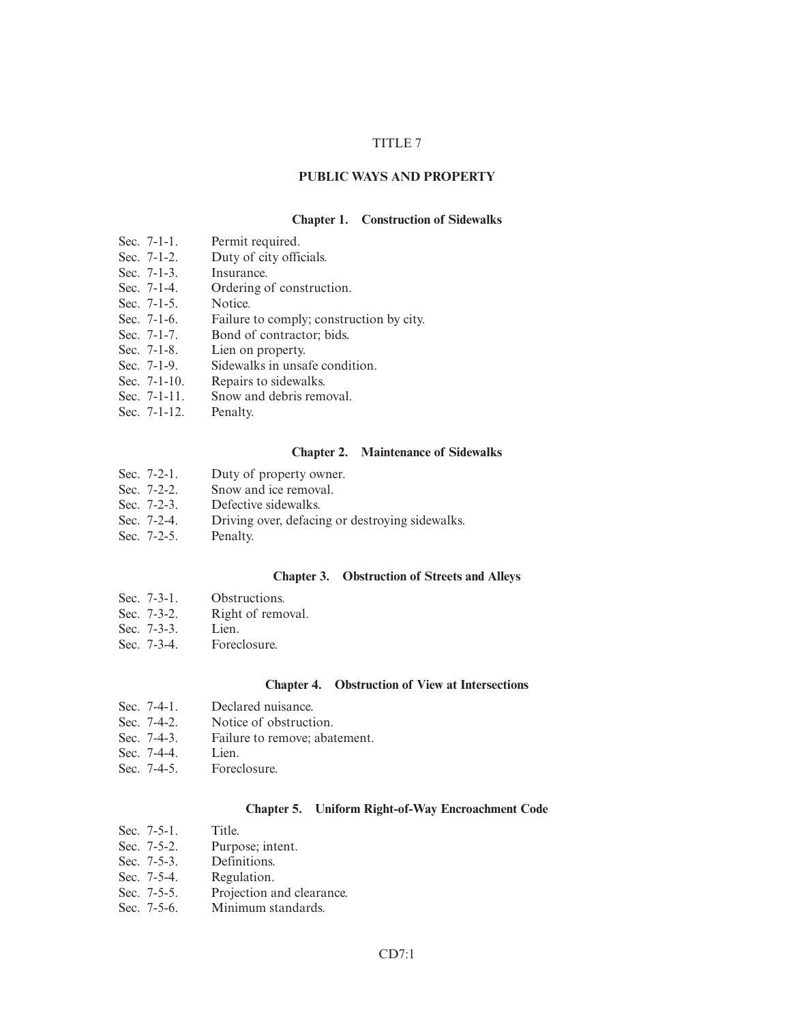## TITLE 7

## **PUBLIC WAYS AND PROPERTY**

### **Chapter 1. Construction of Sidewalks**

- Sec. 7-1-1. Permit required.<br>Sec. 7-1-2. Duty of city offi-
- Duty of city officials.
- Sec.  $7-1-3$ . Insurance.
- Sec. 7-1-4. Ordering of construction.
- Sec. 7-1-5. Notice.
- Sec. 7-1-6. Failure to comply; construction by city.
- Sec. 7-1-7. Bond of contractor; bids.
- Sec. 7-1-8. Lien on property.
- Sec. 7-1-9. Sidewalks in unsafe condition.
- Sec. 7-1-10. Repairs to sidewalks.
- Sec. 7-1-11. Snow and debris removal.
- Sec. 7-1-12. Penalty.

## **Chapter 2. Maintenance of Sidewalks**

- Sec. 7-2-1. Duty of property owner.
- Sec. 7-2-2. Snow and ice removal.
- Sec. 7-2-3. Defective sidewalks.
- Sec. 7-2-4. Driving over, defacing or destroying sidewalks.
- Sec. 7-2-5. Penalty.

## **Chapter 3. Obstruction of Streets and Alleys**

- Sec. 7-3-1. Obstructions.
- Sec. 7-3-2. Right of removal.
- Sec. 7-3-3. Lien.
- Sec. 7-3-4. Foreclosure.

#### **Chapter 4. Obstruction of View at Intersections**

- Sec. 7-4-1. Declared nuisance.<br>Sec. 7-4-2. Notice of obstruction
- Notice of obstruction.
- Sec. 7-4-3. Failure to remove; abatement.
- Sec. 7-4-4. Lien.
- Sec. 7-4-5. Foreclosure.

### **Chapter 5. Uniform Right-of-Way Encroachment Code**

- Sec. 7-5-1. Title.<br>Sec. 7-5-2. Purpo
- Sec. 7-5-2. Purpose; intent.<br>Sec. 7-5-3. Definitions.
- Definitions.
- Sec. 7-5-4. Regulation.
- Sec. 7-5-5. Projection and clearance.
- Sec. 7-5-6. Minimum standards.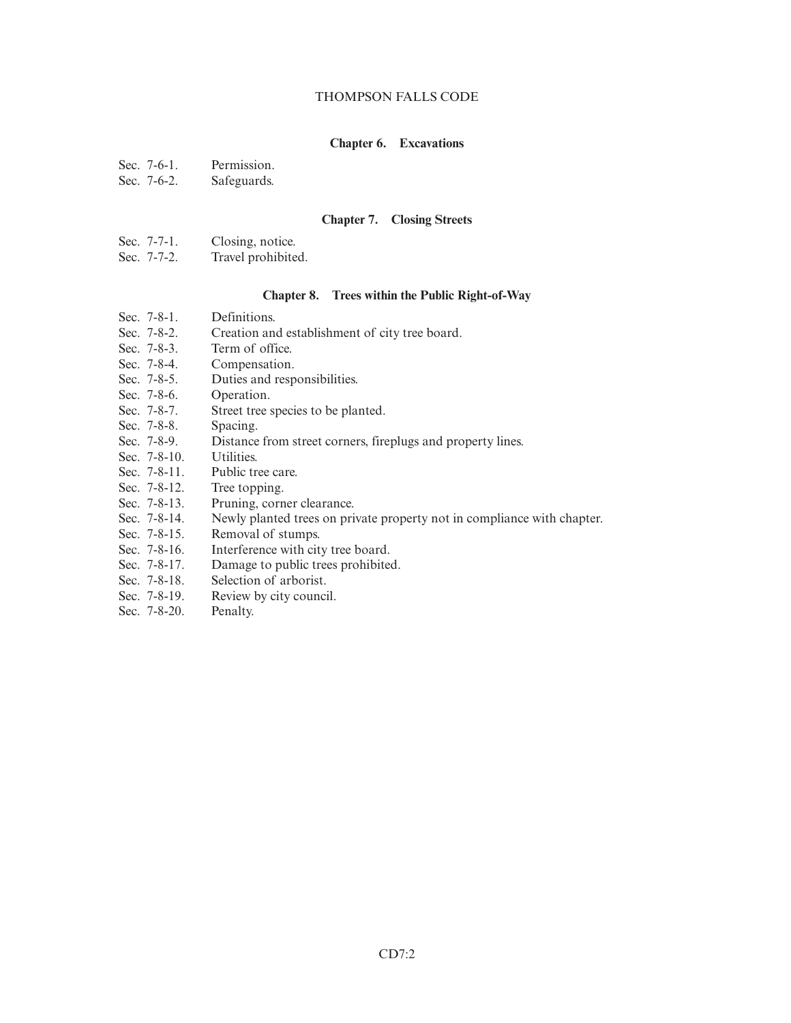## THOMPSON FALLS CODE

## **Chapter 6. Excavations**

- Sec. 7-6-1. Permission.
- Sec. 7-6-2. Safeguards.

### **Chapter 7. Closing Streets**

- Sec. 7-7-1. Closing, notice.
- Sec. 7-7-2. Travel prohibited.

#### **Chapter 8. Trees within the Public Right-of-Way**

- Sec. 7-8-1. Definitions.
- Sec. 7-8-2. Creation and establishment of city tree board.<br>Sec. 7-8-3. Term of office.
- Sec. 7-8-3. Term of office.<br>Sec. 7-8-4. Compensation.
- Compensation.
- Sec. 7-8-5. Duties and responsibilities.
- Sec. 7-8-6. Operation.
- Sec. 7-8-7. Street tree species to be planted.
- Sec. 7-8-8. Spacing.<br>Sec. 7-8-9. Distance
- Distance from street corners, fireplugs and property lines.
- Sec. 7-8-10. Utilities.
- Sec. 7-8-11. Public tree care.
- Sec. 7-8-12. Tree topping.
- Sec. 7-8-13. Pruning, corner clearance.
- Sec. 7-8-14. Newly planted trees on private property not in compliance with chapter.
- Sec. 7-8-15. Removal of stumps.
- Sec. 7-8-16. Interference with city tree board.
- Sec. 7-8-17. Damage to public trees prohibited.
- Sec. 7-8-18. Selection of arborist.
- Sec. 7-8-19. Review by city council.
- Sec. 7-8-20. Penalty.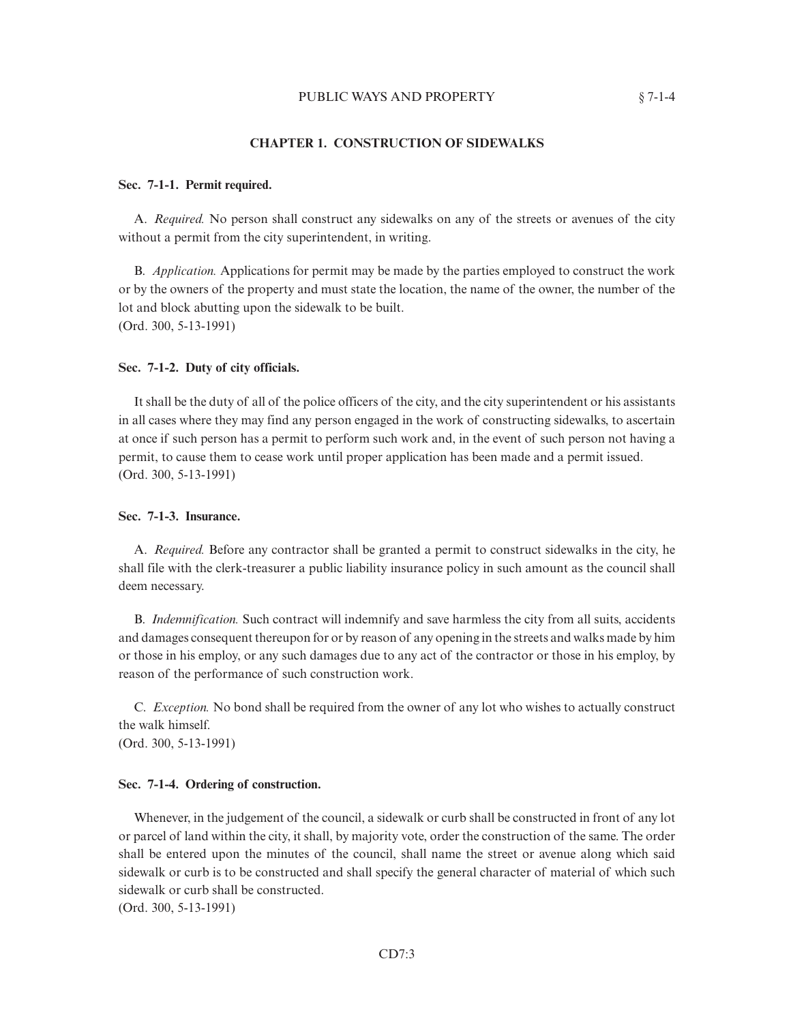## **CHAPTER 1. CONSTRUCTION OF SIDEWALKS**

## **Sec. 7-1-1. Permit required.**

A. *Required.* No person shall construct any sidewalks on any of the streets or avenues of the city without a permit from the city superintendent, in writing.

B. *Application.* Applications for permit may be made by the parties employed to construct the work or by the owners of the property and must state the location, the name of the owner, the number of the lot and block abutting upon the sidewalk to be built. (Ord. 300, 5-13-1991)

#### **Sec. 7-1-2. Duty of city officials.**

It shall be the duty of all of the police officers of the city, and the city superintendent or his assistants in all cases where they may find any person engaged in the work of constructing sidewalks, to ascertain at once if such person has a permit to perform such work and, in the event of such person not having a permit, to cause them to cease work until proper application has been made and a permit issued. (Ord. 300, 5-13-1991)

## **Sec. 7-1-3. Insurance.**

A. *Required.* Before any contractor shall be granted a permit to construct sidewalks in the city, he shall file with the clerk-treasurer a public liability insurance policy in such amount as the council shall deem necessary.

B. *Indemnification.* Such contract will indemnify and save harmless the city from all suits, accidents and damages consequent thereupon for or by reason of any opening in the streets and walks made by him or those in his employ, or any such damages due to any act of the contractor or those in his employ, by reason of the performance of such construction work.

C. *Exception.* No bond shall be required from the owner of any lot who wishes to actually construct the walk himself. (Ord. 300, 5-13-1991)

#### **Sec. 7-1-4. Ordering of construction.**

Whenever, in the judgement of the council, a sidewalk or curb shall be constructed in front of any lot or parcel of land within the city, it shall, by majority vote, order the construction of the same. The order shall be entered upon the minutes of the council, shall name the street or avenue along which said sidewalk or curb is to be constructed and shall specify the general character of material of which such sidewalk or curb shall be constructed.

(Ord. 300, 5-13-1991)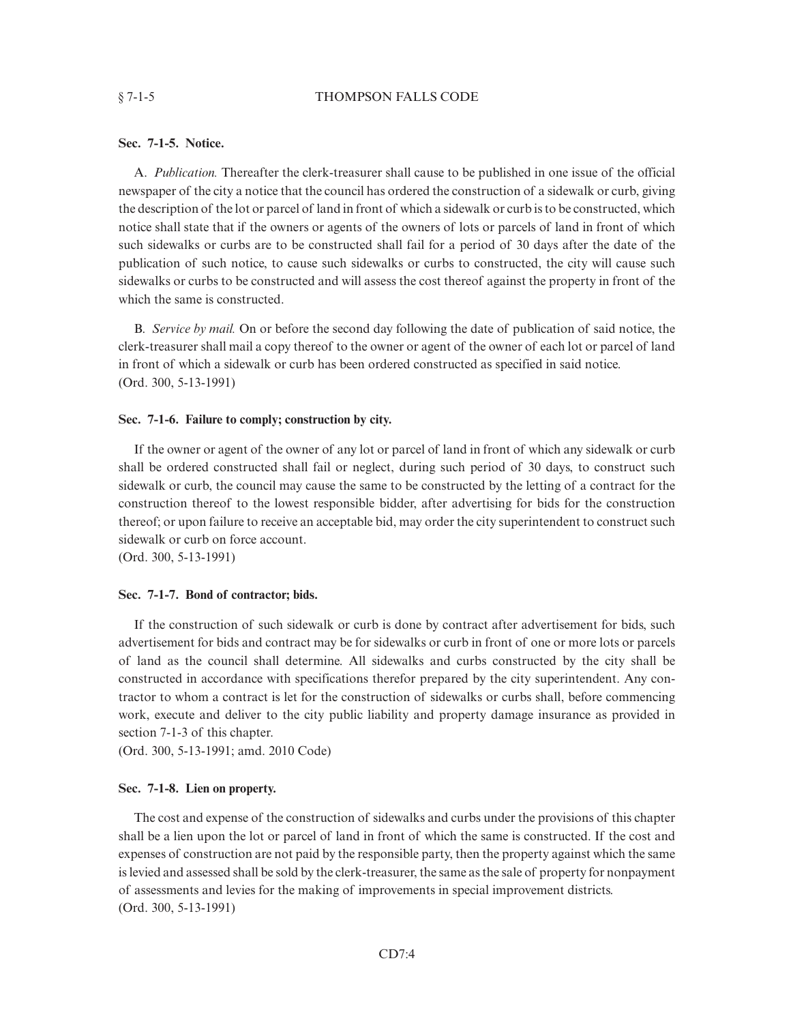## § 7-1-5 THOMPSON FALLS CODE

## **Sec. 7-1-5. Notice.**

A. *Publication.* Thereafter the clerk-treasurer shall cause to be published in one issue of the official newspaper of the city a notice that the council has ordered the construction of a sidewalk or curb, giving the description of the lot or parcel of land in front of which a sidewalk or curb is to be constructed, which notice shall state that if the owners or agents of the owners of lots or parcels of land in front of which such sidewalks or curbs are to be constructed shall fail for a period of 30 days after the date of the publication of such notice, to cause such sidewalks or curbs to constructed, the city will cause such sidewalks or curbs to be constructed and will assess the cost thereof against the property in front of the which the same is constructed.

B. *Service by mail.* On or before the second day following the date of publication of said notice, the clerk-treasurer shall mail a copy thereof to the owner or agent of the owner of each lot or parcel of land in front of which a sidewalk or curb has been ordered constructed as specified in said notice. (Ord. 300, 5-13-1991)

## **Sec. 7-1-6. Failure to comply; construction by city.**

If the owner or agent of the owner of any lot or parcel of land in front of which any sidewalk or curb shall be ordered constructed shall fail or neglect, during such period of 30 days, to construct such sidewalk or curb, the council may cause the same to be constructed by the letting of a contract for the construction thereof to the lowest responsible bidder, after advertising for bids for the construction thereof; or upon failure to receive an acceptable bid, may order the city superintendent to construct such sidewalk or curb on force account.

(Ord. 300, 5-13-1991)

# **Sec. 7-1-7. Bond of contractor; bids.**

If the construction of such sidewalk or curb is done by contract after advertisement for bids, such advertisement for bids and contract may be for sidewalks or curb in front of one or more lots or parcels of land as the council shall determine. All sidewalks and curbs constructed by the city shall be constructed in accordance with specifications therefor prepared by the city superintendent. Any contractor to whom a contract is let for the construction of sidewalks or curbs shall, before commencing work, execute and deliver to the city public liability and property damage insurance as provided in section 7-1-3 of this chapter.

(Ord. 300, 5-13-1991; amd. 2010 Code)

# **Sec. 7-1-8. Lien on property.**

The cost and expense of the construction of sidewalks and curbs under the provisions of this chapter shall be a lien upon the lot or parcel of land in front of which the same is constructed. If the cost and expenses of construction are not paid by the responsible party, then the property against which the same is levied and assessed shall be sold by the clerk-treasurer, the same as the sale of property for nonpayment of assessments and levies for the making of improvements in special improvement districts. (Ord. 300, 5-13-1991)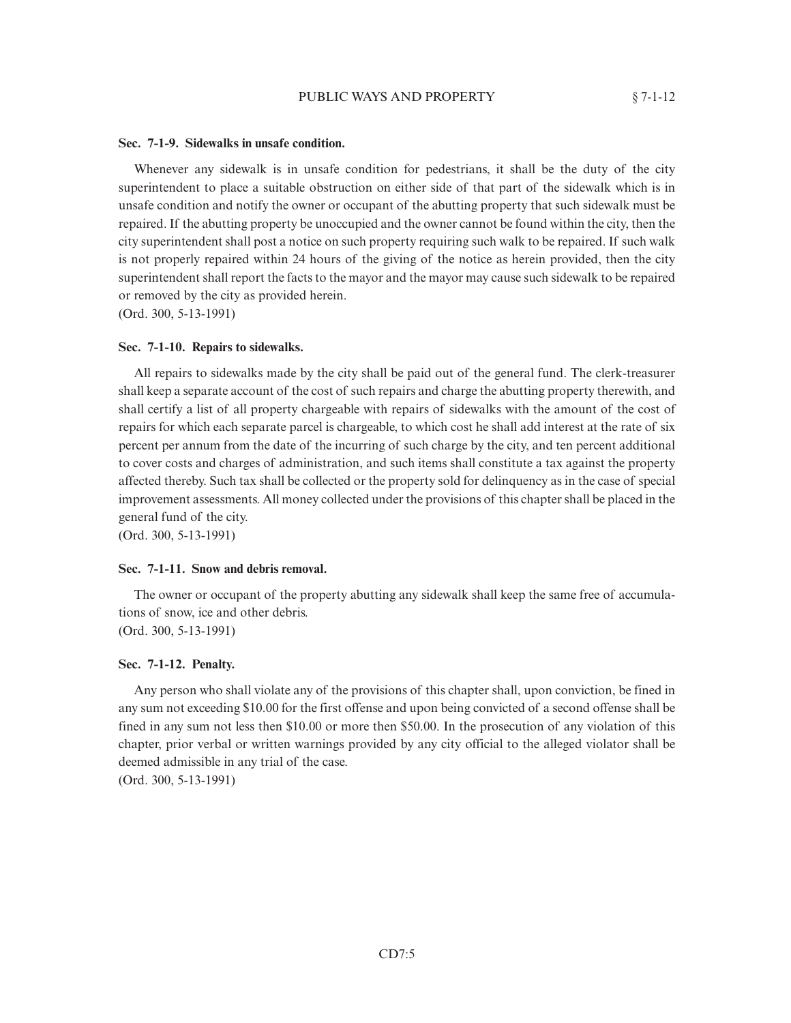#### **Sec. 7-1-9. Sidewalks in unsafe condition.**

Whenever any sidewalk is in unsafe condition for pedestrians, it shall be the duty of the city superintendent to place a suitable obstruction on either side of that part of the sidewalk which is in unsafe condition and notify the owner or occupant of the abutting property that such sidewalk must be repaired. If the abutting property be unoccupied and the owner cannot be found within the city, then the city superintendent shall post a notice on such property requiring such walk to be repaired. If such walk is not properly repaired within 24 hours of the giving of the notice as herein provided, then the city superintendent shall report the facts to the mayor and the mayor may cause such sidewalk to be repaired or removed by the city as provided herein.

(Ord. 300, 5-13-1991)

#### **Sec. 7-1-10. Repairs to sidewalks.**

All repairs to sidewalks made by the city shall be paid out of the general fund. The clerk-treasurer shall keep a separate account of the cost of such repairs and charge the abutting property therewith, and shall certify a list of all property chargeable with repairs of sidewalks with the amount of the cost of repairs for which each separate parcel is chargeable, to which cost he shall add interest at the rate of six percent per annum from the date of the incurring of such charge by the city, and ten percent additional to cover costs and charges of administration, and such items shall constitute a tax against the property affected thereby. Such tax shall be collected or the property sold for delinquency as in the case of special improvement assessments. All money collected under the provisions of this chapter shall be placed in the general fund of the city.

(Ord. 300, 5-13-1991)

#### **Sec. 7-1-11. Snow and debris removal.**

The owner or occupant of the property abutting any sidewalk shall keep the same free of accumulations of snow, ice and other debris. (Ord. 300, 5-13-1991)

#### **Sec. 7-1-12. Penalty.**

Any person who shall violate any of the provisions of this chapter shall, upon conviction, be fined in any sum not exceeding \$10.00 for the first offense and upon being convicted of a second offense shall be fined in any sum not less then \$10.00 or more then \$50.00. In the prosecution of any violation of this chapter, prior verbal or written warnings provided by any city official to the alleged violator shall be deemed admissible in any trial of the case. (Ord. 300, 5-13-1991)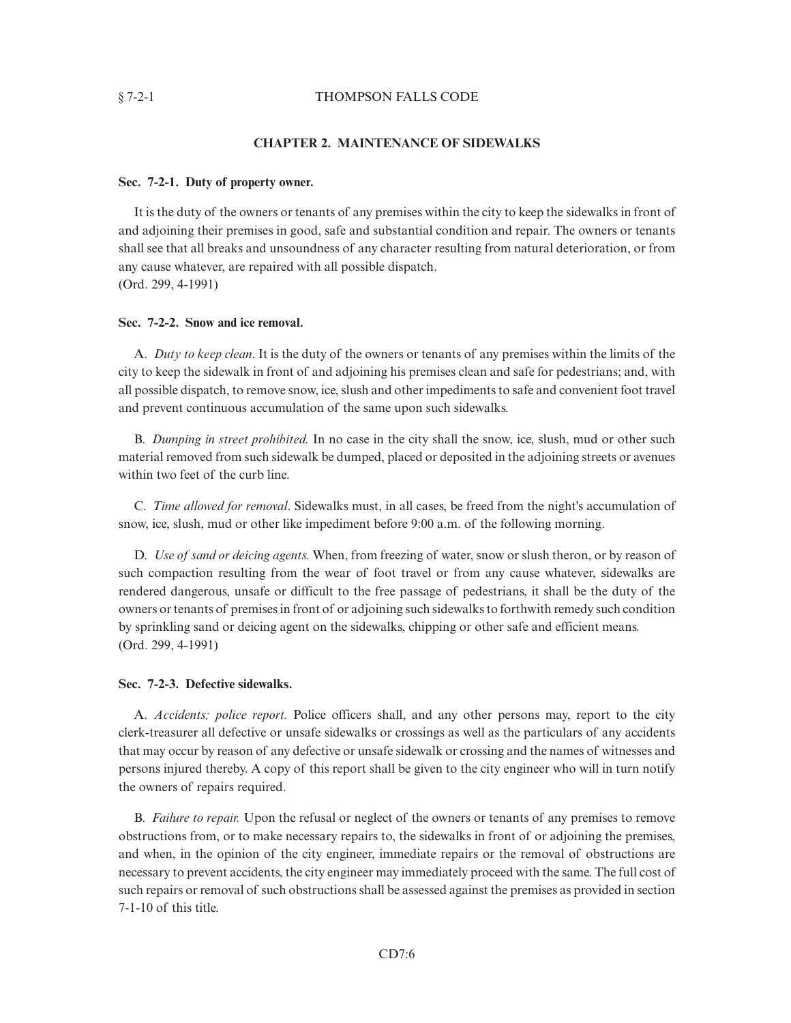#### § 7-2-1 THOMPSON FALLS CODE

## **CHAPTER 2. MAINTENANCE OF SIDEWALKS**

#### **Sec. 7-2-1. Duty of property owner.**

It is the duty of the owners or tenants of any premises within the city to keep the sidewalks in front of and adjoining their premises in good, safe and substantial condition and repair. The owners or tenants shall see that all breaks and unsoundness of any character resulting from natural deterioration, or from any cause whatever, are repaired with all possible dispatch. (Ord. 299, 4-1991)

#### **Sec. 7-2-2. Snow and ice removal.**

A. *Duty to keep clean*. It is the duty of the owners or tenants of any premises within the limits of the city to keep the sidewalk in front of and adjoining his premises clean and safe for pedestrians; and, with all possible dispatch, to remove snow, ice, slush and other impediments to safe and convenient foot travel and prevent continuous accumulation of the same upon such sidewalks.

B. *Dumping in street prohibited.* In no case in the city shall the snow, ice, slush, mud or other such material removed from such sidewalk be dumped, placed or deposited in the adjoining streets or avenues within two feet of the curb line.

C. *Time allowed for removal*. Sidewalks must, in all cases, be freed from the night's accumulation of snow, ice, slush, mud or other like impediment before 9:00 a.m. of the following morning.

D. *Use of sand or deicing agents.* When, from freezing of water, snow or slush theron, or by reason of such compaction resulting from the wear of foot travel or from any cause whatever, sidewalks are rendered dangerous, unsafe or difficult to the free passage of pedestrians, it shall be the duty of the owners or tenants of premises in front of or adjoining such sidewalks to forthwith remedy such condition by sprinkling sand or deicing agent on the sidewalks, chipping or other safe and efficient means. (Ord. 299, 4-1991)

## **Sec. 7-2-3. Defective sidewalks.**

A. *Accidents; police report.* Police officers shall, and any other persons may, report to the city clerk-treasurer all defective or unsafe sidewalks or crossings as well as the particulars of any accidents that may occur by reason of any defective or unsafe sidewalk or crossing and the names of witnesses and persons injured thereby. A copy of this report shall be given to the city engineer who will in turn notify the owners of repairs required.

B. *Failure to repair.* Upon the refusal or neglect of the owners or tenants of any premises to remove obstructions from, or to make necessary repairs to, the sidewalks in front of or adjoining the premises, and when, in the opinion of the city engineer, immediate repairs or the removal of obstructions are necessary to prevent accidents, the city engineer may immediately proceed with the same. The full cost of such repairs or removal of such obstructions shall be assessed against the premises as provided in section 7-1-10 of this title.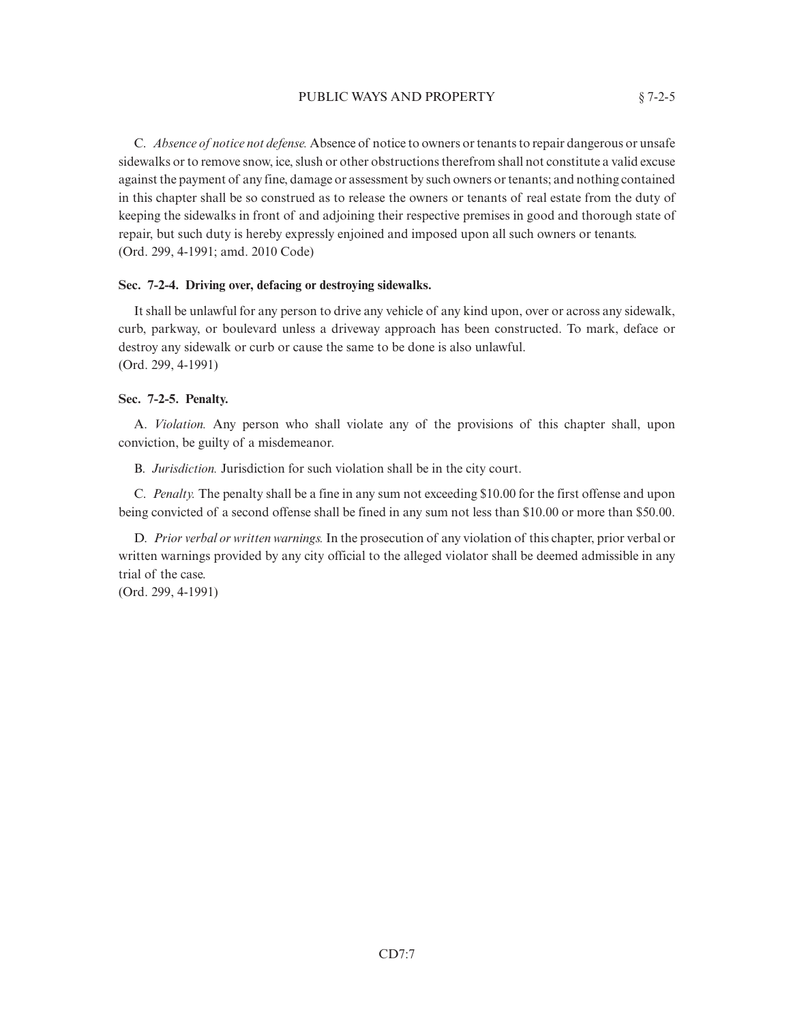## PUBLIC WAYS AND PROPERTY  $§ 7-2-5$

C. *Absence of notice not defense.* Absence of notice to owners or tenants to repair dangerous or unsafe sidewalks or to remove snow, ice, slush or other obstructions therefrom shall not constitute a valid excuse against the payment of any fine, damage or assessment by such owners or tenants; and nothing contained in this chapter shall be so construed as to release the owners or tenants of real estate from the duty of keeping the sidewalks in front of and adjoining their respective premises in good and thorough state of repair, but such duty is hereby expressly enjoined and imposed upon all such owners or tenants. (Ord. 299, 4-1991; amd. 2010 Code)

## **Sec. 7-2-4. Driving over, defacing or destroying sidewalks.**

It shall be unlawful for any person to drive any vehicle of any kind upon, over or across any sidewalk, curb, parkway, or boulevard unless a driveway approach has been constructed. To mark, deface or destroy any sidewalk or curb or cause the same to be done is also unlawful. (Ord. 299, 4-1991)

## **Sec. 7-2-5. Penalty.**

A. *Violation.* Any person who shall violate any of the provisions of this chapter shall, upon conviction, be guilty of a misdemeanor.

B. *Jurisdiction.* Jurisdiction for such violation shall be in the city court.

C. *Penalty.* The penalty shall be a fine in any sum not exceeding \$10.00 for the first offense and upon being convicted of a second offense shall be fined in any sum not less than \$10.00 or more than \$50.00.

D. *Prior verbal or written warnings.*In the prosecution of any violation of this chapter, prior verbal or written warnings provided by any city official to the alleged violator shall be deemed admissible in any trial of the case.

(Ord. 299, 4-1991)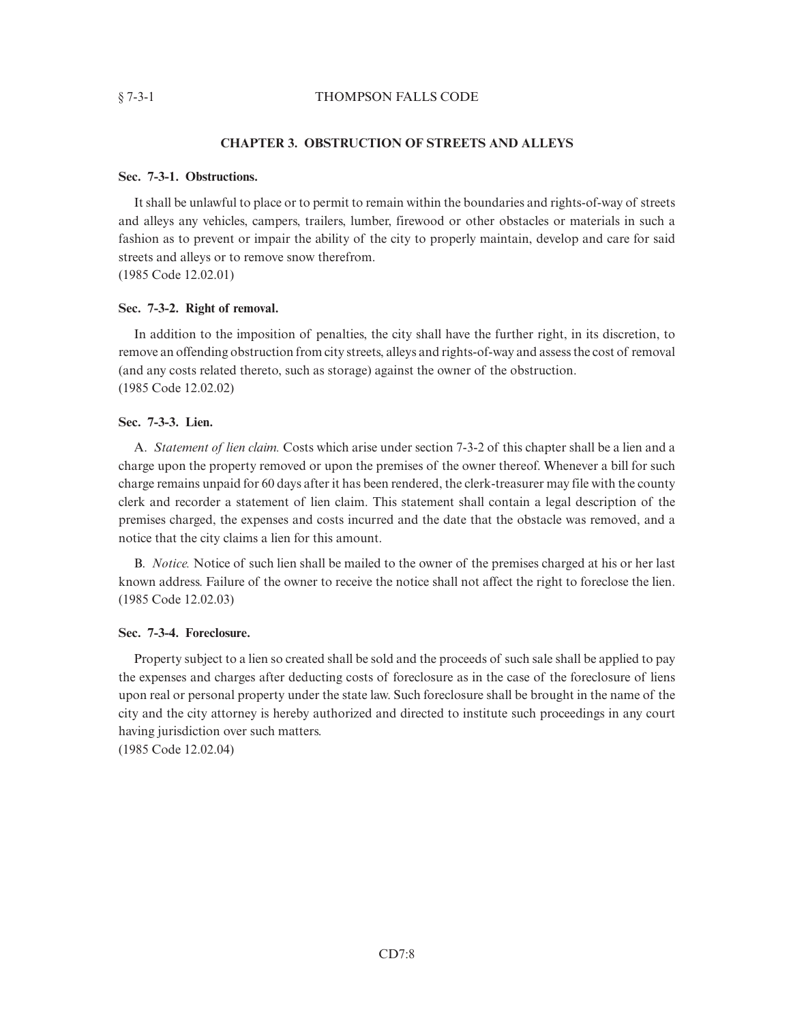# § 7-3-1 THOMPSON FALLS CODE

# **CHAPTER 3. OBSTRUCTION OF STREETS AND ALLEYS**

## **Sec. 7-3-1. Obstructions.**

It shall be unlawful to place or to permit to remain within the boundaries and rights-of-way of streets and alleys any vehicles, campers, trailers, lumber, firewood or other obstacles or materials in such a fashion as to prevent or impair the ability of the city to properly maintain, develop and care for said streets and alleys or to remove snow therefrom. (1985 Code 12.02.01)

## **Sec. 7-3-2. Right of removal.**

In addition to the imposition of penalties, the city shall have the further right, in its discretion, to remove an offending obstruction from city streets, alleys and rights-of-way and assess the cost of removal (and any costs related thereto, such as storage) against the owner of the obstruction. (1985 Code 12.02.02)

# **Sec. 7-3-3. Lien.**

A. *Statement of lien claim.* Costs which arise under section 7-3-2 of this chapter shall be a lien and a charge upon the property removed or upon the premises of the owner thereof. Whenever a bill for such charge remains unpaid for 60 days after it has been rendered, the clerk-treasurer may file with the county clerk and recorder a statement of lien claim. This statement shall contain a legal description of the premises charged, the expenses and costs incurred and the date that the obstacle was removed, and a notice that the city claims a lien for this amount.

B. *Notice.* Notice of such lien shall be mailed to the owner of the premises charged at his or her last known address. Failure of the owner to receive the notice shall not affect the right to foreclose the lien. (1985 Code 12.02.03)

# **Sec. 7-3-4. Foreclosure.**

Property subject to a lien so created shall be sold and the proceeds of such sale shall be applied to pay the expenses and charges after deducting costs of foreclosure as in the case of the foreclosure of liens upon real or personal property under the state law. Such foreclosure shall be brought in the name of the city and the city attorney is hereby authorized and directed to institute such proceedings in any court having jurisdiction over such matters.

(1985 Code 12.02.04)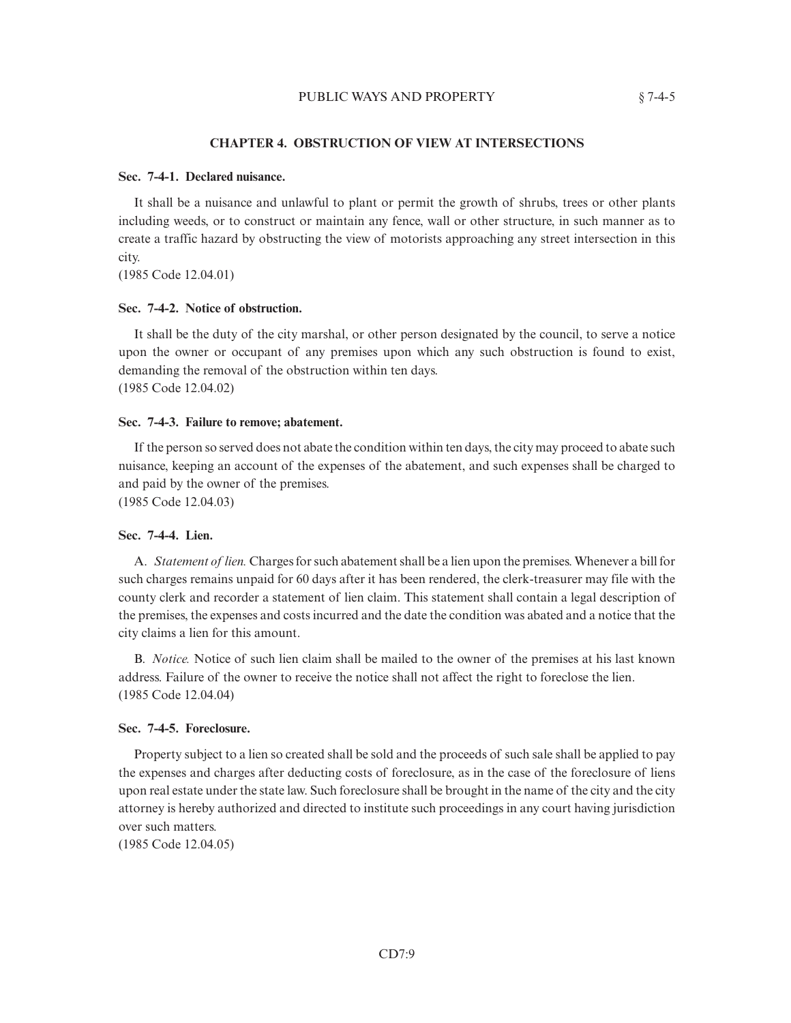## **CHAPTER 4. OBSTRUCTION OF VIEW AT INTERSECTIONS**

## **Sec. 7-4-1. Declared nuisance.**

It shall be a nuisance and unlawful to plant or permit the growth of shrubs, trees or other plants including weeds, or to construct or maintain any fence, wall or other structure, in such manner as to create a traffic hazard by obstructing the view of motorists approaching any street intersection in this city.

(1985 Code 12.04.01)

## **Sec. 7-4-2. Notice of obstruction.**

It shall be the duty of the city marshal, or other person designated by the council, to serve a notice upon the owner or occupant of any premises upon which any such obstruction is found to exist, demanding the removal of the obstruction within ten days. (1985 Code 12.04.02)

#### **Sec. 7-4-3. Failure to remove; abatement.**

If the person so served does not abate the condition within ten days, the city may proceed to abate such nuisance, keeping an account of the expenses of the abatement, and such expenses shall be charged to and paid by the owner of the premises.

(1985 Code 12.04.03)

## **Sec. 7-4-4. Lien.**

A. *Statement of lien.* Charges for such abatement shall be a lien upon the premises. Whenever a bill for such charges remains unpaid for 60 days after it has been rendered, the clerk-treasurer may file with the county clerk and recorder a statement of lien claim. This statement shall contain a legal description of the premises, the expenses and costs incurred and the date the condition was abated and a notice that the city claims a lien for this amount.

B. *Notice.* Notice of such lien claim shall be mailed to the owner of the premises at his last known address. Failure of the owner to receive the notice shall not affect the right to foreclose the lien. (1985 Code 12.04.04)

## **Sec. 7-4-5. Foreclosure.**

Property subject to a lien so created shall be sold and the proceeds of such sale shall be applied to pay the expenses and charges after deducting costs of foreclosure, as in the case of the foreclosure of liens upon real estate under the state law. Such foreclosure shall be brought in the name of the city and the city attorney is hereby authorized and directed to institute such proceedings in any court having jurisdiction over such matters.

(1985 Code 12.04.05)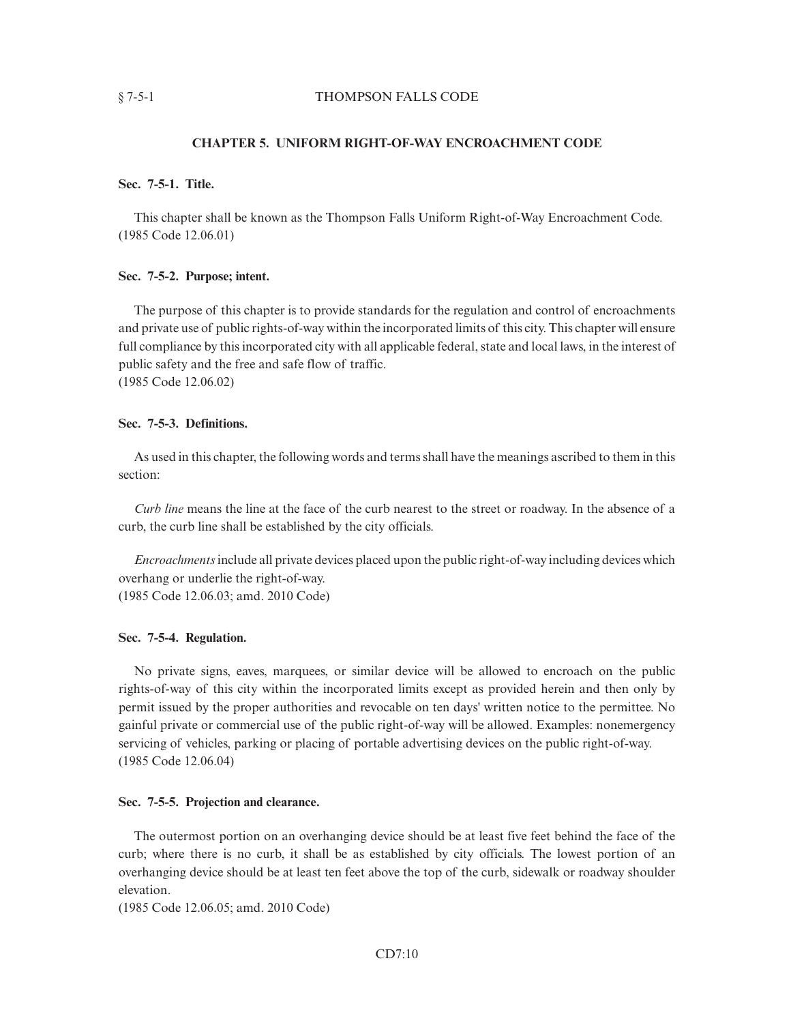# § 7-5-1 THOMPSON FALLS CODE

## **CHAPTER 5. UNIFORM RIGHT-OF-WAY ENCROACHMENT CODE**

# **Sec. 7-5-1. Title.**

This chapter shall be known as the Thompson Falls Uniform Right-of-Way Encroachment Code. (1985 Code 12.06.01)

## **Sec. 7-5-2. Purpose; intent.**

The purpose of this chapter is to provide standards for the regulation and control of encroachments and private use of public rights-of-way within the incorporated limits of this city. This chapter will ensure full compliance by this incorporated city with all applicable federal, state and local laws, in the interest of public safety and the free and safe flow of traffic. (1985 Code 12.06.02)

## **Sec. 7-5-3. Definitions.**

As used in this chapter, the following words and terms shall have the meanings ascribed to them in this section:

*Curb line* means the line at the face of the curb nearest to the street or roadway. In the absence of a curb, the curb line shall be established by the city officials.

*Encroachments*include all private devices placed upon the public right-of-way including devices which overhang or underlie the right-of-way. (1985 Code 12.06.03; amd. 2010 Code)

# **Sec. 7-5-4. Regulation.**

No private signs, eaves, marquees, or similar device will be allowed to encroach on the public rights-of-way of this city within the incorporated limits except as provided herein and then only by permit issued by the proper authorities and revocable on ten days' written notice to the permittee. No gainful private or commercial use of the public right-of-way will be allowed. Examples: nonemergency servicing of vehicles, parking or placing of portable advertising devices on the public right-of-way. (1985 Code 12.06.04)

## **Sec. 7-5-5. Projection and clearance.**

The outermost portion on an overhanging device should be at least five feet behind the face of the curb; where there is no curb, it shall be as established by city officials. The lowest portion of an overhanging device should be at least ten feet above the top of the curb, sidewalk or roadway shoulder elevation.

(1985 Code 12.06.05; amd. 2010 Code)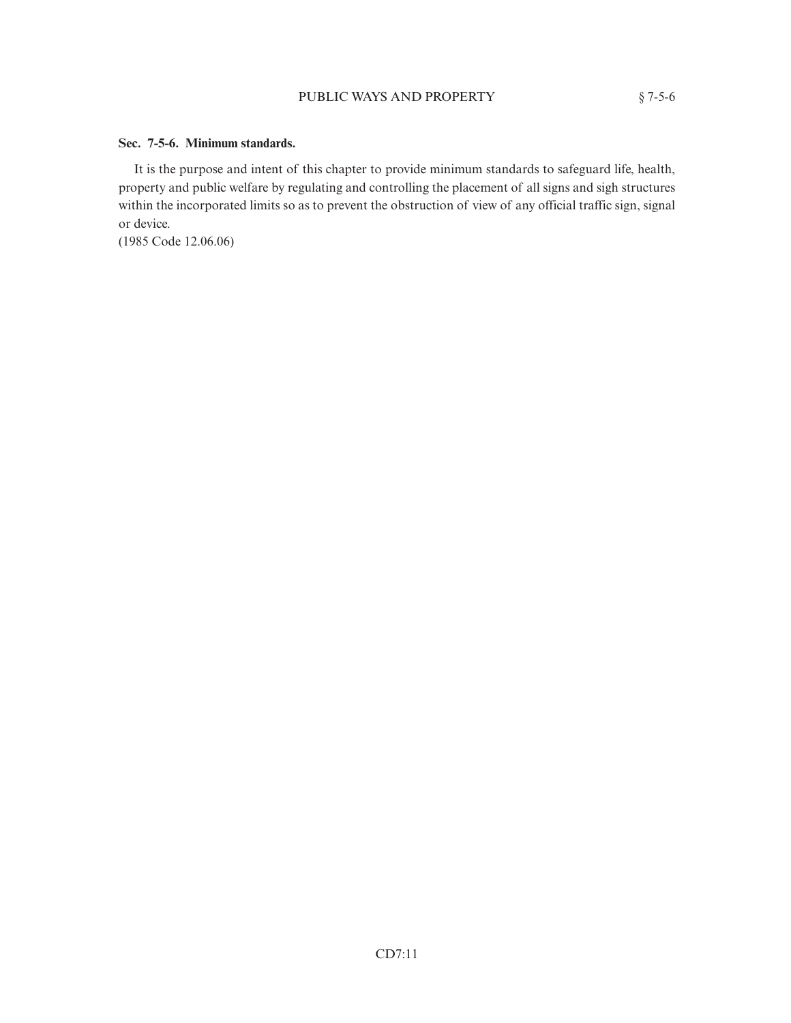# **Sec. 7-5-6. Minimum standards.**

It is the purpose and intent of this chapter to provide minimum standards to safeguard life, health, property and public welfare by regulating and controlling the placement of all signs and sigh structures within the incorporated limits so as to prevent the obstruction of view of any official traffic sign, signal or device.

(1985 Code 12.06.06)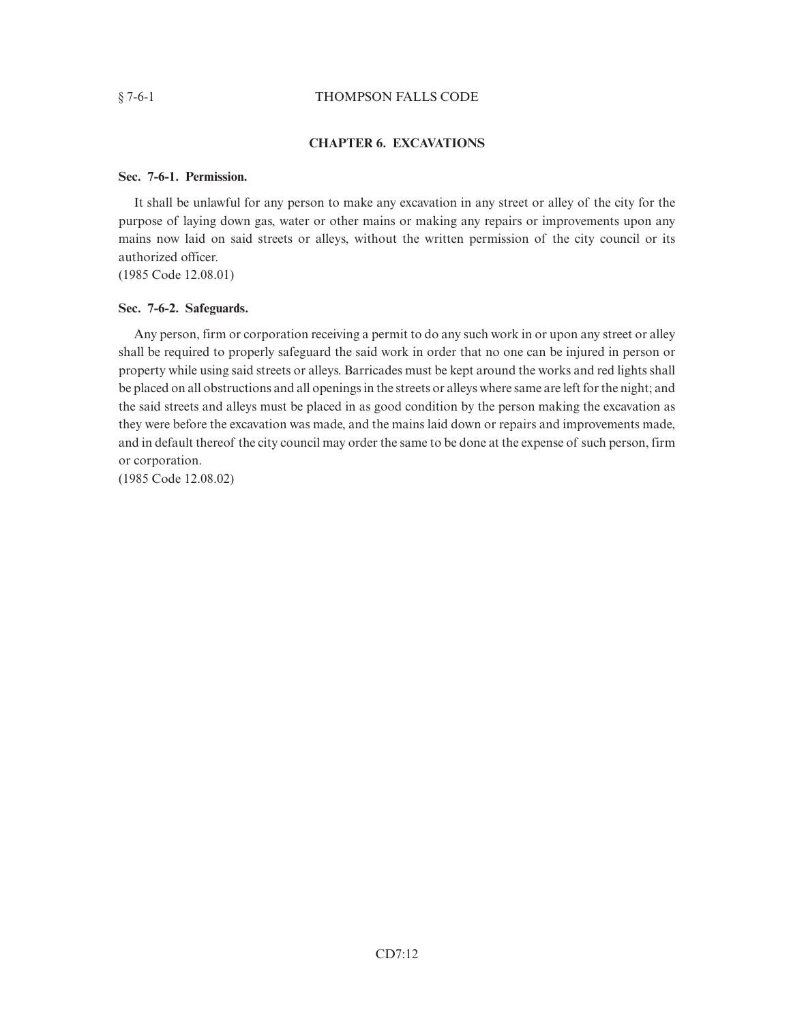## § 7-6-1 THOMPSON FALLS CODE

# **CHAPTER 6. EXCAVATIONS**

## **Sec. 7-6-1. Permission.**

It shall be unlawful for any person to make any excavation in any street or alley of the city for the purpose of laying down gas, water or other mains or making any repairs or improvements upon any mains now laid on said streets or alleys, without the written permission of the city council or its authorized officer.

(1985 Code 12.08.01)

## **Sec. 7-6-2. Safeguards.**

Any person, firm or corporation receiving a permit to do any such work in or upon any street or alley shall be required to properly safeguard the said work in order that no one can be injured in person or property while using said streets or alleys. Barricades must be kept around the works and red lights shall be placed on all obstructions and all openings in the streets or alleys where same are left for the night; and the said streets and alleys must be placed in as good condition by the person making the excavation as they were before the excavation was made, and the mains laid down or repairs and improvements made, and in default thereof the city council may order the same to be done at the expense of such person, firm or corporation.

(1985 Code 12.08.02)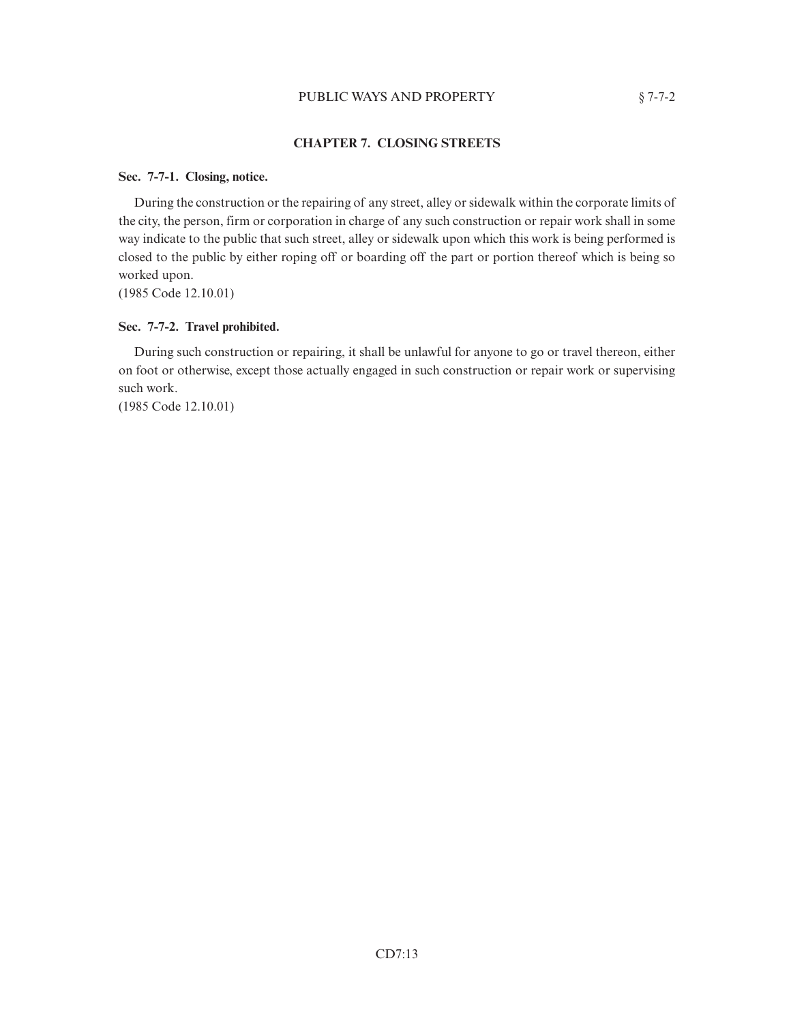# PUBLIC WAYS AND PROPERTY  $§ 7-7-2$

# **CHAPTER 7. CLOSING STREETS**

# **Sec. 7-7-1. Closing, notice.**

During the construction or the repairing of any street, alley or sidewalk within the corporate limits of the city, the person, firm or corporation in charge of any such construction or repair work shall in some way indicate to the public that such street, alley or sidewalk upon which this work is being performed is closed to the public by either roping off or boarding off the part or portion thereof which is being so worked upon.

(1985 Code 12.10.01)

# **Sec. 7-7-2. Travel prohibited.**

During such construction or repairing, it shall be unlawful for anyone to go or travel thereon, either on foot or otherwise, except those actually engaged in such construction or repair work or supervising such work.

(1985 Code 12.10.01)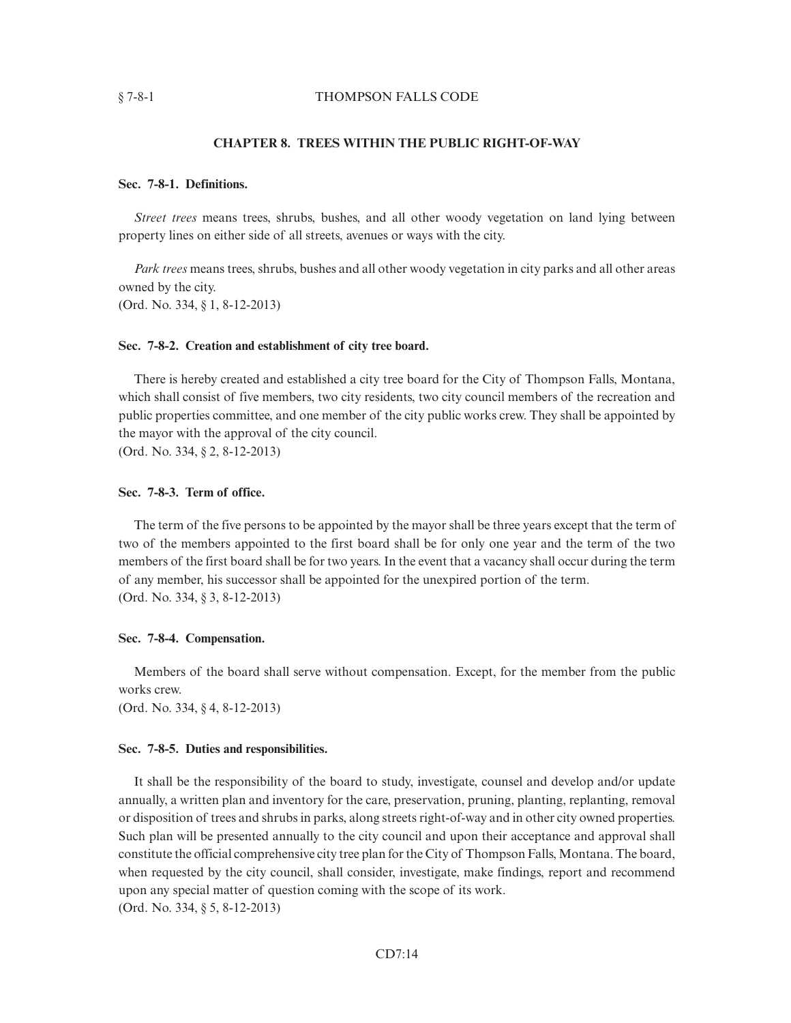#### § 7-8-1 THOMPSON FALLS CODE

## **CHAPTER 8. TREES WITHIN THE PUBLIC RIGHT-OF-WAY**

## **Sec. 7-8-1. Definitions.**

*Street trees* means trees, shrubs, bushes, and all other woody vegetation on land lying between property lines on either side of all streets, avenues or ways with the city.

*Park trees* means trees, shrubs, bushes and all other woody vegetation in city parks and all other areas owned by the city.

(Ord. No. 334, § 1, 8-12-2013)

# **Sec. 7-8-2. Creation and establishment of city tree board.**

There is hereby created and established a city tree board for the City of Thompson Falls, Montana, which shall consist of five members, two city residents, two city council members of the recreation and public properties committee, and one member of the city public works crew. They shall be appointed by the mayor with the approval of the city council. (Ord. No. 334, § 2, 8-12-2013)

## **Sec. 7-8-3. Term of office.**

The term of the five persons to be appointed by the mayor shall be three years except that the term of two of the members appointed to the first board shall be for only one year and the term of the two members of the first board shall be for two years. In the event that a vacancy shall occur during the term of any member, his successor shall be appointed for the unexpired portion of the term. (Ord. No. 334, § 3, 8-12-2013)

#### **Sec. 7-8-4. Compensation.**

Members of the board shall serve without compensation. Except, for the member from the public works crew.

(Ord. No. 334, § 4, 8-12-2013)

## **Sec. 7-8-5. Duties and responsibilities.**

It shall be the responsibility of the board to study, investigate, counsel and develop and/or update annually, a written plan and inventory for the care, preservation, pruning, planting, replanting, removal or disposition of trees and shrubs in parks, along streets right-of-way and in other city owned properties. Such plan will be presented annually to the city council and upon their acceptance and approval shall constitute the official comprehensive city tree plan for the City of Thompson Falls, Montana. The board, when requested by the city council, shall consider, investigate, make findings, report and recommend upon any special matter of question coming with the scope of its work. (Ord. No. 334, § 5, 8-12-2013)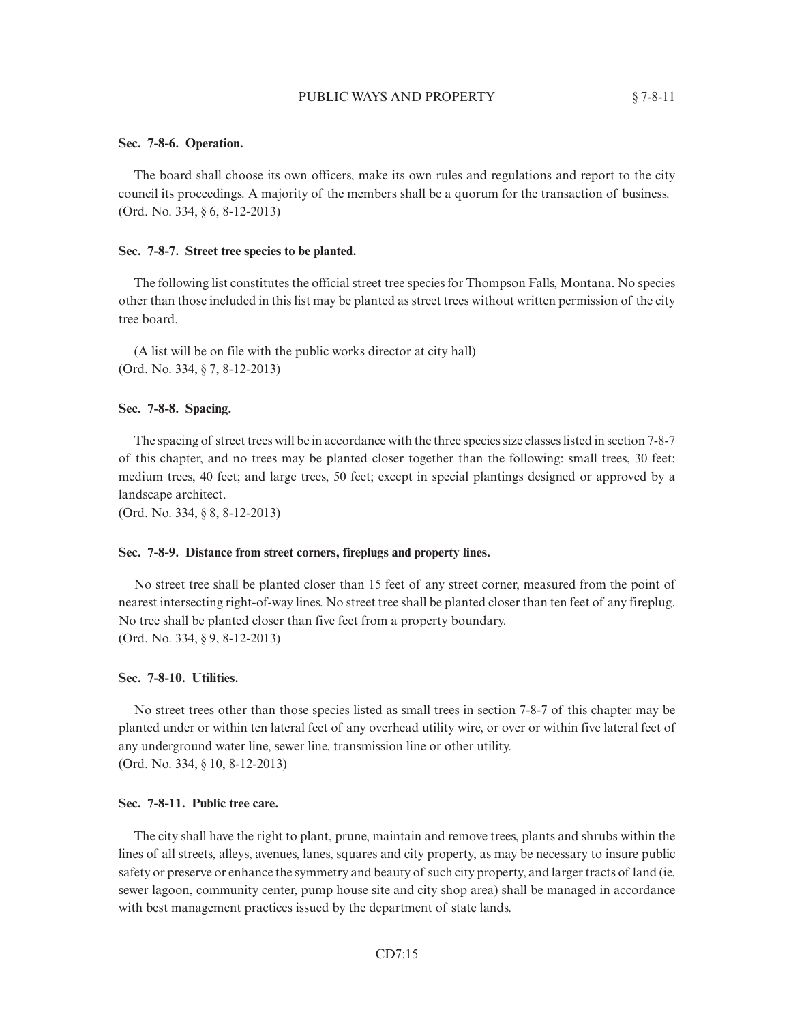## PUBLIC WAYS AND PROPERTY  $§ 7-8-11$

#### **Sec. 7-8-6. Operation.**

The board shall choose its own officers, make its own rules and regulations and report to the city council its proceedings. A majority of the members shall be a quorum for the transaction of business. (Ord. No. 334, § 6, 8-12-2013)

#### **Sec. 7-8-7. Street tree species to be planted.**

The following list constitutes the official street tree species for Thompson Falls, Montana. No species other than those included in this list may be planted as street trees without written permission of the city tree board.

(A list will be on file with the public works director at city hall) (Ord. No. 334, § 7, 8-12-2013)

## **Sec. 7-8-8. Spacing.**

The spacing of street trees will be in accordance with the three species size classes listed in section 7-8-7 of this chapter, and no trees may be planted closer together than the following: small trees, 30 feet; medium trees, 40 feet; and large trees, 50 feet; except in special plantings designed or approved by a landscape architect.

(Ord. No. 334, § 8, 8-12-2013)

## **Sec. 7-8-9. Distance from street corners, fireplugs and property lines.**

No street tree shall be planted closer than 15 feet of any street corner, measured from the point of nearest intersecting right-of-way lines. No street tree shall be planted closer than ten feet of any fireplug. No tree shall be planted closer than five feet from a property boundary. (Ord. No. 334, § 9, 8-12-2013)

## **Sec. 7-8-10. Utilities.**

No street trees other than those species listed as small trees in section 7-8-7 of this chapter may be planted under or within ten lateral feet of any overhead utility wire, or over or within five lateral feet of any underground water line, sewer line, transmission line or other utility. (Ord. No. 334, § 10, 8-12-2013)

## **Sec. 7-8-11. Public tree care.**

The city shall have the right to plant, prune, maintain and remove trees, plants and shrubs within the lines of all streets, alleys, avenues, lanes, squares and city property, as may be necessary to insure public safety or preserve or enhance the symmetry and beauty of such city property, and larger tracts of land (ie. sewer lagoon, community center, pump house site and city shop area) shall be managed in accordance with best management practices issued by the department of state lands.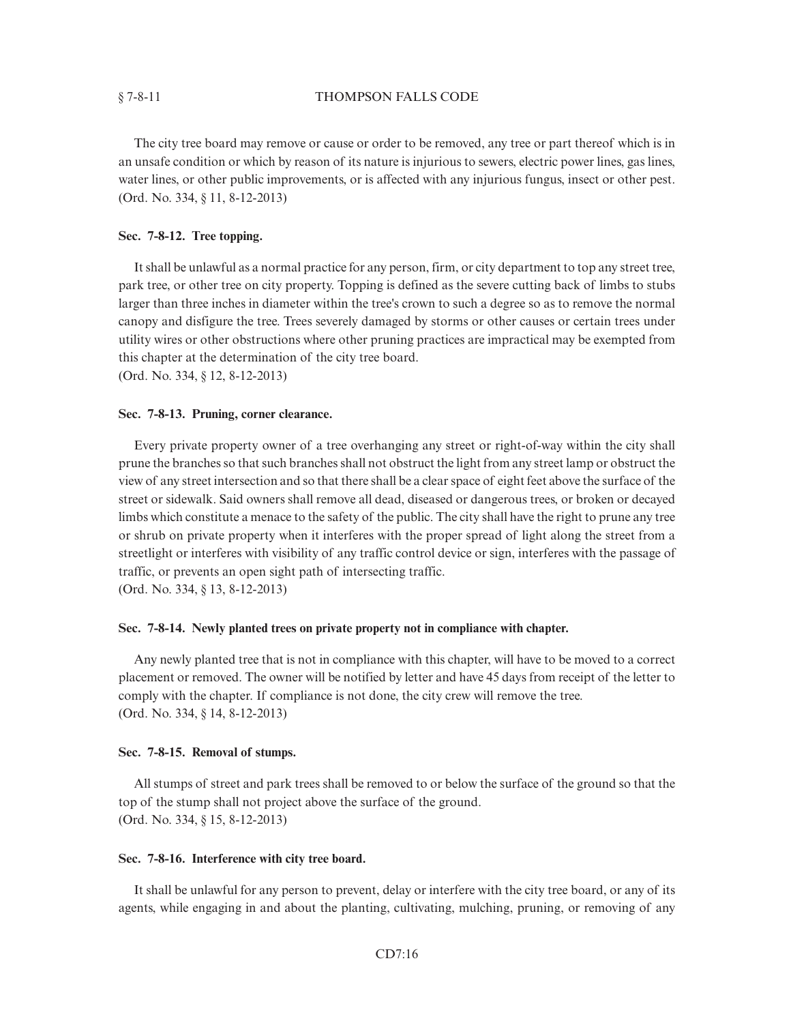## § 7-8-11 THOMPSON FALLS CODE

The city tree board may remove or cause or order to be removed, any tree or part thereof which is in an unsafe condition or which by reason of its nature is injurious to sewers, electric power lines, gas lines, water lines, or other public improvements, or is affected with any injurious fungus, insect or other pest. (Ord. No. 334, § 11, 8-12-2013)

## **Sec. 7-8-12. Tree topping.**

It shall be unlawful as a normal practice for any person, firm, or city department to top any street tree, park tree, or other tree on city property. Topping is defined as the severe cutting back of limbs to stubs larger than three inches in diameter within the tree's crown to such a degree so as to remove the normal canopy and disfigure the tree. Trees severely damaged by storms or other causes or certain trees under utility wires or other obstructions where other pruning practices are impractical may be exempted from this chapter at the determination of the city tree board.

(Ord. No. 334, § 12, 8-12-2013)

#### **Sec. 7-8-13. Pruning, corner clearance.**

Every private property owner of a tree overhanging any street or right-of-way within the city shall prune the branches so that such branches shall not obstruct the light from any street lamp or obstruct the view of any street intersection and so that there shall be a clear space of eight feet above the surface of the street or sidewalk. Said owners shall remove all dead, diseased or dangerous trees, or broken or decayed limbs which constitute a menace to the safety of the public. The city shall have the right to prune any tree or shrub on private property when it interferes with the proper spread of light along the street from a streetlight or interferes with visibility of any traffic control device or sign, interferes with the passage of traffic, or prevents an open sight path of intersecting traffic.

(Ord. No. 334, § 13, 8-12-2013)

## **Sec. 7-8-14. Newly planted trees on private property not in compliance with chapter.**

Any newly planted tree that is not in compliance with this chapter, will have to be moved to a correct placement or removed. The owner will be notified by letter and have 45 days from receipt of the letter to comply with the chapter. If compliance is not done, the city crew will remove the tree. (Ord. No. 334, § 14, 8-12-2013)

#### **Sec. 7-8-15. Removal of stumps.**

All stumps of street and park trees shall be removed to or below the surface of the ground so that the top of the stump shall not project above the surface of the ground. (Ord. No. 334, § 15, 8-12-2013)

#### **Sec. 7-8-16. Interference with city tree board.**

It shall be unlawful for any person to prevent, delay or interfere with the city tree board, or any of its agents, while engaging in and about the planting, cultivating, mulching, pruning, or removing of any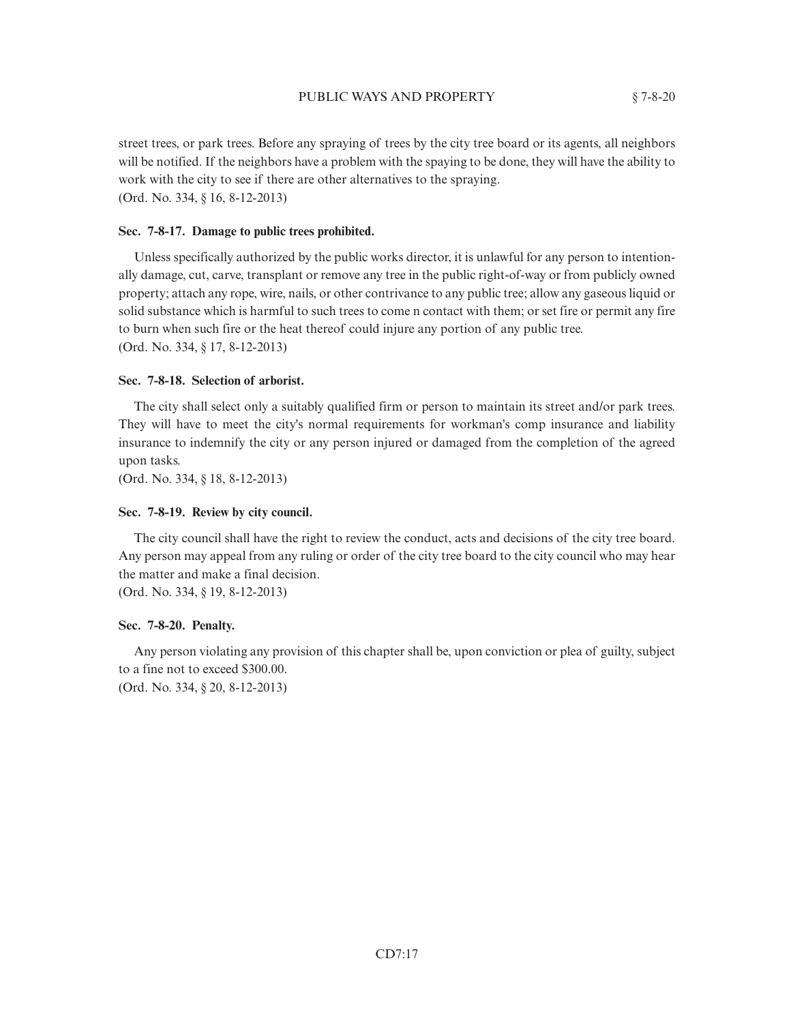street trees, or park trees. Before any spraying of trees by the city tree board or its agents, all neighbors will be notified. If the neighbors have a problem with the spaying to be done, they will have the ability to work with the city to see if there are other alternatives to the spraying. (Ord. No. 334, § 16, 8-12-2013)

#### **Sec. 7-8-17. Damage to public trees prohibited.**

Unless specifically authorized by the public works director, it is unlawful for any person to intentionally damage, cut, carve, transplant or remove any tree in the public right-of-way or from publicly owned property; attach any rope, wire, nails, or other contrivance to any public tree; allow any gaseous liquid or solid substance which is harmful to such trees to come n contact with them; or set fire or permit any fire to burn when such fire or the heat thereof could injure any portion of any public tree. (Ord. No. 334, § 17, 8-12-2013)

#### **Sec. 7-8-18. Selection of arborist.**

The city shall select only a suitably qualified firm or person to maintain its street and/or park trees. They will have to meet the city's normal requirements for workman's comp insurance and liability insurance to indemnify the city or any person injured or damaged from the completion of the agreed upon tasks.

(Ord. No. 334, § 18, 8-12-2013)

#### **Sec. 7-8-19. Review by city council.**

The city council shall have the right to review the conduct, acts and decisions of the city tree board. Any person may appeal from any ruling or order of the city tree board to the city council who may hear the matter and make a final decision.

(Ord. No. 334, § 19, 8-12-2013)

#### **Sec. 7-8-20. Penalty.**

Any person violating any provision of this chapter shall be, upon conviction or plea of guilty, subject to a fine not to exceed \$300.00.

(Ord. No. 334, § 20, 8-12-2013)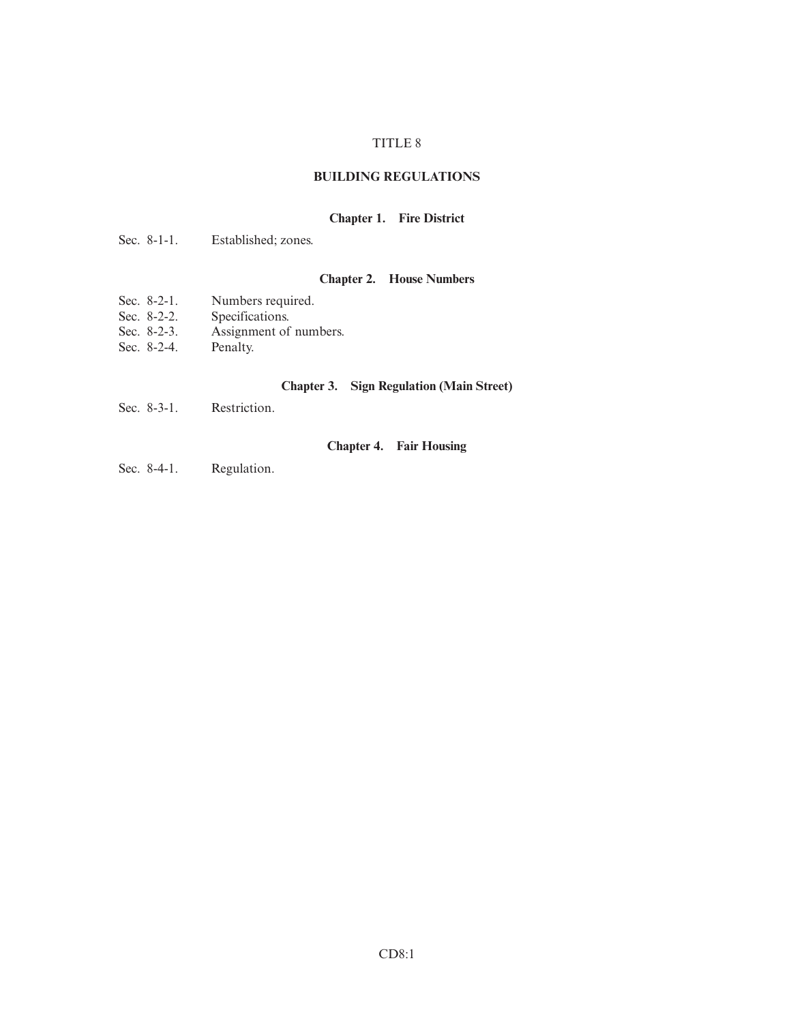## TITLE 8

## **BUILDING REGULATIONS**

## **Chapter 1. Fire District**

|  | Sec. $8-1-1$ . | Established; zones. |
|--|----------------|---------------------|
|--|----------------|---------------------|

# **Chapter 2. House Numbers**

- Sec. 8-2-1. Numbers required.<br>Sec. 8-2-2. Specifications.
- Specifications.
- Sec. 8-2-3. Assignment of numbers.
- Sec. 8-2-4. Penalty.

## **Chapter 3. Sign Regulation (Main Street)**

Sec. 8-3-1. Restriction.

**Chapter 4. Fair Housing**

Sec. 8-4-1. Regulation.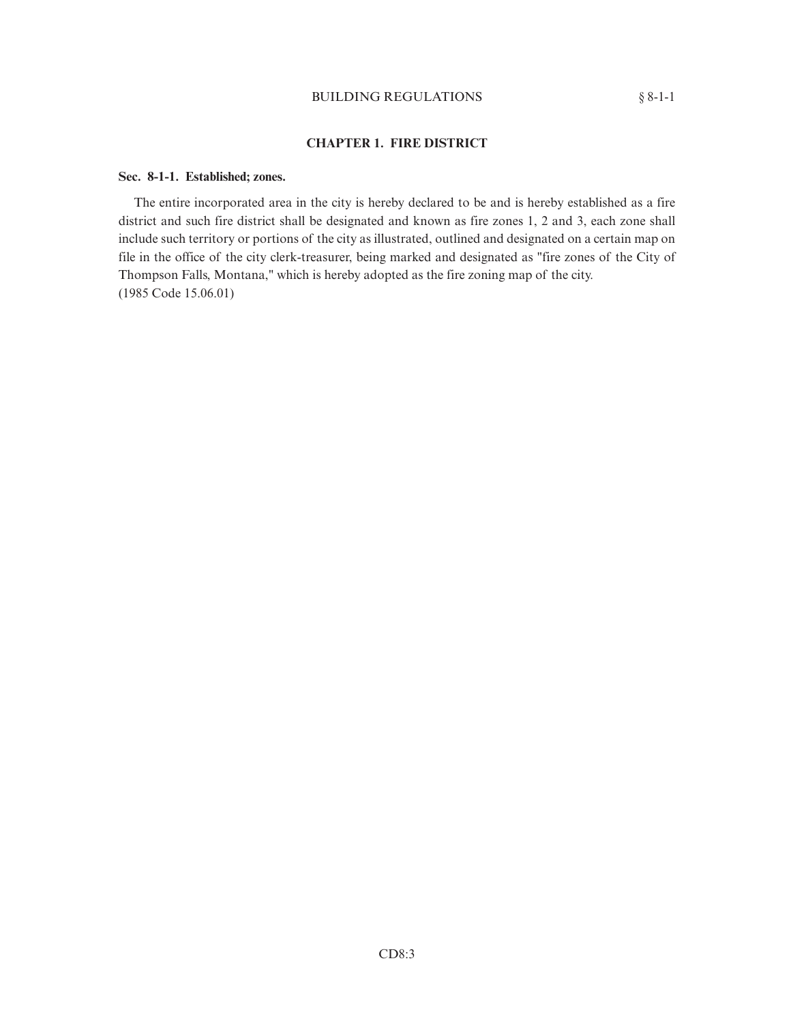## BUILDING REGULATIONS § 8-1-1

## **CHAPTER 1. FIRE DISTRICT**

#### **Sec. 8-1-1. Established; zones.**

The entire incorporated area in the city is hereby declared to be and is hereby established as a fire district and such fire district shall be designated and known as fire zones 1, 2 and 3, each zone shall include such territory or portions of the city as illustrated, outlined and designated on a certain map on file in the office of the city clerk-treasurer, being marked and designated as "fire zones of the City of Thompson Falls, Montana," which is hereby adopted as the fire zoning map of the city. (1985 Code 15.06.01)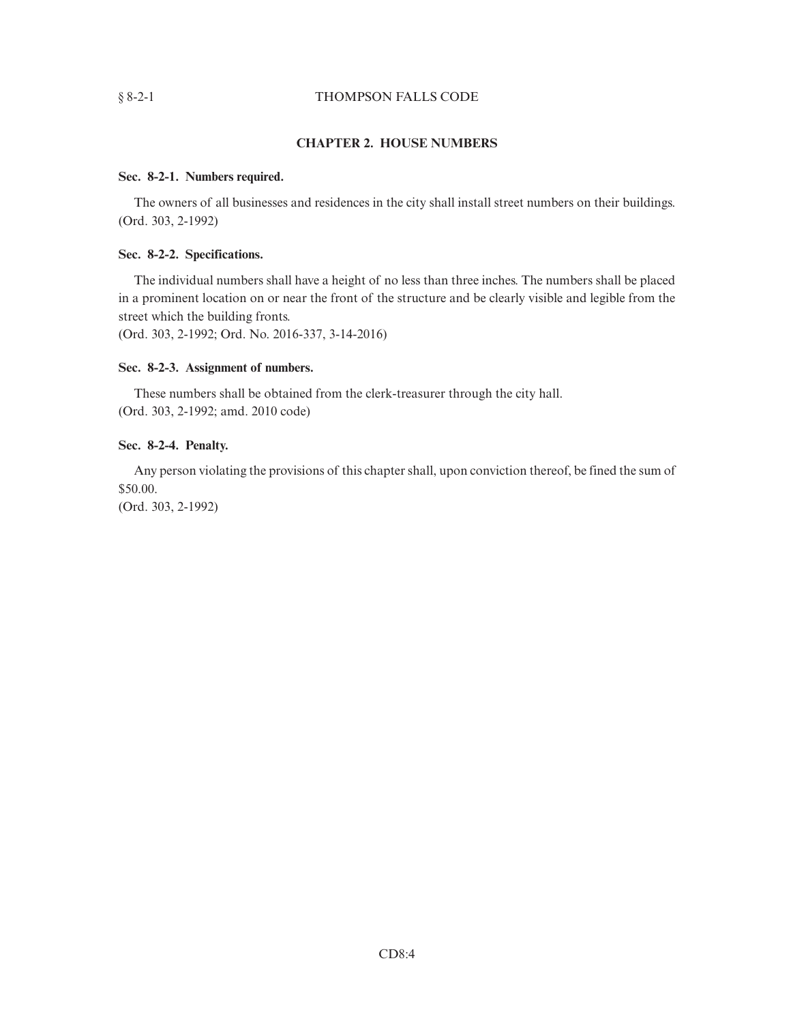## § 8-2-1 THOMPSON FALLS CODE

## **CHAPTER 2. HOUSE NUMBERS**

#### **Sec. 8-2-1. Numbers required.**

The owners of all businesses and residences in the city shall install street numbers on their buildings. (Ord. 303, 2-1992)

## **Sec. 8-2-2. Specifications.**

The individual numbers shall have a height of no less than three inches. The numbers shall be placed in a prominent location on or near the front of the structure and be clearly visible and legible from the street which the building fronts.

(Ord. 303, 2-1992; Ord. No. 2016-337, 3-14-2016)

### **Sec. 8-2-3. Assignment of numbers.**

These numbers shall be obtained from the clerk-treasurer through the city hall. (Ord. 303, 2-1992; amd. 2010 code)

### **Sec. 8-2-4. Penalty.**

Any person violating the provisions of this chapter shall, upon conviction thereof, be fined the sum of \$50.00.

(Ord. 303, 2-1992)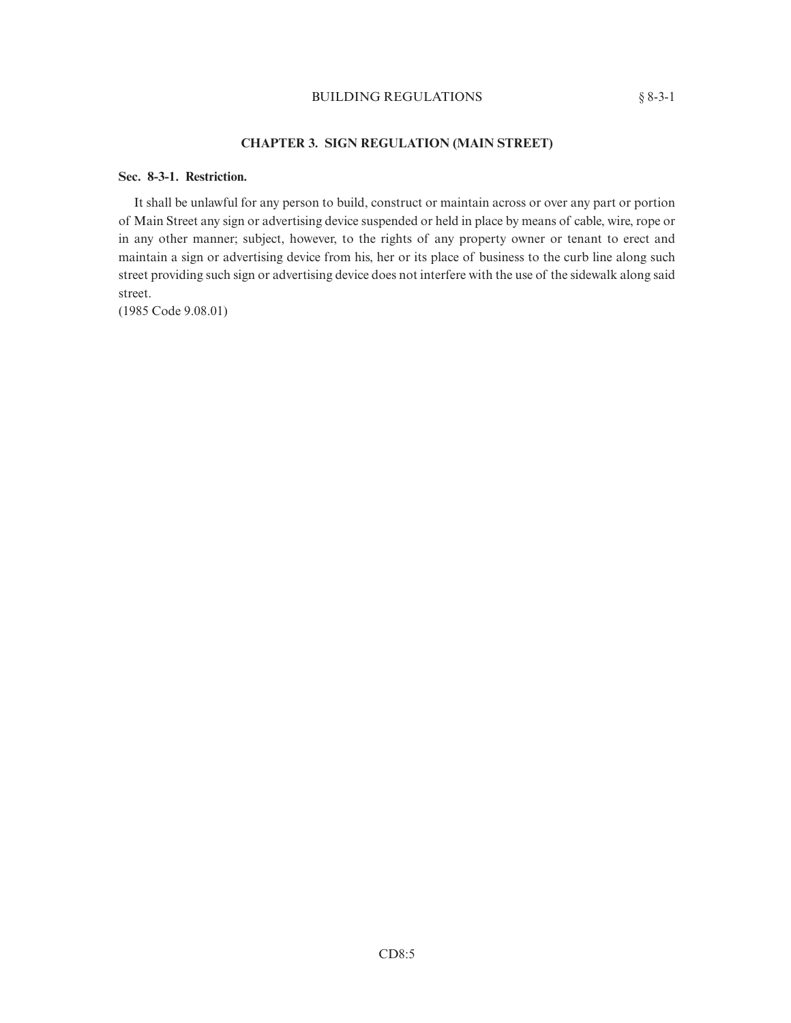## BUILDING REGULATIONS § 8-3-1

## **CHAPTER 3. SIGN REGULATION (MAIN STREET)**

## **Sec. 8-3-1. Restriction.**

It shall be unlawful for any person to build, construct or maintain across or over any part or portion of Main Street any sign or advertising device suspended or held in place by means of cable, wire, rope or in any other manner; subject, however, to the rights of any property owner or tenant to erect and maintain a sign or advertising device from his, her or its place of business to the curb line along such street providing such sign or advertising device does not interfere with the use of the sidewalk along said street.

(1985 Code 9.08.01)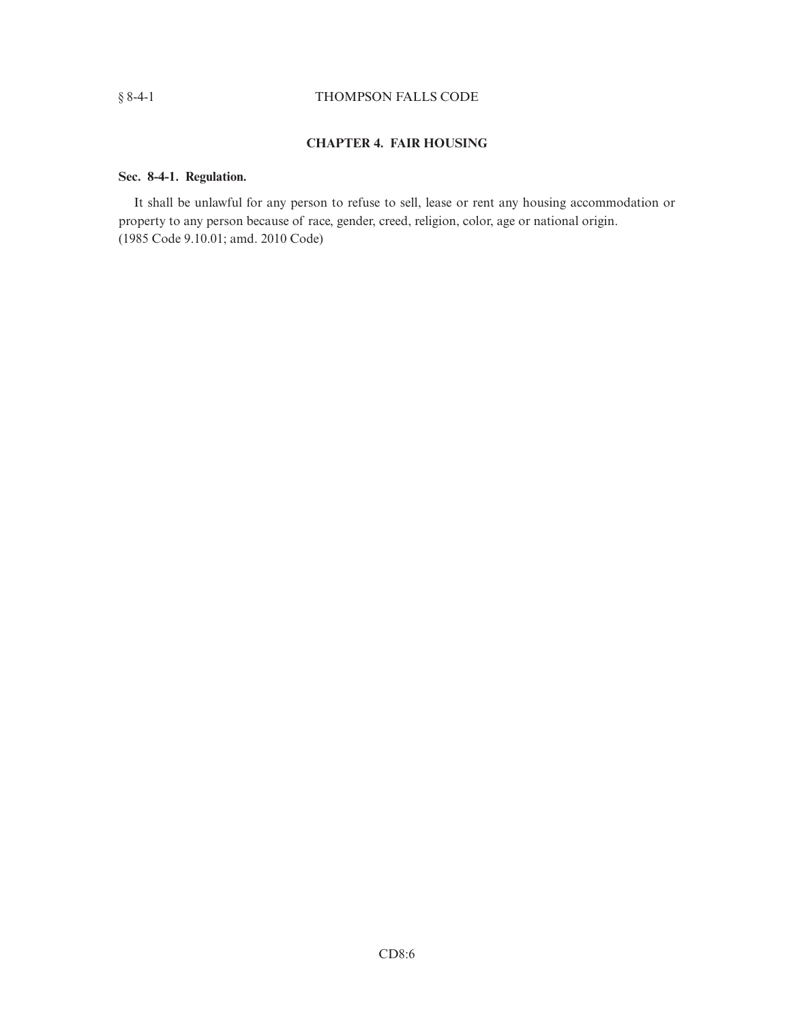## § 8-4-1 THOMPSON FALLS CODE

# **CHAPTER 4. FAIR HOUSING**

## **Sec. 8-4-1. Regulation.**

It shall be unlawful for any person to refuse to sell, lease or rent any housing accommodation or property to any person because of race, gender, creed, religion, color, age or national origin. (1985 Code 9.10.01; amd. 2010 Code)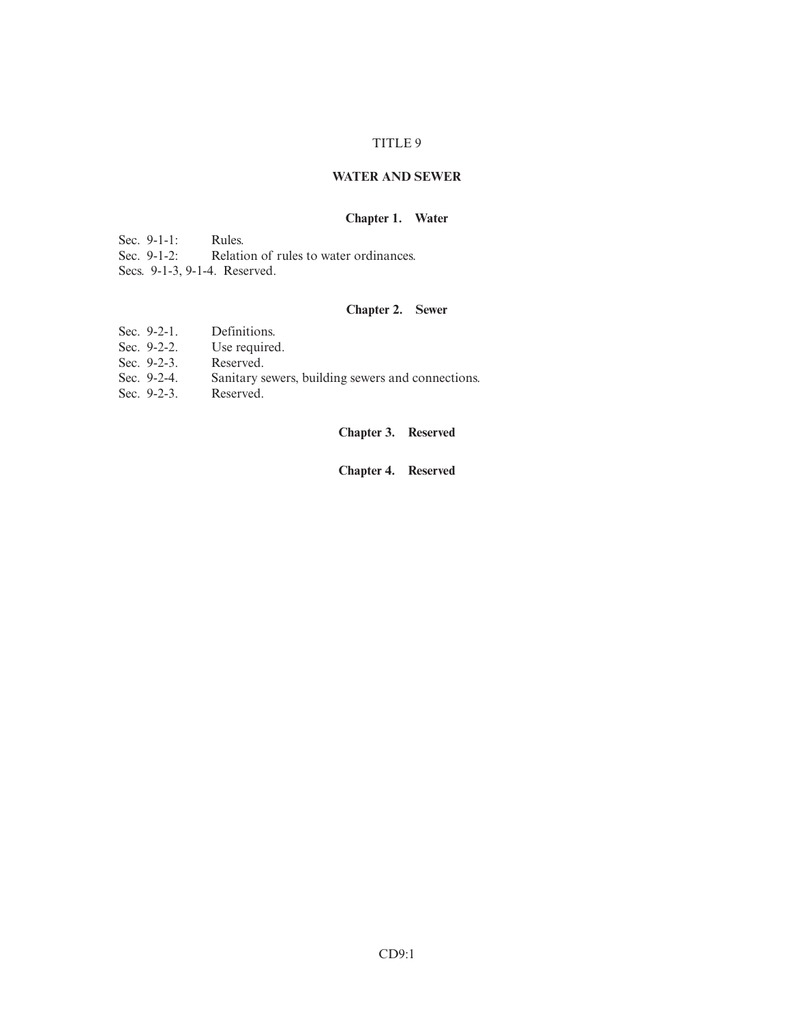## TITLE 9

## **WATER AND SEWER**

## **Chapter 1. Water**

Sec. 9-1-1: Rules.<br>Sec. 9-1-2: Relation

Relation of rules to water ordinances.

Secs. 9-1-3, 9-1-4. Reserved.

## **Chapter 2. Sewer**

- Sec. 9-2-1. Definitions.
- Sec. 9-2-2. Use required.
- Sec. 9-2-3. Reserved.
- Sec. 9-2-4. Sanitary sewers, building sewers and connections.
- Sec. 9-2-3. Reserved.

**Chapter 3. Reserved**

**Chapter 4. Reserved**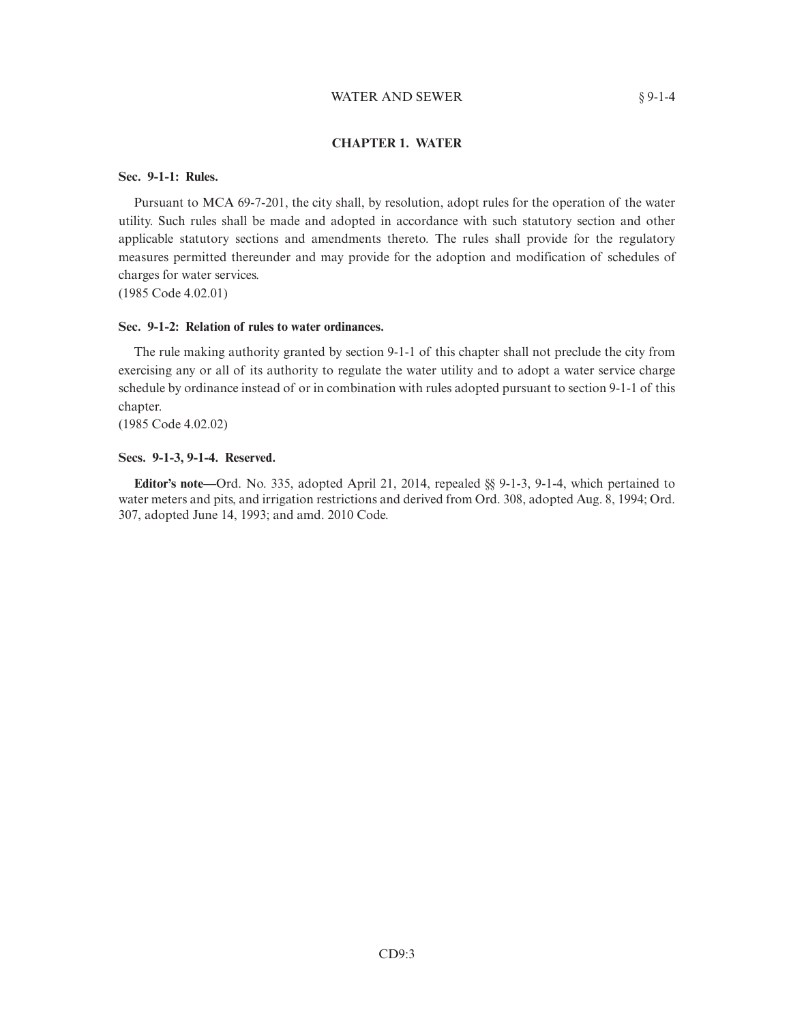#### WATER AND SEWER § 9-1-4

#### **CHAPTER 1. WATER**

#### **Sec. 9-1-1: Rules.**

Pursuant to MCA 69-7-201, the city shall, by resolution, adopt rules for the operation of the water utility. Such rules shall be made and adopted in accordance with such statutory section and other applicable statutory sections and amendments thereto. The rules shall provide for the regulatory measures permitted thereunder and may provide for the adoption and modification of schedules of charges for water services.

(1985 Code 4.02.01)

#### **Sec. 9-1-2: Relation of rules to water ordinances.**

The rule making authority granted by section 9-1-1 of this chapter shall not preclude the city from exercising any or all of its authority to regulate the water utility and to adopt a water service charge schedule by ordinance instead of or in combination with rules adopted pursuant to section 9-1-1 of this chapter.

(1985 Code 4.02.02)

#### **Secs. 9-1-3, 9-1-4. Reserved.**

**Editor's note—**Ord. No. 335, adopted April 21, 2014, repealed §§ 9-1-3, 9-1-4, which pertained to water meters and pits, and irrigation restrictions and derived from Ord. 308, adopted Aug. 8, 1994; Ord. 307, adopted June 14, 1993; and amd. 2010 Code.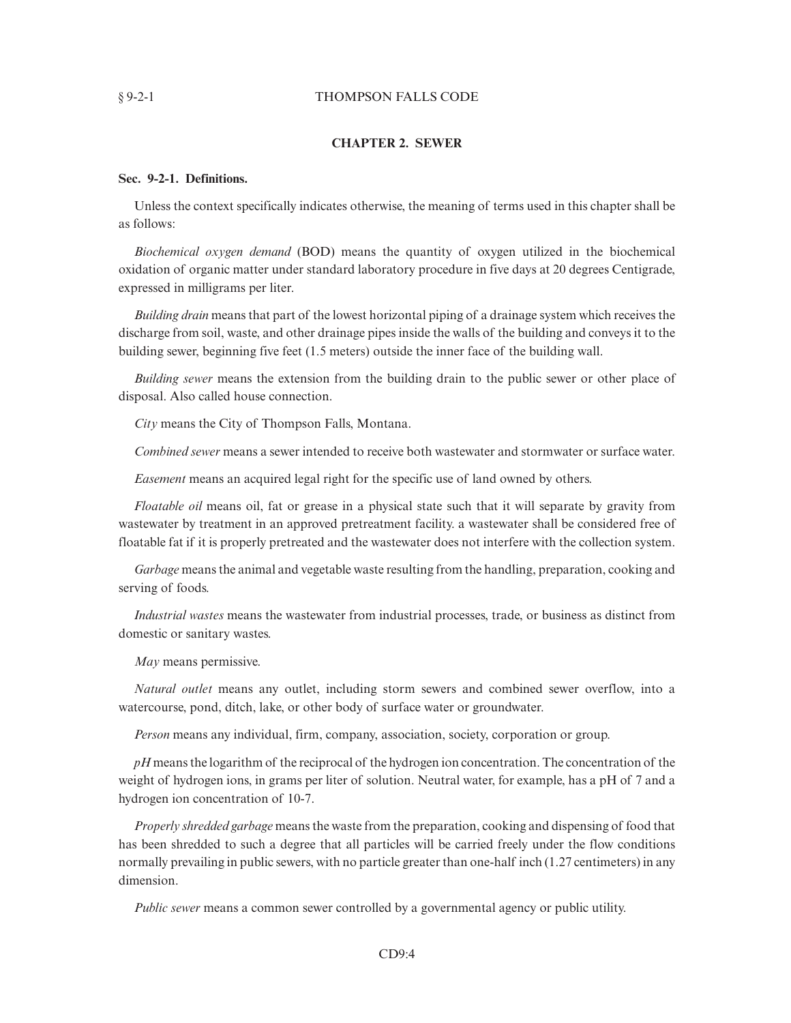#### § 9-2-1 THOMPSON FALLS CODE

#### **CHAPTER 2. SEWER**

#### **Sec. 9-2-1. Definitions.**

Unless the context specifically indicates otherwise, the meaning of terms used in this chapter shall be as follows:

*Biochemical oxygen demand* (BOD) means the quantity of oxygen utilized in the biochemical oxidation of organic matter under standard laboratory procedure in five days at 20 degrees Centigrade, expressed in milligrams per liter.

*Building drain* means that part of the lowest horizontal piping of a drainage system which receives the discharge from soil, waste, and other drainage pipes inside the walls of the building and conveys it to the building sewer, beginning five feet (1.5 meters) outside the inner face of the building wall.

*Building sewer* means the extension from the building drain to the public sewer or other place of disposal. Also called house connection.

*City* means the City of Thompson Falls, Montana.

*Combined sewer* means a sewer intended to receive both wastewater and stormwater or surface water.

*Easement* means an acquired legal right for the specific use of land owned by others.

*Floatable oil* means oil, fat or grease in a physical state such that it will separate by gravity from wastewater by treatment in an approved pretreatment facility. a wastewater shall be considered free of floatable fat if it is properly pretreated and the wastewater does not interfere with the collection system.

*Garbage* means the animal and vegetable waste resulting from the handling, preparation, cooking and serving of foods.

*Industrial wastes* means the wastewater from industrial processes, trade, or business as distinct from domestic or sanitary wastes.

*May* means permissive.

*Natural outlet* means any outlet, including storm sewers and combined sewer overflow, into a watercourse, pond, ditch, lake, or other body of surface water or groundwater.

*Person* means any individual, firm, company, association, society, corporation or group.

*pH* means the logarithm of the reciprocal of the hydrogen ion concentration. The concentration of the weight of hydrogen ions, in grams per liter of solution. Neutral water, for example, has a pH of 7 and a hydrogen ion concentration of 10-7.

*Properly shredded garbage* means the waste from the preparation, cooking and dispensing of food that has been shredded to such a degree that all particles will be carried freely under the flow conditions normally prevailing in public sewers, with no particle greater than one-half inch (1.27 centimeters) in any dimension.

*Public sewer* means a common sewer controlled by a governmental agency or public utility.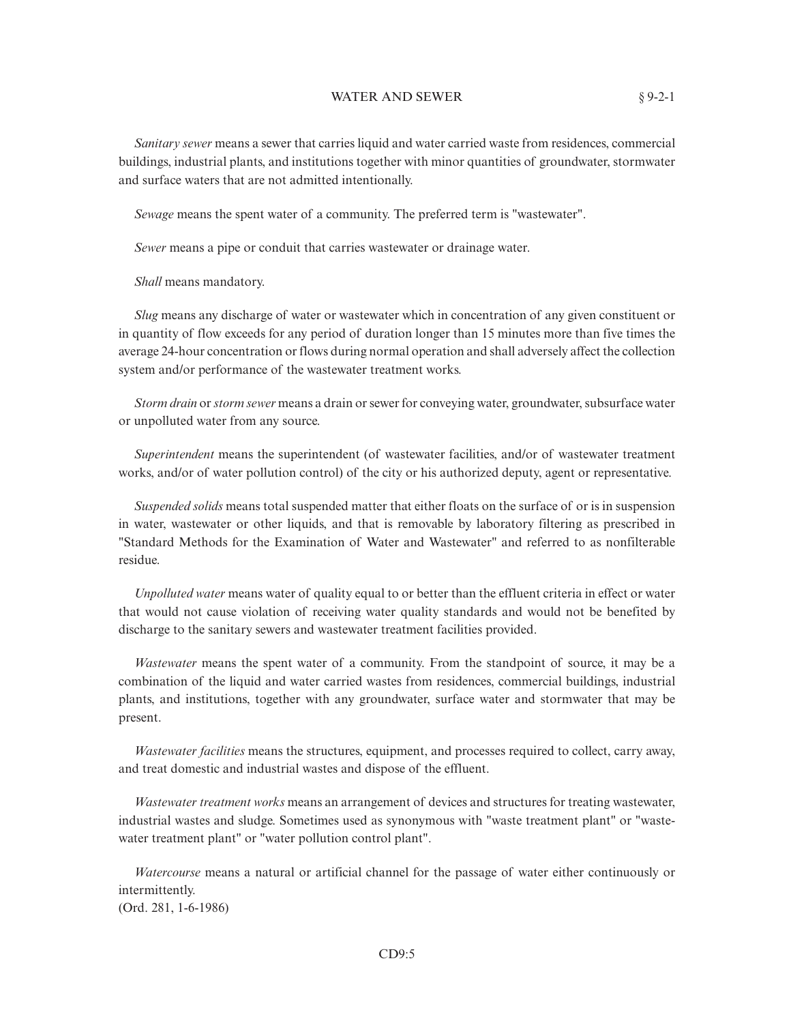#### WATER AND SEWER § 9-2-1

*Sanitary sewer* means a sewer that carries liquid and water carried waste from residences, commercial buildings, industrial plants, and institutions together with minor quantities of groundwater, stormwater and surface waters that are not admitted intentionally.

*Sewage* means the spent water of a community. The preferred term is "wastewater".

*Sewer* means a pipe or conduit that carries wastewater or drainage water.

*Shall* means mandatory.

*Slug* means any discharge of water or wastewater which in concentration of any given constituent or in quantity of flow exceeds for any period of duration longer than 15 minutes more than five times the average 24-hour concentration or flows during normal operation and shall adversely affect the collection system and/or performance of the wastewater treatment works.

*Storm drain* or*storm sewer* means a drain or sewer for conveying water, groundwater, subsurface water or unpolluted water from any source.

*Superintendent* means the superintendent (of wastewater facilities, and/or of wastewater treatment works, and/or of water pollution control) of the city or his authorized deputy, agent or representative.

*Suspended solids* means total suspended matter that either floats on the surface of or is in suspension in water, wastewater or other liquids, and that is removable by laboratory filtering as prescribed in "Standard Methods for the Examination of Water and Wastewater" and referred to as nonfilterable residue.

*Unpolluted water* means water of quality equal to or better than the effluent criteria in effect or water that would not cause violation of receiving water quality standards and would not be benefited by discharge to the sanitary sewers and wastewater treatment facilities provided.

*Wastewater* means the spent water of a community. From the standpoint of source, it may be a combination of the liquid and water carried wastes from residences, commercial buildings, industrial plants, and institutions, together with any groundwater, surface water and stormwater that may be present.

*Wastewater facilities* means the structures, equipment, and processes required to collect, carry away, and treat domestic and industrial wastes and dispose of the effluent.

*Wastewater treatment works* means an arrangement of devices and structures for treating wastewater, industrial wastes and sludge. Sometimes used as synonymous with "waste treatment plant" or "wastewater treatment plant" or "water pollution control plant".

*Watercourse* means a natural or artificial channel for the passage of water either continuously or intermittently. (Ord. 281, 1-6-1986)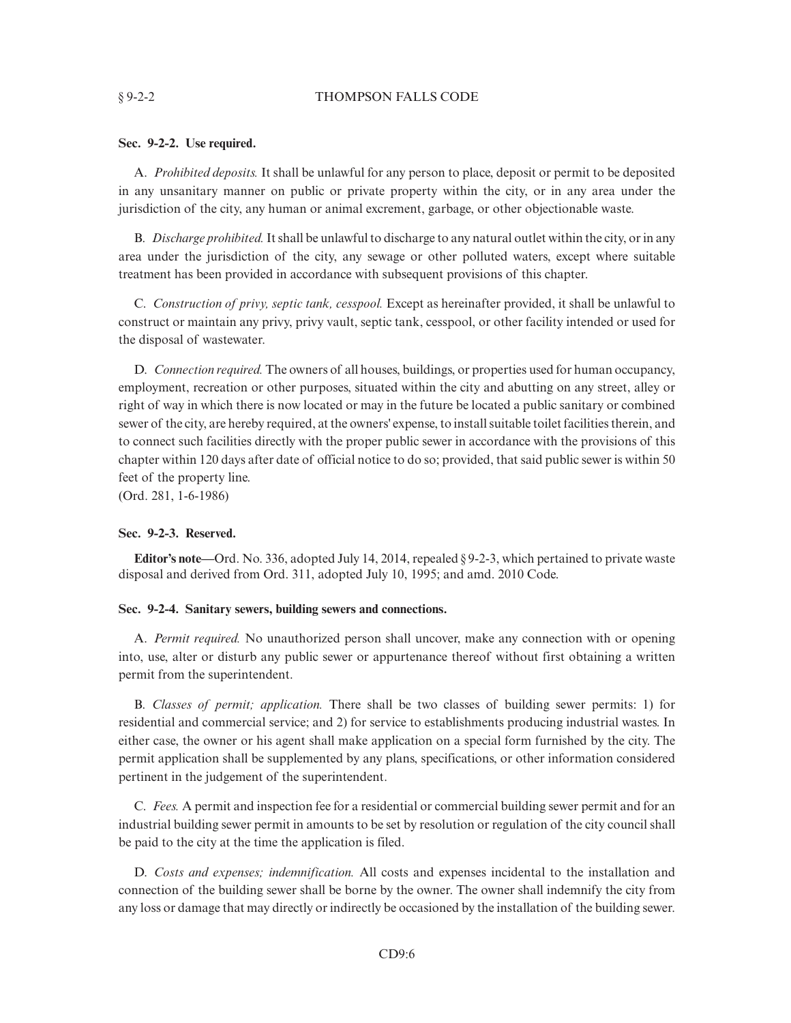#### § 9-2-2 THOMPSON FALLS CODE

## **Sec. 9-2-2. Use required.**

A. *Prohibited deposits.* It shall be unlawful for any person to place, deposit or permit to be deposited in any unsanitary manner on public or private property within the city, or in any area under the jurisdiction of the city, any human or animal excrement, garbage, or other objectionable waste.

B. *Discharge prohibited.*It shall be unlawful to discharge to any natural outlet within the city, or in any area under the jurisdiction of the city, any sewage or other polluted waters, except where suitable treatment has been provided in accordance with subsequent provisions of this chapter.

C. *Construction of privy, septic tank, cesspool.* Except as hereinafter provided, it shall be unlawful to construct or maintain any privy, privy vault, septic tank, cesspool, or other facility intended or used for the disposal of wastewater.

D. *Connection required.* The owners of all houses, buildings, or properties used for human occupancy, employment, recreation or other purposes, situated within the city and abutting on any street, alley or right of way in which there is now located or may in the future be located a public sanitary or combined sewer of the city, are hereby required, at the owners' expense, to install suitable toilet facilities therein, and to connect such facilities directly with the proper public sewer in accordance with the provisions of this chapter within 120 days after date of official notice to do so; provided, that said public sewer is within 50 feet of the property line.

(Ord. 281, 1-6-1986)

#### **Sec. 9-2-3. Reserved.**

**Editor's note—**Ord. No. 336, adopted July 14, 2014, repealed § 9-2-3, which pertained to private waste disposal and derived from Ord. 311, adopted July 10, 1995; and amd. 2010 Code.

#### **Sec. 9-2-4. Sanitary sewers, building sewers and connections.**

A. *Permit required.* No unauthorized person shall uncover, make any connection with or opening into, use, alter or disturb any public sewer or appurtenance thereof without first obtaining a written permit from the superintendent.

B. *Classes of permit; application.* There shall be two classes of building sewer permits: 1) for residential and commercial service; and 2) for service to establishments producing industrial wastes. In either case, the owner or his agent shall make application on a special form furnished by the city. The permit application shall be supplemented by any plans, specifications, or other information considered pertinent in the judgement of the superintendent.

C. *Fees.* A permit and inspection fee for a residential or commercial building sewer permit and for an industrial building sewer permit in amounts to be set by resolution or regulation of the city council shall be paid to the city at the time the application is filed.

D. *Costs and expenses; indemnification.* All costs and expenses incidental to the installation and connection of the building sewer shall be borne by the owner. The owner shall indemnify the city from any loss or damage that may directly or indirectly be occasioned by the installation of the building sewer.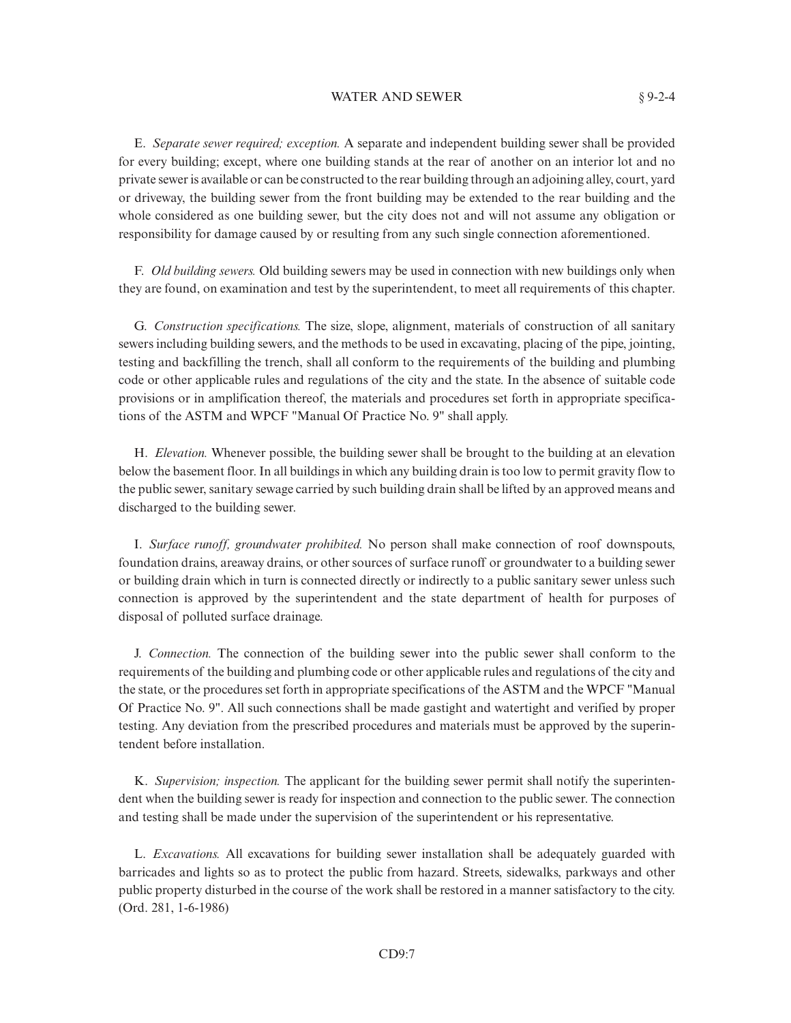#### WATER AND SEWER § 9-2-4

E. *Separate sewer required; exception.* A separate and independent building sewer shall be provided for every building; except, where one building stands at the rear of another on an interior lot and no private sewer is available or can be constructed to the rear building through an adjoining alley, court, yard or driveway, the building sewer from the front building may be extended to the rear building and the whole considered as one building sewer, but the city does not and will not assume any obligation or responsibility for damage caused by or resulting from any such single connection aforementioned.

F. *Old building sewers.* Old building sewers may be used in connection with new buildings only when they are found, on examination and test by the superintendent, to meet all requirements of this chapter.

G. *Construction specifications.* The size, slope, alignment, materials of construction of all sanitary sewers including building sewers, and the methods to be used in excavating, placing of the pipe, jointing, testing and backfilling the trench, shall all conform to the requirements of the building and plumbing code or other applicable rules and regulations of the city and the state. In the absence of suitable code provisions or in amplification thereof, the materials and procedures set forth in appropriate specifications of the ASTM and WPCF "Manual Of Practice No. 9" shall apply.

H. *Elevation.* Whenever possible, the building sewer shall be brought to the building at an elevation below the basement floor. In all buildings in which any building drain is too low to permit gravity flow to the public sewer, sanitary sewage carried by such building drain shall be lifted by an approved means and discharged to the building sewer.

I. *Surface runoff, groundwater prohibited.* No person shall make connection of roof downspouts, foundation drains, areaway drains, or other sources of surface runoff or groundwater to a building sewer or building drain which in turn is connected directly or indirectly to a public sanitary sewer unless such connection is approved by the superintendent and the state department of health for purposes of disposal of polluted surface drainage.

J. *Connection.* The connection of the building sewer into the public sewer shall conform to the requirements of the building and plumbing code or other applicable rules and regulations of the city and the state, or the procedures set forth in appropriate specifications of the ASTM and the WPCF "Manual Of Practice No. 9". All such connections shall be made gastight and watertight and verified by proper testing. Any deviation from the prescribed procedures and materials must be approved by the superintendent before installation.

K. *Supervision; inspection.* The applicant for the building sewer permit shall notify the superintendent when the building sewer is ready for inspection and connection to the public sewer. The connection and testing shall be made under the supervision of the superintendent or his representative.

L. *Excavations.* All excavations for building sewer installation shall be adequately guarded with barricades and lights so as to protect the public from hazard. Streets, sidewalks, parkways and other public property disturbed in the course of the work shall be restored in a manner satisfactory to the city. (Ord. 281, 1-6-1986)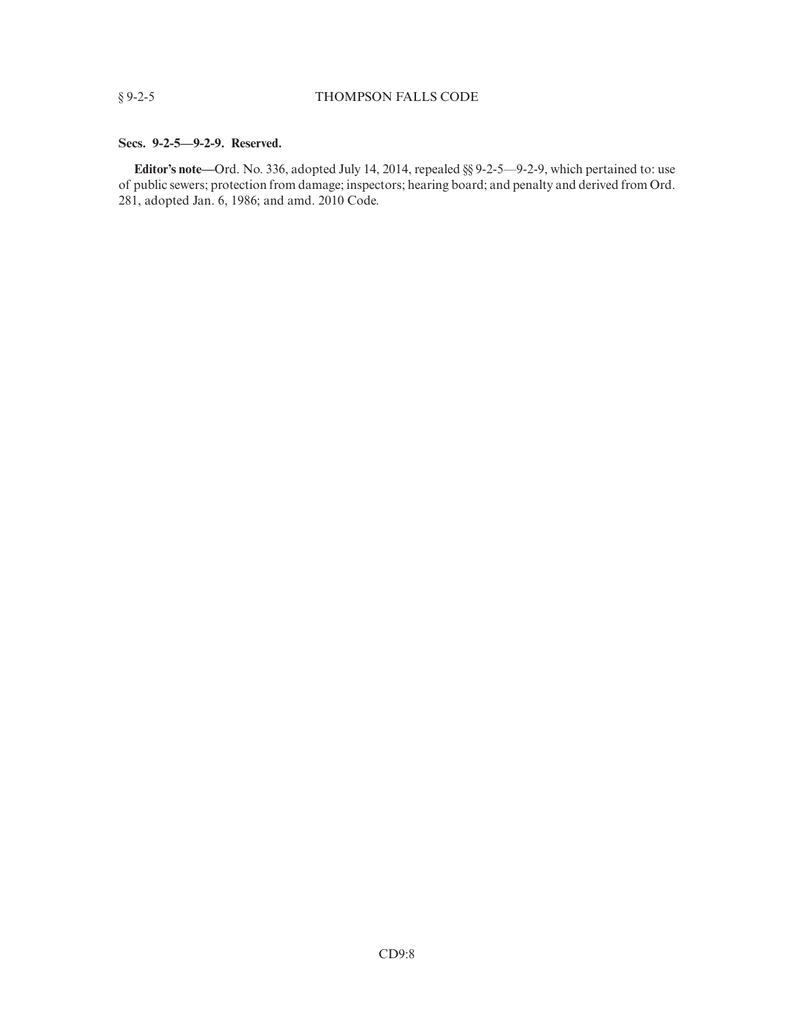#### **Secs. 9-2-5—9-2-9. Reserved.**

**Editor's note—**Ord. No. 336, adopted July 14, 2014, repealed §§ 9-2-5—9-2-9, which pertained to: use of public sewers; protection from damage; inspectors; hearing board; and penalty and derived from Ord. 281, adopted Jan. 6, 1986; and amd. 2010 Code.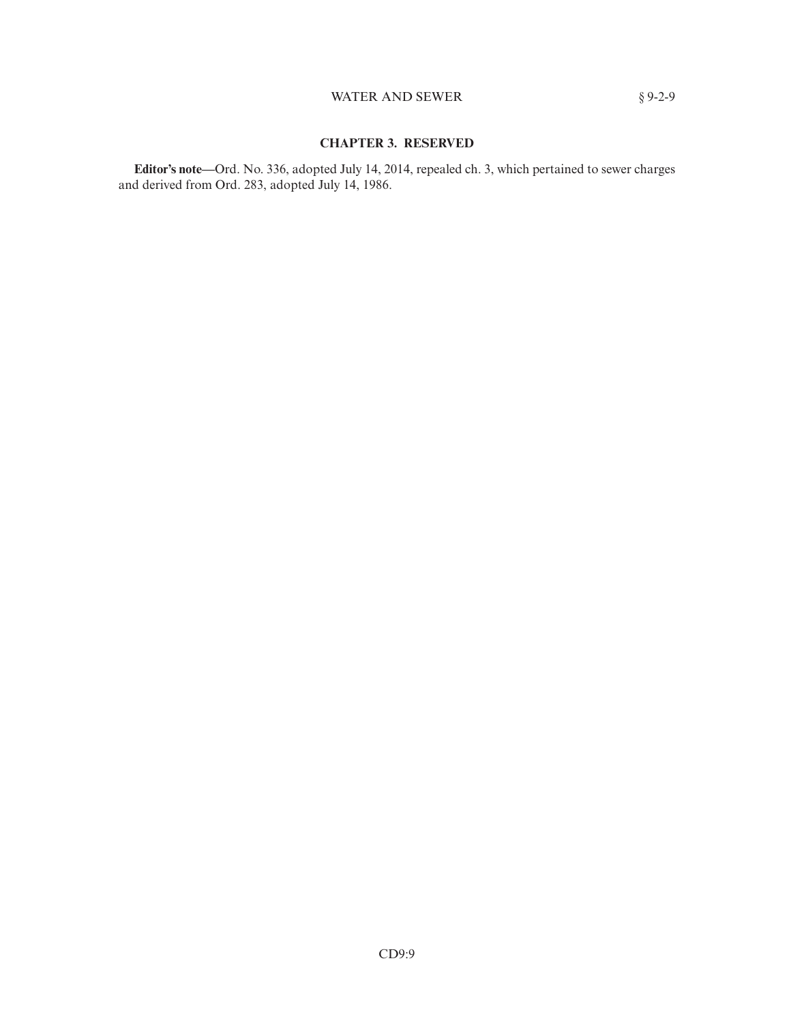## WATER AND SEWER  $§ 9-2-9$

## **CHAPTER 3. RESERVED**

**Editor's note—**Ord. No. 336, adopted July 14, 2014, repealed ch. 3, which pertained to sewer charges and derived from Ord. 283, adopted July 14, 1986.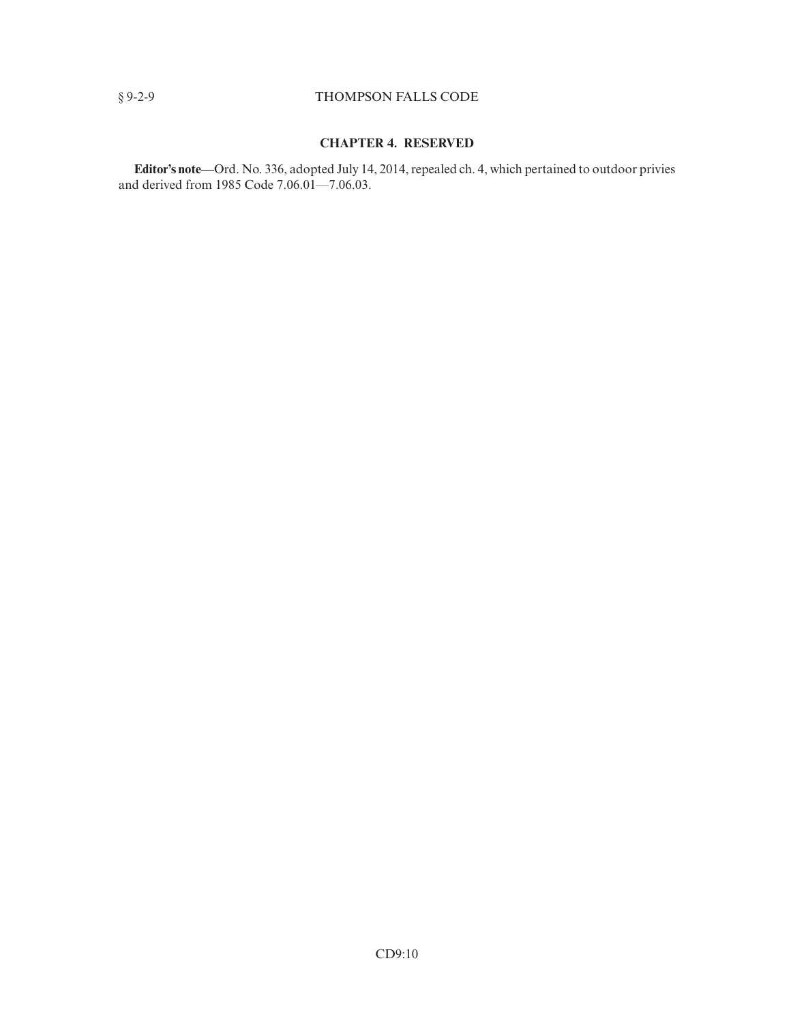## § 9-2-9 THOMPSON FALLS CODE

## **CHAPTER 4. RESERVED**

**Editor's note—**Ord. No. 336, adopted July 14, 2014, repealed ch. 4, which pertained to outdoor privies and derived from 1985 Code 7.06.01—7.06.03.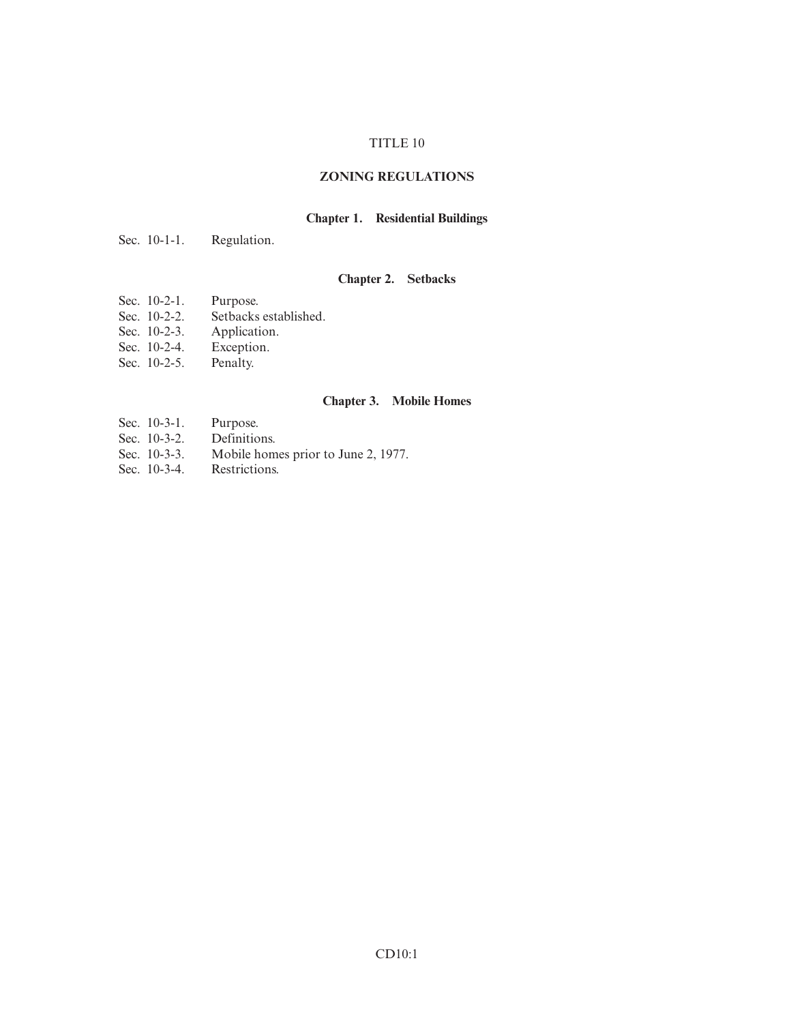## TITLE 10

## **ZONING REGULATIONS**

## **Chapter 1. Residential Buildings**

Sec. 10-1-1. Regulation.

## **Chapter 2. Setbacks**

- Sec. 10-2-1. Purpose.
- Sec. 10-2-2. Setbacks established.
- Sec. 10-2-3. Application.
- Sec. 10-2-4. Exception.
- Sec. 10-2-5. Penalty.

## **Chapter 3. Mobile Homes**

- 
- Sec. 10-3-1. Purpose.<br>Sec. 10-3-2. Definitions. Sec.  $10-3-2$ .
- Sec. 10-3-3. Mobile homes prior to June 2, 1977.<br>Sec. 10-3-4. Restrictions.
- Sec.  $10-3-4$ .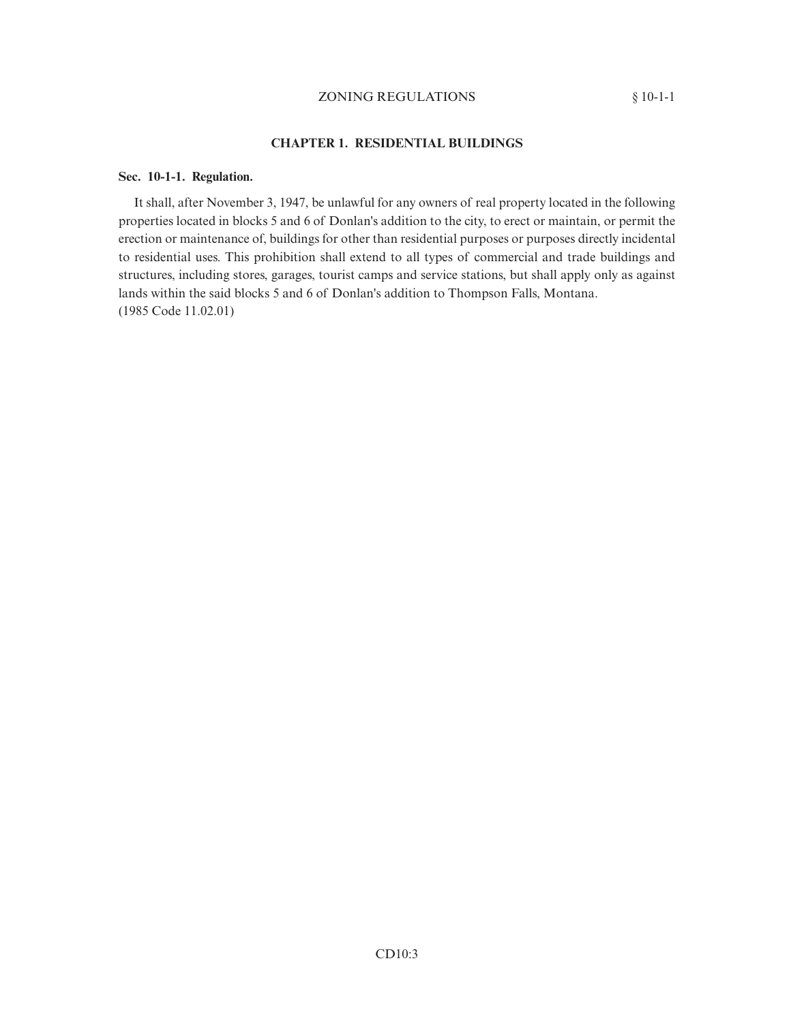## ZONING REGULATIONS § 10-1-1

## **CHAPTER 1. RESIDENTIAL BUILDINGS**

#### **Sec. 10-1-1. Regulation.**

It shall, after November 3, 1947, be unlawful for any owners of real property located in the following properties located in blocks 5 and 6 of Donlan's addition to the city, to erect or maintain, or permit the erection or maintenance of, buildings for other than residential purposes or purposes directly incidental to residential uses. This prohibition shall extend to all types of commercial and trade buildings and structures, including stores, garages, tourist camps and service stations, but shall apply only as against lands within the said blocks 5 and 6 of Donlan's addition to Thompson Falls, Montana. (1985 Code 11.02.01)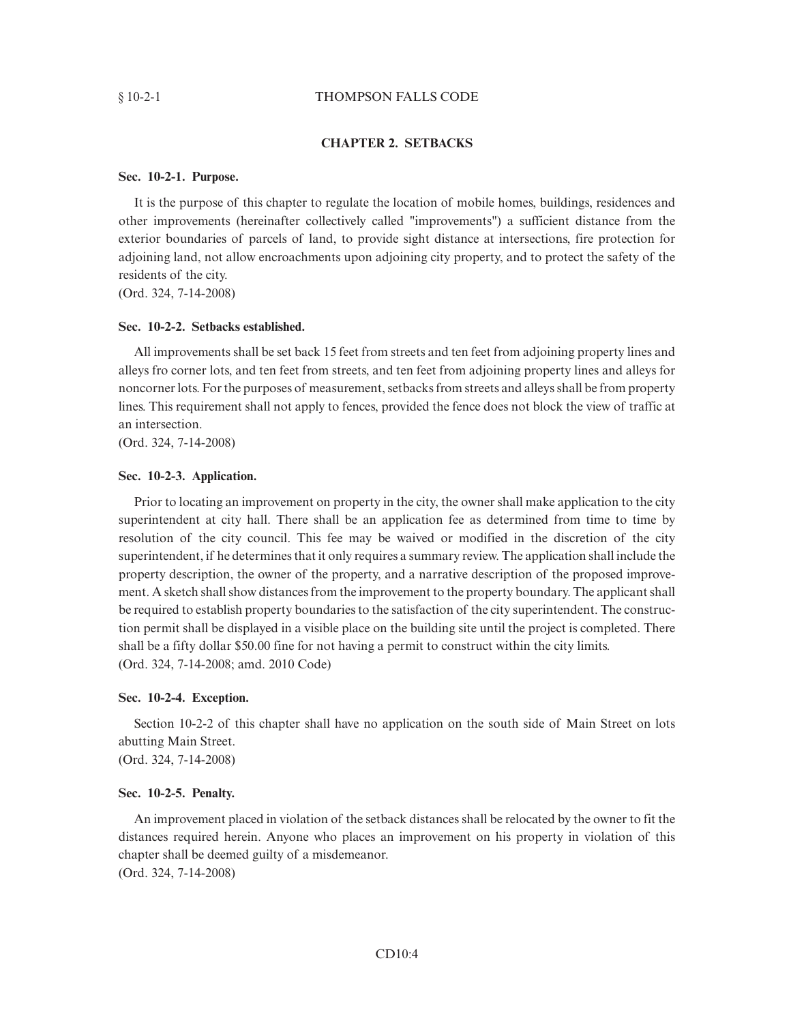#### § 10-2-1 THOMPSON FALLS CODE

#### **CHAPTER 2. SETBACKS**

#### **Sec. 10-2-1. Purpose.**

It is the purpose of this chapter to regulate the location of mobile homes, buildings, residences and other improvements (hereinafter collectively called "improvements") a sufficient distance from the exterior boundaries of parcels of land, to provide sight distance at intersections, fire protection for adjoining land, not allow encroachments upon adjoining city property, and to protect the safety of the residents of the city.

(Ord. 324, 7-14-2008)

#### **Sec. 10-2-2. Setbacks established.**

All improvements shall be set back 15 feet from streets and ten feet from adjoining property lines and alleys fro corner lots, and ten feet from streets, and ten feet from adjoining property lines and alleys for noncorner lots. For the purposes of measurement, setbacks from streets and alleys shall be from property lines. This requirement shall not apply to fences, provided the fence does not block the view of traffic at an intersection.

(Ord. 324, 7-14-2008)

#### **Sec. 10-2-3. Application.**

Prior to locating an improvement on property in the city, the owner shall make application to the city superintendent at city hall. There shall be an application fee as determined from time to time by resolution of the city council. This fee may be waived or modified in the discretion of the city superintendent, if he determines that it only requires a summary review. The application shall include the property description, the owner of the property, and a narrative description of the proposed improvement. A sketch shall show distances from the improvement to the property boundary. The applicant shall be required to establish property boundaries to the satisfaction of the city superintendent. The construction permit shall be displayed in a visible place on the building site until the project is completed. There shall be a fifty dollar \$50.00 fine for not having a permit to construct within the city limits. (Ord. 324, 7-14-2008; amd. 2010 Code)

#### **Sec. 10-2-4. Exception.**

Section 10-2-2 of this chapter shall have no application on the south side of Main Street on lots abutting Main Street. (Ord. 324, 7-14-2008)

#### **Sec. 10-2-5. Penalty.**

An improvement placed in violation of the setback distances shall be relocated by the owner to fit the distances required herein. Anyone who places an improvement on his property in violation of this chapter shall be deemed guilty of a misdemeanor. (Ord. 324, 7-14-2008)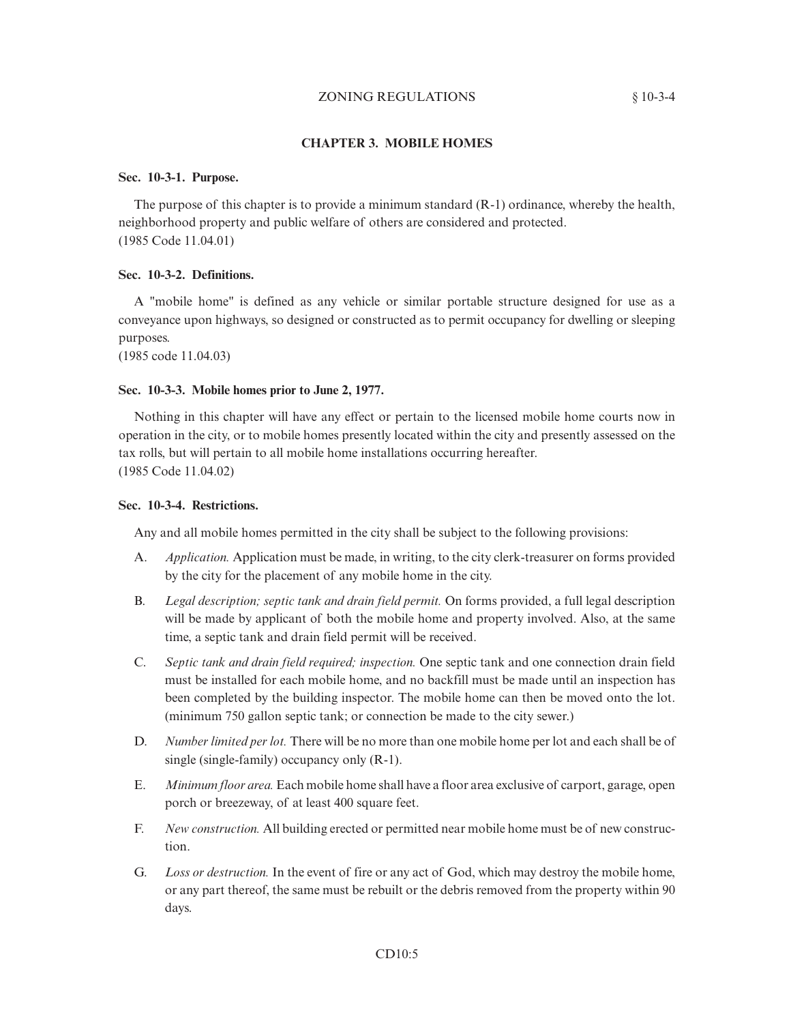## ZONING REGULATIONS § 10-3-4

## **CHAPTER 3. MOBILE HOMES**

## **Sec. 10-3-1. Purpose.**

The purpose of this chapter is to provide a minimum standard (R-1) ordinance, whereby the health, neighborhood property and public welfare of others are considered and protected. (1985 Code 11.04.01)

#### **Sec. 10-3-2. Definitions.**

A "mobile home" is defined as any vehicle or similar portable structure designed for use as a conveyance upon highways, so designed or constructed as to permit occupancy for dwelling or sleeping purposes.

(1985 code 11.04.03)

#### **Sec. 10-3-3. Mobile homes prior to June 2, 1977.**

Nothing in this chapter will have any effect or pertain to the licensed mobile home courts now in operation in the city, or to mobile homes presently located within the city and presently assessed on the tax rolls, but will pertain to all mobile home installations occurring hereafter. (1985 Code 11.04.02)

#### **Sec. 10-3-4. Restrictions.**

Any and all mobile homes permitted in the city shall be subject to the following provisions:

- A. *Application.* Application must be made, in writing, to the city clerk-treasurer on forms provided by the city for the placement of any mobile home in the city.
- B. *Legal description; septic tank and drain field permit.* On forms provided, a full legal description will be made by applicant of both the mobile home and property involved. Also, at the same time, a septic tank and drain field permit will be received.
- C. *Septic tank and drain field required; inspection.* One septic tank and one connection drain field must be installed for each mobile home, and no backfill must be made until an inspection has been completed by the building inspector. The mobile home can then be moved onto the lot. (minimum 750 gallon septic tank; or connection be made to the city sewer.)
- D. *Number limited per lot.* There will be no more than one mobile home per lot and each shall be of single (single-family) occupancy only (R-1).
- E. *Minimum floor area.* Each mobile home shall have a floor area exclusive of carport, garage, open porch or breezeway, of at least 400 square feet.
- F. *New construction.* All building erected or permitted near mobile home must be of new construction.
- G. *Loss or destruction.* In the event of fire or any act of God, which may destroy the mobile home, or any part thereof, the same must be rebuilt or the debris removed from the property within 90 days.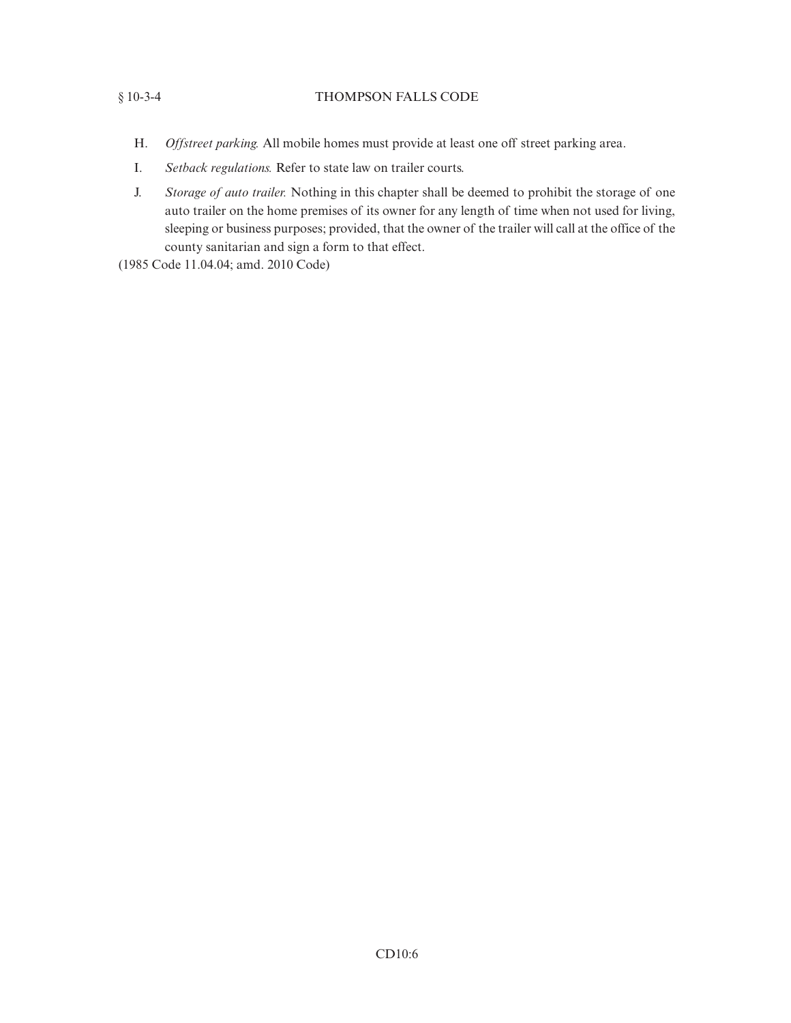## § 10-3-4 THOMPSON FALLS CODE

- H. *Offstreet parking.* All mobile homes must provide at least one off street parking area.
- I. *Setback regulations.* Refer to state law on trailer courts.
- J. *Storage of auto trailer.* Nothing in this chapter shall be deemed to prohibit the storage of one auto trailer on the home premises of its owner for any length of time when not used for living, sleeping or business purposes; provided, that the owner of the trailer will call at the office of the county sanitarian and sign a form to that effect.
- (1985 Code 11.04.04; amd. 2010 Code)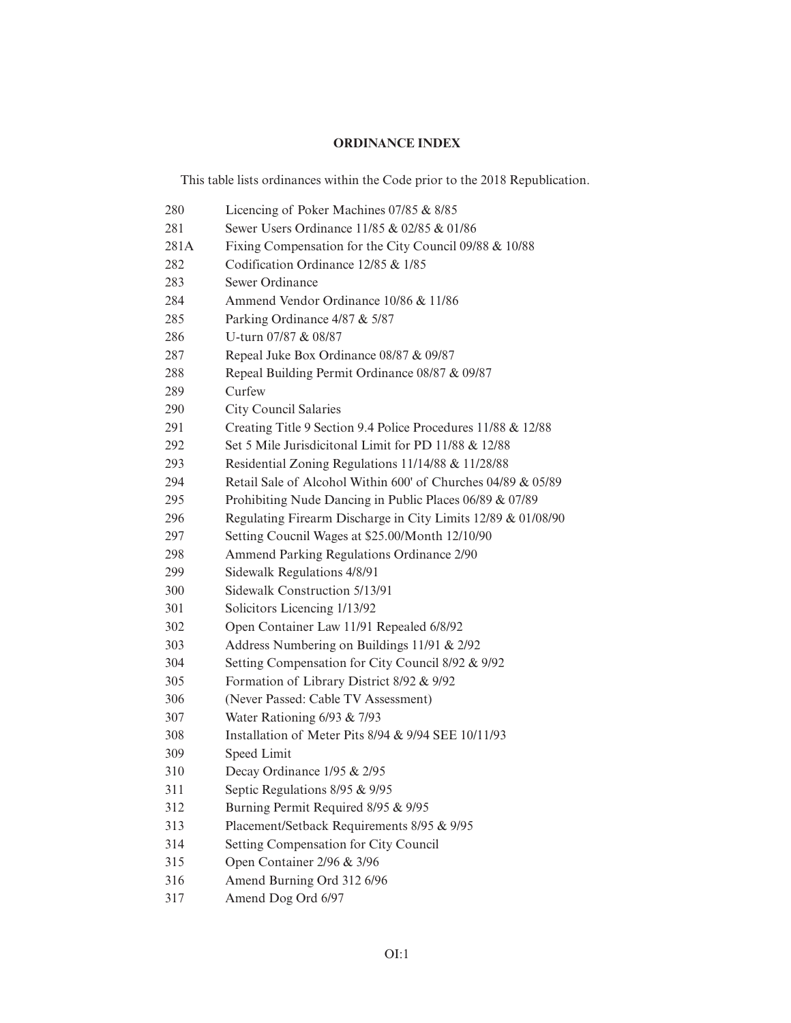# **ORDINANCE INDEX**

This table lists ordinances within the Code prior to the 2018 Republication.

| 280  | Licencing of Poker Machines 07/85 & 8/85                     |
|------|--------------------------------------------------------------|
| 281  | Sewer Users Ordinance 11/85 & 02/85 & 01/86                  |
| 281A | Fixing Compensation for the City Council 09/88 & 10/88       |
| 282  | Codification Ordinance 12/85 & 1/85                          |
| 283  | Sewer Ordinance                                              |
| 284  | Ammend Vendor Ordinance 10/86 & 11/86                        |
| 285  | Parking Ordinance 4/87 & 5/87                                |
| 286  | U-turn 07/87 & 08/87                                         |
| 287  | Repeal Juke Box Ordinance 08/87 & 09/87                      |
| 288  | Repeal Building Permit Ordinance 08/87 & 09/87               |
| 289  | Curfew                                                       |
| 290  | City Council Salaries                                        |
| 291  | Creating Title 9 Section 9.4 Police Procedures 11/88 & 12/88 |
| 292  | Set 5 Mile Jurisdicitonal Limit for PD 11/88 & 12/88         |
| 293  | Residential Zoning Regulations 11/14/88 & 11/28/88           |
| 294  | Retail Sale of Alcohol Within 600' of Churches 04/89 & 05/89 |
| 295  | Prohibiting Nude Dancing in Public Places 06/89 & 07/89      |
| 296  | Regulating Firearm Discharge in City Limits 12/89 & 01/08/90 |
| 297  | Setting Coucnil Wages at \$25.00/Month 12/10/90              |
| 298  | Ammend Parking Regulations Ordinance 2/90                    |
| 299  | Sidewalk Regulations 4/8/91                                  |
| 300  | Sidewalk Construction 5/13/91                                |
| 301  | Solicitors Licencing 1/13/92                                 |
| 302  | Open Container Law 11/91 Repealed 6/8/92                     |
| 303  | Address Numbering on Buildings 11/91 & 2/92                  |
| 304  | Setting Compensation for City Council 8/92 & 9/92            |
| 305  | Formation of Library District 8/92 & 9/92                    |
| 306  | (Never Passed: Cable TV Assessment)                          |
| 307  | Water Rationing $6/93$ & $7/93$                              |
| 308  | Installation of Meter Pits 8/94 & 9/94 SEE 10/11/93          |
| 309  | Speed Limit                                                  |
| 310  | Decay Ordinance 1/95 & 2/95                                  |
| 311  | Septic Regulations 8/95 & 9/95                               |
| 312  | Burning Permit Required 8/95 & 9/95                          |
| 313  | Placement/Setback Requirements 8/95 & 9/95                   |
| 314  | Setting Compensation for City Council                        |
| 315  | Open Container 2/96 & 3/96                                   |
| 316  | Amend Burning Ord 312 6/96                                   |
|      |                                                              |

317 Amend Dog Ord 6/97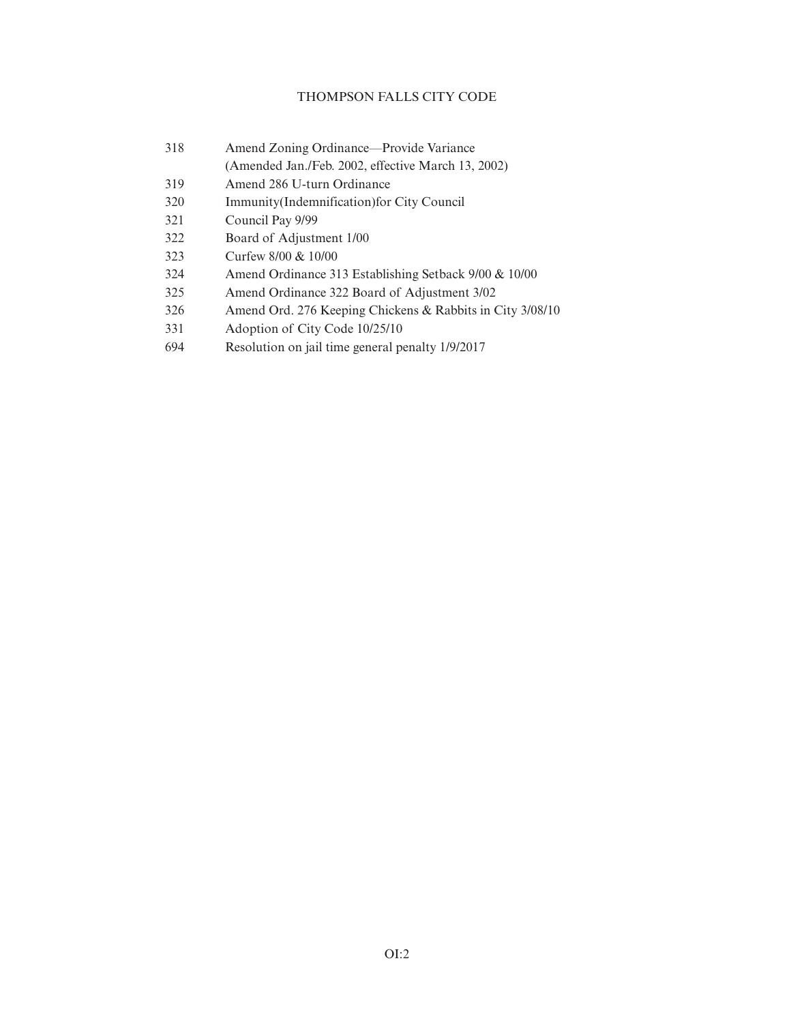## THOMPSON FALLS CITY CODE

| 318 | Amend Zoning Ordinance—Provide Variance            |
|-----|----------------------------------------------------|
|     | (Amended Jan./Feb. 2002, effective March 13, 2002) |

- 319 Amend 286 U-turn Ordinance
- 320 Immunity(Indemnification)for City Council
- 321 Council Pay 9/99
- 322 Board of Adjustment 1/00
- 323 Curfew 8/00 & 10/00
- 324 Amend Ordinance 313 Establishing Setback 9/00 & 10/00
- 325 Amend Ordinance 322 Board of Adjustment 3/02
- 326 Amend Ord. 276 Keeping Chickens & Rabbits in City 3/08/10
- 331 Adoption of City Code 10/25/10
- 694 Resolution on jail time general penalty 1/9/2017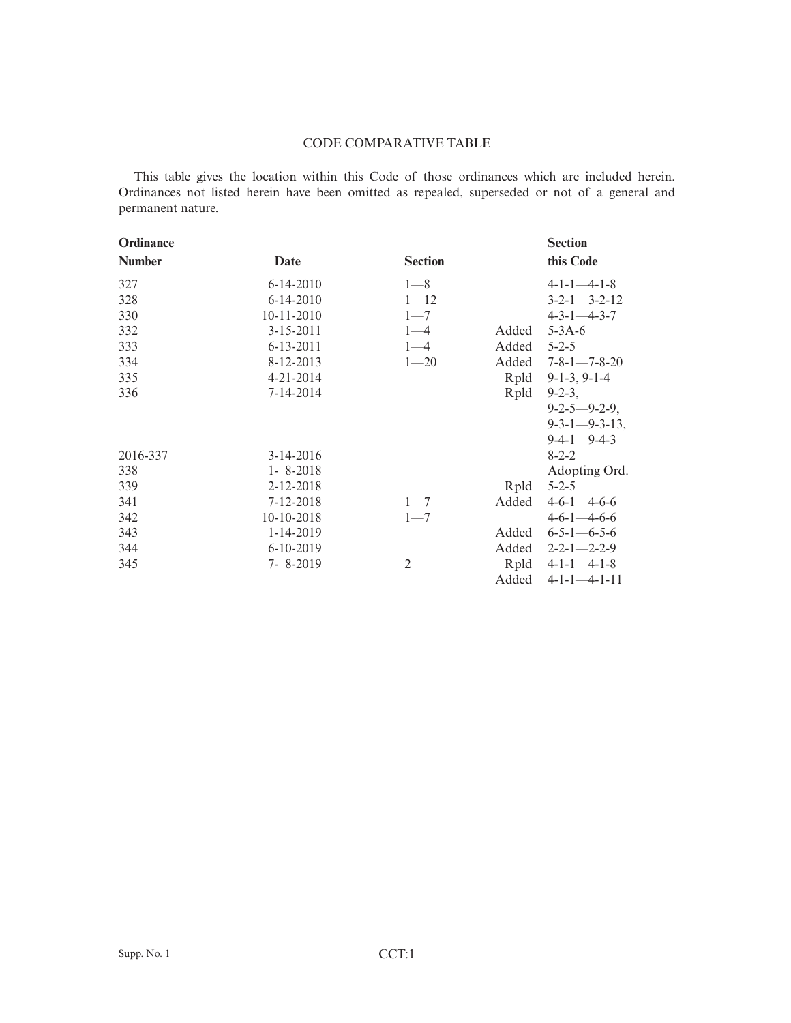## CODE COMPARATIVE TABLE

This table gives the location within this Code of those ordinances which are included herein. Ordinances not listed herein have been omitted as repealed, superseded or not of a general and permanent nature.

| Ordinance     |                 |                |       | <b>Section</b>             |
|---------------|-----------------|----------------|-------|----------------------------|
| <b>Number</b> | Date            | <b>Section</b> |       | this Code                  |
| 327           | $6 - 14 - 2010$ | $1 - 8$        |       | $4 - 1 - 1 - 4 - 1 - 8$    |
| 328           | $6 - 14 - 2010$ | $1 - 12$       |       | $3 - 2 - 1 - 3 - 2 - 12$   |
| 330           | $10-11-2010$    | $1 - 7$        |       | $4 - 3 - 1 - 4 - 3 - 7$    |
| 332           | $3 - 15 - 2011$ | $1 - 4$        | Added | $5 - 3A - 6$               |
| 333           | $6 - 13 - 2011$ | $1 - 4$        | Added | $5 - 2 - 5$                |
| 334           | 8-12-2013       | $1 - 20$       | Added | $7 - 8 - 1 - 7 - 8 - 20$   |
| 335           | $4 - 21 - 2014$ |                | Rpld  | $9-1-3, 9-1-4$             |
| 336           | $7 - 14 - 2014$ |                | Rpld  | $9 - 2 - 3$ ,              |
|               |                 |                |       | $9 - 2 - 5 - 9 - 2 - 9$ ,  |
|               |                 |                |       | $9 - 3 - 1 - 9 - 3 - 13$ , |
|               |                 |                |       | $9-4-1-9-4-3$              |
| 2016-337      | $3-14-2016$     |                |       | $8 - 2 - 2$                |
| 338           | $1 - 8 - 2018$  |                |       | Adopting Ord.              |
| 339           | 2-12-2018       |                | Rpld  | $5 - 2 - 5$                |
| 341           | 7-12-2018       | $1 - 7$        | Added | $4-6-1-4-6-6$              |
| 342           | 10-10-2018      | $1 - 7$        |       | $4-6-1-4-6-6$              |
| 343           | $1-14-2019$     |                | Added | $6 - 5 - 1 - 6 - 5 - 6$    |
| 344           | $6-10-2019$     |                | Added | $2 - 2 - 1 - 2 - 2 - 9$    |
| 345           | $7 - 8 - 2019$  | $\overline{2}$ |       | Rpld $4-1-1-4-1-8$         |
|               |                 |                | Added | $4-1-1-4-1-11$             |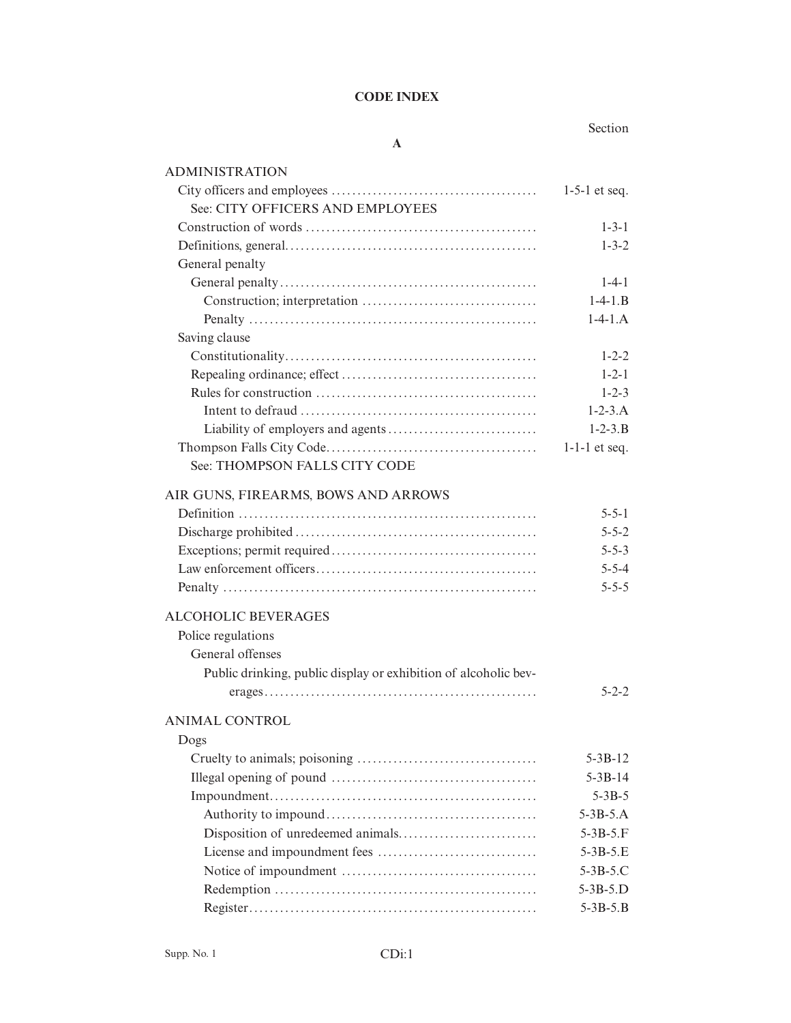## **CODE INDEX**

**A**

## Section

| <b>ADMINISTRATION</b>                                           |                 |
|-----------------------------------------------------------------|-----------------|
|                                                                 | $1-5-1$ et seq. |
| See: CITY OFFICERS AND EMPLOYEES                                |                 |
|                                                                 | $1 - 3 - 1$     |
|                                                                 | $1 - 3 - 2$     |
| General penalty                                                 |                 |
|                                                                 | $1-4-1$         |
|                                                                 | $1 - 4 - 1.B$   |
|                                                                 | $1-4-1.A$       |
| Saving clause                                                   |                 |
|                                                                 | $1 - 2 - 2$     |
|                                                                 | $1 - 2 - 1$     |
|                                                                 | $1 - 2 - 3$     |
|                                                                 | $1 - 2 - 3.A$   |
|                                                                 | $1 - 2 - 3$ . B |
|                                                                 | $1-1-1$ et seq. |
| See: THOMPSON FALLS CITY CODE                                   |                 |
| AIR GUNS, FIREARMS, BOWS AND ARROWS                             |                 |
|                                                                 | $5 - 5 - 1$     |
|                                                                 | $5 - 5 - 2$     |
|                                                                 | $5 - 5 - 3$     |
|                                                                 | $5 - 5 - 4$     |
|                                                                 | $5 - 5 - 5$     |
|                                                                 |                 |
| <b>ALCOHOLIC BEVERAGES</b>                                      |                 |
| Police regulations                                              |                 |
| General offenses                                                |                 |
| Public drinking, public display or exhibition of alcoholic bev- |                 |
|                                                                 | $5 - 2 - 2$     |
| <b>ANIMAL CONTROL</b>                                           |                 |
| Dogs                                                            |                 |
|                                                                 | $5 - 3B - 12$   |
|                                                                 | $5 - 3B - 14$   |
|                                                                 | $5 - 3B - 5$    |
|                                                                 | $5 - 3B - 5.A$  |
|                                                                 | $5 - 3B - 5. F$ |
|                                                                 | $5 - 3B - 5.E$  |
|                                                                 | 5-3B-5.C        |
|                                                                 | $5 - 3B - 5.D$  |
|                                                                 | $5 - 3B - 5.B$  |
|                                                                 |                 |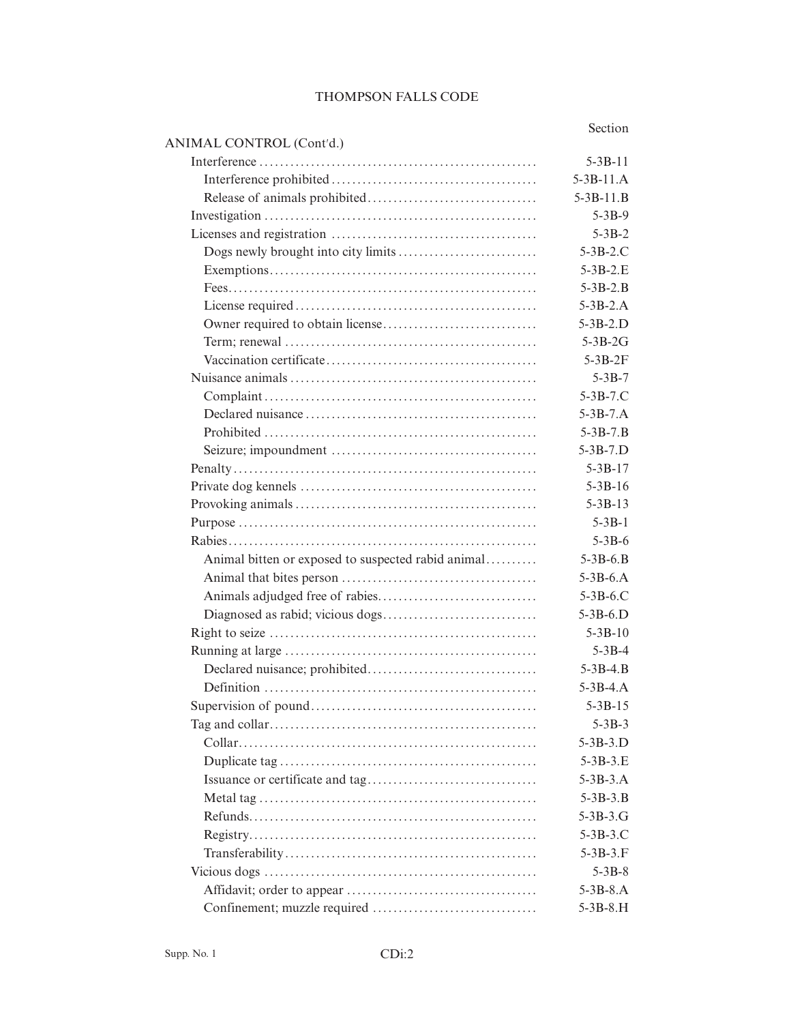#### THOMPSON FALLS CODE

Section

# ANIMAL CONTROL (Cont'd.) Interference ...................................................... 5-3B-11 Interference prohibited ........................................ 5-3B-11.A Release of animals prohibited................................. 5-3B-11.B Investigation ..................................................... 5-3B-9 Licenses and registration ........................................ 5-3B-2 Dogs newly brought into city limits ........................... 5-3B-2.C Exemptions.................................................... 5-3B-2.E Fees............................................................ 5-3B-2.B License required ............................................... 5-3B-2.A Owner required to obtain license.............................. 5-3B-2.D Term; renewal ................................................. 5-3B-2G Vaccination certificate......................................... 5-3B-2F Nuisance animals ................................................ 5-3B-7 Complaint ..................................................... 5-3B-7.C Declared nuisance ............................................. 5-3B-7.A Prohibited ..................................................... 5-3B-7.B Seizure; impoundment ........................................ 5-3B-7.D Penalty ........................................................... 5-3B-17 Private dog kennels .............................................. 5-3B-16 Provoking animals ............................................... 5-3B-13 Purpose .......................................................... 5-3B-1 Rabies............................................................ 5-3B-6 Animal bitten or exposed to suspected rabid animal.......... 5-3B-6.B Animal that bites person ...................................... 5-3B-6.A Animals adjudged free of rabies............................... 5-3B-6.C Diagnosed as rabid; vicious dogs.............................. 5-3B-6.D Right to seize .................................................... 5-3B-10 Running at large ................................................. 5-3B-4 Declared nuisance; prohibited................................. 5-3B-4.B Definition ..................................................... 5-3B-4.A Supervision of pound............................................ 5-3B-15 Tag and collar.................................................... 5-3B-3 Collar.......................................................... 5-3B-3.D Duplicate tag .................................................. 5-3B-3.E Issuance or certificate and tag................................. 5-3B-3.A Metal tag ...................................................... 5-3B-3.B

Refunds........................................................ 5-3B-3.G Registry........................................................ 5-3B-3.C Transferability................................................. 5-3B-3.F Vicious dogs ..................................................... 5-3B-8 Affidavit; order to appear ..................................... 5-3B-8.A Confinement; muzzle required ................................ 5-3B-8.H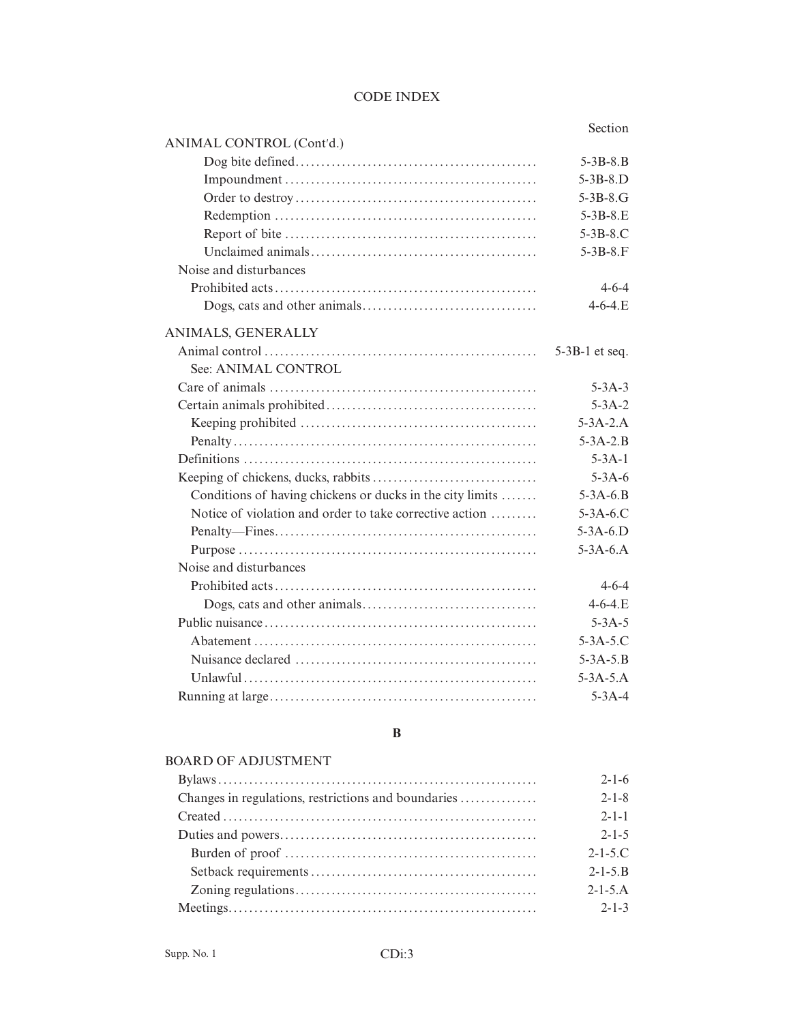## CODE INDEX

## Section

|                                                           | Secuon           |
|-----------------------------------------------------------|------------------|
| ANIMAL CONTROL (Cont'd.)                                  |                  |
|                                                           | $5 - 3B - 8.B$   |
|                                                           | $5-3B-8.D$       |
|                                                           | $5 - 3B - 8.G$   |
|                                                           | $5 - 3B - 8.E$   |
|                                                           | $5-3B-8.C$       |
|                                                           | $5 - 3B - 8. F$  |
| Noise and disturbances                                    |                  |
|                                                           | $4 - 6 - 4$      |
|                                                           | $4 - 6 - 4$ .E   |
| ANIMALS, GENERALLY                                        |                  |
|                                                           | $5-3B-1$ et seq. |
| See: ANIMAL CONTROL                                       |                  |
|                                                           | $5 - 3A - 3$     |
|                                                           | $5 - 3A - 2$     |
|                                                           | $5 - 3A - 2.A$   |
|                                                           | $5 - 3A - 2.B$   |
|                                                           | $5 - 3A - 1$     |
|                                                           | $5 - 3A - 6$     |
| Conditions of having chickens or ducks in the city limits | $5 - 3A - 6.B$   |
| Notice of violation and order to take corrective action   | $5-3A-6$ .C      |
|                                                           | $5-3A-6.D$       |
|                                                           | $5-3A-6.A$       |
| Noise and disturbances                                    |                  |
|                                                           | $4 - 6 - 4$      |
|                                                           | $4 - 6 - 4$ .E   |
|                                                           | $5 - 3A - 5$     |
|                                                           | $5 - 3A - 5.C$   |
|                                                           | $5 - 3A - 5.B$   |
|                                                           | $5 - 3A - 5.A$   |
|                                                           | $5 - 3A - 4$     |
|                                                           |                  |

## **B**

# BOARD OF ADJUSTMENT

| $2 - 1 - 6$     |
|-----------------|
| $2 - 1 - 8$     |
| $2 - 1 - 1$     |
| $2 - 1 - 5$     |
| $2 - 1 - 5$ .C  |
| $2 - 1 - 5$ . B |
| $2 - 1 - 5$ . A |
| $2 - 1 - 3$     |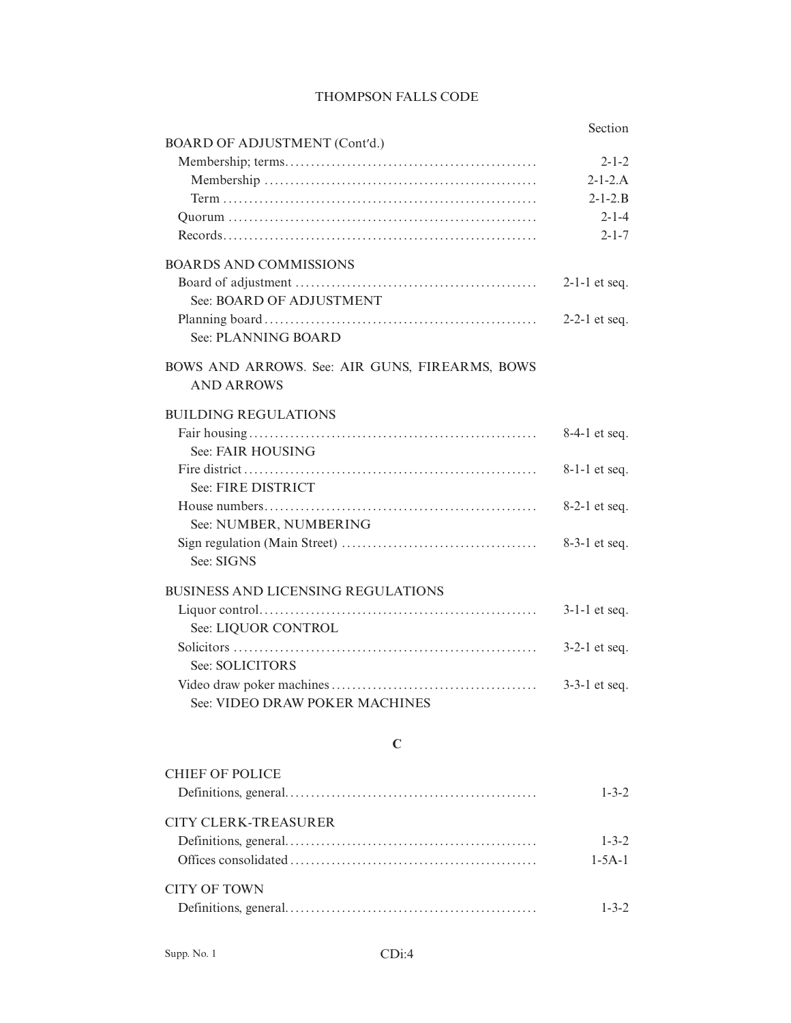|                                                                     | Section         |
|---------------------------------------------------------------------|-----------------|
| <b>BOARD OF ADJUSTMENT (Cont'd.)</b>                                |                 |
|                                                                     | $2 - 1 - 2$     |
|                                                                     | $2 - 1 - 2$ . A |
|                                                                     | $2 - 1 - 2$ . B |
|                                                                     | $2 - 1 - 4$     |
|                                                                     | $2 - 1 - 7$     |
| <b>BOARDS AND COMMISSIONS</b>                                       |                 |
| See: BOARD OF ADJUSTMENT                                            | $2-1-1$ et seq. |
| See: PLANNING BOARD                                                 | $2-2-1$ et seq. |
| BOWS AND ARROWS. See: AIR GUNS, FIREARMS, BOWS<br><b>AND ARROWS</b> |                 |
| <b>BUILDING REGULATIONS</b>                                         |                 |
|                                                                     | 8-4-1 et seq.   |
| See: FAIR HOUSING                                                   |                 |
|                                                                     | $8-1-1$ et seq. |
| See: FIRE DISTRICT                                                  |                 |
|                                                                     | $8-2-1$ et seq. |
| See: NUMBER, NUMBERING                                              |                 |
|                                                                     | $8-3-1$ et seq. |
| See: SIGNS                                                          |                 |
| <b>BUSINESS AND LICENSING REGULATIONS</b>                           |                 |
|                                                                     | $3-1-1$ et seq. |
| See: LIQUOR CONTROL                                                 |                 |
|                                                                     | $3-2-1$ et seq. |
| See: SOLICITORS                                                     |                 |
|                                                                     | $3-3-1$ et seq. |
| See: VIDEO DRAW POKER MACHINES                                      |                 |

## THOMPSON FALLS CODE

# **C**

| CHIEF OF POLICE      |              |
|----------------------|--------------|
|                      | $1 - 3 - 2$  |
| CITY CLERK-TREASURER |              |
|                      | $1 - 3 - 2$  |
|                      | $1 - 5A - 1$ |
| CITY OF TOWN         |              |
|                      |              |
|                      |              |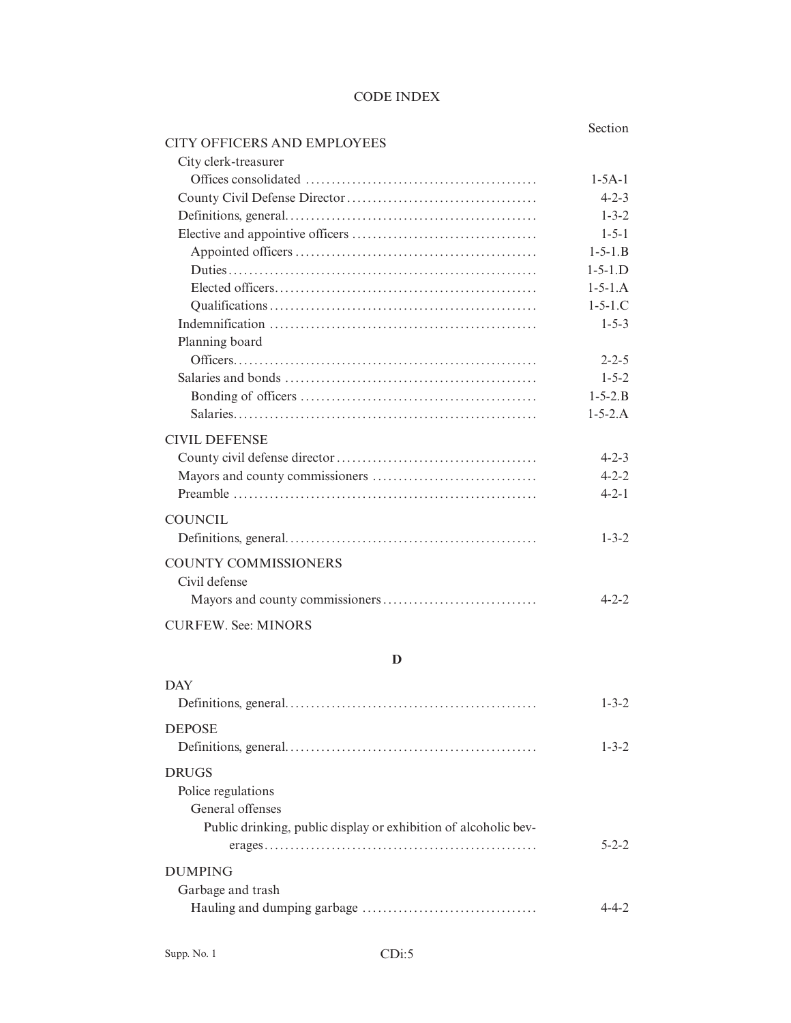## CODE INDEX

|                                    | Section         |
|------------------------------------|-----------------|
| <b>CITY OFFICERS AND EMPLOYEES</b> |                 |
| City clerk-treasurer               |                 |
|                                    | $1 - 5A - 1$    |
|                                    | $4 - 2 - 3$     |
|                                    | $1 - 3 - 2$     |
|                                    | $1 - 5 - 1$     |
|                                    | $1 - 5 - 1$ . B |
|                                    | $1 - 5 - 1.D$   |
|                                    | $1 - 5 - 1.A$   |
|                                    | $1 - 5 - 1$ .C  |
|                                    | $1 - 5 - 3$     |
| Planning board                     |                 |
|                                    | $2 - 2 - 5$     |
|                                    | $1 - 5 - 2$     |
|                                    | $1 - 5 - 2.B$   |
|                                    | $1 - 5 - 2.A$   |
| <b>CIVIL DEFENSE</b>               |                 |
|                                    | $4 - 2 - 3$     |
|                                    | $4 - 2 - 2$     |
|                                    | $4 - 2 - 1$     |
| <b>COUNCIL</b>                     |                 |
|                                    |                 |
|                                    | $1 - 3 - 2$     |
| <b>COUNTY COMMISSIONERS</b>        |                 |
| Civil defense                      |                 |
|                                    | $4 - 2 - 2$     |
| <b>CURFEW. See: MINORS</b>         |                 |
| D                                  |                 |
| <b>DAV</b>                         |                 |

| DAY                                                                                                                       | $1 - 3 - 2$ |
|---------------------------------------------------------------------------------------------------------------------------|-------------|
| <b>DEPOSE</b>                                                                                                             | $1 - 3 - 2$ |
| <b>DRUGS</b><br>Police regulations<br>General offenses<br>Public drinking, public display or exhibition of alcoholic bev- | $5 - 2 - 2$ |
| <b>DUMPING</b><br>Garbage and trash                                                                                       |             |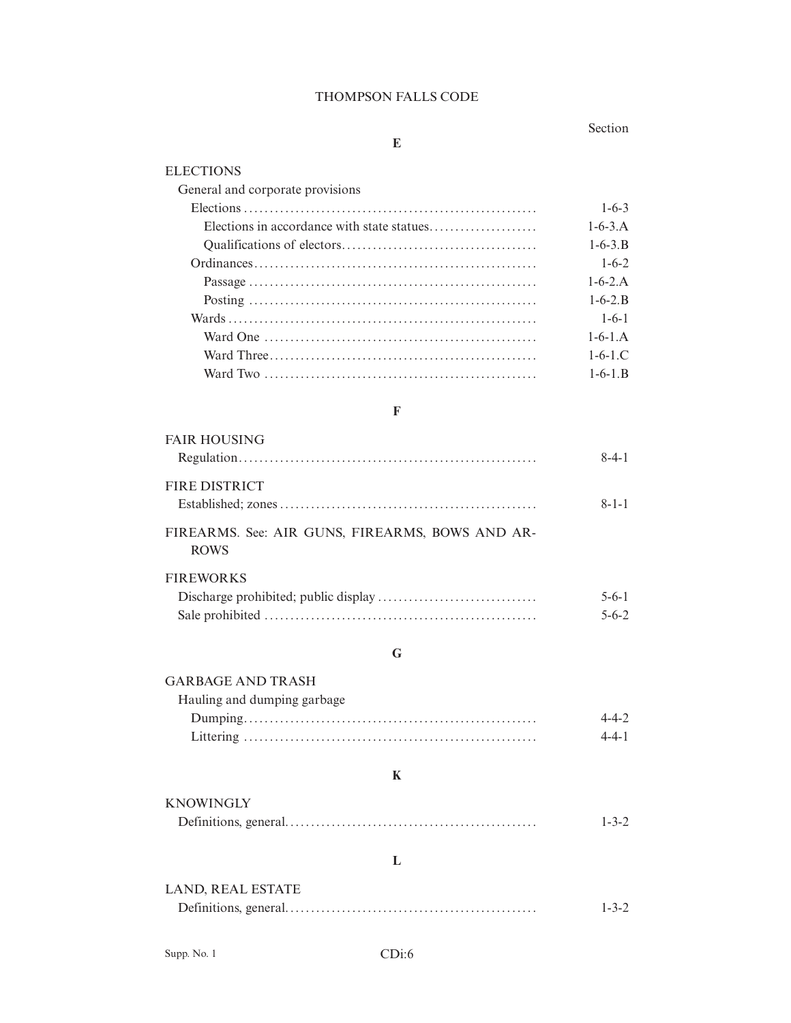#### THOMPSON FALLS CODE

**E**

### Section

# **ELECTIONS** General and corporate provisions Elections ......................................................... 1-6-3 Elections in accordance with state statues..................... 1-6-3.A Qualifications of electors...................................... 1-6-3.B Ordinances....................................................... 1-6-2 Passage ........................................................ 1-6-2.A Posting ........................................................ 1-6-2.B Wards ............................................................ 1-6-1 Ward One ..................................................... 1-6-1.A Ward Three.................................................... 1-6-1.C Ward Two ..................................................... 1-6-1.B

#### **F**

| <b>FAIR HOUSING</b>                                            |             |
|----------------------------------------------------------------|-------------|
|                                                                | $8-4-1$     |
| <b>FIRE DISTRICT</b>                                           |             |
|                                                                | $8 - 1 - 1$ |
| FIREARMS. See: AIR GUNS, FIREARMS, BOWS AND AR-<br><b>ROWS</b> |             |
| <b>FIREWORKS</b>                                               |             |
|                                                                | $5 - 6 - 1$ |
|                                                                | $5 - 6 - 2$ |

## **G**

# GARBAGE AND TRASH Hauling and dumping garbage Dumping......................................................... 4-4-2 Littering ......................................................... 4-4-1

## **K**

| . |             |
|---|-------------|
|   | $1 - 3 - 2$ |

## **L**

| LAND, REAL ESTATE |             |
|-------------------|-------------|
|                   | $1 - 3 - 2$ |

**KNOWINGLY**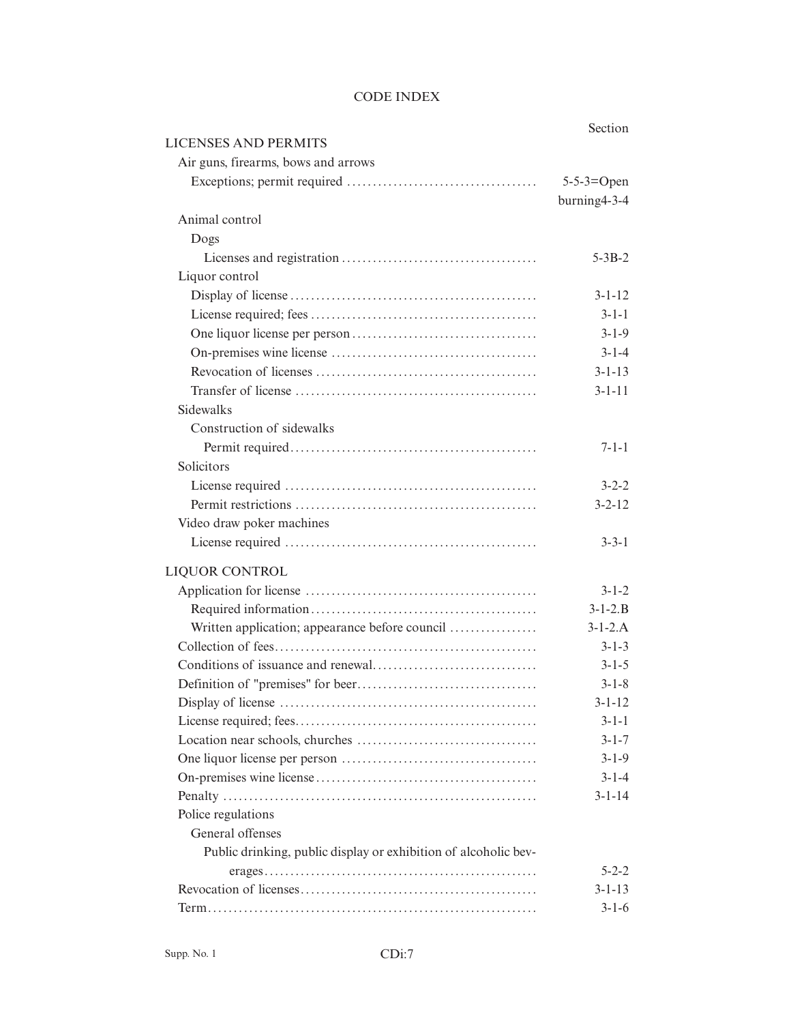## CODE INDEX

|                                                                 | Section       |
|-----------------------------------------------------------------|---------------|
| <b>LICENSES AND PERMITS</b>                                     |               |
| Air guns, firearms, bows and arrows                             |               |
|                                                                 | $5-5-3=Open$  |
|                                                                 | burning4-3-4  |
| Animal control                                                  |               |
| Dogs                                                            |               |
|                                                                 | $5 - 3B - 2$  |
| Liquor control                                                  |               |
|                                                                 | $3 - 1 - 12$  |
|                                                                 | $3 - 1 - 1$   |
|                                                                 | $3 - 1 - 9$   |
|                                                                 | $3 - 1 - 4$   |
|                                                                 | $3 - 1 - 13$  |
|                                                                 | $3 - 1 - 11$  |
| <b>Sidewalks</b>                                                |               |
| Construction of sidewalks                                       |               |
|                                                                 | $7 - 1 - 1$   |
| Solicitors                                                      |               |
|                                                                 | $3 - 2 - 2$   |
|                                                                 | $3 - 2 - 12$  |
| Video draw poker machines                                       |               |
|                                                                 | $3 - 3 - 1$   |
| LIQUOR CONTROL                                                  |               |
|                                                                 | $3 - 1 - 2$   |
|                                                                 | $3 - 1 - 2.B$ |
| Written application; appearance before council                  | $3-1-2.A$     |
|                                                                 | $3 - 1 - 3$   |
|                                                                 | $3 - 1 - 5$   |
|                                                                 | $3 - 1 - 8$   |
|                                                                 | $3 - 1 - 12$  |
|                                                                 | $3 - 1 - 1$   |
|                                                                 | $3 - 1 - 7$   |
|                                                                 | $3 - 1 - 9$   |
|                                                                 | $3 - 1 - 4$   |
|                                                                 | $3 - 1 - 14$  |
| Police regulations                                              |               |
| General offenses                                                |               |
| Public drinking, public display or exhibition of alcoholic bev- |               |
|                                                                 | $5 - 2 - 2$   |
|                                                                 | $3 - 1 - 13$  |
|                                                                 | $3 - 1 - 6$   |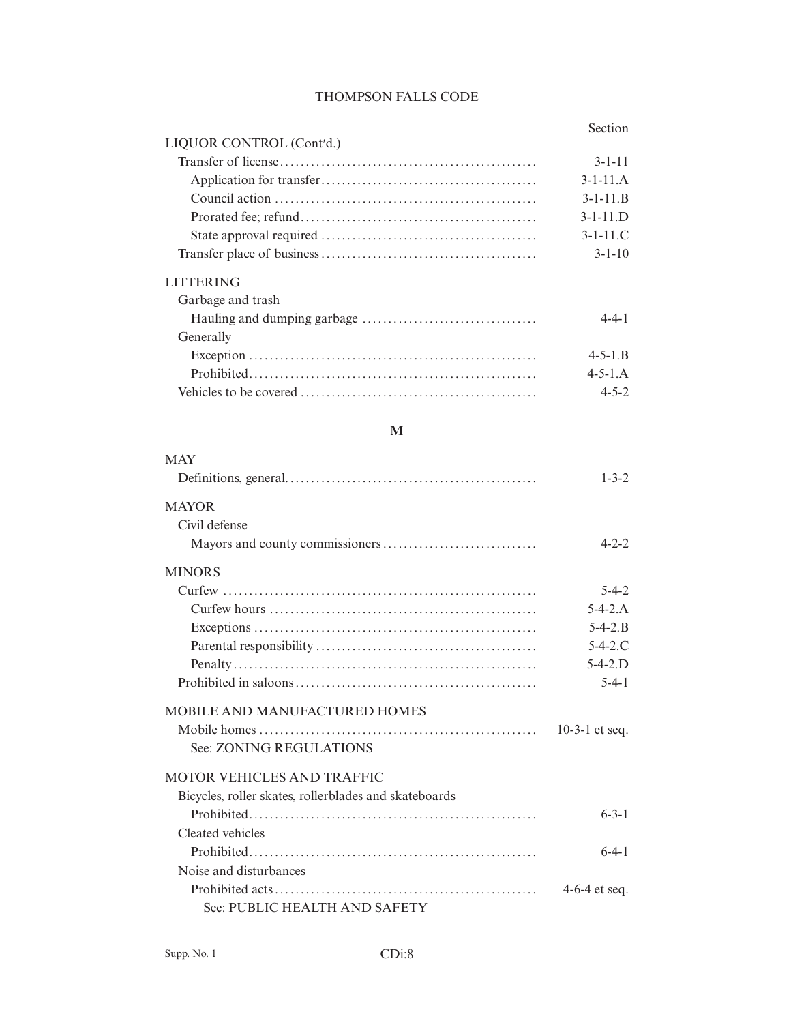| ection |
|--------|
|        |

| LIQUOR CONTROL (Cont'd.) |                  |
|--------------------------|------------------|
|                          | $3 - 1 - 11$     |
|                          | $3-1-11.A$       |
|                          | $3 - 1 - 11$ . B |
|                          | $3-1-11$ . D     |
|                          | $3-1-11.C$       |
|                          | $3 - 1 - 10$     |
| <b>LITTERING</b>         |                  |
| Garbage and trash        |                  |
|                          | $4 - 4 - 1$      |
| Generally                |                  |
|                          | $4 - 5 - 1$ . B  |
|                          | $4 - 5 - 1$ . A  |
|                          | $4 - 5 - 2$      |

## **M**

| $1 - 3 - 2$     |
|-----------------|
|                 |
|                 |
| $4 - 2 - 2$     |
|                 |
| $5 - 4 - 2$     |
| $5-4-2$ . A     |
| $5 - 4 - 2$ . B |
| $5 - 4 - 2$ .C  |
| $5-4-2$ . $D$   |
| $5 - 4 - 1$     |
|                 |
| 10-3-1 et seq.  |
|                 |
|                 |
|                 |
| $6 - 3 - 1$     |
|                 |
| $6-4-1$         |
|                 |
| $4-6-4$ et seq. |
|                 |
|                 |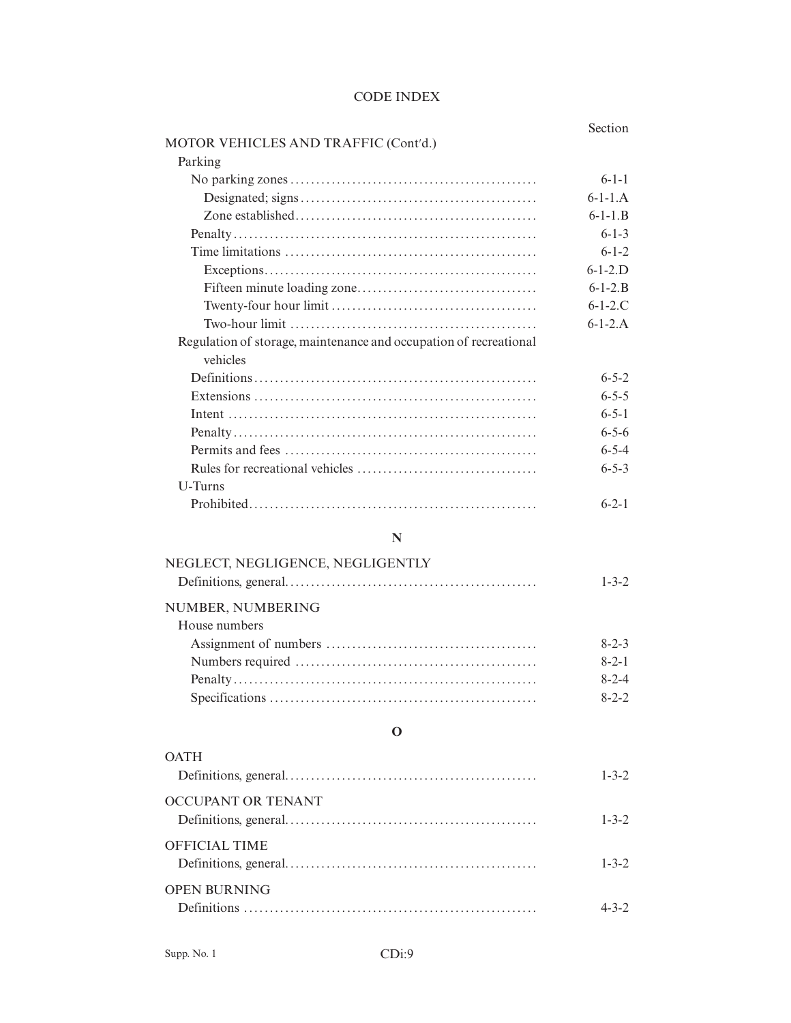|                                                                   | Section     |
|-------------------------------------------------------------------|-------------|
| MOTOR VEHICLES AND TRAFFIC (Cont'd.)                              |             |
| Parking                                                           |             |
|                                                                   | $6 - 1 - 1$ |
|                                                                   | $6-1-1.A$   |
|                                                                   | $6-1-1$ $R$ |
|                                                                   | $6 - 1 - 3$ |
|                                                                   | $6 - 1 - 2$ |
|                                                                   | $6-1-2.D$   |
|                                                                   | $6-1-2$ B   |
|                                                                   | $6-1-2.C$   |
|                                                                   | $6-1-2.A$   |
| Regulation of storage, maintenance and occupation of recreational |             |
| vehicles                                                          |             |
|                                                                   | $6 - 5 - 2$ |
|                                                                   | $6 - 5 - 5$ |
|                                                                   | $6 - 5 - 1$ |
|                                                                   | $6 - 5 - 6$ |
|                                                                   | $6 - 5 - 4$ |
|                                                                   | $6 - 5 - 3$ |
| U-Turns                                                           |             |
|                                                                   | $6 - 2 - 1$ |

# **N**

| NEGLECT, NEGLIGENCE, NEGLIGENTLY |             |
|----------------------------------|-------------|
|                                  | $1 - 3 - 2$ |
| NUMBER, NUMBERING                |             |
| House numbers                    |             |
|                                  | $8 - 2 - 3$ |
|                                  | $8 - 2 - 1$ |
|                                  | $8 - 2 - 4$ |
|                                  | $8 - 2 - 2$ |
|                                  |             |

## **O**

| <b>OATH</b>          | $1 - 3 - 2$ |
|----------------------|-------------|
| OCCUPANT OR TENANT   | $1 - 3 - 2$ |
| <b>OFFICIAL TIME</b> | $1 - 3 - 2$ |
| <b>OPEN BURNING</b>  |             |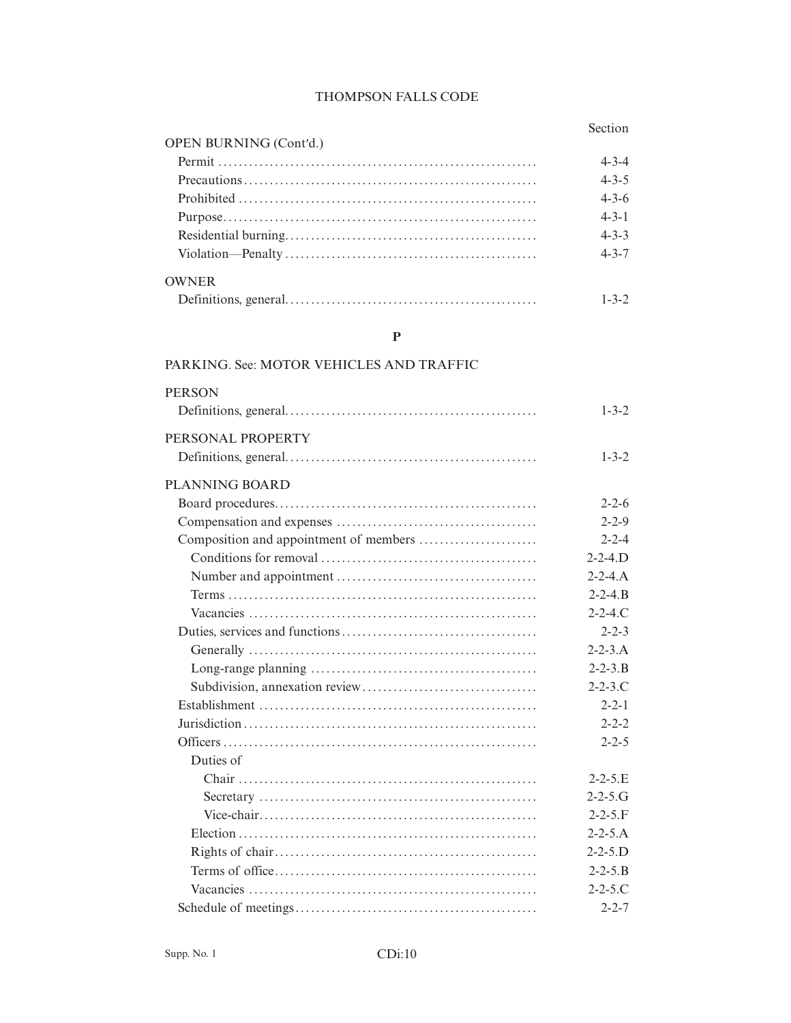### Section

| <b>OPEN BURNING (Cont'd.)</b> |             |
|-------------------------------|-------------|
|                               | $4 - 3 - 4$ |
|                               | $4 - 3 - 5$ |
|                               | $4 - 3 - 6$ |
|                               | $4 - 3 - 1$ |
|                               | $4 - 3 - 3$ |
|                               | $4 - 3 - 7$ |
| <b>OWNER</b>                  |             |
|                               | $1 - 3 - 2$ |

### $\mathbf{P}$

#### PARKING. See: MOTOR VEHICLES AND TRAFFIC **PERSON**  $1 - 3 - 2$ PERSONAL PROPERTY  $1 - 3 - 2$ **PLANNING BOARD**  $2 - 2 - 6$  $2 - 2 - 9$  $2 - 2 - 4$  $2 - 2 - 4$ .  $D$  $2 - 2 - 4.A$  $2 - 2 - 4$ . B  $2 - 2 - 4$ .C  $2 - 2 - 3$  $2 - 2 - 3.A$  $2 - 2 - 3$ . B  $2 - 2 - 3$ .C  $2 - 2 - 1$  $2 - 2 - 2$  $2 - 2 - 5$ Duties of  $2 - 2 - 5$ . E  $2 - 2 - 5$ .G  $2 - 2 - 5. F$  $2 - 2 - 5.A$  $2 - 2 - 5$ .  $D$  $2 - 2 - 5$ . B  $2 - 2 - 5$ .C  $2 - 2 - 7$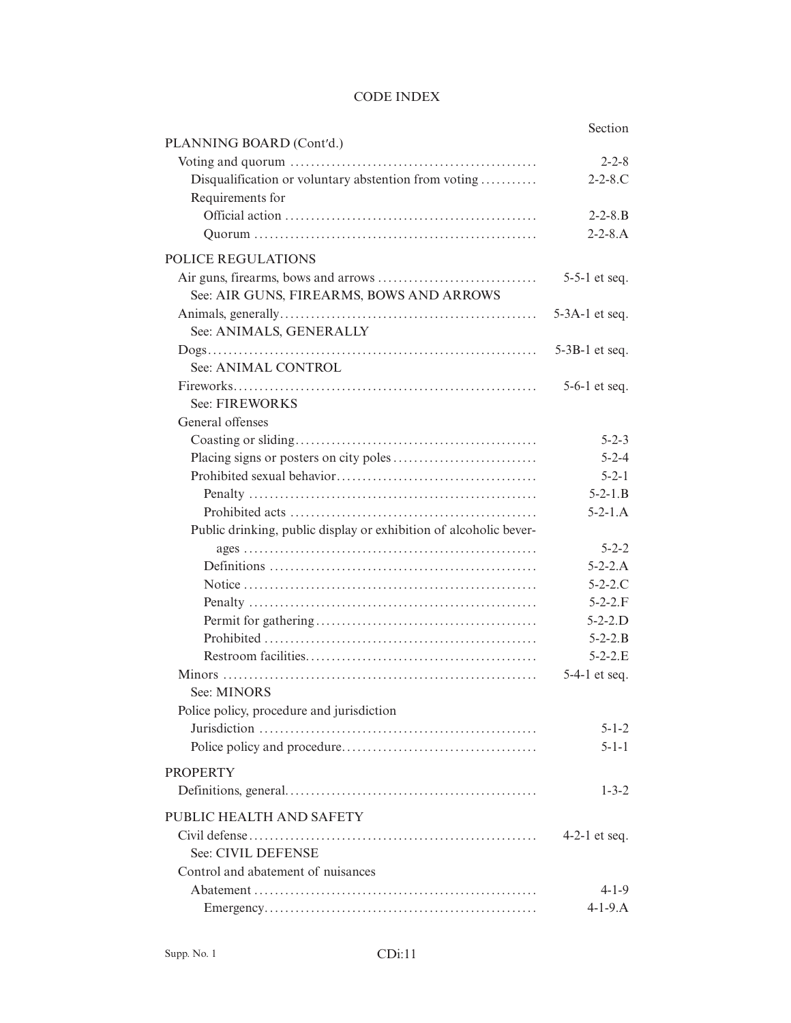|                                                                   | Section           |
|-------------------------------------------------------------------|-------------------|
| PLANNING BOARD (Cont'd.)                                          |                   |
|                                                                   | $2 - 2 - 8$       |
| Disqualification or voluntary abstention from voting              | $2 - 2 - 8$ .C    |
| Requirements for                                                  |                   |
|                                                                   | $2 - 2 - 8$ . B   |
|                                                                   | $2 - 2 - 8$ . A   |
| <b>POLICE REGULATIONS</b>                                         |                   |
|                                                                   | $5-5-1$ et seq.   |
| See: AIR GUNS, FIREARMS, BOWS AND ARROWS                          |                   |
|                                                                   | $5-3A-1$ et seq.  |
| See: ANIMALS, GENERALLY                                           |                   |
|                                                                   | $5-3B-1$ et seq.  |
| See: ANIMAL CONTROL                                               |                   |
|                                                                   | $5-6-1$ et seq.   |
| See: FIREWORKS                                                    |                   |
| General offenses                                                  |                   |
|                                                                   | $5 - 2 - 3$       |
|                                                                   | $5 - 2 - 4$       |
|                                                                   | $5 - 2 - 1$       |
|                                                                   | $5 - 2 - 1.B$     |
|                                                                   | $5-2-1.A$         |
| Public drinking, public display or exhibition of alcoholic bever- |                   |
|                                                                   | $5 - 2 - 2$       |
|                                                                   | $5 - 2 - 2$ . A   |
|                                                                   | $5 - 2 - 2$ .C    |
|                                                                   | $5 - 2 - 2$ . F   |
|                                                                   | $5 - 2 - 2$ . $D$ |
|                                                                   | $5 - 2 - 2.B$     |
|                                                                   | $5 - 2 - 2$ .E    |
|                                                                   | 5-4-1 et seq.     |
| See: MINORS                                                       |                   |
| Police policy, procedure and jurisdiction                         |                   |
|                                                                   | $5 - 1 - 2$       |
|                                                                   | $5 - 1 - 1$       |
| <b>PROPERTY</b>                                                   |                   |
|                                                                   | $1 - 3 - 2$       |
| PUBLIC HEALTH AND SAFETY                                          |                   |
|                                                                   | 4-2-1 et seq.     |
| See: CIVIL DEFENSE                                                |                   |
| Control and abatement of nuisances                                |                   |
|                                                                   | $4 - 1 - 9$       |
|                                                                   | $4 - 1 - 9$ . A   |
|                                                                   |                   |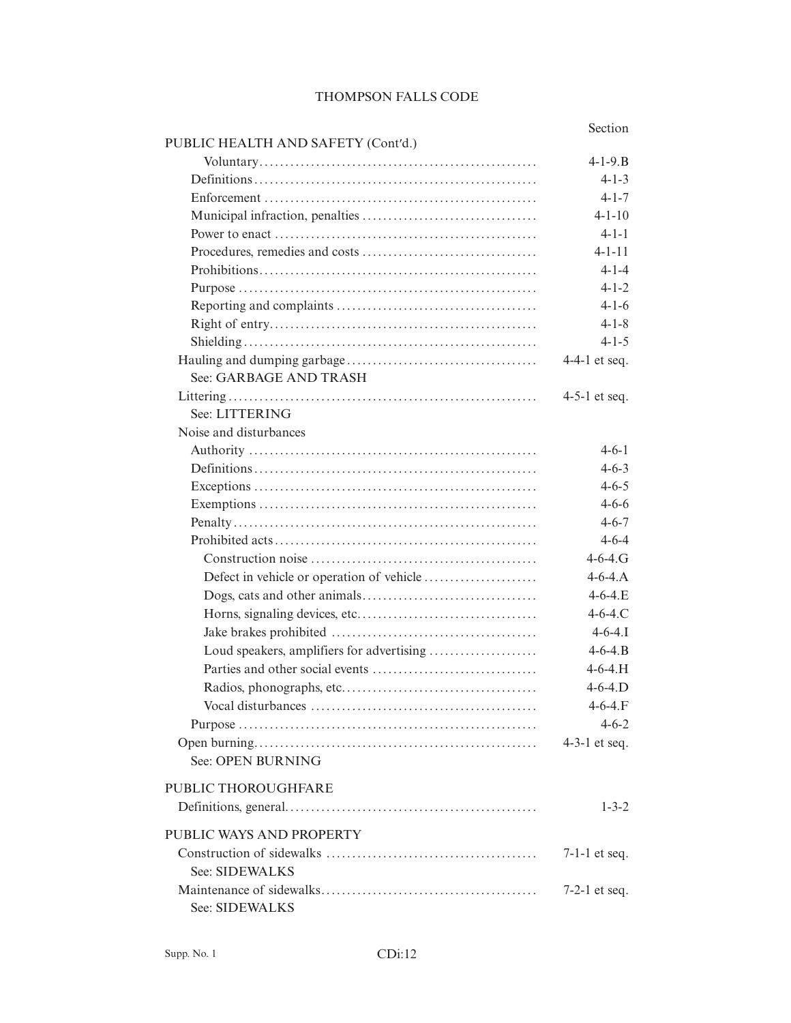|                                    | Section                        |
|------------------------------------|--------------------------------|
| PUBLIC HEALTH AND SAFETY (Cont'd.) |                                |
|                                    | $4 - 1 - 9$ . B<br>$4 - 1 - 3$ |
|                                    | $4 - 1 - 7$                    |
|                                    | $4 - 1 - 10$                   |
|                                    | $4 - 1 - 1$                    |
|                                    | $4 - 1 - 11$                   |
|                                    | $4 - 1 - 4$                    |
|                                    | $4 - 1 - 2$                    |
|                                    | $4 - 1 - 6$                    |
|                                    |                                |
|                                    | $4 - 1 - 8$                    |
|                                    | $4 - 1 - 5$                    |
|                                    | 4-4-1 et seq.                  |
| See: GARBAGE AND TRASH             |                                |
|                                    | $4-5-1$ et seq.                |
| See: LITTERING                     |                                |
| Noise and disturbances             |                                |
|                                    | $4 - 6 - 1$                    |
|                                    | $4 - 6 - 3$                    |
|                                    | $4 - 6 - 5$                    |
|                                    | $4 - 6 - 6$                    |
|                                    | $4 - 6 - 7$                    |
|                                    | $4 - 6 - 4$                    |
|                                    | $4 - 6 - 4$ . G                |
|                                    | $4 - 6 - 4$ . A                |
|                                    | $4 - 6 - 4$ .E                 |
|                                    | $4 - 6 - 4$ .C                 |
|                                    | $4 - 6 - 4.1$                  |
|                                    | $4 - 6 - 4$ . B                |
|                                    | $4 - 6 - 4$ . H                |
|                                    | $4 - 6 - 4$ . D                |
|                                    | $4 - 6 - 4. F$                 |
|                                    | $4 - 6 - 2$                    |
|                                    | 4-3-1 et seq.                  |
| See: OPEN BURNING                  |                                |
| PUBLIC THOROUGHFARE                |                                |
|                                    | $1 - 3 - 2$                    |
| PUBLIC WAYS AND PROPERTY           |                                |
|                                    | $7-1-1$ et seq.                |
| See: SIDEWALKS                     |                                |
|                                    | 7-2-1 et seq.                  |
| See: SIDEWALKS                     |                                |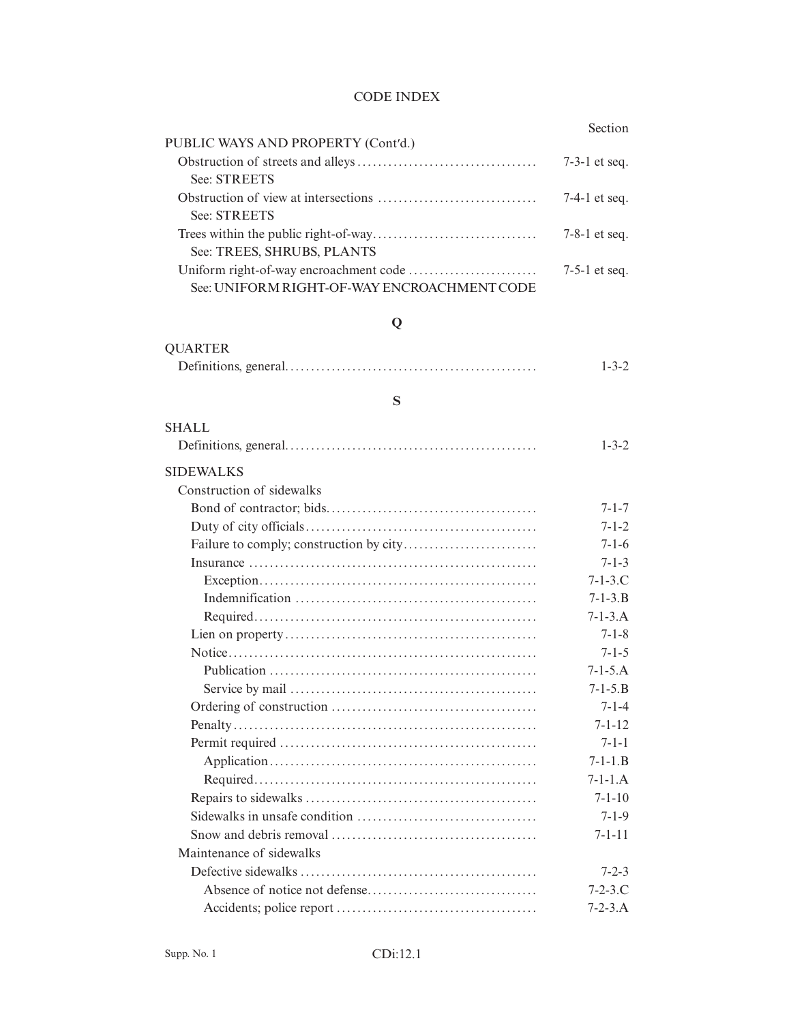|                                             | Section         |
|---------------------------------------------|-----------------|
| PUBLIC WAYS AND PROPERTY (Cont'd.)          |                 |
|                                             | $7-3-1$ et seq. |
| See: STREETS                                |                 |
|                                             | $7-4-1$ et seq. |
| See: STREETS                                |                 |
|                                             | $7-8-1$ et seq. |
| See: TREES, SHRUBS, PLANTS                  |                 |
|                                             | $7-5-1$ et seq. |
| See: UNIFORM RIGHT-OF-WAY ENCROACHMENT CODE |                 |

# **Q**

| <b>QUARTER</b> |             |
|----------------|-------------|
|                | $1 - 3 - 2$ |

# **S**

| <b>SHALL</b>              |                 |
|---------------------------|-----------------|
|                           | $1 - 3 - 2$     |
| <b>SIDEWALKS</b>          |                 |
| Construction of sidewalks |                 |
|                           | $7 - 1 - 7$     |
|                           | $7 - 1 - 2$     |
|                           | $7 - 1 - 6$     |
|                           | $7 - 1 - 3$     |
|                           | $7 - 1 - 3$ .C  |
|                           | $7 - 1 - 3$ . B |
|                           | $7 - 1 - 3$ . A |
|                           | $7 - 1 - 8$     |
|                           | $7 - 1 - 5$     |
|                           | $7 - 1 - 5$ . A |
|                           | $7 - 1 - 5$ . B |
|                           | $7 - 1 - 4$     |
|                           | $7 - 1 - 12$    |
|                           | $7 - 1 - 1$     |
|                           | $7 - 1 - 1$ . B |
|                           | $7-1-1.A$       |
|                           | $7 - 1 - 10$    |
|                           | $7 - 1 - 9$     |
|                           | $7 - 1 - 11$    |
| Maintenance of sidewalks  |                 |
|                           | $7 - 2 - 3$     |
|                           | $7 - 2 - 3$ .C  |
|                           | $7 - 2 - 3$ . A |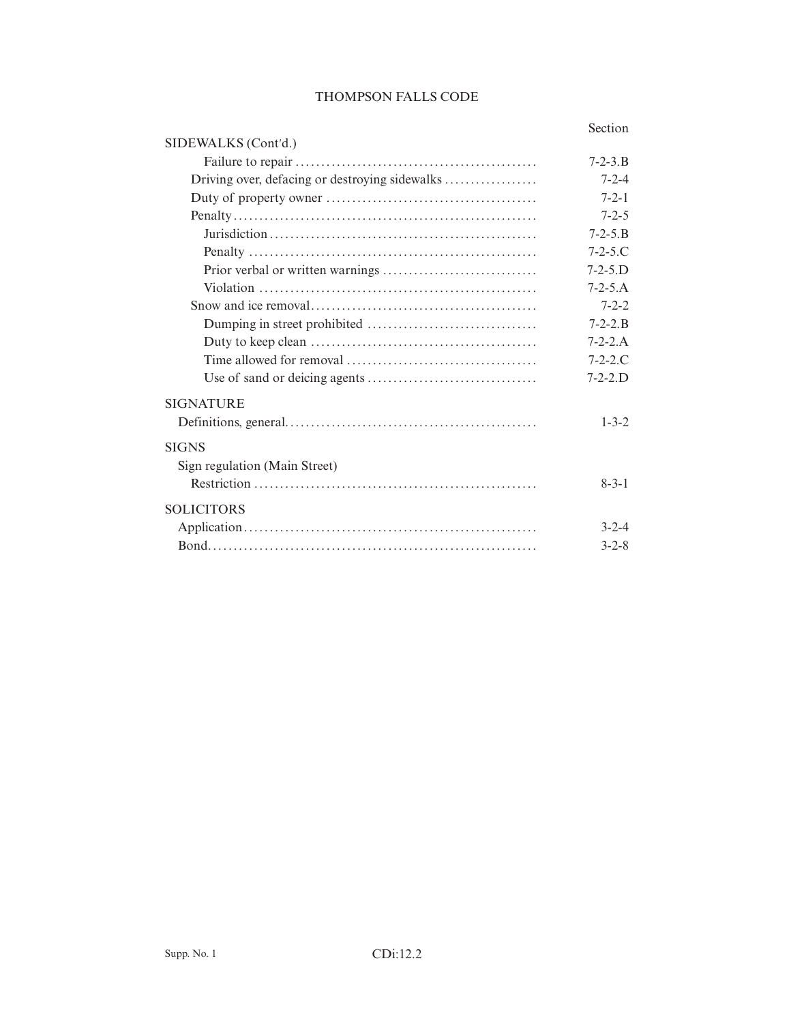### Section

| SIDEWALKS (Cont'd.)           |                   |
|-------------------------------|-------------------|
|                               | $7 - 2 - 3$ . B   |
|                               | $7 - 2 - 4$       |
|                               | $7 - 2 - 1$       |
|                               | $7 - 2 - 5$       |
|                               | $7 - 2 - 5$ . B   |
|                               | $7 - 2 - 5$ .C    |
|                               | $7 - 2 - 5$ . $D$ |
|                               | $7 - 2 - 5.A$     |
|                               | $7 - 2 - 2$       |
|                               | $7 - 2 - 2$ . B   |
|                               | $7 - 2 - 2.A$     |
|                               | $7 - 2 - 2$ .C    |
|                               | $7 - 2 - 2$ . $D$ |
| <b>SIGNATURE</b>              |                   |
|                               | $1 - 3 - 2$       |
| <b>SIGNS</b>                  |                   |
| Sign regulation (Main Street) |                   |
|                               | $8 - 3 - 1$       |
| <b>SOLICITORS</b>             |                   |
|                               | $3 - 2 - 4$       |
|                               | $3 - 2 - 8$       |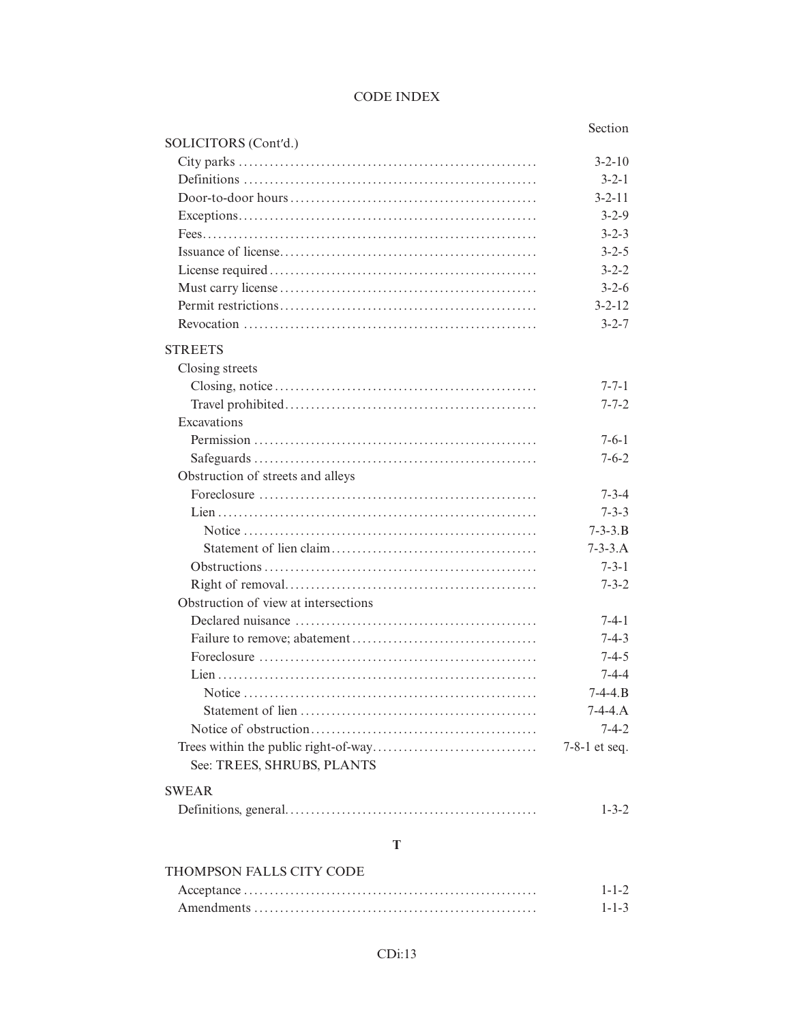#### Section SOLICITORS (Cont'd.)  $3 - 2 - 10$  $3 - 2 - 1$  $3 - 2 - 11$  $3 - 2 - 9$  $3 - 2 - 3$  $3 - 2 - 5$  $3 - 2 - 2$  $3 - 2 - 6$  $3 - 2 - 12$  $3 - 2 - 7$ **STREETS** Closing streets  $7 - 7 - 1$  $7 - 7 - 2$ Excavations  $7 - 6 - 1$  $7 - 6 - 2$ Obstruction of streets and alleys  $7 - 3 - 4$  $7 - 3 - 3$  $7 - 3 - 3$ . B  $7 - 3 - 3.A$  $7 - 3 - 1$  $7 - 3 - 2$ Obstruction of view at intersections  $7-4-1$  $7 - 4 - 3$ Foreclosure  $\ldots$   $\ldots$   $\ldots$   $\ldots$   $\ldots$   $\ldots$   $\ldots$   $\ldots$   $\ldots$   $\ldots$  $7 - 4 - 5$  $7 - 4 - 4$  $7-4-4.B$  $7-4-4.A$  $7 - 4 - 2$  $7-8-1$  et seq. See: TREES, SHRUBS, PLANTS **SWEAR**  $1 - 3 - 2$

### $\mathbf T$

#### THOMPSON FALLS CITY CODE  $1 - 1 - 2$  $1 - 1 - 3$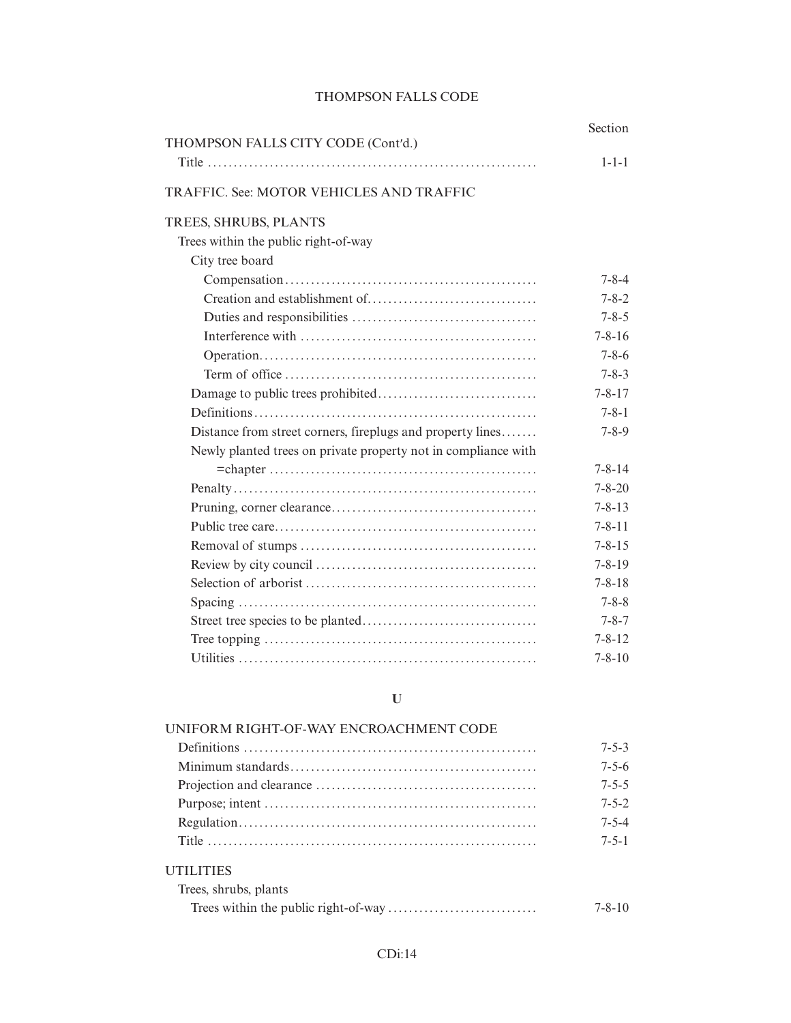| THOMPSON FALLS CITY CODE (Cont'd.)                             | Section      |
|----------------------------------------------------------------|--------------|
|                                                                | $1 - 1 - 1$  |
| TRAFFIC. See: MOTOR VEHICLES AND TRAFFIC                       |              |
| TREES, SHRUBS, PLANTS                                          |              |
| Trees within the public right-of-way                           |              |
| City tree board                                                |              |
|                                                                | $7 - 8 - 4$  |
|                                                                | $7 - 8 - 2$  |
|                                                                | $7 - 8 - 5$  |
|                                                                | $7 - 8 - 16$ |
|                                                                | $7 - 8 - 6$  |
|                                                                | $7 - 8 - 3$  |
|                                                                | $7 - 8 - 17$ |
|                                                                | $7 - 8 - 1$  |
| Distance from street corners, fireplugs and property lines     | $7 - 8 - 9$  |
| Newly planted trees on private property not in compliance with |              |
|                                                                | $7 - 8 - 14$ |
|                                                                | $7 - 8 - 20$ |
|                                                                | $7 - 8 - 13$ |
|                                                                | $7 - 8 - 11$ |
|                                                                | $7 - 8 - 15$ |
|                                                                | $7 - 8 - 19$ |
|                                                                | $7 - 8 - 18$ |
|                                                                | $7 - 8 - 8$  |
|                                                                | $7 - 8 - 7$  |
|                                                                | $7 - 8 - 12$ |
|                                                                | $7 - 8 - 10$ |
| U                                                              |              |

| UNIFORM RIGHT-OF-WAY ENCROACHMENT CODE |              |
|----------------------------------------|--------------|
|                                        | $7 - 5 - 3$  |
|                                        | $7 - 5 - 6$  |
|                                        | $7 - 5 - 5$  |
|                                        | $7 - 5 - 2$  |
|                                        | $7 - 5 - 4$  |
|                                        | $7 - 5 - 1$  |
| <b>UTILITIES</b>                       |              |
| Trees, shrubs, plants                  |              |
|                                        | $7 - 8 - 10$ |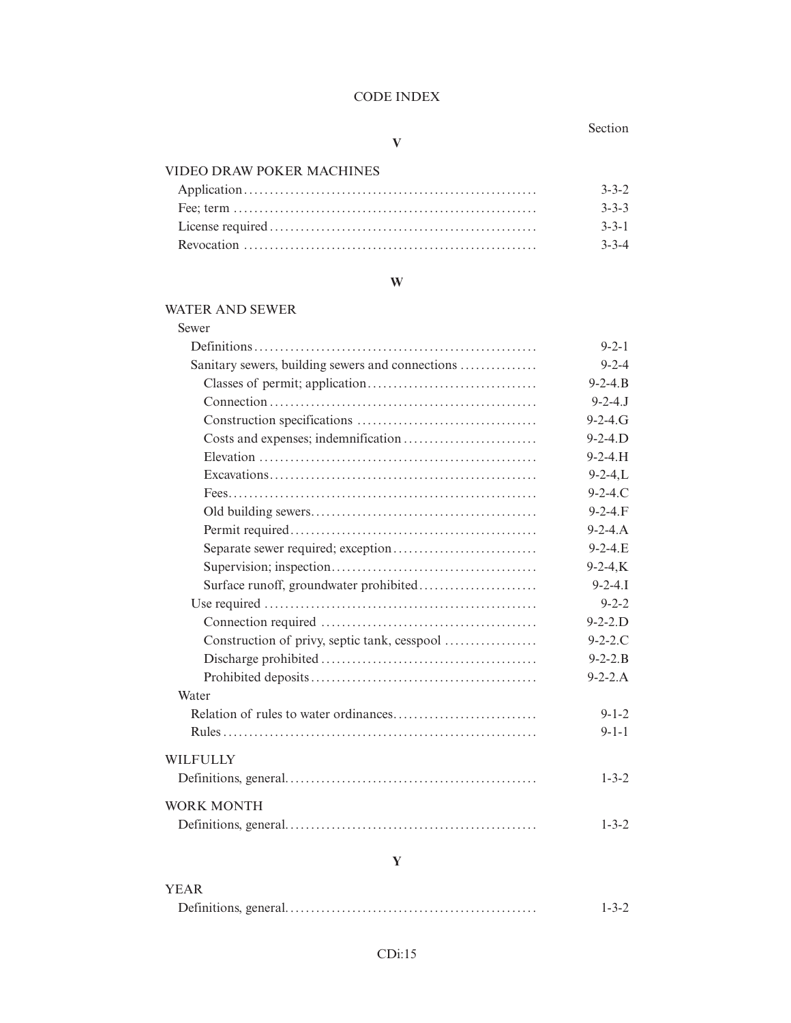### Section

## **V**

## VIDEO DRAW POKER MACHINES

| $3 - 3 - 2$ |
|-------------|
| $3 - 3 - 3$ |
| $3 - 3 - 1$ |
| $3 - 3 - 4$ |

### **W**

### WATER AND SEWER

| Sewer                                            |                   |
|--------------------------------------------------|-------------------|
|                                                  | $9 - 2 - 1$       |
| Sanitary sewers, building sewers and connections | $9 - 2 - 4$       |
|                                                  | $9 - 2 - 4$ .     |
|                                                  | $9 - 2 - 4.$ J    |
|                                                  | $9 - 2 - 4. G$    |
|                                                  | $9 - 2 - 4$ . $D$ |
|                                                  | $9 - 2 - 4$ .H    |
|                                                  | $9 - 2 - 4$ , L   |
|                                                  | $9 - 2 - 4. C$    |
|                                                  | $9 - 2 - 4. F$    |
|                                                  | $9 - 2 - 4. A$    |
|                                                  | $9 - 2 - 4$ .E    |
|                                                  | $9 - 2 - 4$ , K   |
|                                                  | $9 - 2 - 4.1$     |
|                                                  | $9 - 2 - 2$       |
|                                                  | $9 - 2 - 2$ . $D$ |
|                                                  | $9 - 2 - 2$ .C    |
|                                                  | $9 - 2 - 2$ . B   |
|                                                  | $9 - 2 - 2.A$     |
| Water                                            |                   |
|                                                  | $9 - 1 - 2$       |
|                                                  | $9 - 1 - 1$       |
| <b>WILFULLY</b>                                  |                   |
|                                                  | $1 - 3 - 2$       |
| <b>WORK MONTH</b>                                |                   |
|                                                  | $1 - 3 - 2$       |

# **Y**

| <b>YEAR</b> |             |
|-------------|-------------|
|             | $1 - 3 - 2$ |